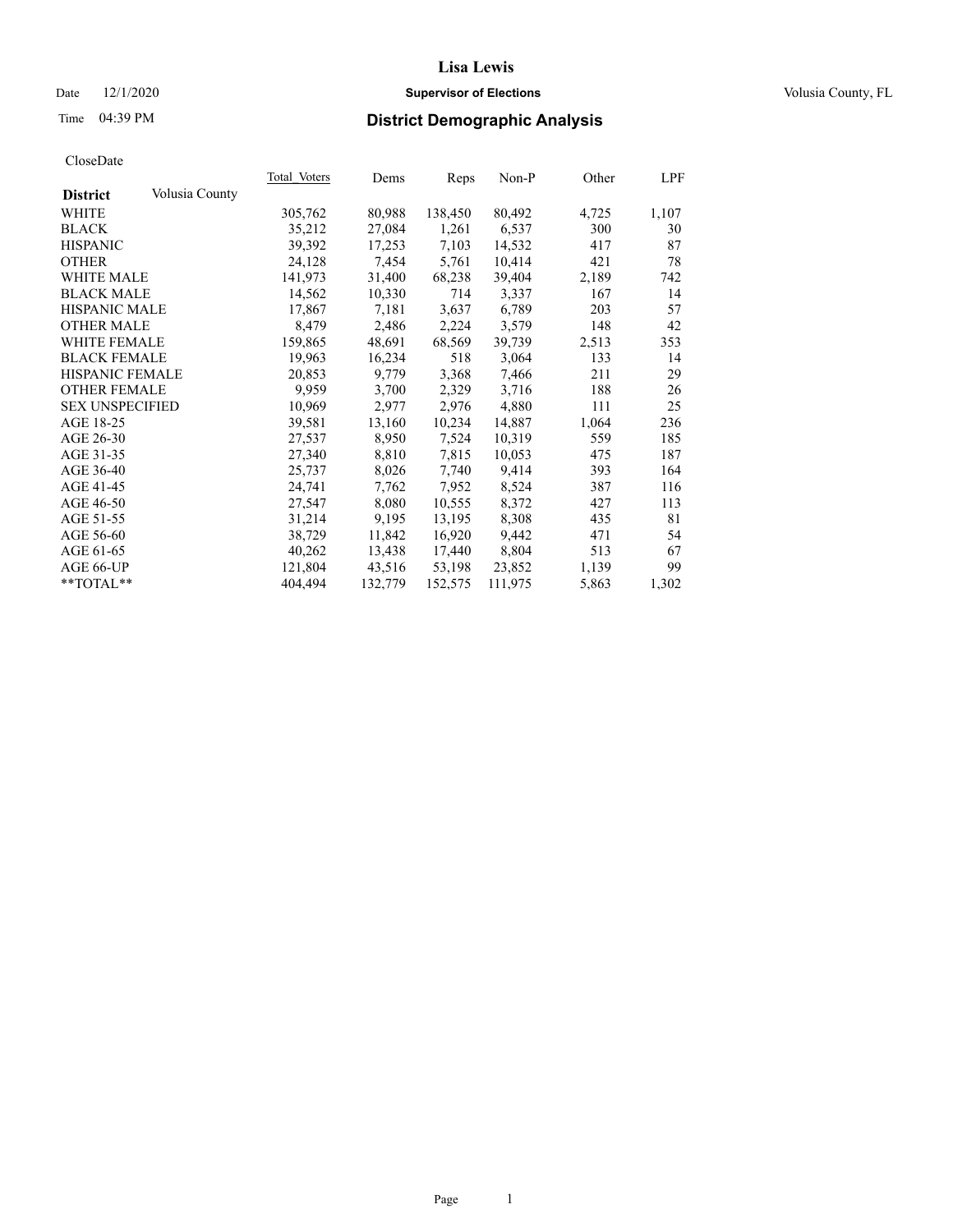### Date  $12/1/2020$  **Supervisor of Elections Supervisor of Elections** Volusia County, FL

# Time 04:39 PM **District Demographic Analysis**

|                        |                | Total Voters | Dems    | Reps    | Non-P   | Other | LPF   |
|------------------------|----------------|--------------|---------|---------|---------|-------|-------|
| <b>District</b>        | Volusia County |              |         |         |         |       |       |
| WHITE                  |                | 305,762      | 80,988  | 138,450 | 80,492  | 4,725 | 1,107 |
| <b>BLACK</b>           |                | 35,212       | 27,084  | 1,261   | 6,537   | 300   | 30    |
| <b>HISPANIC</b>        |                | 39,392       | 17,253  | 7,103   | 14,532  | 417   | 87    |
| <b>OTHER</b>           |                | 24,128       | 7,454   | 5,761   | 10,414  | 421   | 78    |
| WHITE MALE             |                | 141,973      | 31,400  | 68,238  | 39,404  | 2,189 | 742   |
| <b>BLACK MALE</b>      |                | 14,562       | 10,330  | 714     | 3,337   | 167   | 14    |
| <b>HISPANIC MALE</b>   |                | 17,867       | 7,181   | 3,637   | 6,789   | 203   | 57    |
| <b>OTHER MALE</b>      |                | 8,479        | 2,486   | 2,224   | 3,579   | 148   | 42    |
| <b>WHITE FEMALE</b>    |                | 159,865      | 48,691  | 68,569  | 39,739  | 2,513 | 353   |
| <b>BLACK FEMALE</b>    |                | 19,963       | 16,234  | 518     | 3,064   | 133   | 14    |
| <b>HISPANIC FEMALE</b> |                | 20,853       | 9,779   | 3,368   | 7,466   | 211   | 29    |
| <b>OTHER FEMALE</b>    |                | 9,959        | 3,700   | 2,329   | 3,716   | 188   | 26    |
| <b>SEX UNSPECIFIED</b> |                | 10,969       | 2,977   | 2,976   | 4,880   | 111   | 25    |
| AGE 18-25              |                | 39,581       | 13,160  | 10,234  | 14,887  | 1,064 | 236   |
| AGE 26-30              |                | 27,537       | 8,950   | 7,524   | 10,319  | 559   | 185   |
| AGE 31-35              |                | 27,340       | 8,810   | 7,815   | 10,053  | 475   | 187   |
| AGE 36-40              |                | 25,737       | 8,026   | 7,740   | 9,414   | 393   | 164   |
| AGE 41-45              |                | 24,741       | 7,762   | 7,952   | 8,524   | 387   | 116   |
| AGE 46-50              |                | 27,547       | 8,080   | 10,555  | 8,372   | 427   | 113   |
| AGE 51-55              |                | 31,214       | 9,195   | 13,195  | 8,308   | 435   | 81    |
| AGE 56-60              |                | 38,729       | 11,842  | 16,920  | 9,442   | 471   | 54    |
| AGE 61-65              |                | 40,262       | 13,438  | 17,440  | 8,804   | 513   | 67    |
| AGE 66-UP              |                | 121,804      | 43,516  | 53,198  | 23,852  | 1,139 | 99    |
| $*$ TOTAL $*$          |                | 404.494      | 132,779 | 152,575 | 111,975 | 5,863 | 1,302 |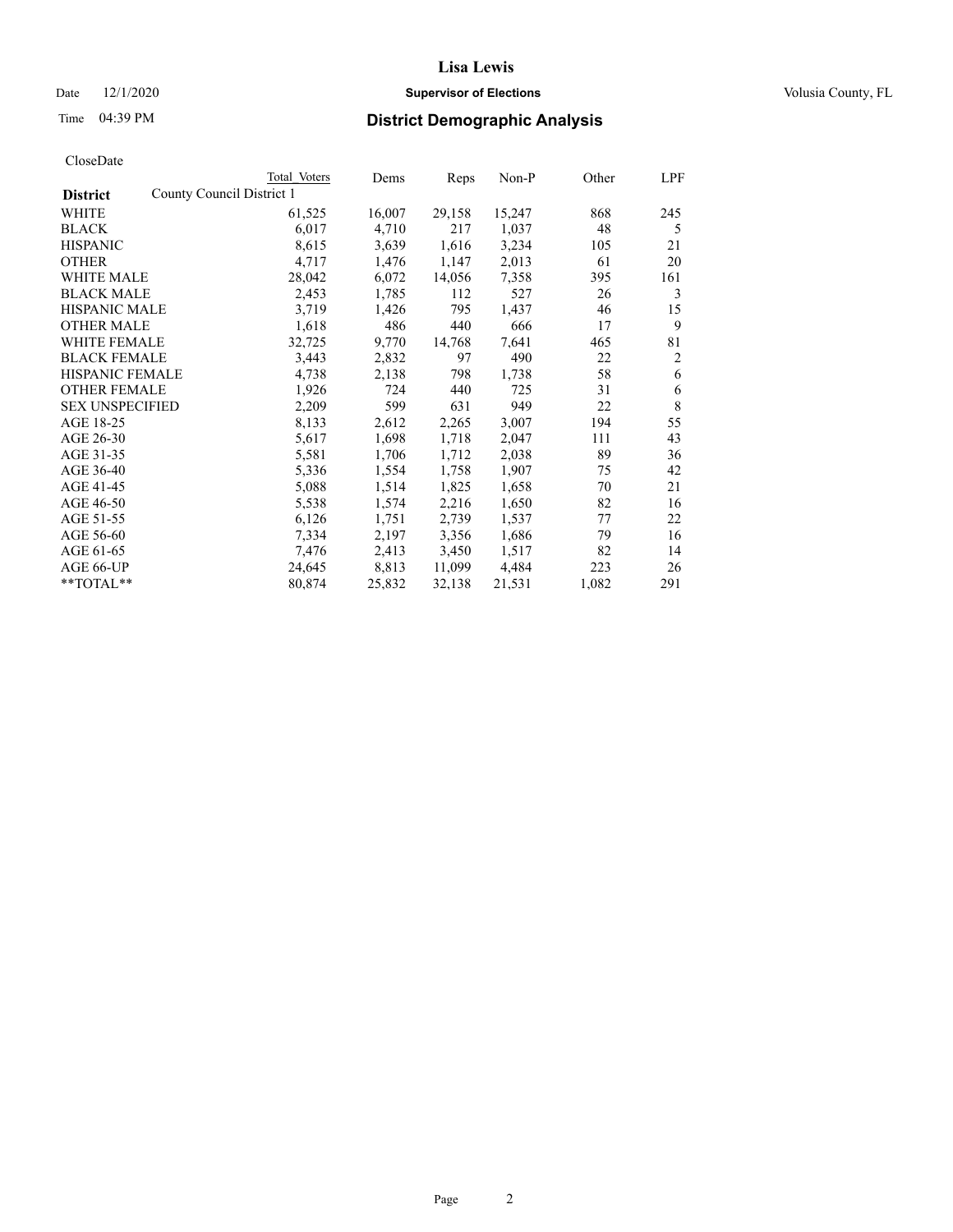### Date  $12/1/2020$  **Supervisor of Elections Supervisor of Elections** Volusia County, FL

| CloseDate |
|-----------|
|-----------|

|                                              | Total Voters | Dems   | Reps   | Non-P  | Other | LPF |
|----------------------------------------------|--------------|--------|--------|--------|-------|-----|
| County Council District 1<br><b>District</b> |              |        |        |        |       |     |
| WHITE                                        | 61,525       | 16,007 | 29,158 | 15,247 | 868   | 245 |
| <b>BLACK</b>                                 | 6,017        | 4,710  | 217    | 1,037  | 48    | 5   |
| <b>HISPANIC</b>                              | 8,615        | 3,639  | 1,616  | 3,234  | 105   | 21  |
| <b>OTHER</b>                                 | 4,717        | 1,476  | 1,147  | 2,013  | 61    | 20  |
| <b>WHITE MALE</b>                            | 28,042       | 6,072  | 14,056 | 7,358  | 395   | 161 |
| <b>BLACK MALE</b>                            | 2,453        | 1,785  | 112    | 527    | 26    | 3   |
| <b>HISPANIC MALE</b>                         | 3,719        | 1,426  | 795    | 1,437  | 46    | 15  |
| <b>OTHER MALE</b>                            | 1,618        | 486    | 440    | 666    | 17    | 9   |
| <b>WHITE FEMALE</b>                          | 32,725       | 9,770  | 14,768 | 7,641  | 465   | 81  |
| <b>BLACK FEMALE</b>                          | 3,443        | 2,832  | 97     | 490    | 22    | 2   |
| <b>HISPANIC FEMALE</b>                       | 4,738        | 2,138  | 798    | 1,738  | 58    | 6   |
| <b>OTHER FEMALE</b>                          | 1,926        | 724    | 440    | 725    | 31    | 6   |
| <b>SEX UNSPECIFIED</b>                       | 2,209        | 599    | 631    | 949    | 22    | 8   |
| AGE 18-25                                    | 8,133        | 2,612  | 2,265  | 3,007  | 194   | 55  |
| AGE 26-30                                    | 5,617        | 1,698  | 1,718  | 2,047  | 111   | 43  |
| AGE 31-35                                    | 5,581        | 1,706  | 1,712  | 2,038  | 89    | 36  |
| AGE 36-40                                    | 5,336        | 1,554  | 1,758  | 1,907  | 75    | 42  |
| AGE 41-45                                    | 5,088        | 1,514  | 1,825  | 1,658  | 70    | 21  |
| AGE 46-50                                    | 5,538        | 1,574  | 2,216  | 1,650  | 82    | 16  |
| AGE 51-55                                    | 6,126        | 1,751  | 2,739  | 1,537  | 77    | 22  |
| AGE 56-60                                    | 7,334        | 2,197  | 3,356  | 1,686  | 79    | 16  |
| AGE 61-65                                    | 7,476        | 2,413  | 3,450  | 1,517  | 82    | 14  |
| AGE 66-UP                                    | 24,645       | 8,813  | 11,099 | 4,484  | 223   | 26  |
| **TOTAL**                                    | 80,874       | 25,832 | 32,138 | 21,531 | 1,082 | 291 |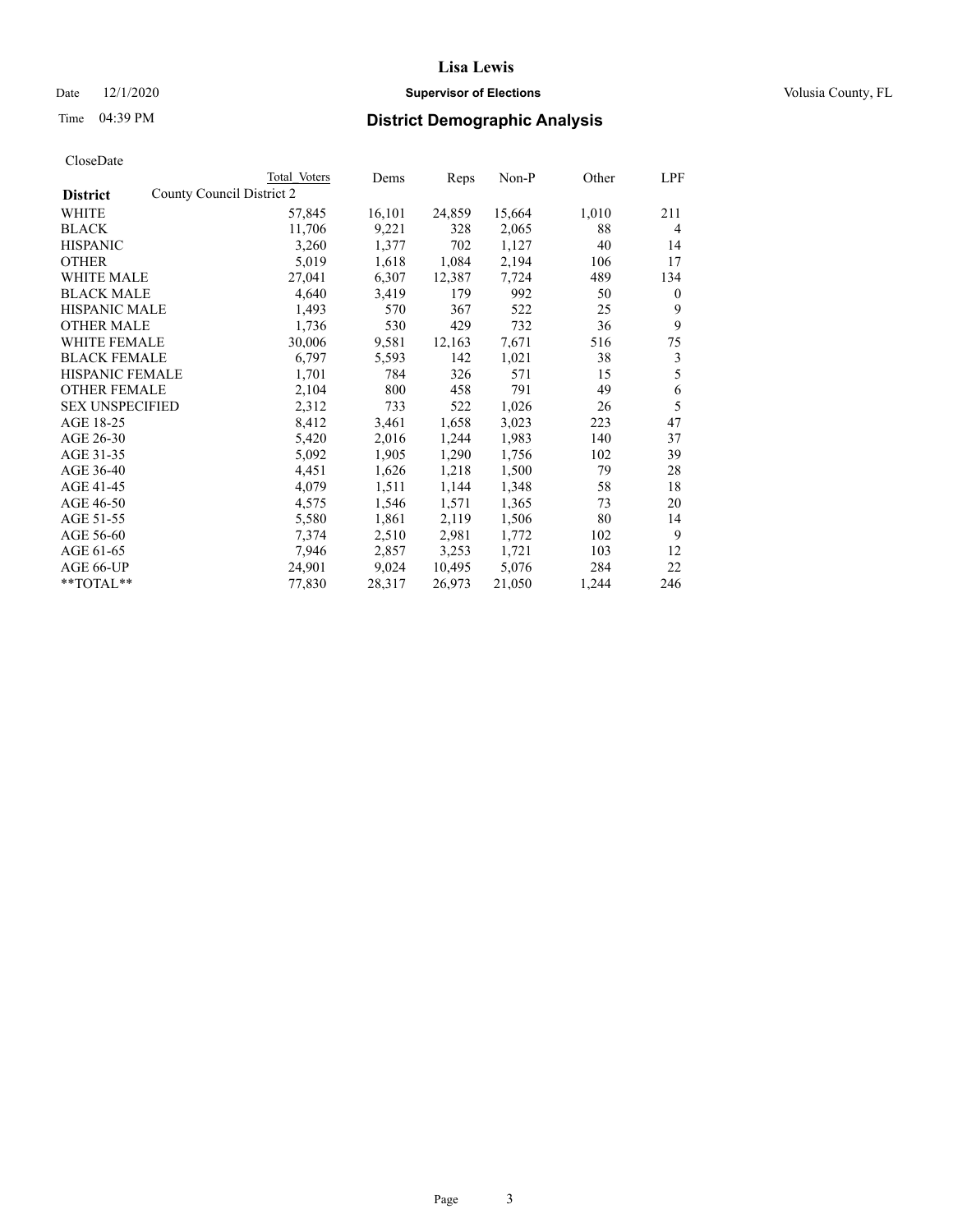### Date  $12/1/2020$  **Supervisor of Elections Supervisor of Elections** Volusia County, FL

| CloseDate |
|-----------|
|-----------|

|                                              | Total Voters | Dems   | Reps   | Non-P  | Other | LPF            |
|----------------------------------------------|--------------|--------|--------|--------|-------|----------------|
| County Council District 2<br><b>District</b> |              |        |        |        |       |                |
| WHITE                                        | 57,845       | 16,101 | 24,859 | 15,664 | 1,010 | 211            |
| <b>BLACK</b>                                 | 11,706       | 9,221  | 328    | 2,065  | 88    | $\overline{4}$ |
| <b>HISPANIC</b>                              | 3,260        | 1,377  | 702    | 1,127  | 40    | 14             |
| <b>OTHER</b>                                 | 5,019        | 1,618  | 1,084  | 2,194  | 106   | 17             |
| WHITE MALE                                   | 27,041       | 6,307  | 12,387 | 7,724  | 489   | 134            |
| <b>BLACK MALE</b>                            | 4,640        | 3,419  | 179    | 992    | 50    | $\bf{0}$       |
| <b>HISPANIC MALE</b>                         | 1,493        | 570    | 367    | 522    | 25    | 9              |
| <b>OTHER MALE</b>                            | 1,736        | 530    | 429    | 732    | 36    | 9              |
| <b>WHITE FEMALE</b>                          | 30,006       | 9,581  | 12,163 | 7,671  | 516   | 75             |
| <b>BLACK FEMALE</b>                          | 6,797        | 5,593  | 142    | 1,021  | 38    | 3              |
| <b>HISPANIC FEMALE</b>                       | 1,701        | 784    | 326    | 571    | 15    | 5              |
| <b>OTHER FEMALE</b>                          | 2,104        | 800    | 458    | 791    | 49    | 6              |
| <b>SEX UNSPECIFIED</b>                       | 2,312        | 733    | 522    | 1,026  | 26    | 5              |
| AGE 18-25                                    | 8,412        | 3,461  | 1,658  | 3,023  | 223   | 47             |
| AGE 26-30                                    | 5,420        | 2,016  | 1,244  | 1,983  | 140   | 37             |
| AGE 31-35                                    | 5,092        | 1,905  | 1,290  | 1,756  | 102   | 39             |
| AGE 36-40                                    | 4,451        | 1,626  | 1,218  | 1,500  | 79    | 28             |
| AGE 41-45                                    | 4,079        | 1,511  | 1,144  | 1,348  | 58    | 18             |
| AGE 46-50                                    | 4,575        | 1,546  | 1,571  | 1,365  | 73    | 20             |
| AGE 51-55                                    | 5,580        | 1,861  | 2,119  | 1,506  | 80    | 14             |
| AGE 56-60                                    | 7,374        | 2,510  | 2,981  | 1,772  | 102   | 9              |
| AGE 61-65                                    | 7,946        | 2,857  | 3,253  | 1,721  | 103   | 12             |
| AGE 66-UP                                    | 24,901       | 9,024  | 10,495 | 5,076  | 284   | 22             |
| $*$ $TOTAL**$                                | 77,830       | 28,317 | 26,973 | 21,050 | 1,244 | 246            |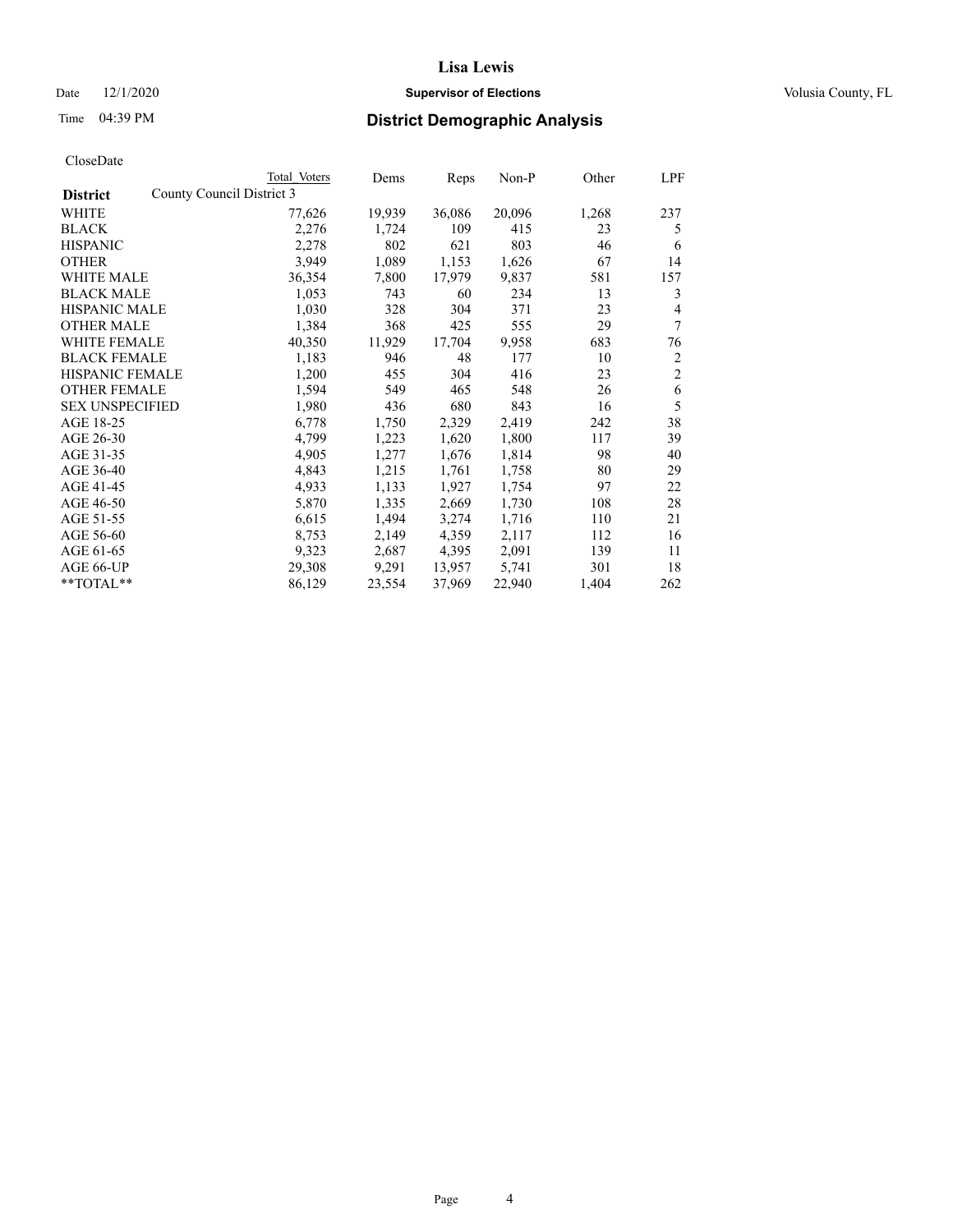### Date  $12/1/2020$  **Supervisor of Elections Supervisor of Elections** Volusia County, FL

| CloseDate |
|-----------|
|-----------|

|                                              | Total Voters | Dems   | Reps   | Non-P  | Other | LPF            |
|----------------------------------------------|--------------|--------|--------|--------|-------|----------------|
| County Council District 3<br><b>District</b> |              |        |        |        |       |                |
| WHITE                                        | 77,626       | 19,939 | 36,086 | 20,096 | 1,268 | 237            |
| <b>BLACK</b>                                 | 2,276        | 1,724  | 109    | 415    | 23    | 5              |
| <b>HISPANIC</b>                              | 2,278        | 802    | 621    | 803    | 46    | 6              |
| <b>OTHER</b>                                 | 3,949        | 1,089  | 1,153  | 1,626  | 67    | 14             |
| WHITE MALE                                   | 36,354       | 7,800  | 17,979 | 9,837  | 581   | 157            |
| <b>BLACK MALE</b>                            | 1,053        | 743    | 60     | 234    | 13    | 3              |
| <b>HISPANIC MALE</b>                         | 1,030        | 328    | 304    | 371    | 23    | $\overline{4}$ |
| <b>OTHER MALE</b>                            | 1,384        | 368    | 425    | 555    | 29    | 7              |
| <b>WHITE FEMALE</b>                          | 40,350       | 11,929 | 17,704 | 9,958  | 683   | 76             |
| <b>BLACK FEMALE</b>                          | 1,183        | 946    | 48     | 177    | 10    | $\overline{2}$ |
| <b>HISPANIC FEMALE</b>                       | 1,200        | 455    | 304    | 416    | 23    | $\mathfrak{2}$ |
| <b>OTHER FEMALE</b>                          | 1,594        | 549    | 465    | 548    | 26    | 6              |
| <b>SEX UNSPECIFIED</b>                       | 1,980        | 436    | 680    | 843    | 16    | 5              |
| AGE 18-25                                    | 6,778        | 1,750  | 2,329  | 2,419  | 242   | 38             |
| AGE 26-30                                    | 4,799        | 1,223  | 1,620  | 1,800  | 117   | 39             |
| AGE 31-35                                    | 4,905        | 1,277  | 1,676  | 1,814  | 98    | 40             |
| AGE 36-40                                    | 4,843        | 1,215  | 1,761  | 1,758  | 80    | 29             |
| AGE 41-45                                    | 4,933        | 1,133  | 1,927  | 1,754  | 97    | 22             |
| AGE 46-50                                    | 5,870        | 1,335  | 2,669  | 1,730  | 108   | 28             |
| AGE 51-55                                    | 6,615        | 1,494  | 3,274  | 1,716  | 110   | 21             |
| AGE 56-60                                    | 8,753        | 2,149  | 4,359  | 2,117  | 112   | 16             |
| AGE 61-65                                    | 9,323        | 2,687  | 4,395  | 2,091  | 139   | 11             |
| AGE 66-UP                                    | 29,308       | 9,291  | 13,957 | 5,741  | 301   | 18             |
| **TOTAL**                                    | 86,129       | 23,554 | 37,969 | 22,940 | 1,404 | 262            |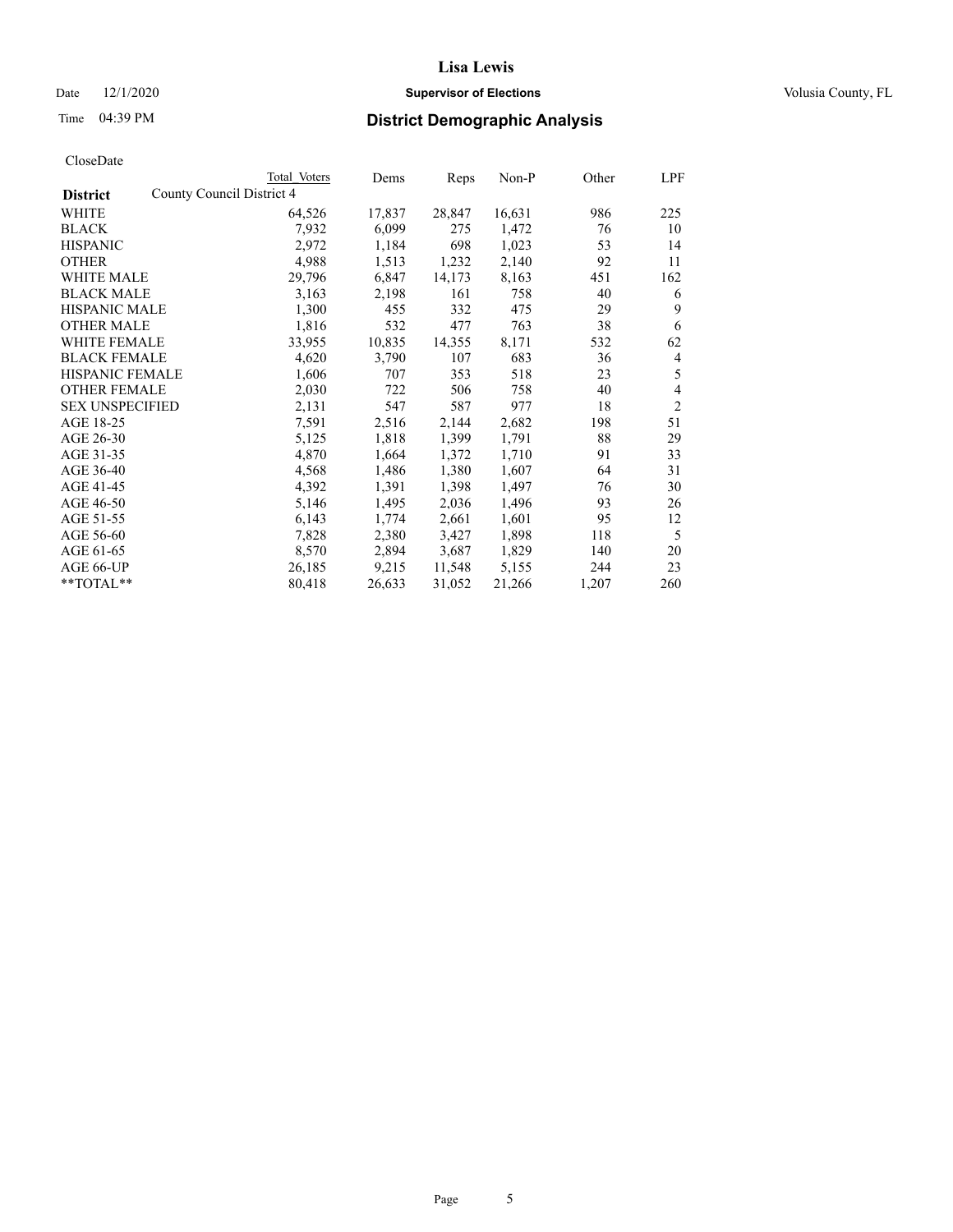### Date  $12/1/2020$  **Supervisor of Elections Supervisor of Elections** Volusia County, FL

| CloseDate |
|-----------|
|-----------|

|                                              | Total Voters | Dems   | Reps   | Non-P  | Other | LPF            |
|----------------------------------------------|--------------|--------|--------|--------|-------|----------------|
| County Council District 4<br><b>District</b> |              |        |        |        |       |                |
| WHITE                                        | 64,526       | 17,837 | 28,847 | 16,631 | 986   | 225            |
| <b>BLACK</b>                                 | 7,932        | 6,099  | 275    | 1,472  | 76    | 10             |
| <b>HISPANIC</b>                              | 2,972        | 1,184  | 698    | 1,023  | 53    | 14             |
| <b>OTHER</b>                                 | 4,988        | 1,513  | 1,232  | 2,140  | 92    | 11             |
| WHITE MALE                                   | 29,796       | 6,847  | 14,173 | 8,163  | 451   | 162            |
| <b>BLACK MALE</b>                            | 3,163        | 2,198  | 161    | 758    | 40    | 6              |
| <b>HISPANIC MALE</b>                         | 1,300        | 455    | 332    | 475    | 29    | 9              |
| <b>OTHER MALE</b>                            | 1,816        | 532    | 477    | 763    | 38    | 6              |
| <b>WHITE FEMALE</b>                          | 33,955       | 10,835 | 14,355 | 8,171  | 532   | 62             |
| <b>BLACK FEMALE</b>                          | 4,620        | 3,790  | 107    | 683    | 36    | 4              |
| <b>HISPANIC FEMALE</b>                       | 1,606        | 707    | 353    | 518    | 23    | 5              |
| <b>OTHER FEMALE</b>                          | 2,030        | 722    | 506    | 758    | 40    | 4              |
| <b>SEX UNSPECIFIED</b>                       | 2,131        | 547    | 587    | 977    | 18    | $\overline{2}$ |
| AGE 18-25                                    | 7,591        | 2,516  | 2,144  | 2,682  | 198   | 51             |
| AGE 26-30                                    | 5,125        | 1,818  | 1,399  | 1,791  | 88    | 29             |
| AGE 31-35                                    | 4,870        | 1,664  | 1,372  | 1,710  | 91    | 33             |
| AGE 36-40                                    | 4,568        | 1,486  | 1,380  | 1,607  | 64    | 31             |
| AGE 41-45                                    | 4,392        | 1,391  | 1,398  | 1,497  | 76    | 30             |
| AGE 46-50                                    | 5,146        | 1,495  | 2,036  | 1,496  | 93    | 26             |
| AGE 51-55                                    | 6,143        | 1,774  | 2,661  | 1,601  | 95    | 12             |
| AGE 56-60                                    | 7,828        | 2,380  | 3,427  | 1,898  | 118   | 5              |
| AGE 61-65                                    | 8,570        | 2,894  | 3,687  | 1,829  | 140   | 20             |
| AGE 66-UP                                    | 26,185       | 9,215  | 11,548 | 5,155  | 244   | 23             |
| $*$ TOTAL $*$                                | 80,418       | 26,633 | 31,052 | 21,266 | 1,207 | 260            |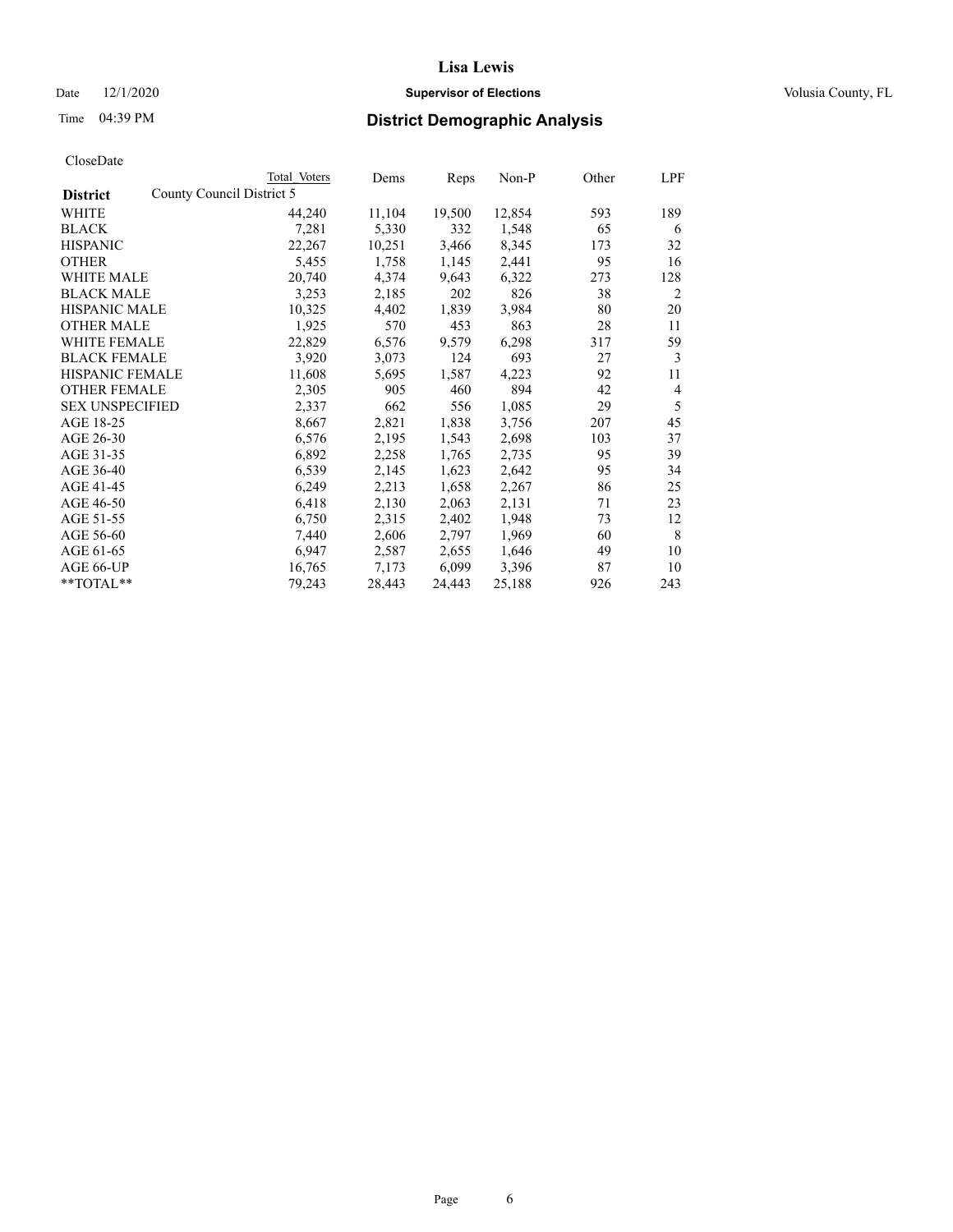### Date  $12/1/2020$  **Supervisor of Elections Supervisor of Elections** Volusia County, FL

| CloseDate |
|-----------|
|-----------|

|                        | Total Voters              | Dems   | Reps   | Non-P  | Other | LPF |
|------------------------|---------------------------|--------|--------|--------|-------|-----|
| <b>District</b>        | County Council District 5 |        |        |        |       |     |
| WHITE                  | 44,240                    | 11,104 | 19,500 | 12,854 | 593   | 189 |
| <b>BLACK</b>           | 7,281                     | 5,330  | 332    | 1,548  | 65    | 6   |
| <b>HISPANIC</b>        | 22,267                    | 10,251 | 3,466  | 8,345  | 173   | 32  |
| <b>OTHER</b>           | 5,455                     | 1,758  | 1,145  | 2,441  | 95    | 16  |
| WHITE MALE             | 20,740                    | 4,374  | 9,643  | 6,322  | 273   | 128 |
| <b>BLACK MALE</b>      | 3,253                     | 2,185  | 202    | 826    | 38    | 2   |
| <b>HISPANIC MALE</b>   | 10,325                    | 4,402  | 1,839  | 3,984  | 80    | 20  |
| <b>OTHER MALE</b>      | 1,925                     | 570    | 453    | 863    | 28    | 11  |
| WHITE FEMALE           | 22,829                    | 6,576  | 9,579  | 6,298  | 317   | 59  |
| <b>BLACK FEMALE</b>    | 3,920                     | 3,073  | 124    | 693    | 27    | 3   |
| <b>HISPANIC FEMALE</b> | 11,608                    | 5,695  | 1,587  | 4,223  | 92    | 11  |
| <b>OTHER FEMALE</b>    | 2,305                     | 905    | 460    | 894    | 42    | 4   |
| <b>SEX UNSPECIFIED</b> | 2,337                     | 662    | 556    | 1,085  | 29    | 5   |
| AGE 18-25              | 8,667                     | 2,821  | 1,838  | 3,756  | 207   | 45  |
| AGE 26-30              | 6,576                     | 2,195  | 1,543  | 2,698  | 103   | 37  |
| AGE 31-35              | 6,892                     | 2,258  | 1,765  | 2,735  | 95    | 39  |
| AGE 36-40              | 6,539                     | 2,145  | 1,623  | 2,642  | 95    | 34  |
| AGE 41-45              | 6,249                     | 2,213  | 1,658  | 2,267  | 86    | 25  |
| AGE 46-50              | 6,418                     | 2,130  | 2,063  | 2,131  | 71    | 23  |
| AGE 51-55              | 6,750                     | 2,315  | 2,402  | 1,948  | 73    | 12  |
| AGE 56-60              | 7,440                     | 2,606  | 2,797  | 1,969  | 60    | 8   |
| AGE 61-65              | 6,947                     | 2,587  | 2,655  | 1,646  | 49    | 10  |
| AGE 66-UP              | 16,765                    | 7,173  | 6,099  | 3,396  | 87    | 10  |
| **TOTAL**              | 79,243                    | 28,443 | 24,443 | 25,188 | 926   | 243 |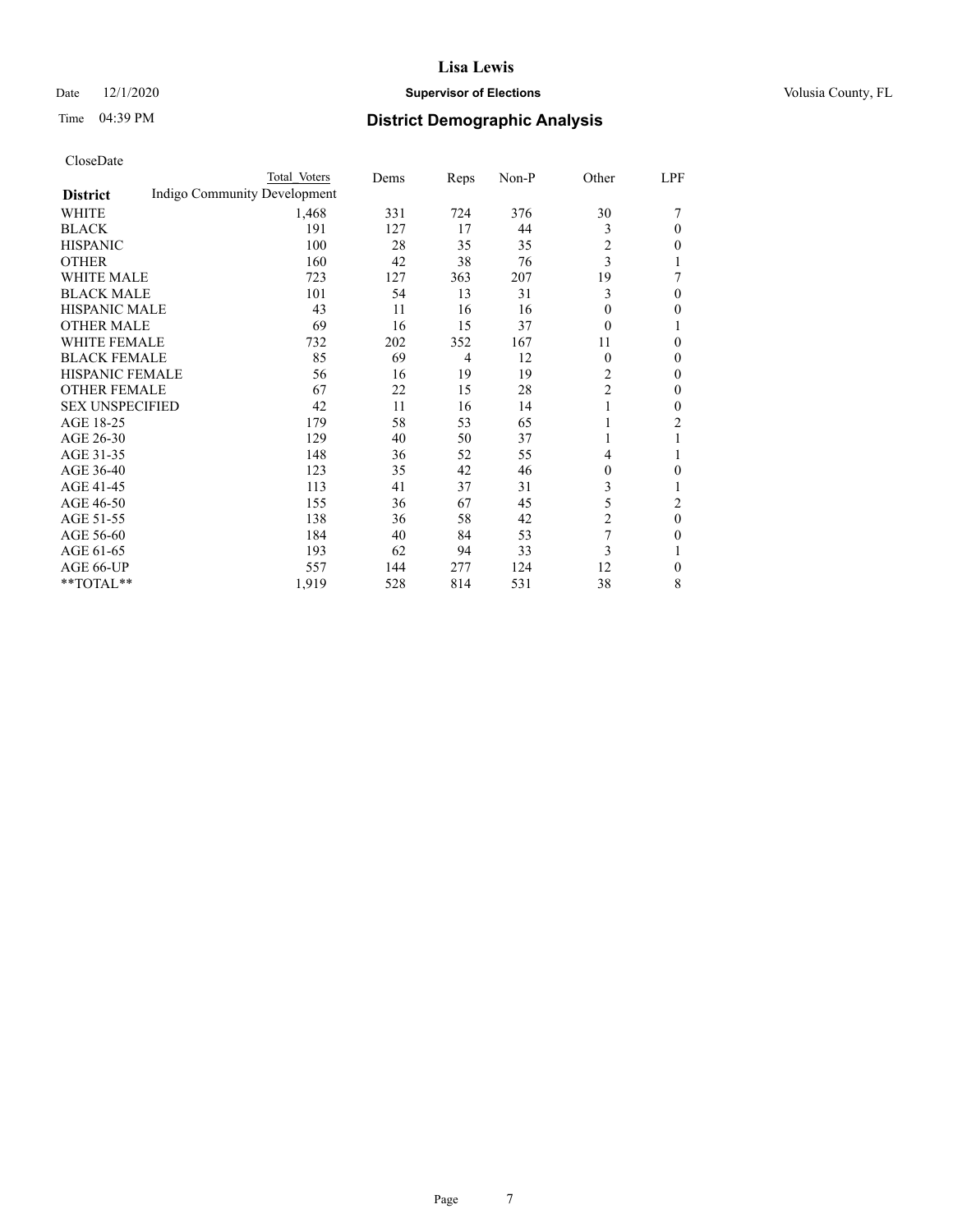### Date  $12/1/2020$  **Supervisor of Elections Supervisor of Elections** Volusia County, FL

### Time 04:39 PM **District Demographic Analysis**

|                        | Total Voters                 | Dems | Reps | Non-P | Other                   | LPF |
|------------------------|------------------------------|------|------|-------|-------------------------|-----|
| <b>District</b>        | Indigo Community Development |      |      |       |                         |     |
| WHITE                  | 1,468                        | 331  | 724  | 376   | 30                      | 7   |
| <b>BLACK</b>           | 191                          | 127  | 17   | 44    | 3                       | 0   |
| <b>HISPANIC</b>        | 100                          | 28   | 35   | 35    | $\overline{\mathbf{c}}$ | 0   |
| <b>OTHER</b>           | 160                          | 42   | 38   | 76    | 3                       |     |
| <b>WHITE MALE</b>      | 723                          | 127  | 363  | 207   | 19                      | 7   |
| <b>BLACK MALE</b>      | 101                          | 54   | 13   | 31    | 3                       | 0   |
| HISPANIC MALE          | 43                           | 11   | 16   | 16    | $\Omega$                | 0   |
| <b>OTHER MALE</b>      | 69                           | 16   | 15   | 37    | $\Omega$                |     |
| <b>WHITE FEMALE</b>    | 732                          | 202  | 352  | 167   | 11                      | 0   |
| <b>BLACK FEMALE</b>    | 85                           | 69   | 4    | 12    | $\Omega$                | 0   |
| <b>HISPANIC FEMALE</b> | 56                           | 16   | 19   | 19    | 2                       | 0   |
| <b>OTHER FEMALE</b>    | 67                           | 22   | 15   | 28    | 2                       | 0   |
| <b>SEX UNSPECIFIED</b> | 42                           | 11   | 16   | 14    | 1                       | 0   |
| AGE 18-25              | 179                          | 58   | 53   | 65    |                         | 2   |
| AGE 26-30              | 129                          | 40   | 50   | 37    | 1                       |     |
| AGE 31-35              | 148                          | 36   | 52   | 55    | 4                       | 1   |
| AGE 36-40              | 123                          | 35   | 42   | 46    | $\overline{0}$          | 0   |
| AGE 41-45              | 113                          | 41   | 37   | 31    | 3                       |     |
| AGE 46-50              | 155                          | 36   | 67   | 45    | 5                       | 2   |
| AGE 51-55              | 138                          | 36   | 58   | 42    | 2                       | 0   |
| AGE 56-60              | 184                          | 40   | 84   | 53    | 7                       | 0   |
| AGE 61-65              | 193                          | 62   | 94   | 33    | 3                       |     |
| AGE 66-UP              | 557                          | 144  | 277  | 124   | 12                      | 0   |
| **TOTAL**              | 1,919                        | 528  | 814  | 531   | 38                      | 8   |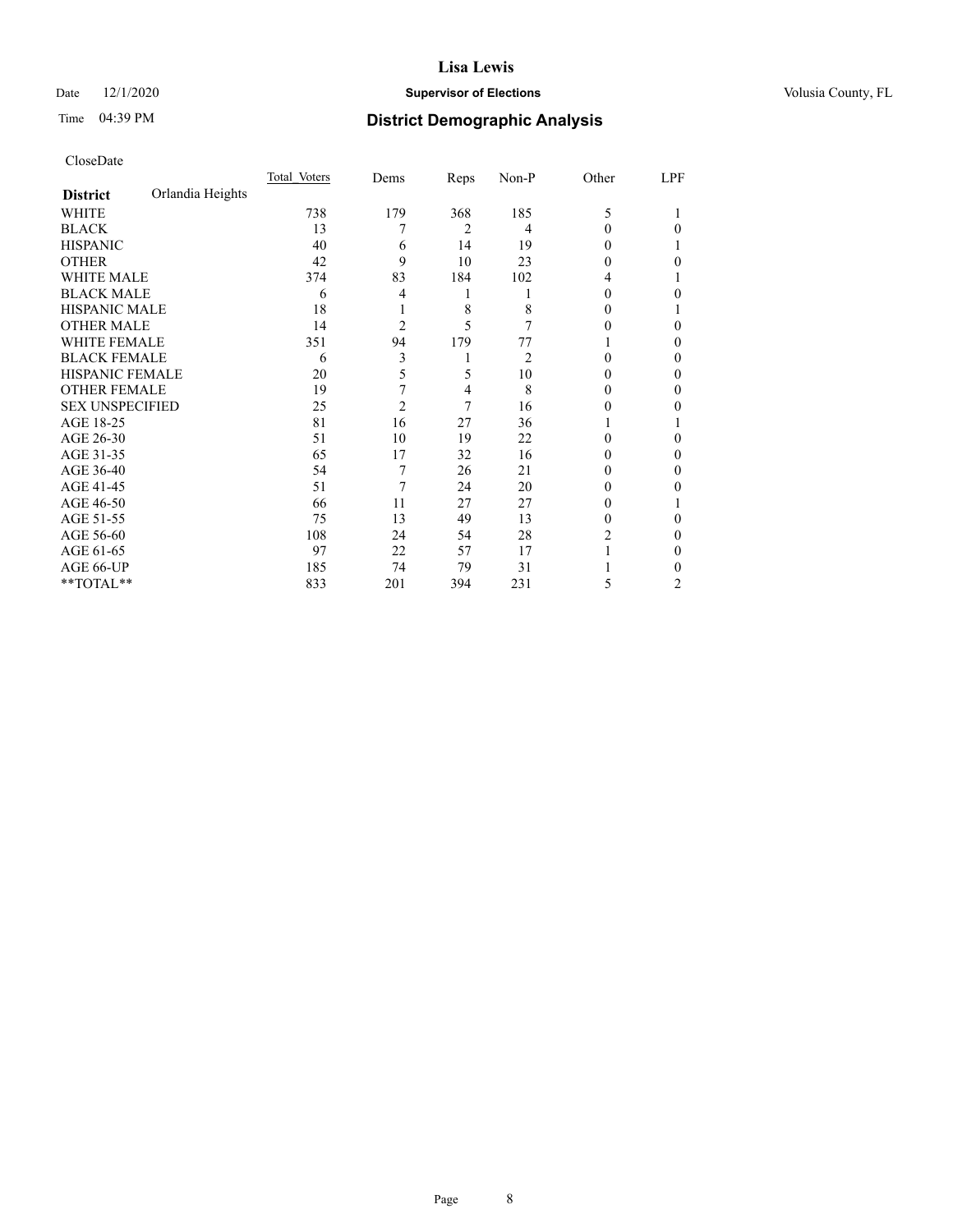### Date  $12/1/2020$  **Supervisor of Elections Supervisor of Elections** Volusia County, FL

### Time 04:39 PM **District Demographic Analysis**

|                        |                  | Total Voters | Dems           | Reps | $Non-P$        | Other    | LPF            |
|------------------------|------------------|--------------|----------------|------|----------------|----------|----------------|
| <b>District</b>        | Orlandia Heights |              |                |      |                |          |                |
| WHITE                  |                  | 738          | 179            | 368  | 185            | 5        |                |
| <b>BLACK</b>           |                  | 13           |                | 2    | 4              | 0        | 0              |
| <b>HISPANIC</b>        |                  | 40           | 6              | 14   | 19             | 0        |                |
| <b>OTHER</b>           |                  | 42           | 9              | 10   | 23             | 0        | 0              |
| WHITE MALE             |                  | 374          | 83             | 184  | 102            | 4        |                |
| <b>BLACK MALE</b>      |                  | 6            | 4              | 1    |                | $\Omega$ | 0              |
| <b>HISPANIC MALE</b>   |                  | 18           |                | 8    | 8              | 0        |                |
| <b>OTHER MALE</b>      |                  | 14           | 2              | 5    | 7              | 0        | 0              |
| WHITE FEMALE           |                  | 351          | 94             | 179  | 77             |          | 0              |
| <b>BLACK FEMALE</b>    |                  | 6            | 3              | 1    | $\overline{2}$ | 0        | 0              |
| <b>HISPANIC FEMALE</b> |                  | 20           | 5              | 5    | 10             | 0        | 0              |
| <b>OTHER FEMALE</b>    |                  | 19           | 7              | 4    | 8              | 0        | 0              |
| <b>SEX UNSPECIFIED</b> |                  | 25           | $\overline{2}$ | 7    | 16             | 0        | 0              |
| AGE 18-25              |                  | 81           | 16             | 27   | 36             |          |                |
| AGE 26-30              |                  | 51           | 10             | 19   | 22             | 0        | 0              |
| AGE 31-35              |                  | 65           | 17             | 32   | 16             | 0        | 0              |
| AGE 36-40              |                  | 54           | 7              | 26   | 21             | 0        | 0              |
| AGE 41-45              |                  | 51           | 7              | 24   | 20             | 0        | 0              |
| AGE 46-50              |                  | 66           | 11             | 27   | 27             | 0        |                |
| AGE 51-55              |                  | 75           | 13             | 49   | 13             | $\Omega$ | 0              |
| AGE 56-60              |                  | 108          | 24             | 54   | 28             | 2        | 0              |
| AGE 61-65              |                  | 97           | 22             | 57   | 17             |          | 0              |
| AGE 66-UP              |                  | 185          | 74             | 79   | 31             |          | 0              |
| $*$ $TOTAL**$          |                  | 833          | 201            | 394  | 231            | 5        | $\overline{c}$ |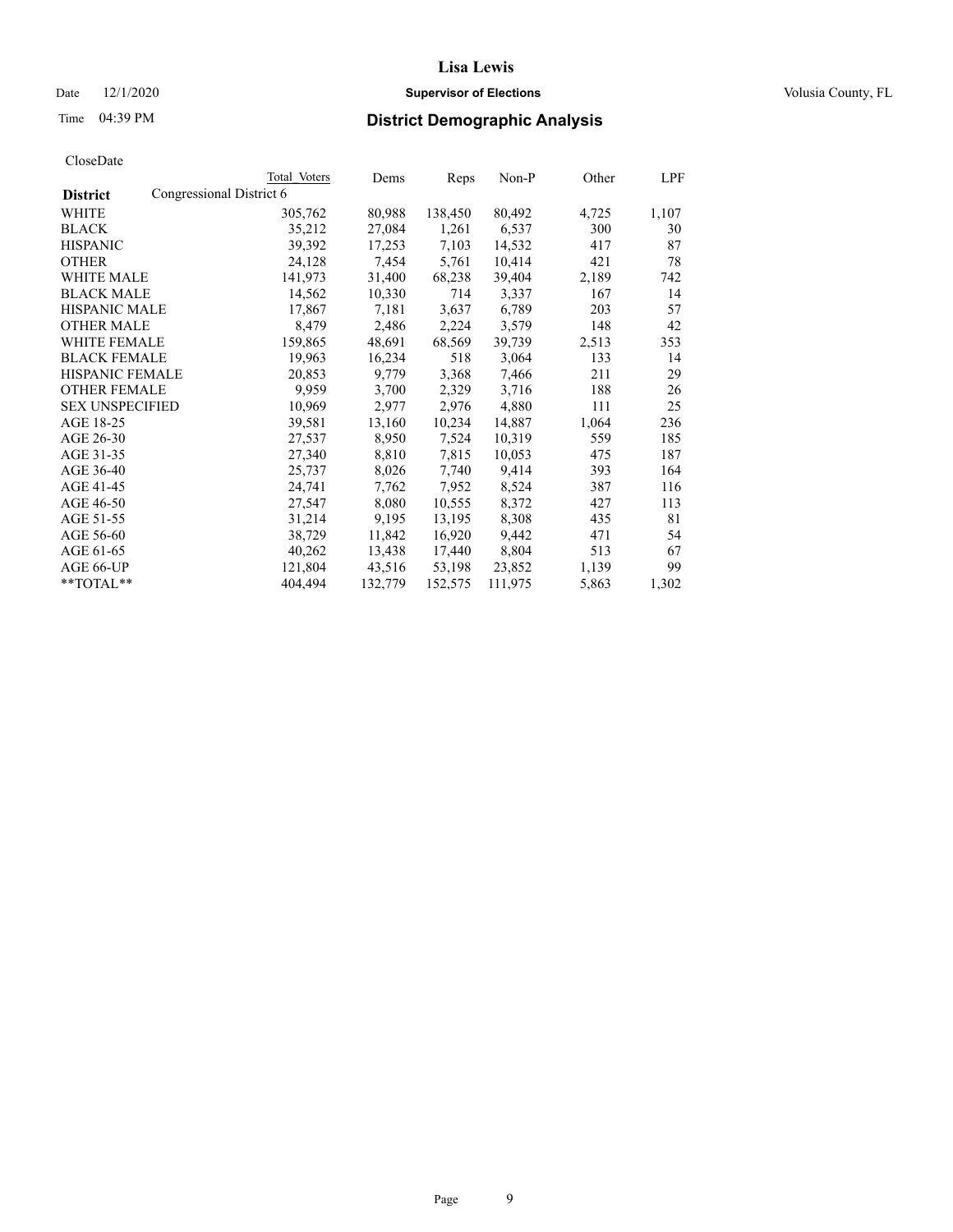### Date  $12/1/2020$  **Supervisor of Elections Supervisor of Elections** Volusia County, FL

### Time 04:39 PM **District Demographic Analysis**

|                        |                          | Total Voters | Dems    | Reps    | Non-P   | Other | LPF   |
|------------------------|--------------------------|--------------|---------|---------|---------|-------|-------|
| <b>District</b>        | Congressional District 6 |              |         |         |         |       |       |
| WHITE                  |                          | 305,762      | 80,988  | 138,450 | 80,492  | 4,725 | 1,107 |
| <b>BLACK</b>           |                          | 35,212       | 27,084  | 1,261   | 6,537   | 300   | 30    |
| <b>HISPANIC</b>        |                          | 39,392       | 17,253  | 7,103   | 14,532  | 417   | 87    |
| <b>OTHER</b>           |                          | 24,128       | 7,454   | 5,761   | 10,414  | 421   | 78    |
| WHITE MALE             |                          | 141,973      | 31,400  | 68,238  | 39,404  | 2,189 | 742   |
| <b>BLACK MALE</b>      |                          | 14,562       | 10,330  | 714     | 3,337   | 167   | 14    |
| <b>HISPANIC MALE</b>   |                          | 17,867       | 7,181   | 3,637   | 6,789   | 203   | 57    |
| <b>OTHER MALE</b>      |                          | 8,479        | 2,486   | 2,224   | 3,579   | 148   | 42    |
| <b>WHITE FEMALE</b>    |                          | 159,865      | 48,691  | 68,569  | 39,739  | 2,513 | 353   |
| <b>BLACK FEMALE</b>    |                          | 19,963       | 16,234  | 518     | 3,064   | 133   | 14    |
| <b>HISPANIC FEMALE</b> |                          | 20,853       | 9,779   | 3,368   | 7,466   | 211   | 29    |
| <b>OTHER FEMALE</b>    |                          | 9,959        | 3,700   | 2,329   | 3,716   | 188   | 26    |
| <b>SEX UNSPECIFIED</b> |                          | 10,969       | 2,977   | 2,976   | 4,880   | 111   | 25    |
| AGE 18-25              |                          | 39,581       | 13,160  | 10,234  | 14,887  | 1,064 | 236   |
| AGE 26-30              |                          | 27,537       | 8,950   | 7,524   | 10,319  | 559   | 185   |
| AGE 31-35              |                          | 27,340       | 8,810   | 7,815   | 10,053  | 475   | 187   |
| AGE 36-40              |                          | 25,737       | 8,026   | 7,740   | 9,414   | 393   | 164   |
| AGE 41-45              |                          | 24,741       | 7,762   | 7,952   | 8,524   | 387   | 116   |
| AGE 46-50              |                          | 27,547       | 8,080   | 10,555  | 8,372   | 427   | 113   |
| AGE 51-55              |                          | 31,214       | 9,195   | 13,195  | 8,308   | 435   | 81    |
| AGE 56-60              |                          | 38,729       | 11,842  | 16,920  | 9,442   | 471   | 54    |
| AGE 61-65              |                          | 40,262       | 13,438  | 17,440  | 8,804   | 513   | 67    |
| AGE 66-UP              |                          | 121,804      | 43,516  | 53,198  | 23,852  | 1,139 | 99    |
| $*$ TOTAL $*$          |                          | 404,494      | 132,779 | 152,575 | 111,975 | 5,863 | 1,302 |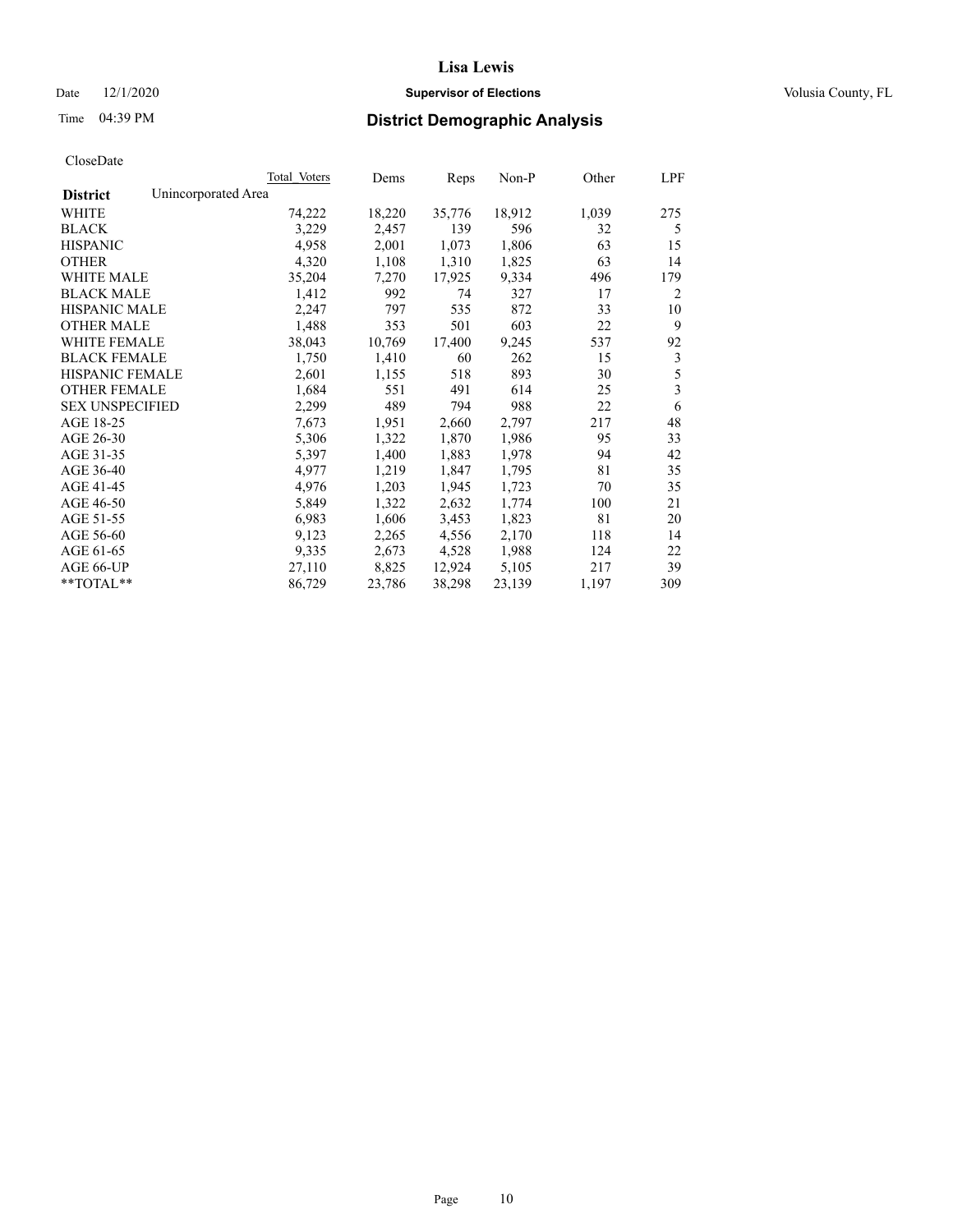Date  $12/1/2020$  **Supervisor of Elections Supervisor of Elections** Volusia County, FL

| CloseDate |
|-----------|
|-----------|

| Total Voters | Dems                | Reps   | Non-P  | Other | LPF |
|--------------|---------------------|--------|--------|-------|-----|
|              |                     |        |        |       |     |
| 74,222       | 18,220              | 35,776 | 18,912 | 1,039 | 275 |
| 3,229        | 2,457               | 139    | 596    | 32    | 5   |
| 4,958        | 2,001               | 1,073  | 1,806  | 63    | 15  |
| 4,320        | 1,108               | 1,310  | 1,825  | 63    | 14  |
| 35,204       | 7,270               | 17,925 | 9,334  | 496   | 179 |
| 1,412        | 992                 | 74     | 327    | 17    | 2   |
| 2,247        | 797                 | 535    | 872    | 33    | 10  |
| 1,488        | 353                 | 501    | 603    | 22    | 9   |
| 38,043       | 10,769              | 17,400 | 9,245  | 537   | 92  |
| 1,750        | 1,410               | 60     | 262    | 15    | 3   |
| 2,601        | 1,155               | 518    | 893    | 30    | 5   |
| 1,684        | 551                 | 491    | 614    | 25    | 3   |
| 2,299        | 489                 | 794    | 988    | 22    | 6   |
| 7,673        | 1,951               | 2,660  | 2,797  | 217   | 48  |
| 5,306        | 1,322               | 1,870  | 1,986  | 95    | 33  |
| 5,397        | 1,400               | 1,883  | 1,978  | 94    | 42  |
| 4,977        | 1,219               | 1,847  | 1,795  | 81    | 35  |
| 4,976        | 1,203               | 1,945  | 1,723  | 70    | 35  |
| 5,849        | 1,322               | 2,632  | 1,774  | 100   | 21  |
| 6,983        | 1,606               | 3,453  | 1,823  | 81    | 20  |
| 9,123        | 2,265               | 4,556  | 2,170  | 118   | 14  |
| 9,335        | 2,673               | 4,528  | 1,988  | 124   | 22  |
| 27,110       | 8,825               | 12,924 | 5,105  | 217   | 39  |
| 86,729       | 23,786              | 38,298 | 23,139 | 1,197 | 309 |
|              | Unincorporated Area |        |        |       |     |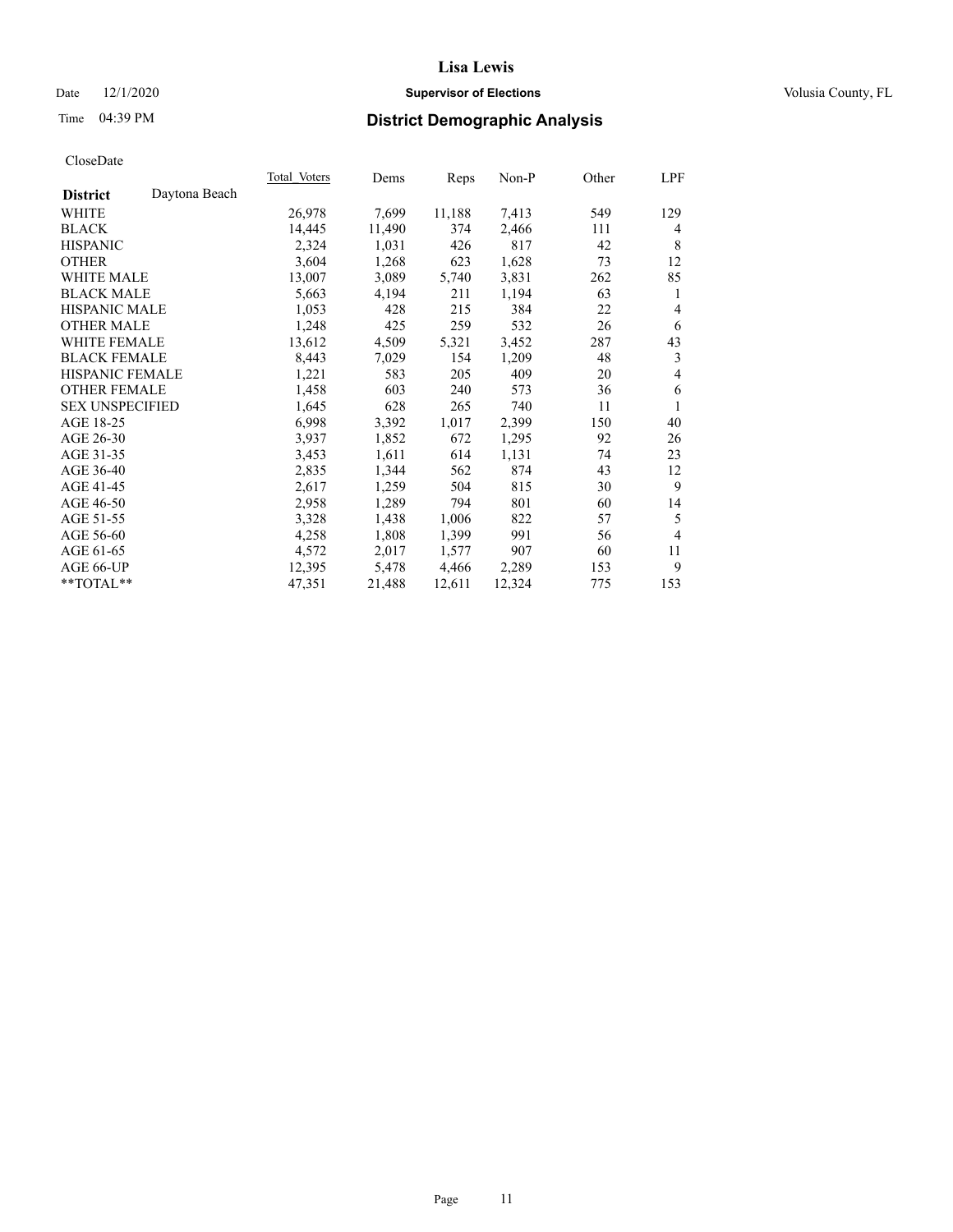### Date  $12/1/2020$  **Supervisor of Elections Supervisor of Elections** Volusia County, FL

### Time 04:39 PM **District Demographic Analysis**

| Total Voters | Dems   | Reps   | $Non-P$ | Other | LPF            |
|--------------|--------|--------|---------|-------|----------------|
|              |        |        |         |       |                |
| 26,978       | 7,699  | 11,188 | 7,413   | 549   | 129            |
| 14,445       | 11,490 | 374    | 2,466   | 111   | 4              |
| 2,324        | 1,031  | 426    | 817     | 42    | 8              |
| 3,604        | 1,268  | 623    | 1,628   | 73    | 12             |
| 13,007       | 3,089  | 5,740  | 3,831   | 262   | 85             |
| 5,663        | 4,194  | 211    | 1,194   | 63    | 1              |
| 1,053        | 428    | 215    | 384     | 22    | 4              |
| 1,248        | 425    | 259    | 532     | 26    | 6              |
| 13,612       | 4,509  | 5,321  | 3,452   | 287   | 43             |
| 8,443        | 7,029  | 154    | 1,209   | 48    | 3              |
| 1,221        | 583    | 205    | 409     | 20    | 4              |
| 1,458        | 603    | 240    | 573     | 36    | 6              |
| 1,645        | 628    | 265    | 740     | 11    | 1              |
| 6,998        | 3,392  | 1,017  | 2,399   | 150   | 40             |
| 3,937        | 1,852  | 672    | 1,295   | 92    | 26             |
| 3,453        | 1,611  | 614    | 1,131   | 74    | 23             |
| 2,835        | 1,344  | 562    | 874     | 43    | 12             |
| 2,617        | 1,259  | 504    | 815     | 30    | 9              |
| 2,958        | 1,289  | 794    | 801     | 60    | 14             |
| 3,328        | 1,438  | 1,006  | 822     | 57    | 5              |
| 4,258        | 1,808  | 1,399  | 991     | 56    | $\overline{4}$ |
| 4,572        | 2,017  | 1,577  | 907     | 60    | 11             |
| 12,395       | 5,478  | 4,466  | 2,289   | 153   | 9              |
| 47,351       | 21,488 | 12,611 | 12,324  | 775   | 153            |
|              |        |        |         |       |                |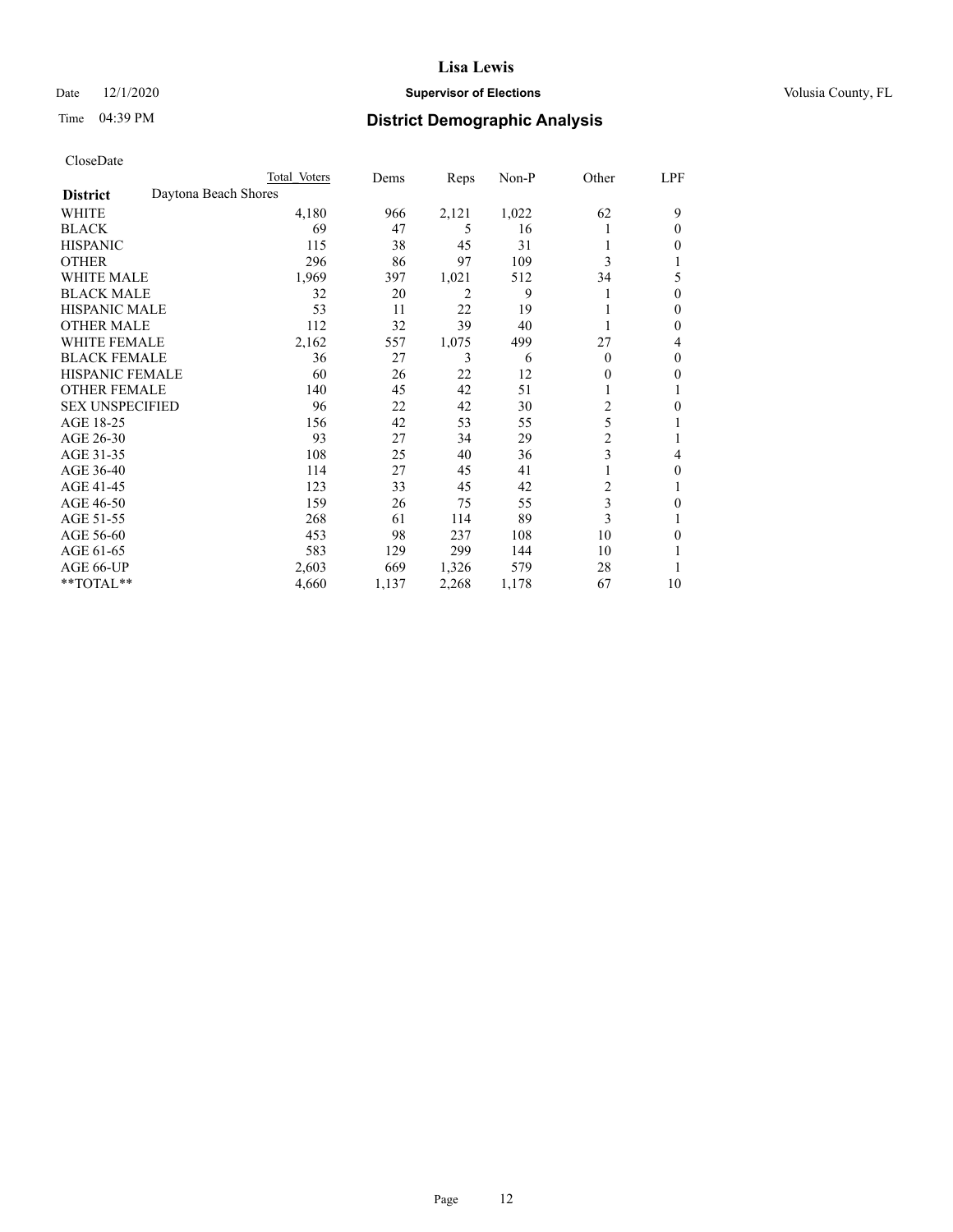### Date  $12/1/2020$  **Supervisor of Elections Supervisor of Elections** Volusia County, FL

### Time 04:39 PM **District Demographic Analysis**

|                        |                      | Total Voters | Dems  | Reps  | Non-P | Other          | LPF |
|------------------------|----------------------|--------------|-------|-------|-------|----------------|-----|
| <b>District</b>        | Daytona Beach Shores |              |       |       |       |                |     |
| WHITE                  |                      | 4,180        | 966   | 2,121 | 1,022 | 62             | 9   |
| <b>BLACK</b>           |                      | 69           | 47    | 5     | 16    |                | 0   |
| <b>HISPANIC</b>        |                      | 115          | 38    | 45    | 31    |                | 0   |
| <b>OTHER</b>           |                      | 296          | 86    | 97    | 109   | 3              |     |
| WHITE MALE             |                      | 1,969        | 397   | 1,021 | 512   | 34             | 5   |
| <b>BLACK MALE</b>      |                      | 32           | 20    | 2     | 9     |                | 0   |
| <b>HISPANIC MALE</b>   |                      | 53           | 11    | 22    | 19    |                | 0   |
| <b>OTHER MALE</b>      |                      | 112          | 32    | 39    | 40    |                | 0   |
| WHITE FEMALE           |                      | 2,162        | 557   | 1,075 | 499   | 27             | 4   |
| <b>BLACK FEMALE</b>    |                      | 36           | 27    | 3     | 6     | $\Omega$       | 0   |
| HISPANIC FEMALE        |                      | 60           | 26    | 22    | 12    | 0              | 0   |
| <b>OTHER FEMALE</b>    |                      | 140          | 45    | 42    | 51    |                |     |
| <b>SEX UNSPECIFIED</b> |                      | 96           | 22    | 42    | 30    | $\overline{c}$ | 0   |
| AGE 18-25              |                      | 156          | 42    | 53    | 55    | 5              |     |
| AGE 26-30              |                      | 93           | 27    | 34    | 29    | $\overline{2}$ |     |
| AGE 31-35              |                      | 108          | 25    | 40    | 36    | 3              | 4   |
| AGE 36-40              |                      | 114          | 27    | 45    | 41    |                | 0   |
| AGE 41-45              |                      | 123          | 33    | 45    | 42    | 2              |     |
| AGE 46-50              |                      | 159          | 26    | 75    | 55    | 3              | 0   |
| AGE 51-55              |                      | 268          | 61    | 114   | 89    | 3              |     |
| AGE 56-60              |                      | 453          | 98    | 237   | 108   | 10             | 0   |
| AGE 61-65              |                      | 583          | 129   | 299   | 144   | 10             |     |
| AGE 66-UP              |                      | 2,603        | 669   | 1,326 | 579   | 28             |     |
| **TOTAL**              |                      | 4,660        | 1,137 | 2,268 | 1,178 | 67             | 10  |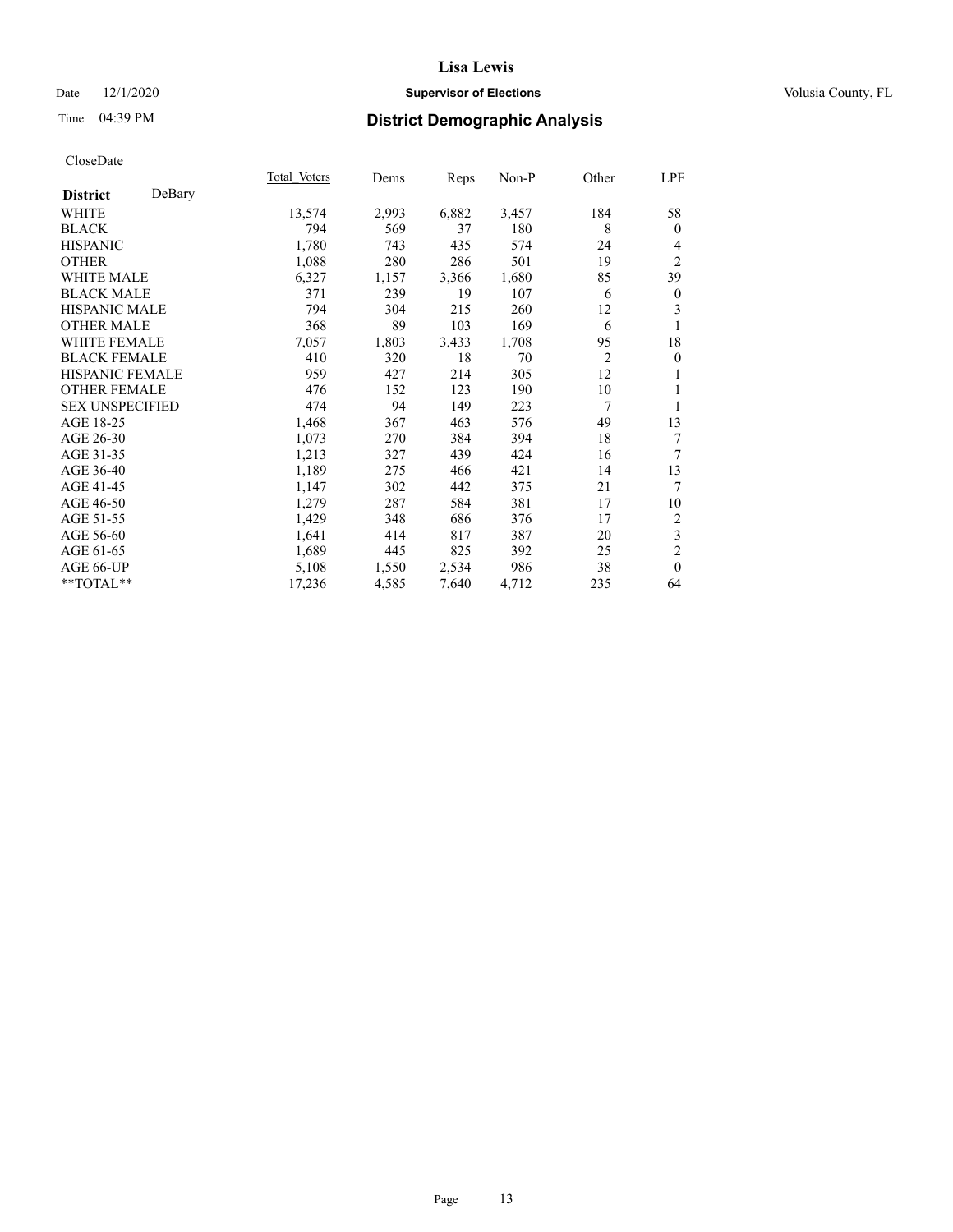### Date  $12/1/2020$  **Supervisor of Elections Supervisor of Elections** Volusia County, FL

# Time 04:39 PM **District Demographic Analysis**

|                        |        | Total Voters | Dems  | Reps  | Non-P | Other          | LPF              |
|------------------------|--------|--------------|-------|-------|-------|----------------|------------------|
| <b>District</b>        | DeBary |              |       |       |       |                |                  |
| WHITE                  |        | 13,574       | 2,993 | 6,882 | 3,457 | 184            | 58               |
| <b>BLACK</b>           |        | 794          | 569   | 37    | 180   | 8              | $\theta$         |
| <b>HISPANIC</b>        |        | 1,780        | 743   | 435   | 574   | 24             | 4                |
| <b>OTHER</b>           |        | 1,088        | 280   | 286   | 501   | 19             | $\overline{2}$   |
| WHITE MALE             |        | 6,327        | 1,157 | 3,366 | 1,680 | 85             | 39               |
| <b>BLACK MALE</b>      |        | 371          | 239   | 19    | 107   | 6              | $\boldsymbol{0}$ |
| <b>HISPANIC MALE</b>   |        | 794          | 304   | 215   | 260   | 12             | 3                |
| <b>OTHER MALE</b>      |        | 368          | 89    | 103   | 169   | 6              | 1                |
| WHITE FEMALE           |        | 7,057        | 1,803 | 3,433 | 1,708 | 95             | 18               |
| <b>BLACK FEMALE</b>    |        | 410          | 320   | 18    | 70    | $\overline{2}$ | $\overline{0}$   |
| HISPANIC FEMALE        |        | 959          | 427   | 214   | 305   | 12             | 1                |
| <b>OTHER FEMALE</b>    |        | 476          | 152   | 123   | 190   | 10             | 1                |
| <b>SEX UNSPECIFIED</b> |        | 474          | 94    | 149   | 223   | 7              | 1                |
| AGE 18-25              |        | 1,468        | 367   | 463   | 576   | 49             | 13               |
| AGE 26-30              |        | 1,073        | 270   | 384   | 394   | 18             | 7                |
| AGE 31-35              |        | 1,213        | 327   | 439   | 424   | 16             | 7                |
| AGE 36-40              |        | 1,189        | 275   | 466   | 421   | 14             | 13               |
| AGE 41-45              |        | 1,147        | 302   | 442   | 375   | 21             | 7                |
| AGE 46-50              |        | 1,279        | 287   | 584   | 381   | 17             | 10               |
| AGE 51-55              |        | 1,429        | 348   | 686   | 376   | 17             | 2                |
| AGE 56-60              |        | 1,641        | 414   | 817   | 387   | 20             | 3                |
| AGE 61-65              |        | 1,689        | 445   | 825   | 392   | 25             | $\overline{2}$   |
| AGE 66-UP              |        | 5,108        | 1,550 | 2,534 | 986   | 38             | $\theta$         |
| **TOTAL**              |        | 17,236       | 4,585 | 7,640 | 4,712 | 235            | 64               |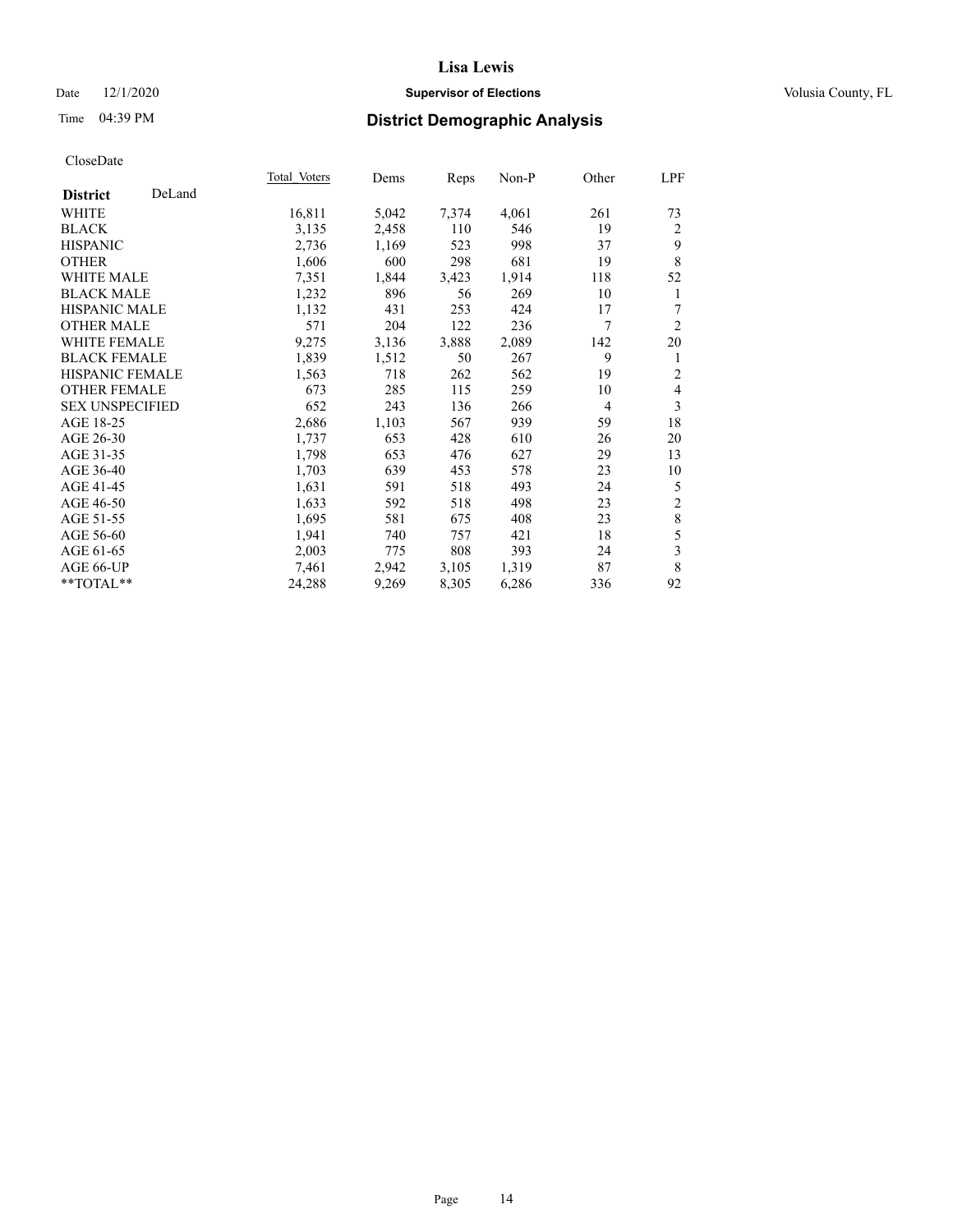### Date  $12/1/2020$  **Supervisor of Elections Supervisor of Elections** Volusia County, FL

### Time 04:39 PM **District Demographic Analysis**

|                        |        | Total Voters | Dems  | Reps  | Non-P | Other          | LPF            |
|------------------------|--------|--------------|-------|-------|-------|----------------|----------------|
| <b>District</b>        | DeLand |              |       |       |       |                |                |
| WHITE                  |        | 16,811       | 5,042 | 7,374 | 4,061 | 261            | 73             |
| <b>BLACK</b>           |        | 3,135        | 2,458 | 110   | 546   | 19             | 2              |
| <b>HISPANIC</b>        |        | 2,736        | 1,169 | 523   | 998   | 37             | 9              |
| <b>OTHER</b>           |        | 1,606        | 600   | 298   | 681   | 19             | 8              |
| <b>WHITE MALE</b>      |        | 7,351        | 1,844 | 3,423 | 1,914 | 118            | 52             |
| <b>BLACK MALE</b>      |        | 1,232        | 896   | 56    | 269   | 10             | 1              |
| <b>HISPANIC MALE</b>   |        | 1,132        | 431   | 253   | 424   | 17             | 7              |
| <b>OTHER MALE</b>      |        | 571          | 204   | 122   | 236   | 7              | $\overline{2}$ |
| <b>WHITE FEMALE</b>    |        | 9,275        | 3,136 | 3,888 | 2,089 | 142            | 20             |
| <b>BLACK FEMALE</b>    |        | 1,839        | 1,512 | 50    | 267   | 9              | 1              |
| HISPANIC FEMALE        |        | 1,563        | 718   | 262   | 562   | 19             | $\overline{2}$ |
| <b>OTHER FEMALE</b>    |        | 673          | 285   | 115   | 259   | 10             | $\overline{4}$ |
| <b>SEX UNSPECIFIED</b> |        | 652          | 243   | 136   | 266   | $\overline{4}$ | 3              |
| AGE 18-25              |        | 2,686        | 1,103 | 567   | 939   | 59             | 18             |
| AGE 26-30              |        | 1,737        | 653   | 428   | 610   | 26             | 20             |
| AGE 31-35              |        | 1,798        | 653   | 476   | 627   | 29             | 13             |
| AGE 36-40              |        | 1,703        | 639   | 453   | 578   | 23             | 10             |
| AGE 41-45              |        | 1,631        | 591   | 518   | 493   | 24             | 5              |
| AGE 46-50              |        | 1,633        | 592   | 518   | 498   | 23             | $\sqrt{2}$     |
| AGE 51-55              |        | 1,695        | 581   | 675   | 408   | 23             | $\,$ 8 $\,$    |
| AGE 56-60              |        | 1,941        | 740   | 757   | 421   | 18             | 5              |
| AGE 61-65              |        | 2,003        | 775   | 808   | 393   | 24             | $\mathfrak{Z}$ |
| AGE 66-UP              |        | 7,461        | 2,942 | 3,105 | 1,319 | 87             | 8              |
| **TOTAL**              |        | 24,288       | 9,269 | 8,305 | 6,286 | 336            | 92             |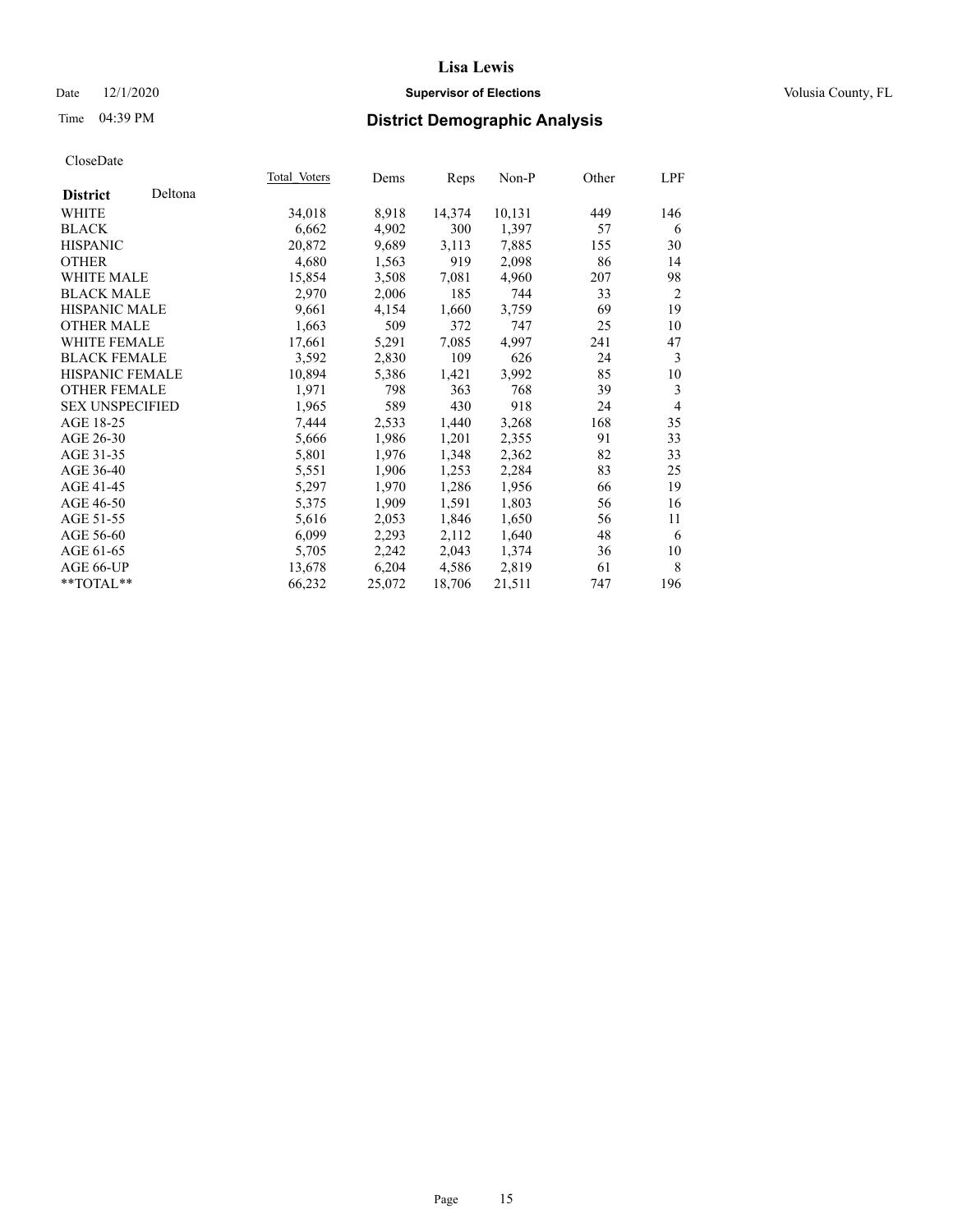### Date  $12/1/2020$  **Supervisor of Elections Supervisor of Elections** Volusia County, FL

### Time 04:39 PM **District Demographic Analysis**

|                        |         | Total Voters | Dems   | Reps   | Non-P  | Other | LPF            |
|------------------------|---------|--------------|--------|--------|--------|-------|----------------|
| <b>District</b>        | Deltona |              |        |        |        |       |                |
| WHITE                  |         | 34,018       | 8,918  | 14,374 | 10,131 | 449   | 146            |
| <b>BLACK</b>           |         | 6,662        | 4,902  | 300    | 1,397  | 57    | 6              |
| <b>HISPANIC</b>        |         | 20,872       | 9,689  | 3,113  | 7,885  | 155   | 30             |
| <b>OTHER</b>           |         | 4,680        | 1,563  | 919    | 2,098  | 86    | 14             |
| WHITE MALE             |         | 15,854       | 3,508  | 7,081  | 4,960  | 207   | 98             |
| <b>BLACK MALE</b>      |         | 2,970        | 2,006  | 185    | 744    | 33    | 2              |
| <b>HISPANIC MALE</b>   |         | 9,661        | 4,154  | 1,660  | 3,759  | 69    | 19             |
| <b>OTHER MALE</b>      |         | 1,663        | 509    | 372    | 747    | 25    | 10             |
| <b>WHITE FEMALE</b>    |         | 17,661       | 5,291  | 7,085  | 4,997  | 241   | 47             |
| <b>BLACK FEMALE</b>    |         | 3,592        | 2,830  | 109    | 626    | 24    | 3              |
| <b>HISPANIC FEMALE</b> |         | 10,894       | 5,386  | 1,421  | 3,992  | 85    | 10             |
| <b>OTHER FEMALE</b>    |         | 1,971        | 798    | 363    | 768    | 39    | 3              |
| <b>SEX UNSPECIFIED</b> |         | 1,965        | 589    | 430    | 918    | 24    | $\overline{4}$ |
| AGE 18-25              |         | 7,444        | 2,533  | 1,440  | 3,268  | 168   | 35             |
| AGE 26-30              |         | 5,666        | 1,986  | 1,201  | 2,355  | 91    | 33             |
| AGE 31-35              |         | 5,801        | 1,976  | 1,348  | 2,362  | 82    | 33             |
| AGE 36-40              |         | 5,551        | 1,906  | 1,253  | 2,284  | 83    | 25             |
| AGE 41-45              |         | 5,297        | 1,970  | 1,286  | 1,956  | 66    | 19             |
| AGE 46-50              |         | 5,375        | 1,909  | 1,591  | 1,803  | 56    | 16             |
| AGE 51-55              |         | 5,616        | 2,053  | 1,846  | 1,650  | 56    | 11             |
| AGE 56-60              |         | 6,099        | 2,293  | 2,112  | 1,640  | 48    | 6              |
| AGE 61-65              |         | 5,705        | 2,242  | 2,043  | 1,374  | 36    | 10             |
| AGE 66-UP              |         | 13,678       | 6,204  | 4,586  | 2,819  | 61    | 8              |
| $**TOTAL**$            |         | 66,232       | 25,072 | 18,706 | 21,511 | 747   | 196            |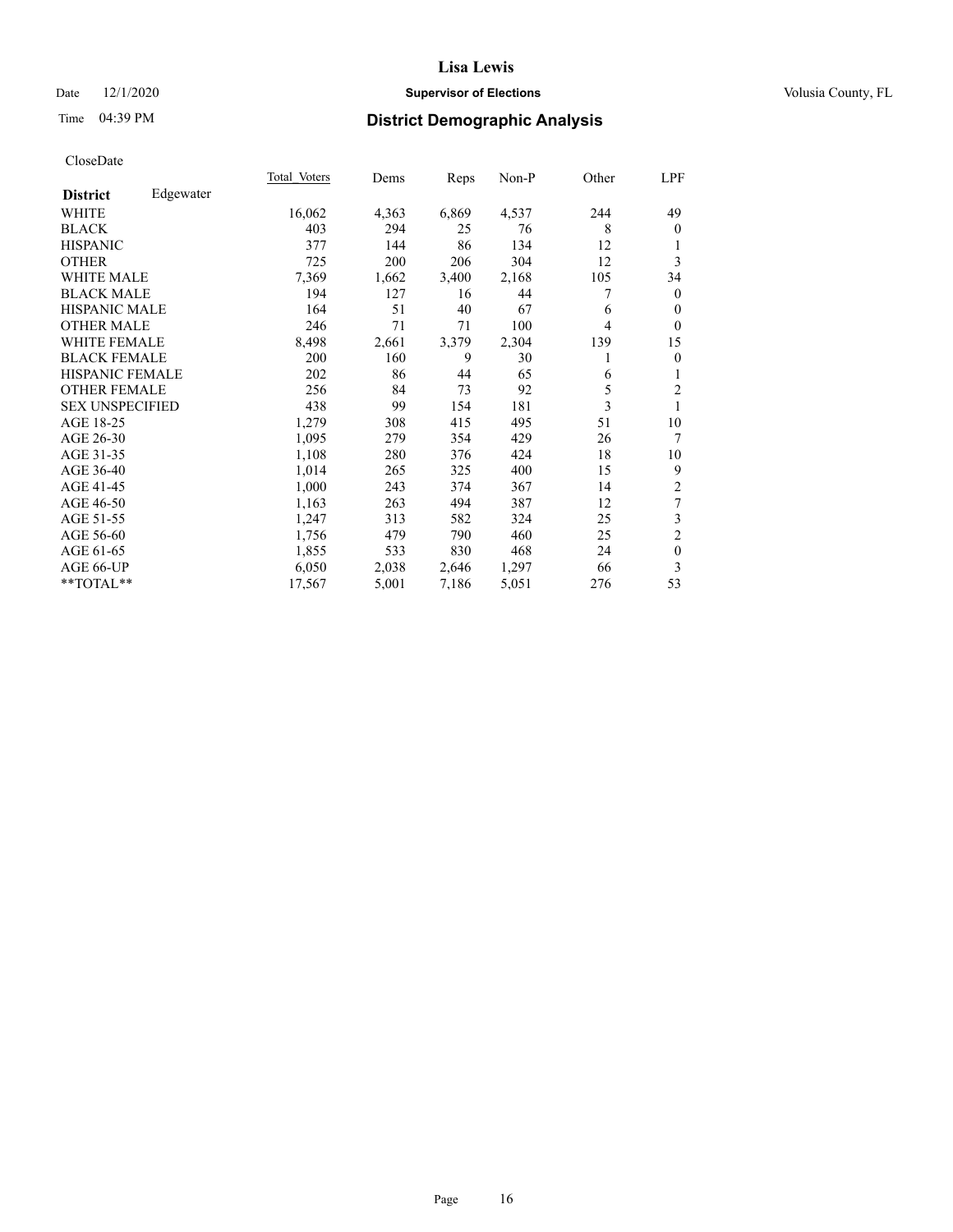### Date  $12/1/2020$  **Supervisor of Elections Supervisor of Elections** Volusia County, FL

### Time 04:39 PM **District Demographic Analysis**

|                        |           | Total Voters | Dems  | Reps  | Non-P | Other | LPF              |
|------------------------|-----------|--------------|-------|-------|-------|-------|------------------|
| <b>District</b>        | Edgewater |              |       |       |       |       |                  |
| WHITE                  |           | 16,062       | 4,363 | 6,869 | 4,537 | 244   | 49               |
| <b>BLACK</b>           |           | 403          | 294   | 25    | 76    | 8     | $\mathbf{0}$     |
| <b>HISPANIC</b>        |           | 377          | 144   | 86    | 134   | 12    | 1                |
| <b>OTHER</b>           |           | 725          | 200   | 206   | 304   | 12    | 3                |
| WHITE MALE             |           | 7,369        | 1,662 | 3,400 | 2,168 | 105   | 34               |
| <b>BLACK MALE</b>      |           | 194          | 127   | 16    | 44    | 7     | $\mathbf{0}$     |
| <b>HISPANIC MALE</b>   |           | 164          | 51    | 40    | 67    | 6     | $\mathbf{0}$     |
| <b>OTHER MALE</b>      |           | 246          | 71    | 71    | 100   | 4     | $\mathbf{0}$     |
| <b>WHITE FEMALE</b>    |           | 8,498        | 2,661 | 3,379 | 2,304 | 139   | 15               |
| <b>BLACK FEMALE</b>    |           | 200          | 160   | 9     | 30    | 1     | $\mathbf{0}$     |
| <b>HISPANIC FEMALE</b> |           | 202          | 86    | 44    | 65    | 6     | 1                |
| <b>OTHER FEMALE</b>    |           | 256          | 84    | 73    | 92    | 5     | $\mathfrak{2}$   |
| <b>SEX UNSPECIFIED</b> |           | 438          | 99    | 154   | 181   | 3     | 1                |
| AGE 18-25              |           | 1,279        | 308   | 415   | 495   | 51    | 10               |
| AGE 26-30              |           | 1,095        | 279   | 354   | 429   | 26    | 7                |
| AGE 31-35              |           | 1,108        | 280   | 376   | 424   | 18    | 10               |
| AGE 36-40              |           | 1,014        | 265   | 325   | 400   | 15    | 9                |
| AGE 41-45              |           | 1,000        | 243   | 374   | 367   | 14    | $\overline{c}$   |
| AGE 46-50              |           | 1,163        | 263   | 494   | 387   | 12    | $\tau$           |
| AGE 51-55              |           | 1,247        | 313   | 582   | 324   | 25    | $\mathfrak{Z}$   |
| AGE 56-60              |           | 1,756        | 479   | 790   | 460   | 25    | $\sqrt{2}$       |
| AGE 61-65              |           | 1,855        | 533   | 830   | 468   | 24    | $\boldsymbol{0}$ |
| AGE 66-UP              |           | 6,050        | 2,038 | 2,646 | 1,297 | 66    | 3                |
| **TOTAL**              |           | 17,567       | 5,001 | 7,186 | 5,051 | 276   | 53               |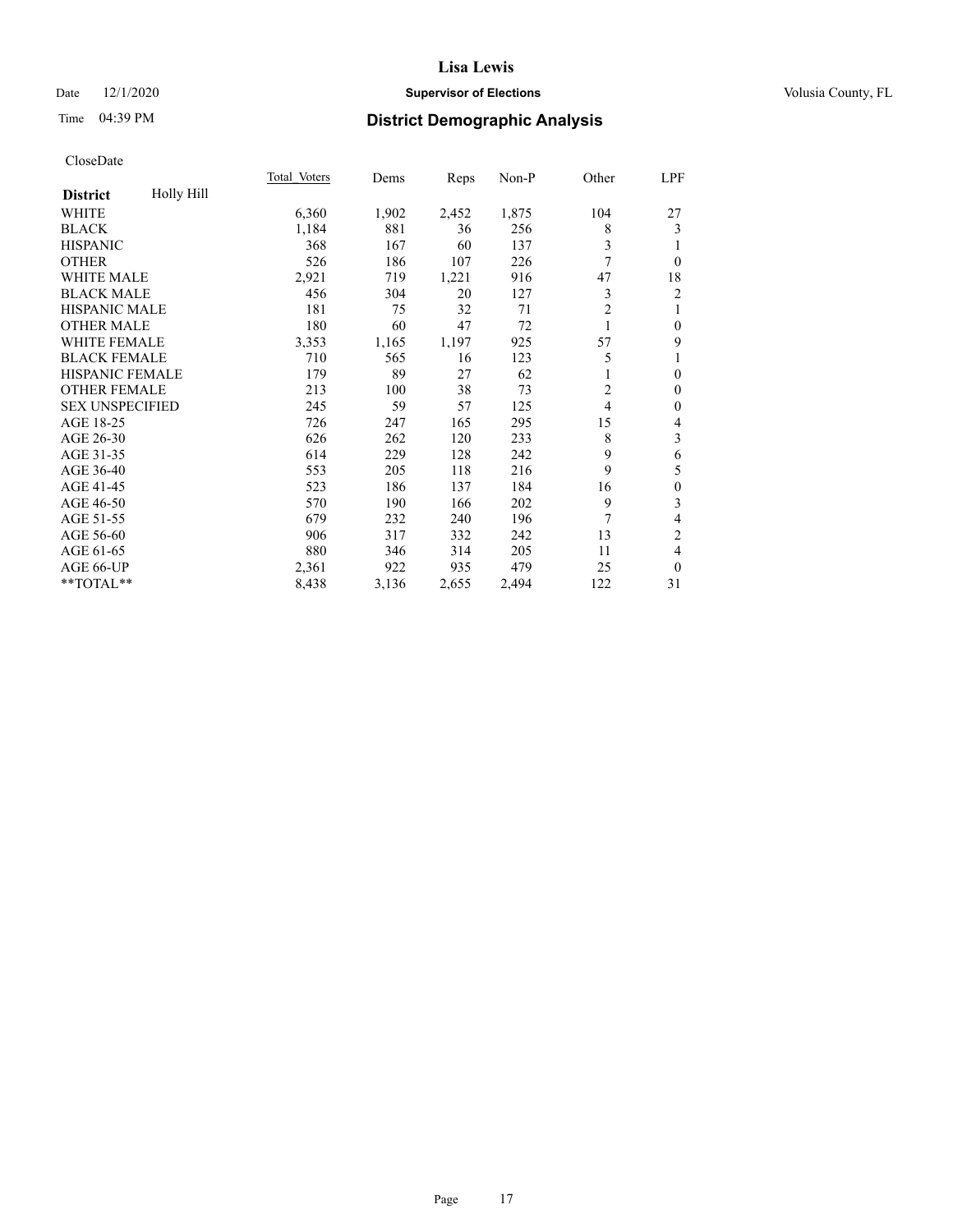### Date  $12/1/2020$  **Supervisor of Elections Supervisor of Elections** Volusia County, FL

### Time 04:39 PM **District Demographic Analysis**

|                               | Total Voters | Dems  | Reps  | Non-P | Other          | LPF                      |
|-------------------------------|--------------|-------|-------|-------|----------------|--------------------------|
| Holly Hill<br><b>District</b> |              |       |       |       |                |                          |
| WHITE                         | 6,360        | 1,902 | 2,452 | 1,875 | 104            | 27                       |
| <b>BLACK</b>                  | 1,184        | 881   | 36    | 256   | 8              | 3                        |
| <b>HISPANIC</b>               | 368          | 167   | 60    | 137   | 3              | 1                        |
| <b>OTHER</b>                  | 526          | 186   | 107   | 226   | 7              | $\mathbf{0}$             |
| <b>WHITE MALE</b>             | 2,921        | 719   | 1,221 | 916   | 47             | 18                       |
| <b>BLACK MALE</b>             | 456          | 304   | 20    | 127   | 3              | $\overline{c}$           |
| <b>HISPANIC MALE</b>          | 181          | 75    | 32    | 71    | $\overline{2}$ | 1                        |
| <b>OTHER MALE</b>             | 180          | 60    | 47    | 72    |                | $\boldsymbol{0}$         |
| <b>WHITE FEMALE</b>           | 3,353        | 1,165 | 1,197 | 925   | 57             | 9                        |
| <b>BLACK FEMALE</b>           | 710          | 565   | 16    | 123   | 5              | 1                        |
| HISPANIC FEMALE               | 179          | 89    | 27    | 62    | 1              | $\boldsymbol{0}$         |
| <b>OTHER FEMALE</b>           | 213          | 100   | 38    | 73    | $\overline{2}$ | $\boldsymbol{0}$         |
| <b>SEX UNSPECIFIED</b>        | 245          | 59    | 57    | 125   | 4              | $\boldsymbol{0}$         |
| AGE 18-25                     | 726          | 247   | 165   | 295   | 15             | $\overline{\mathcal{L}}$ |
| AGE 26-30                     | 626          | 262   | 120   | 233   | 8              | 3                        |
| AGE 31-35                     | 614          | 229   | 128   | 242   | 9              | 6                        |
| AGE 36-40                     | 553          | 205   | 118   | 216   | 9              | 5                        |
| AGE 41-45                     | 523          | 186   | 137   | 184   | 16             | $\boldsymbol{0}$         |
| AGE 46-50                     | 570          | 190   | 166   | 202   | 9              | 3                        |
| AGE 51-55                     | 679          | 232   | 240   | 196   | 7              | $\overline{\mathbf{4}}$  |
| AGE 56-60                     | 906          | 317   | 332   | 242   | 13             | 2                        |
| AGE 61-65                     | 880          | 346   | 314   | 205   | 11             | $\overline{4}$           |
| AGE 66-UP                     | 2,361        | 922   | 935   | 479   | 25             | $\theta$                 |
| **TOTAL**                     | 8,438        | 3,136 | 2,655 | 2,494 | 122            | 31                       |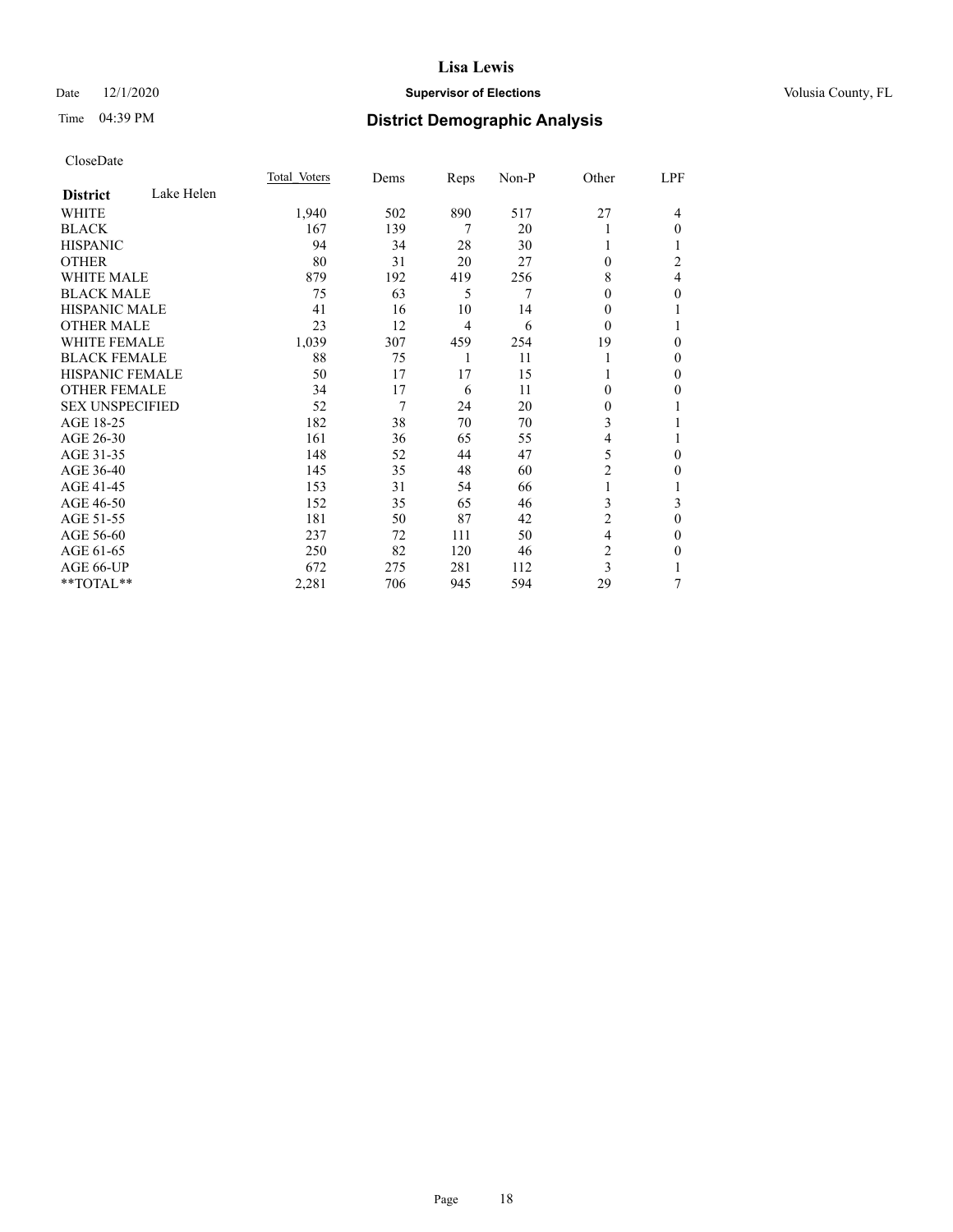### Date  $12/1/2020$  **Supervisor of Elections Supervisor of Elections** Volusia County, FL

### Time 04:39 PM **District Demographic Analysis**

|                        |            | Total Voters | Dems | Reps           | Non-P | Other          | LPF          |
|------------------------|------------|--------------|------|----------------|-------|----------------|--------------|
| <b>District</b>        | Lake Helen |              |      |                |       |                |              |
| WHITE                  |            | 1,940        | 502  | 890            | 517   | 27             | 4            |
| <b>BLACK</b>           |            | 167          | 139  | 7              | 20    |                | $\theta$     |
| <b>HISPANIC</b>        |            | 94           | 34   | 28             | 30    |                |              |
| <b>OTHER</b>           |            | 80           | 31   | 20             | 27    | 0              | 2            |
| <b>WHITE MALE</b>      |            | 879          | 192  | 419            | 256   | 8              | 4            |
| <b>BLACK MALE</b>      |            | 75           | 63   | 5              | 7     | 0              | $\theta$     |
| <b>HISPANIC MALE</b>   |            | 41           | 16   | 10             | 14    | 0              | 1            |
| <b>OTHER MALE</b>      |            | 23           | 12   | $\overline{4}$ | 6     | $\theta$       | 1            |
| <b>WHITE FEMALE</b>    |            | 1,039        | 307  | 459            | 254   | 19             | $\theta$     |
| <b>BLACK FEMALE</b>    |            | 88           | 75   | 1              | 11    |                | $\mathbf{0}$ |
| <b>HISPANIC FEMALE</b> |            | 50           | 17   | 17             | 15    |                | $\theta$     |
| <b>OTHER FEMALE</b>    |            | 34           | 17   | 6              | 11    | 0              | 0            |
| <b>SEX UNSPECIFIED</b> |            | 52           | 7    | 24             | 20    | 0              | 1            |
| AGE 18-25              |            | 182          | 38   | 70             | 70    | 3              |              |
| AGE 26-30              |            | 161          | 36   | 65             | 55    | 4              | 1            |
| AGE 31-35              |            | 148          | 52   | 44             | 47    | 5              | 0            |
| AGE 36-40              |            | 145          | 35   | 48             | 60    | $\overline{2}$ | $\theta$     |
| AGE 41-45              |            | 153          | 31   | 54             | 66    |                | 1            |
| AGE 46-50              |            | 152          | 35   | 65             | 46    | 3              | 3            |
| AGE 51-55              |            | 181          | 50   | 87             | 42    | 2              | $\theta$     |
| AGE 56-60              |            | 237          | 72   | 111            | 50    | 4              | $\mathbf{0}$ |
| AGE 61-65              |            | 250          | 82   | 120            | 46    | $\overline{c}$ | 0            |
| AGE 66-UP              |            | 672          | 275  | 281            | 112   | 3              |              |
| **TOTAL**              |            | 2,281        | 706  | 945            | 594   | 29             | 7            |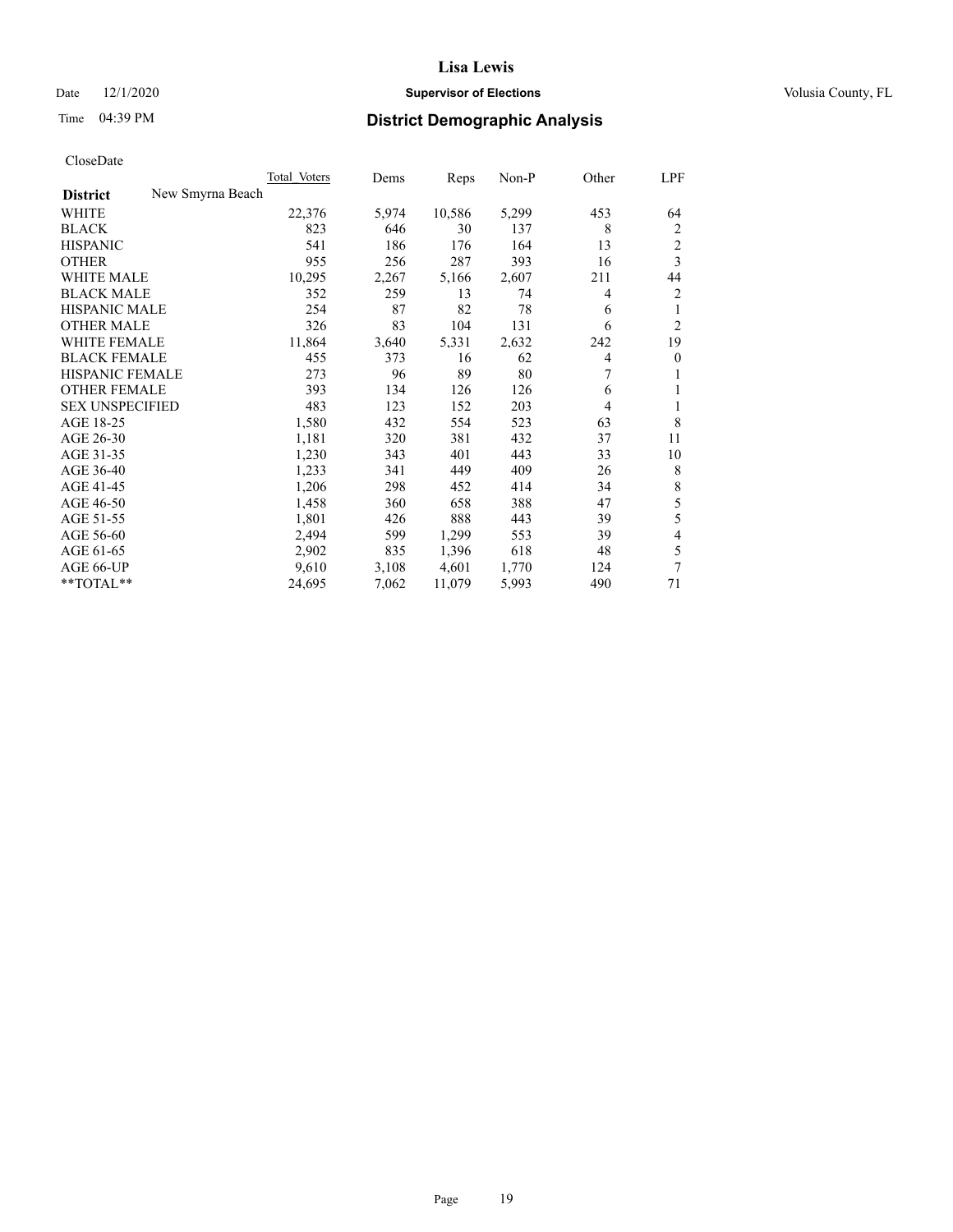### Date  $12/1/2020$  **Supervisor of Elections Supervisor of Elections** Volusia County, FL

| CloseDate |
|-----------|
|-----------|

|                                     | <b>Total Voters</b> | Dems  | Reps   | $Non-P$ | Other | <u>LPF</u>       |
|-------------------------------------|---------------------|-------|--------|---------|-------|------------------|
| New Smyrna Beach<br><b>District</b> |                     |       |        |         |       |                  |
| WHITE                               | 22,376              | 5,974 | 10,586 | 5,299   | 453   | 64               |
| <b>BLACK</b>                        | 823                 | 646   | 30     | 137     | 8     | 2                |
| <b>HISPANIC</b>                     | 541                 | 186   | 176    | 164     | 13    | $\boldsymbol{2}$ |
| <b>OTHER</b>                        | 955                 | 256   | 287    | 393     | 16    | $\overline{3}$   |
| <b>WHITE MALE</b>                   | 10,295              | 2,267 | 5,166  | 2,607   | 211   | 44               |
| <b>BLACK MALE</b>                   | 352                 | 259   | 13     | 74      | 4     | $\overline{2}$   |
| <b>HISPANIC MALE</b>                | 254                 | 87    | 82     | 78      | 6     | 1                |
| <b>OTHER MALE</b>                   | 326                 | 83    | 104    | 131     | 6     | $\overline{2}$   |
| <b>WHITE FEMALE</b>                 | 11,864              | 3,640 | 5,331  | 2,632   | 242   | 19               |
| <b>BLACK FEMALE</b>                 | 455                 | 373   | 16     | 62      | 4     | $\overline{0}$   |
| HISPANIC FEMALE                     | 273                 | 96    | 89     | 80      | 7     | 1                |
| <b>OTHER FEMALE</b>                 | 393                 | 134   | 126    | 126     | 6     | 1                |
| <b>SEX UNSPECIFIED</b>              | 483                 | 123   | 152    | 203     | 4     | 1                |
| AGE 18-25                           | 1,580               | 432   | 554    | 523     | 63    | 8                |
| AGE 26-30                           | 1,181               | 320   | 381    | 432     | 37    | 11               |
| AGE 31-35                           | 1,230               | 343   | 401    | 443     | 33    | 10               |
| AGE 36-40                           | 1,233               | 341   | 449    | 409     | 26    | 8                |
| AGE 41-45                           | 1,206               | 298   | 452    | 414     | 34    | $\,8\,$          |
| AGE 46-50                           | 1,458               | 360   | 658    | 388     | 47    | 5                |
| AGE 51-55                           | 1,801               | 426   | 888    | 443     | 39    | 5                |
| AGE 56-60                           | 2,494               | 599   | 1,299  | 553     | 39    | $\overline{4}$   |
| AGE 61-65                           | 2,902               | 835   | 1,396  | 618     | 48    | 5                |
| AGE 66-UP                           | 9,610               | 3,108 | 4,601  | 1,770   | 124   | $\overline{7}$   |
| **TOTAL**                           | 24,695              | 7,062 | 11,079 | 5,993   | 490   | 71               |
|                                     |                     |       |        |         |       |                  |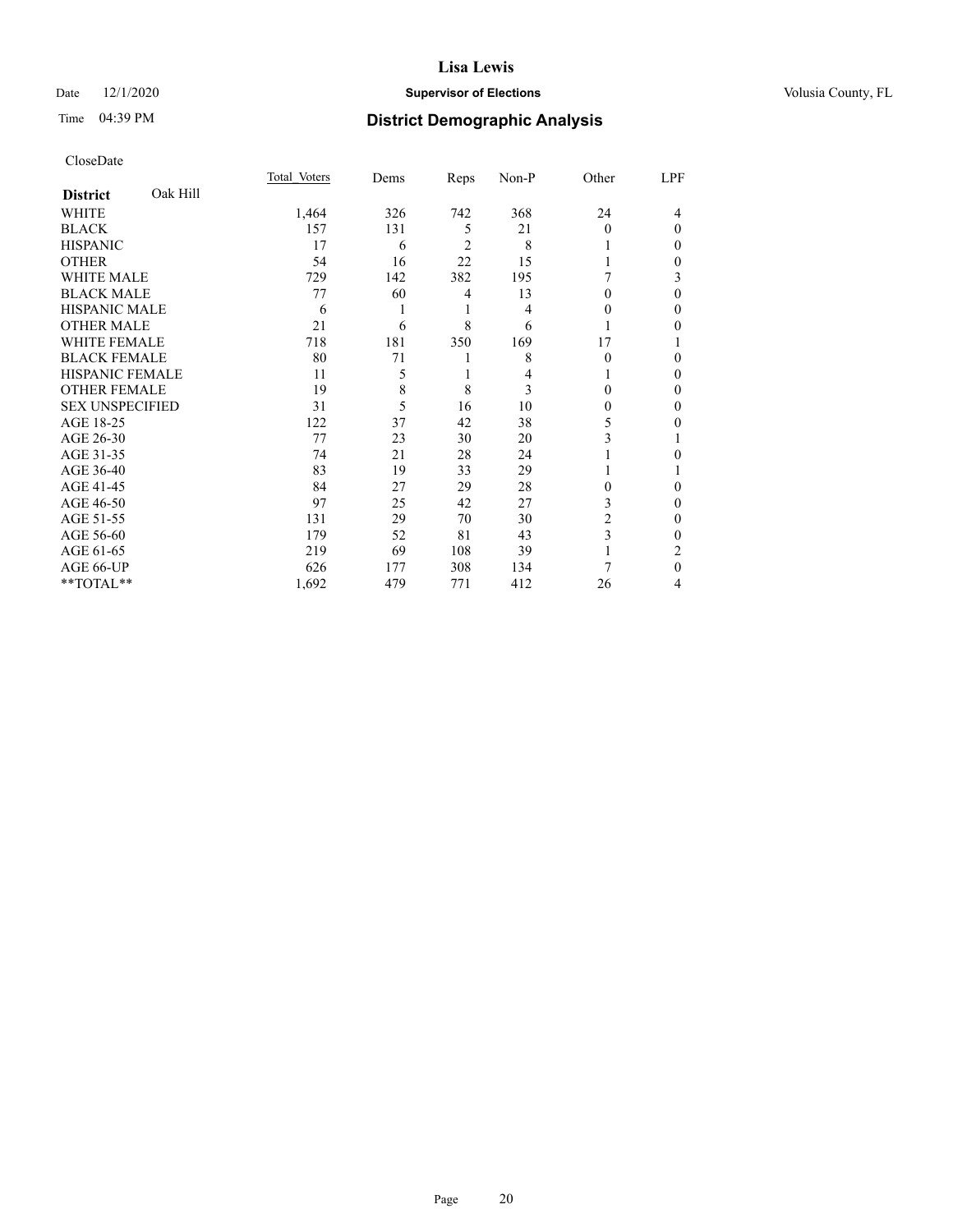### Date  $12/1/2020$  **Supervisor of Elections Supervisor of Elections** Volusia County, FL

### Time 04:39 PM **District Demographic Analysis**

|                        |          | Total Voters | Dems | Reps           | Non-P | Other    | LPF      |
|------------------------|----------|--------------|------|----------------|-------|----------|----------|
| <b>District</b>        | Oak Hill |              |      |                |       |          |          |
| WHITE                  |          | 1,464        | 326  | 742            | 368   | 24       | 4        |
| <b>BLACK</b>           |          | 157          | 131  | 5              | 21    | $\Omega$ | $\Omega$ |
| <b>HISPANIC</b>        |          | 17           | 6    | $\overline{2}$ | 8     |          | $\Omega$ |
| <b>OTHER</b>           |          | 54           | 16   | 22             | 15    |          | $\Omega$ |
| <b>WHITE MALE</b>      |          | 729          | 142  | 382            | 195   |          | 3        |
| <b>BLACK MALE</b>      |          | 77           | 60   | 4              | 13    | $\Omega$ | $\theta$ |
| <b>HISPANIC MALE</b>   |          | 6            |      | 1              | 4     | 0        | 0        |
| <b>OTHER MALE</b>      |          | 21           | 6    | 8              | 6     |          | 0        |
| <b>WHITE FEMALE</b>    |          | 718          | 181  | 350            | 169   | 17       |          |
| <b>BLACK FEMALE</b>    |          | 80           | 71   | 1              | 8     | $\Omega$ | $\Omega$ |
| <b>HISPANIC FEMALE</b> |          | 11           | 5    | 1              | 4     |          | $\Omega$ |
| <b>OTHER FEMALE</b>    |          | 19           | 8    | 8              | 3     | 0        | $\Omega$ |
| <b>SEX UNSPECIFIED</b> |          | 31           | 5    | 16             | 10    | $\Omega$ | $\Omega$ |
| AGE 18-25              |          | 122          | 37   | 42             | 38    | 5        | 0        |
| AGE 26-30              |          | 77           | 23   | 30             | 20    | 3        |          |
| AGE 31-35              |          | 74           | 21   | 28             | 24    |          | 0        |
| AGE 36-40              |          | 83           | 19   | 33             | 29    |          |          |
| AGE 41-45              |          | 84           | 27   | 29             | 28    | 0        | 0        |
| AGE 46-50              |          | 97           | 25   | 42             | 27    | 3        | $\Omega$ |
| AGE 51-55              |          | 131          | 29   | 70             | 30    | 2        | $\Omega$ |
| AGE 56-60              |          | 179          | 52   | 81             | 43    | 3        | 0        |
| AGE 61-65              |          | 219          | 69   | 108            | 39    |          | 2        |
| AGE 66-UP              |          | 626          | 177  | 308            | 134   |          | $\Omega$ |
| **TOTAL**              |          | 1,692        | 479  | 771            | 412   | 26       | 4        |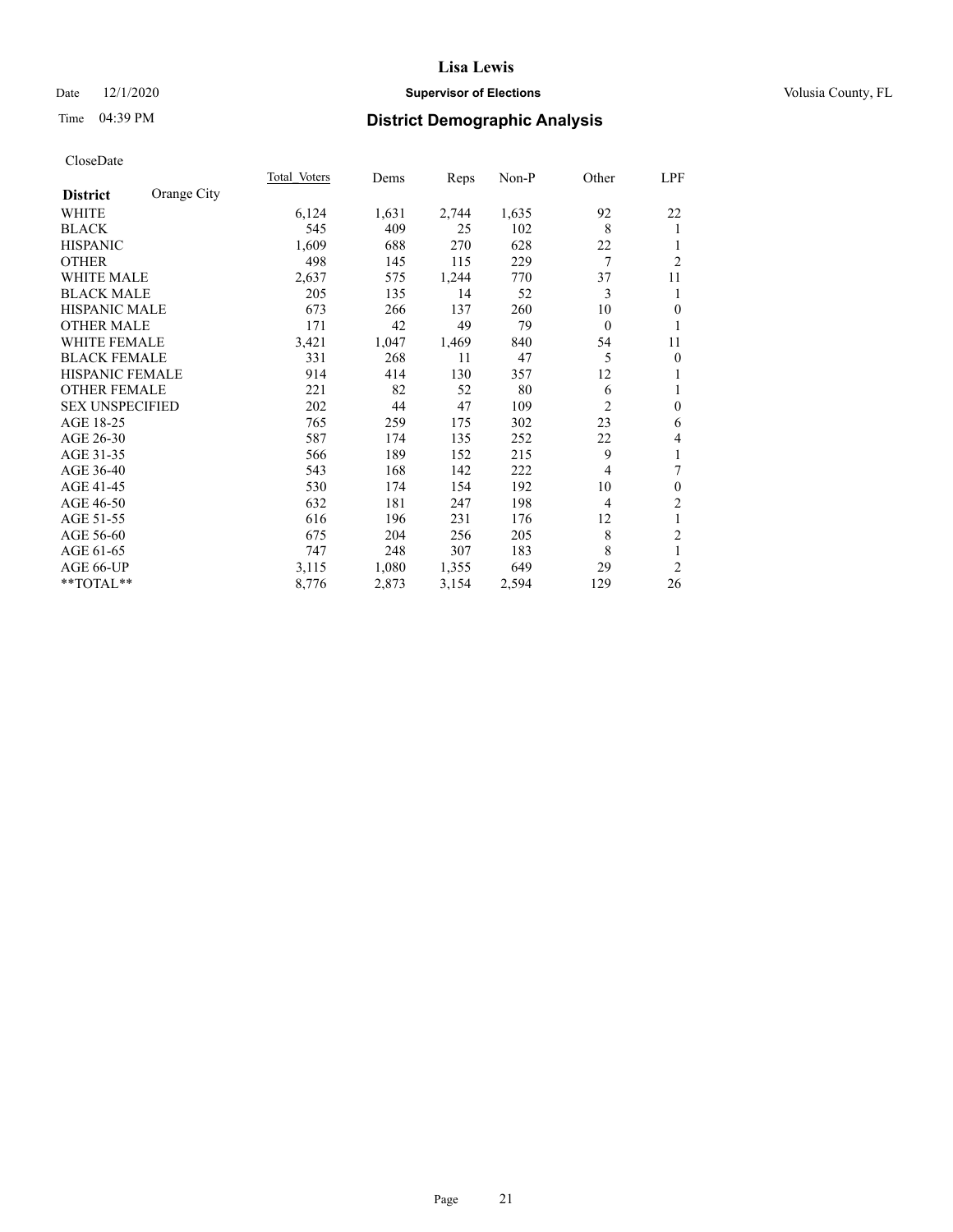### Date  $12/1/2020$  **Supervisor of Elections Supervisor of Elections** Volusia County, FL

### Time 04:39 PM **District Demographic Analysis**

|                        |             | Total Voters | Dems  | Reps  | Non-P | Other          | LPF              |
|------------------------|-------------|--------------|-------|-------|-------|----------------|------------------|
| <b>District</b>        | Orange City |              |       |       |       |                |                  |
| WHITE                  |             | 6,124        | 1,631 | 2,744 | 1,635 | 92             | 22               |
| <b>BLACK</b>           |             | 545          | 409   | 25    | 102   | 8              | 1                |
| <b>HISPANIC</b>        |             | 1,609        | 688   | 270   | 628   | 22             |                  |
| <b>OTHER</b>           |             | 498          | 145   | 115   | 229   | 7              | $\overline{2}$   |
| WHITE MALE             |             | 2,637        | 575   | 1,244 | 770   | 37             | 11               |
| <b>BLACK MALE</b>      |             | 205          | 135   | 14    | 52    | 3              | 1                |
| <b>HISPANIC MALE</b>   |             | 673          | 266   | 137   | 260   | 10             | $\overline{0}$   |
| <b>OTHER MALE</b>      |             | 171          | 42    | 49    | 79    | $\mathbf{0}$   | 1                |
| WHITE FEMALE           |             | 3,421        | 1,047 | 1,469 | 840   | 54             | 11               |
| <b>BLACK FEMALE</b>    |             | 331          | 268   | 11    | 47    | 5              | $\overline{0}$   |
| <b>HISPANIC FEMALE</b> |             | 914          | 414   | 130   | 357   | 12             | 1                |
| <b>OTHER FEMALE</b>    |             | 221          | 82    | 52    | 80    | 6              | 1                |
| <b>SEX UNSPECIFIED</b> |             | 202          | 44    | 47    | 109   | $\overline{2}$ | $\theta$         |
| AGE 18-25              |             | 765          | 259   | 175   | 302   | 23             | 6                |
| AGE 26-30              |             | 587          | 174   | 135   | 252   | 22             | 4                |
| AGE 31-35              |             | 566          | 189   | 152   | 215   | 9              | 1                |
| AGE 36-40              |             | 543          | 168   | 142   | 222   | $\overline{4}$ | 7                |
| AGE 41-45              |             | 530          | 174   | 154   | 192   | 10             | $\boldsymbol{0}$ |
| AGE 46-50              |             | 632          | 181   | 247   | 198   | $\overline{4}$ | $\overline{2}$   |
| AGE 51-55              |             | 616          | 196   | 231   | 176   | 12             | 1                |
| AGE 56-60              |             | 675          | 204   | 256   | 205   | 8              | $\boldsymbol{2}$ |
| AGE 61-65              |             | 747          | 248   | 307   | 183   | 8              | 1                |
| AGE 66-UP              |             | 3,115        | 1,080 | 1,355 | 649   | 29             | $\overline{2}$   |
| **TOTAL**              |             | 8,776        | 2,873 | 3,154 | 2,594 | 129            | 26               |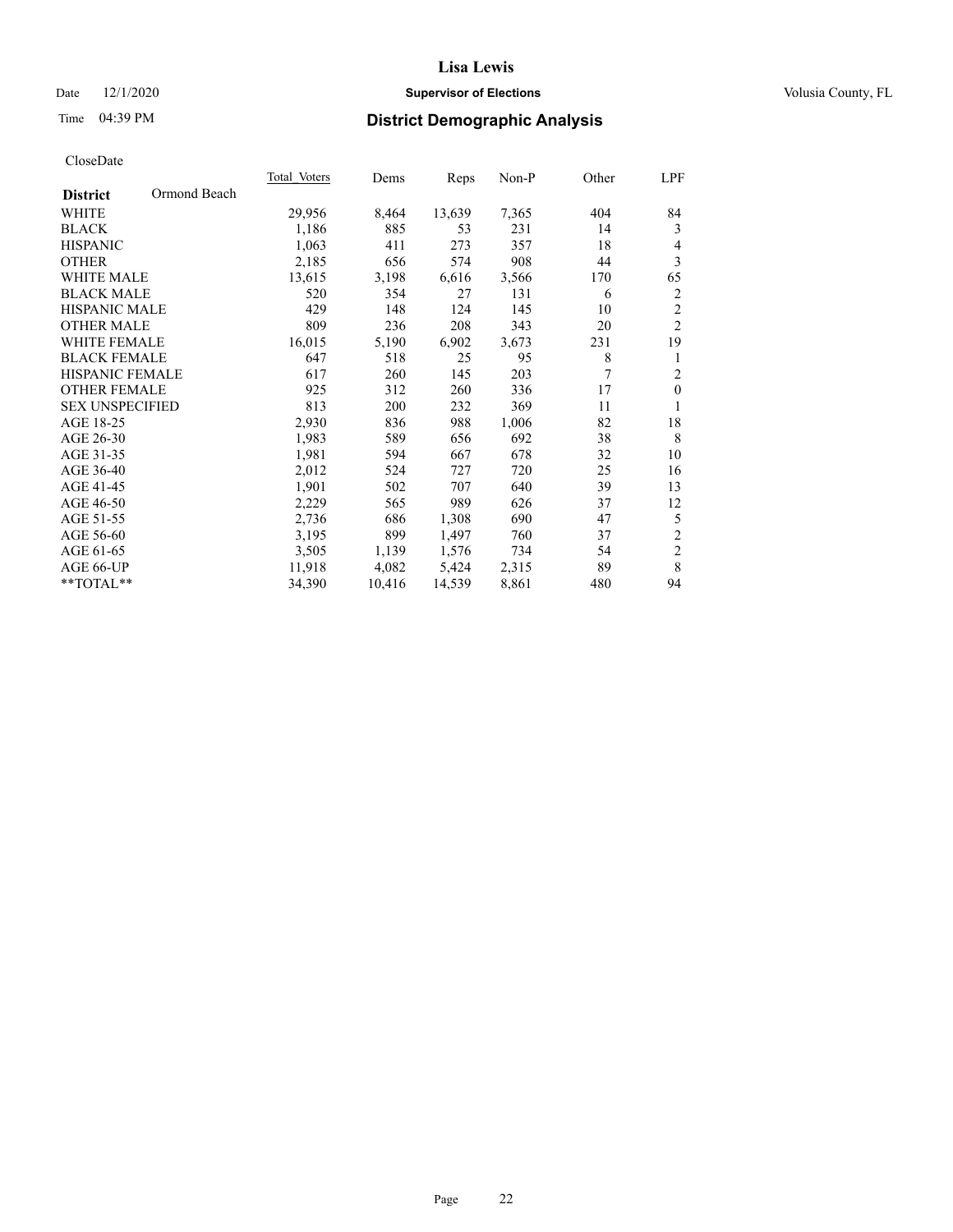### Date  $12/1/2020$  **Supervisor of Elections Supervisor of Elections** Volusia County, FL

### Time 04:39 PM **District Demographic Analysis**

|                        |              | Total Voters | Dems   | Reps   | Non-P | Other | LPF            |
|------------------------|--------------|--------------|--------|--------|-------|-------|----------------|
| <b>District</b>        | Ormond Beach |              |        |        |       |       |                |
| WHITE                  |              | 29,956       | 8,464  | 13,639 | 7,365 | 404   | 84             |
| <b>BLACK</b>           |              | 1,186        | 885    | 53     | 231   | 14    | 3              |
| <b>HISPANIC</b>        |              | 1,063        | 411    | 273    | 357   | 18    | $\overline{4}$ |
| <b>OTHER</b>           |              | 2,185        | 656    | 574    | 908   | 44    | 3              |
| <b>WHITE MALE</b>      |              | 13,615       | 3,198  | 6,616  | 3,566 | 170   | 65             |
| <b>BLACK MALE</b>      |              | 520          | 354    | 27     | 131   | 6     | 2              |
| <b>HISPANIC MALE</b>   |              | 429          | 148    | 124    | 145   | 10    | $\overline{c}$ |
| <b>OTHER MALE</b>      |              | 809          | 236    | 208    | 343   | 20    | $\overline{2}$ |
| <b>WHITE FEMALE</b>    |              | 16,015       | 5,190  | 6,902  | 3,673 | 231   | 19             |
| <b>BLACK FEMALE</b>    |              | 647          | 518    | 25     | 95    | 8     | 1              |
| <b>HISPANIC FEMALE</b> |              | 617          | 260    | 145    | 203   | 7     | $\overline{2}$ |
| <b>OTHER FEMALE</b>    |              | 925          | 312    | 260    | 336   | 17    | $\mathbf{0}$   |
| <b>SEX UNSPECIFIED</b> |              | 813          | 200    | 232    | 369   | 11    | 1              |
| AGE 18-25              |              | 2,930        | 836    | 988    | 1,006 | 82    | 18             |
| AGE 26-30              |              | 1,983        | 589    | 656    | 692   | 38    | 8              |
| AGE 31-35              |              | 1,981        | 594    | 667    | 678   | 32    | 10             |
| AGE 36-40              |              | 2,012        | 524    | 727    | 720   | 25    | 16             |
| AGE 41-45              |              | 1,901        | 502    | 707    | 640   | 39    | 13             |
| AGE 46-50              |              | 2,229        | 565    | 989    | 626   | 37    | 12             |
| AGE 51-55              |              | 2,736        | 686    | 1,308  | 690   | 47    | 5              |
| AGE 56-60              |              | 3,195        | 899    | 1,497  | 760   | 37    | $\sqrt{2}$     |
| AGE 61-65              |              | 3,505        | 1,139  | 1,576  | 734   | 54    | $\sqrt{2}$     |
| AGE 66-UP              |              | 11,918       | 4,082  | 5,424  | 2,315 | 89    | 8              |
| **TOTAL**              |              | 34,390       | 10,416 | 14,539 | 8,861 | 480   | 94             |
|                        |              |              |        |        |       |       |                |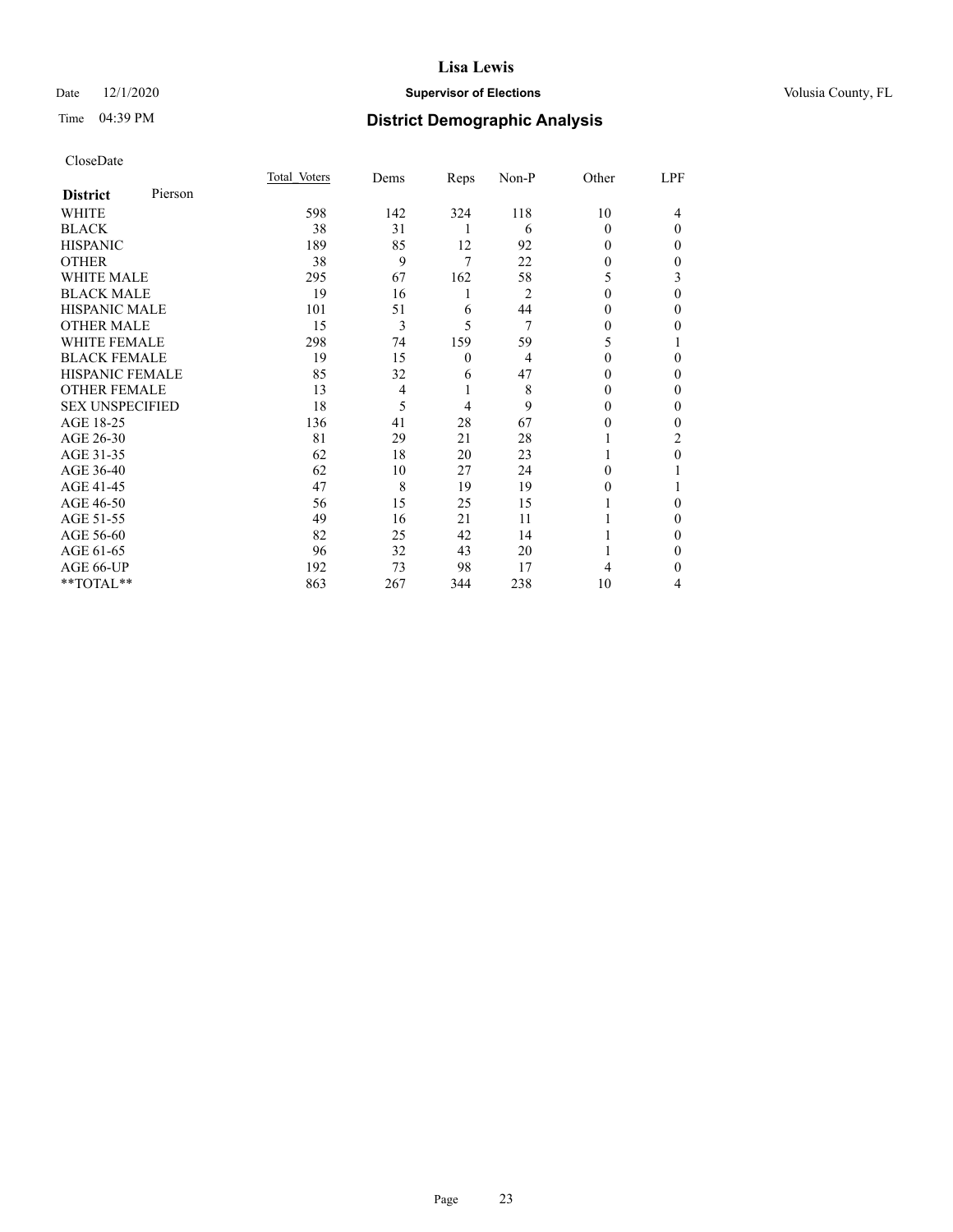### Date  $12/1/2020$  **Supervisor of Elections Supervisor of Elections** Volusia County, FL

### Time 04:39 PM **District Demographic Analysis**

|                        |         | Total Voters | Dems           | Reps     | Non-P          | Other        | LPF          |
|------------------------|---------|--------------|----------------|----------|----------------|--------------|--------------|
| <b>District</b>        | Pierson |              |                |          |                |              |              |
| WHITE                  |         | 598          | 142            | 324      | 118            | 10           | 4            |
| <b>BLACK</b>           |         | 38           | 31             | 1        | 6              | 0            | $\theta$     |
| <b>HISPANIC</b>        |         | 189          | 85             | 12       | 92             | 0            | $\Omega$     |
| <b>OTHER</b>           |         | 38           | 9              | 7        | 22             | 0            | $\Omega$     |
| <b>WHITE MALE</b>      |         | 295          | 67             | 162      | 58             | 5            | 3            |
| <b>BLACK MALE</b>      |         | 19           | 16             | 1        | $\overline{2}$ | $\mathbf{0}$ | $\theta$     |
| <b>HISPANIC MALE</b>   |         | 101          | 51             | 6        | 44             | 0            | $\mathbf{0}$ |
| <b>OTHER MALE</b>      |         | 15           | 3              | 5        | 7              | 0            | 0            |
| <b>WHITE FEMALE</b>    |         | 298          | 74             | 159      | 59             | 5            |              |
| <b>BLACK FEMALE</b>    |         | 19           | 15             | $\theta$ | $\overline{4}$ | $\Omega$     | $\Omega$     |
| <b>HISPANIC FEMALE</b> |         | 85           | 32             | 6        | 47             | 0            | $\Omega$     |
| <b>OTHER FEMALE</b>    |         | 13           | $\overline{4}$ | 1        | 8              | 0            | $\Omega$     |
| <b>SEX UNSPECIFIED</b> |         | 18           | 5              | 4        | 9              | 0            | $\theta$     |
| AGE 18-25              |         | 136          | 41             | 28       | 67             | 0            | $\Omega$     |
| AGE 26-30              |         | 81           | 29             | 21       | 28             |              | 2            |
| AGE 31-35              |         | 62           | 18             | 20       | 23             |              | $\theta$     |
| AGE 36-40              |         | 62           | 10             | 27       | 24             | $\Omega$     |              |
| AGE 41-45              |         | 47           | 8              | 19       | 19             | 0            |              |
| AGE 46-50              |         | 56           | 15             | 25       | 15             |              | 0            |
| AGE 51-55              |         | 49           | 16             | 21       | 11             |              | $\Omega$     |
| AGE 56-60              |         | 82           | 25             | 42       | 14             |              | $\Omega$     |
| AGE 61-65              |         | 96           | 32             | 43       | 20             |              | $\mathbf{0}$ |
| AGE 66-UP              |         | 192          | 73             | 98       | 17             | 4            | 0            |
| **TOTAL**              |         | 863          | 267            | 344      | 238            | 10           | 4            |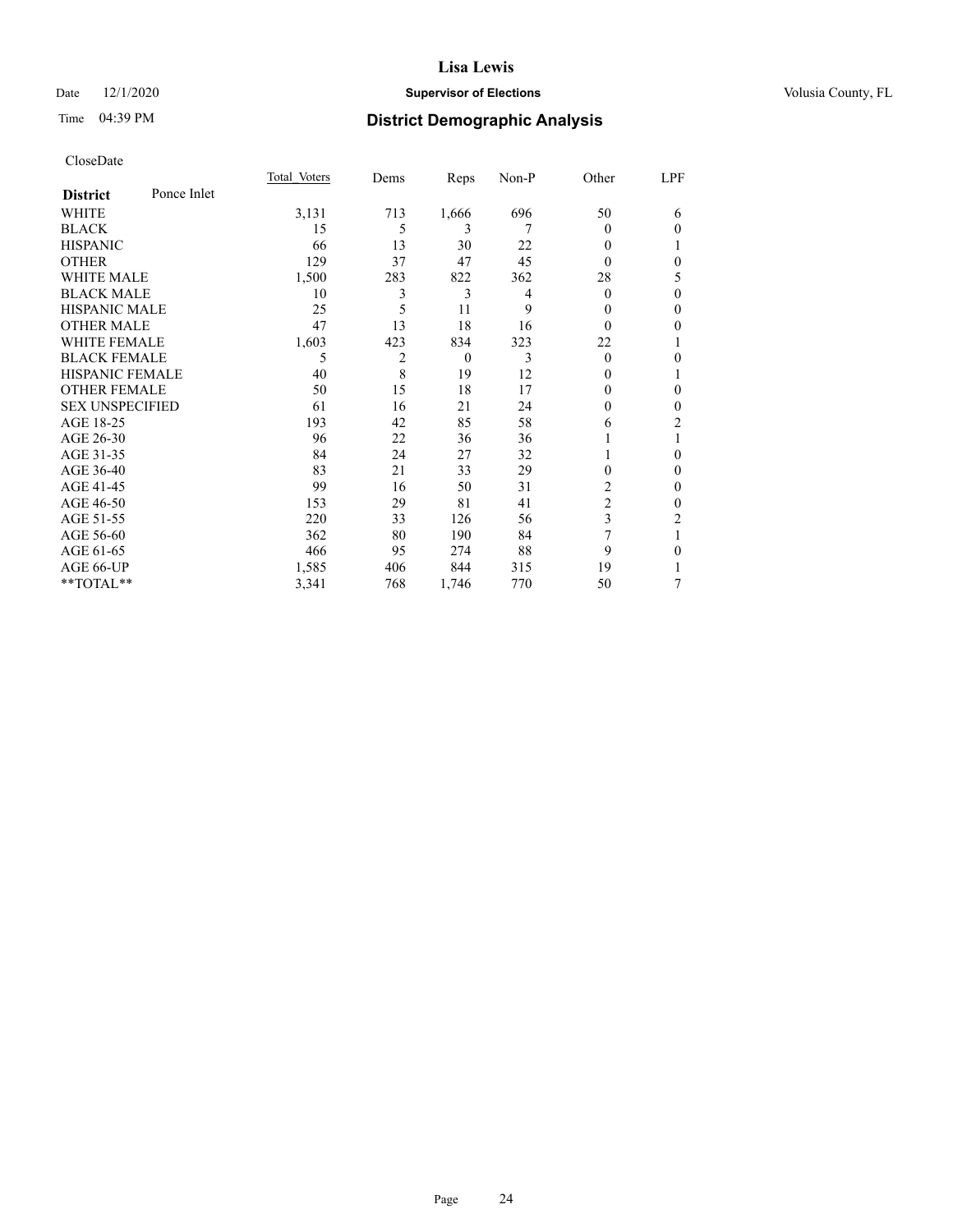### Date  $12/1/2020$  **Supervisor of Elections Supervisor of Elections** Volusia County, FL

### Time 04:39 PM **District Demographic Analysis**

|                        |             | Total Voters | Dems | Reps     | Non-P | Other          | LPF          |
|------------------------|-------------|--------------|------|----------|-------|----------------|--------------|
| <b>District</b>        | Ponce Inlet |              |      |          |       |                |              |
| WHITE                  |             | 3,131        | 713  | 1,666    | 696   | 50             | 6            |
| <b>BLACK</b>           |             | 15           | 5    | 3        | 7     | $\theta$       | $\theta$     |
| <b>HISPANIC</b>        |             | 66           | 13   | 30       | 22    | 0              |              |
| <b>OTHER</b>           |             | 129          | 37   | 47       | 45    | 0              | $\theta$     |
| <b>WHITE MALE</b>      |             | 1,500        | 283  | 822      | 362   | 28             | 5            |
| <b>BLACK MALE</b>      |             | 10           | 3    | 3        | 4     | $\theta$       | $\mathbf{0}$ |
| <b>HISPANIC MALE</b>   |             | 25           | 5    | 11       | 9     | 0              | $\mathbf{0}$ |
| <b>OTHER MALE</b>      |             | 47           | 13   | 18       | 16    | $\theta$       | $\mathbf{0}$ |
| <b>WHITE FEMALE</b>    |             | 1,603        | 423  | 834      | 323   | 22             | 1            |
| <b>BLACK FEMALE</b>    |             | 5            | 2    | $\theta$ | 3     | $\theta$       | $\theta$     |
| HISPANIC FEMALE        |             | 40           | 8    | 19       | 12    | $_{0}$         | 1            |
| <b>OTHER FEMALE</b>    |             | 50           | 15   | 18       | 17    | 0              | $\theta$     |
| <b>SEX UNSPECIFIED</b> |             | 61           | 16   | 21       | 24    | 0              | $\theta$     |
| AGE 18-25              |             | 193          | 42   | 85       | 58    | 6              | 2            |
| AGE 26-30              |             | 96           | 22   | 36       | 36    |                | 1            |
| AGE 31-35              |             | 84           | 24   | 27       | 32    |                | $\theta$     |
| AGE 36-40              |             | 83           | 21   | 33       | 29    | 0              | $\mathbf{0}$ |
| AGE 41-45              |             | 99           | 16   | 50       | 31    | 2              | $\mathbf{0}$ |
| AGE 46-50              |             | 153          | 29   | 81       | 41    | $\overline{2}$ | $\mathbf{0}$ |
| AGE 51-55              |             | 220          | 33   | 126      | 56    | 3              | 2            |
| AGE 56-60              |             | 362          | 80   | 190      | 84    | 7              | 1            |
| AGE 61-65              |             | 466          | 95   | 274      | 88    | 9              | $\theta$     |
| AGE 66-UP              |             | 1,585        | 406  | 844      | 315   | 19             | 1            |
| **TOTAL**              |             | 3,341        | 768  | 1,746    | 770   | 50             | 7            |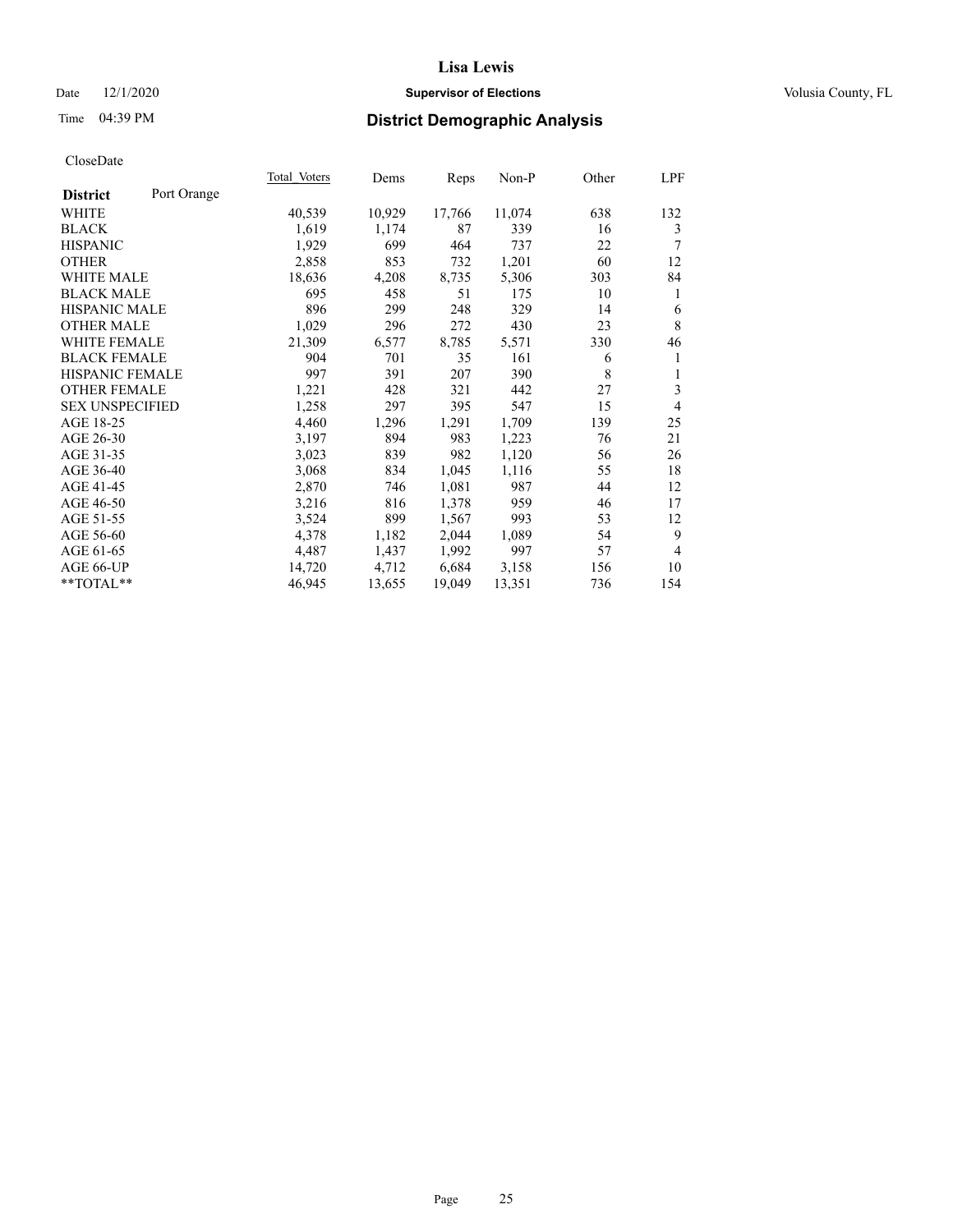### Date  $12/1/2020$  **Supervisor of Elections Supervisor of Elections** Volusia County, FL

### Time 04:39 PM **District Demographic Analysis**

|                                | Total Voters | Dems   | Reps   | Non-P  | Other | LPF            |
|--------------------------------|--------------|--------|--------|--------|-------|----------------|
| Port Orange<br><b>District</b> |              |        |        |        |       |                |
| WHITE                          | 40,539       | 10,929 | 17,766 | 11,074 | 638   | 132            |
| <b>BLACK</b>                   | 1,619        | 1,174  | 87     | 339    | 16    | 3              |
| <b>HISPANIC</b>                | 1,929        | 699    | 464    | 737    | 22    | 7              |
| <b>OTHER</b>                   | 2,858        | 853    | 732    | 1,201  | 60    | 12             |
| <b>WHITE MALE</b>              | 18,636       | 4,208  | 8,735  | 5,306  | 303   | 84             |
| <b>BLACK MALE</b>              | 695          | 458    | 51     | 175    | 10    | 1              |
| <b>HISPANIC MALE</b>           | 896          | 299    | 248    | 329    | 14    | 6              |
| <b>OTHER MALE</b>              | 1,029        | 296    | 272    | 430    | 23    | $\,$ 8 $\,$    |
| WHITE FEMALE                   | 21,309       | 6,577  | 8,785  | 5,571  | 330   | 46             |
| <b>BLACK FEMALE</b>            | 904          | 701    | 35     | 161    | 6     | 1              |
| HISPANIC FEMALE                | 997          | 391    | 207    | 390    | 8     | 1              |
| <b>OTHER FEMALE</b>            | 1,221        | 428    | 321    | 442    | 27    | 3              |
| <b>SEX UNSPECIFIED</b>         | 1,258        | 297    | 395    | 547    | 15    | 4              |
| AGE 18-25                      | 4,460        | 1,296  | 1,291  | 1,709  | 139   | 25             |
| AGE 26-30                      | 3,197        | 894    | 983    | 1,223  | 76    | 21             |
| AGE 31-35                      | 3,023        | 839    | 982    | 1,120  | 56    | 26             |
| AGE 36-40                      | 3,068        | 834    | 1,045  | 1,116  | 55    | 18             |
| AGE 41-45                      | 2,870        | 746    | 1,081  | 987    | 44    | 12             |
| AGE 46-50                      | 3,216        | 816    | 1,378  | 959    | 46    | 17             |
| AGE 51-55                      | 3,524        | 899    | 1,567  | 993    | 53    | 12             |
| AGE 56-60                      | 4,378        | 1,182  | 2,044  | 1,089  | 54    | 9              |
| AGE 61-65                      | 4,487        | 1,437  | 1,992  | 997    | 57    | $\overline{4}$ |
| AGE 66-UP                      | 14,720       | 4,712  | 6,684  | 3,158  | 156   | 10             |
| **TOTAL**                      | 46,945       | 13,655 | 19,049 | 13,351 | 736   | 154            |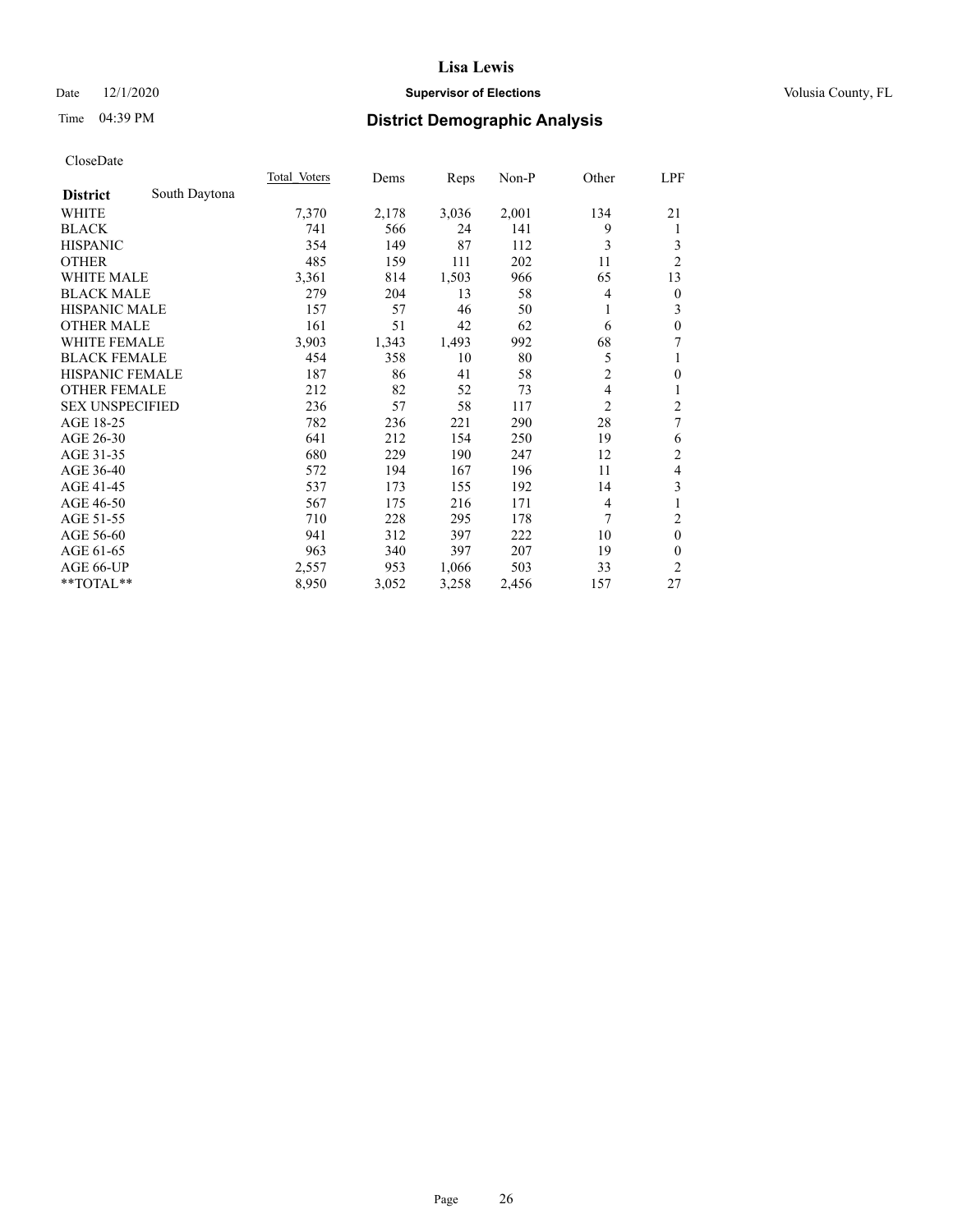### Date  $12/1/2020$  **Supervisor of Elections Supervisor of Elections** Volusia County, FL

### Time 04:39 PM **District Demographic Analysis**

|                        |               | <b>Total Voters</b> | Dems  | Reps  | $Non-P$ | Other          | LPF                     |
|------------------------|---------------|---------------------|-------|-------|---------|----------------|-------------------------|
| <b>District</b>        | South Daytona |                     |       |       |         |                |                         |
| WHITE                  |               | 7,370               | 2,178 | 3,036 | 2,001   | 134            | 21                      |
| <b>BLACK</b>           |               | 741                 | 566   | 24    | 141     | 9              | 1                       |
| <b>HISPANIC</b>        |               | 354                 | 149   | 87    | 112     | 3              | 3                       |
| <b>OTHER</b>           |               | 485                 | 159   | 111   | 202     | 11             | $\overline{2}$          |
| <b>WHITE MALE</b>      |               | 3,361               | 814   | 1,503 | 966     | 65             | 13                      |
| <b>BLACK MALE</b>      |               | 279                 | 204   | 13    | 58      | 4              | $\overline{0}$          |
| <b>HISPANIC MALE</b>   |               | 157                 | 57    | 46    | 50      | 1              | 3                       |
| <b>OTHER MALE</b>      |               | 161                 | 51    | 42    | 62      | 6              | $\mathbf{0}$            |
| WHITE FEMALE           |               | 3,903               | 1,343 | 1,493 | 992     | 68             | 7                       |
| <b>BLACK FEMALE</b>    |               | 454                 | 358   | 10    | 80      | 5              | 1                       |
| <b>HISPANIC FEMALE</b> |               | 187                 | 86    | 41    | 58      | $\overline{2}$ | $\mathbf{0}$            |
| <b>OTHER FEMALE</b>    |               | 212                 | 82    | 52    | 73      | 4              | 1                       |
| <b>SEX UNSPECIFIED</b> |               | 236                 | 57    | 58    | 117     | $\overline{2}$ | $\overline{\mathbf{c}}$ |
| AGE 18-25              |               | 782                 | 236   | 221   | 290     | 28             | 7                       |
| AGE 26-30              |               | 641                 | 212   | 154   | 250     | 19             | 6                       |
| AGE 31-35              |               | 680                 | 229   | 190   | 247     | 12             | $\overline{2}$          |
| AGE 36-40              |               | 572                 | 194   | 167   | 196     | 11             | 4                       |
| AGE 41-45              |               | 537                 | 173   | 155   | 192     | 14             | 3                       |
| AGE 46-50              |               | 567                 | 175   | 216   | 171     | 4              |                         |
| AGE 51-55              |               | 710                 | 228   | 295   | 178     | 7              | $\overline{2}$          |
| AGE 56-60              |               | 941                 | 312   | 397   | 222     | 10             | $\theta$                |
| AGE 61-65              |               | 963                 | 340   | 397   | 207     | 19             | $\theta$                |
| AGE 66-UP              |               | 2,557               | 953   | 1,066 | 503     | 33             | $\overline{2}$          |
| **TOTAL**              |               | 8,950               | 3,052 | 3,258 | 2,456   | 157            | 27                      |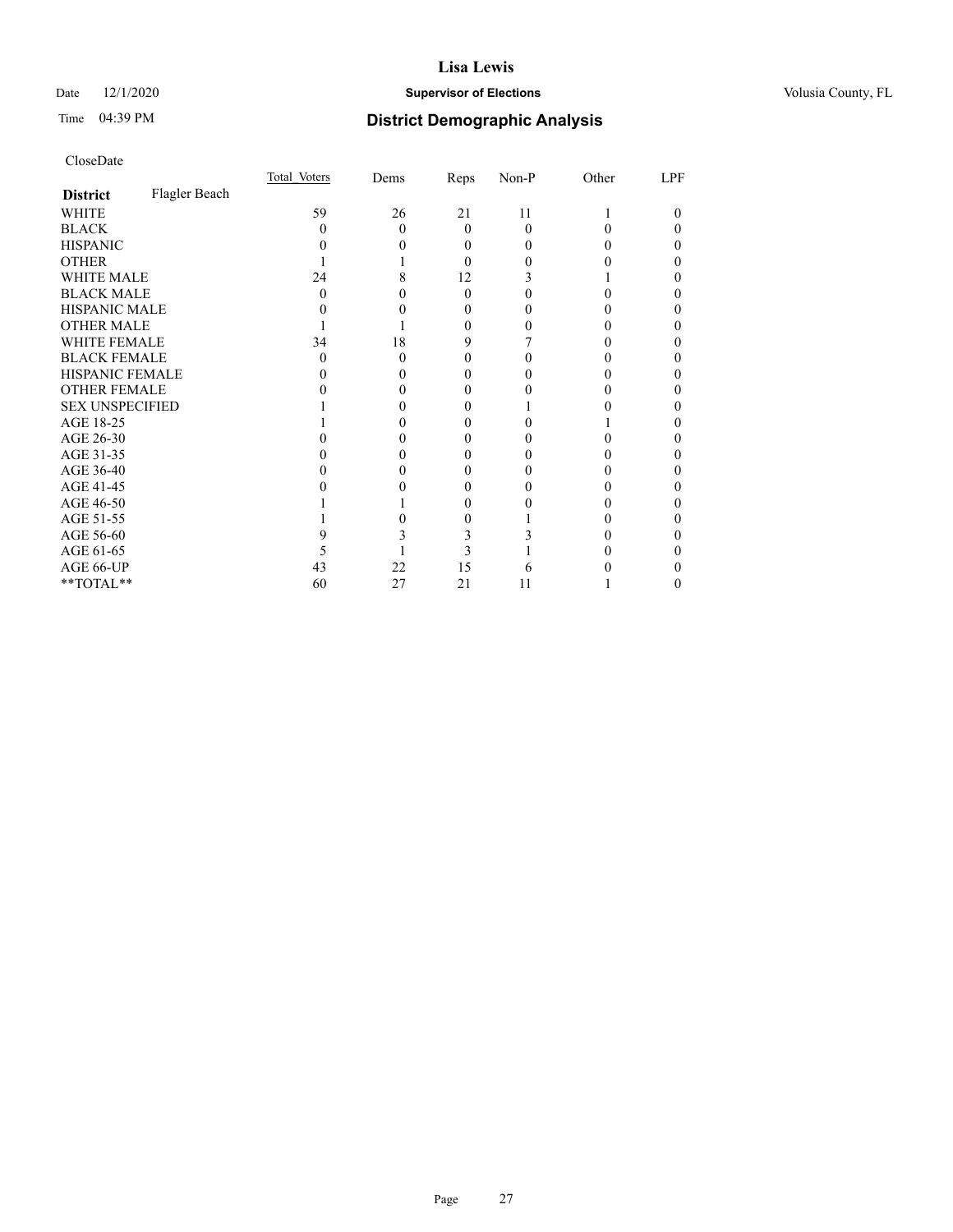### Date  $12/1/2020$  **Supervisor of Elections Supervisor of Elections** Volusia County, FL

### Time 04:39 PM **District Demographic Analysis**

|                        |               | Total Voters | Dems | Reps     | Non-P        | Other | LPF |
|------------------------|---------------|--------------|------|----------|--------------|-------|-----|
| <b>District</b>        | Flagler Beach |              |      |          |              |       |     |
| WHITE                  |               | 59           | 26   | 21       | 11           |       |     |
| <b>BLACK</b>           |               | 0            | 0    | $\theta$ | 0            |       |     |
| <b>HISPANIC</b>        |               |              |      | 0        | $\mathbf{0}$ |       |     |
| <b>OTHER</b>           |               |              |      | 0        |              |       |     |
| WHITE MALE             |               | 24           |      | 12       |              |       |     |
| <b>BLACK MALE</b>      |               | 0            |      | $\Omega$ |              |       |     |
| <b>HISPANIC MALE</b>   |               |              |      | 0        |              |       |     |
| <b>OTHER MALE</b>      |               |              |      | 0        |              |       |     |
| WHITE FEMALE           |               | 34           | 18   | 9        |              |       |     |
| <b>BLACK FEMALE</b>    |               | 0            | 0    | $_{0}$   |              |       |     |
| HISPANIC FEMALE        |               |              |      |          |              |       |     |
| <b>OTHER FEMALE</b>    |               |              |      | 0        |              |       |     |
| <b>SEX UNSPECIFIED</b> |               |              |      |          |              |       |     |
| AGE 18-25              |               |              |      |          |              |       |     |
| AGE 26-30              |               |              |      |          |              |       |     |
| AGE 31-35              |               |              |      |          |              |       |     |
| AGE 36-40              |               |              |      |          |              |       |     |
| AGE 41-45              |               |              |      |          |              |       |     |
| AGE 46-50              |               |              |      | $_{0}$   |              |       |     |
| AGE 51-55              |               |              |      |          |              |       |     |
| AGE 56-60              |               |              |      |          |              |       |     |
| AGE 61-65              |               |              |      |          |              |       |     |
| AGE 66-UP              |               | 43           | 22   | 15       |              |       |     |
| **TOTAL**              |               | 60           | 27   | 21       | 11           |       |     |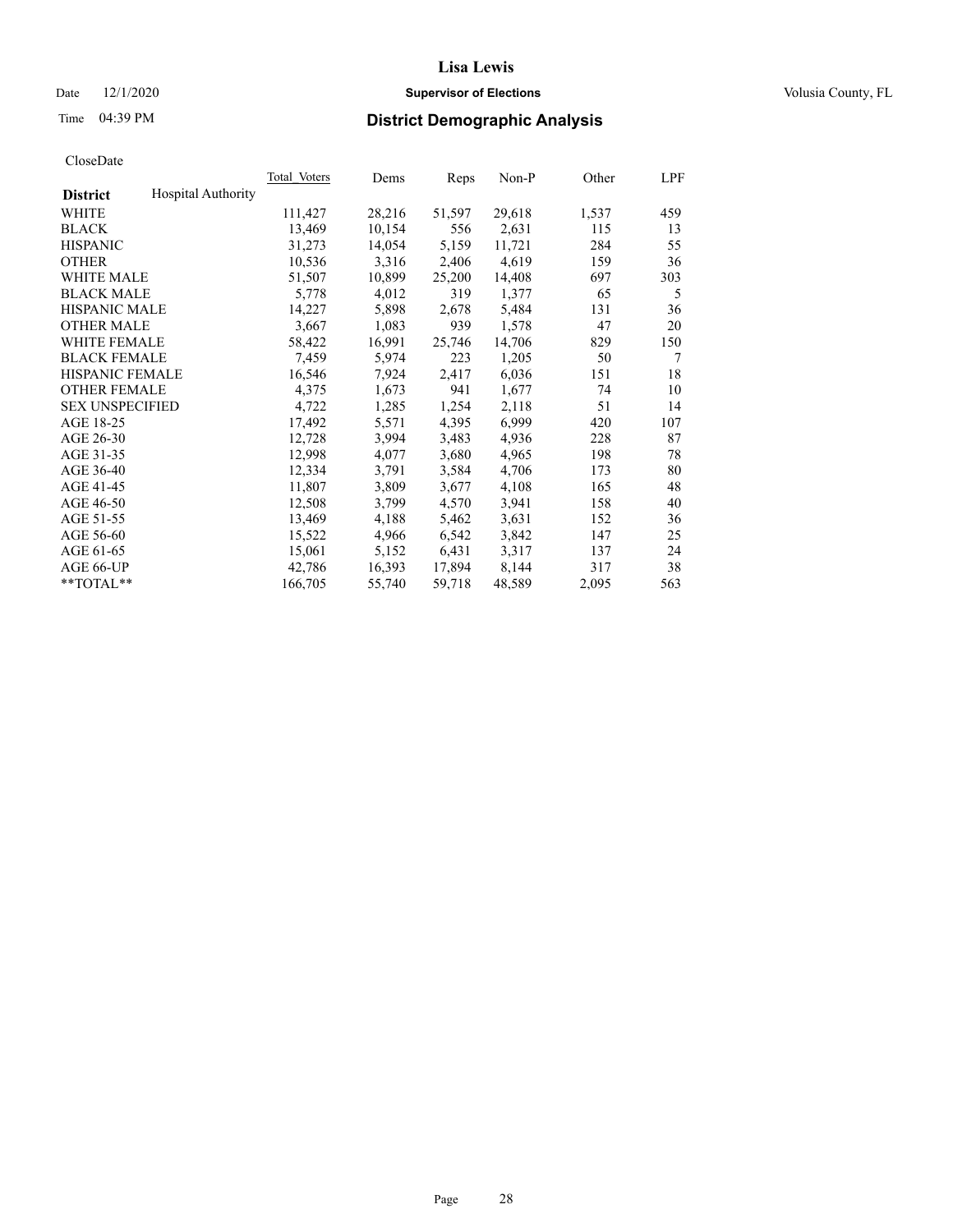### Date  $12/1/2020$  **Supervisor of Elections Supervisor of Elections** Volusia County, FL

### Time 04:39 PM **District Demographic Analysis**

|                        |                           | Total Voters | Dems   | Reps   | Non-P  | Other | LPF |
|------------------------|---------------------------|--------------|--------|--------|--------|-------|-----|
| <b>District</b>        | <b>Hospital Authority</b> |              |        |        |        |       |     |
| WHITE                  |                           | 111,427      | 28,216 | 51,597 | 29,618 | 1,537 | 459 |
| <b>BLACK</b>           |                           | 13,469       | 10,154 | 556    | 2,631  | 115   | 13  |
| <b>HISPANIC</b>        |                           | 31,273       | 14,054 | 5,159  | 11,721 | 284   | 55  |
| <b>OTHER</b>           |                           | 10,536       | 3,316  | 2,406  | 4,619  | 159   | 36  |
| <b>WHITE MALE</b>      |                           | 51,507       | 10,899 | 25,200 | 14,408 | 697   | 303 |
| <b>BLACK MALE</b>      |                           | 5,778        | 4,012  | 319    | 1,377  | 65    | 5   |
| <b>HISPANIC MALE</b>   |                           | 14,227       | 5,898  | 2,678  | 5,484  | 131   | 36  |
| <b>OTHER MALE</b>      |                           | 3,667        | 1,083  | 939    | 1,578  | 47    | 20  |
| <b>WHITE FEMALE</b>    |                           | 58,422       | 16,991 | 25,746 | 14,706 | 829   | 150 |
| <b>BLACK FEMALE</b>    |                           | 7,459        | 5,974  | 223    | 1,205  | 50    | 7   |
| <b>HISPANIC FEMALE</b> |                           | 16,546       | 7,924  | 2,417  | 6,036  | 151   | 18  |
| <b>OTHER FEMALE</b>    |                           | 4,375        | 1,673  | 941    | 1,677  | 74    | 10  |
| <b>SEX UNSPECIFIED</b> |                           | 4,722        | 1,285  | 1,254  | 2,118  | 51    | 14  |
| AGE 18-25              |                           | 17,492       | 5,571  | 4,395  | 6,999  | 420   | 107 |
| AGE 26-30              |                           | 12,728       | 3,994  | 3,483  | 4,936  | 228   | 87  |
| AGE 31-35              |                           | 12,998       | 4,077  | 3,680  | 4,965  | 198   | 78  |
| AGE 36-40              |                           | 12,334       | 3,791  | 3,584  | 4,706  | 173   | 80  |
| AGE 41-45              |                           | 11,807       | 3,809  | 3,677  | 4,108  | 165   | 48  |
| AGE 46-50              |                           | 12,508       | 3,799  | 4,570  | 3,941  | 158   | 40  |
| AGE 51-55              |                           | 13,469       | 4,188  | 5,462  | 3,631  | 152   | 36  |
| AGE 56-60              |                           | 15,522       | 4,966  | 6,542  | 3,842  | 147   | 25  |
| AGE 61-65              |                           | 15,061       | 5,152  | 6,431  | 3,317  | 137   | 24  |
| AGE 66-UP              |                           | 42,786       | 16,393 | 17,894 | 8,144  | 317   | 38  |
| $*$ TOTAL $*$          |                           | 166,705      | 55,740 | 59,718 | 48,589 | 2,095 | 563 |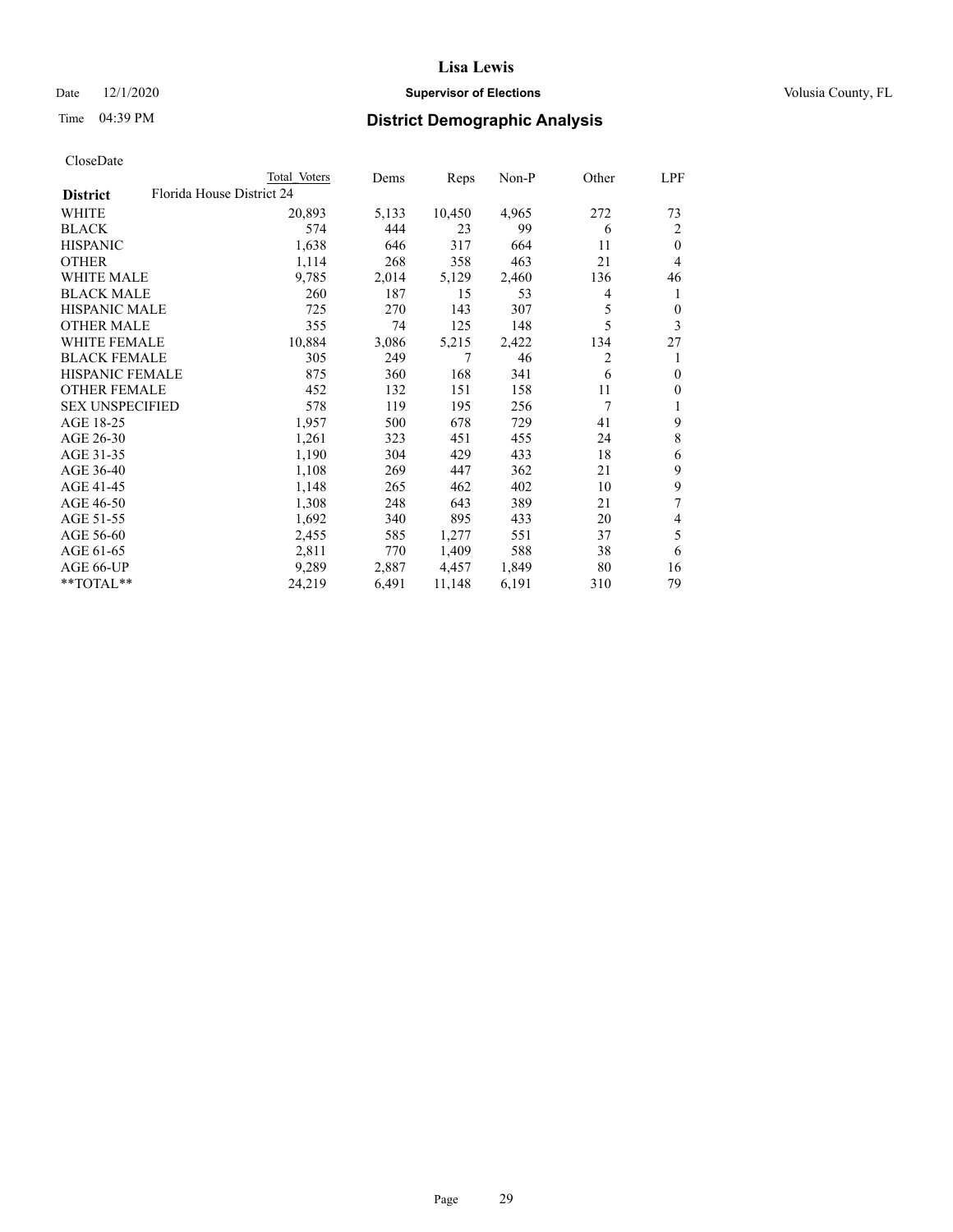### Date  $12/1/2020$  **Supervisor of Elections Supervisor of Elections** Volusia County, FL

| CloseDate |
|-----------|
|-----------|

|                        |                           | Total Voters | Dems  | Reps   | Non-P | Other | LPF              |
|------------------------|---------------------------|--------------|-------|--------|-------|-------|------------------|
| <b>District</b>        | Florida House District 24 |              |       |        |       |       |                  |
| WHITE                  |                           | 20,893       | 5,133 | 10,450 | 4,965 | 272   | 73               |
| <b>BLACK</b>           |                           | 574          | 444   | 23     | 99    | 6     | 2                |
| <b>HISPANIC</b>        |                           | 1,638        | 646   | 317    | 664   | 11    | $\mathbf{0}$     |
| <b>OTHER</b>           |                           | 1,114        | 268   | 358    | 463   | 21    | 4                |
| <b>WHITE MALE</b>      |                           | 9,785        | 2,014 | 5,129  | 2,460 | 136   | 46               |
| <b>BLACK MALE</b>      |                           | 260          | 187   | 15     | 53    | 4     | 1                |
| <b>HISPANIC MALE</b>   |                           | 725          | 270   | 143    | 307   | 5     | $\boldsymbol{0}$ |
| OTHER MALE             |                           | 355          | 74    | 125    | 148   | 5     | 3                |
| WHITE FEMALE           |                           | 10,884       | 3,086 | 5,215  | 2,422 | 134   | 27               |
| <b>BLACK FEMALE</b>    |                           | 305          | 249   | 7      | 46    | 2     | 1                |
| <b>HISPANIC FEMALE</b> |                           | 875          | 360   | 168    | 341   | 6     | $\mathbf{0}$     |
| <b>OTHER FEMALE</b>    |                           | 452          | 132   | 151    | 158   | 11    | $\boldsymbol{0}$ |
| <b>SEX UNSPECIFIED</b> |                           | 578          | 119   | 195    | 256   | 7     | 1                |
| AGE 18-25              |                           | 1,957        | 500   | 678    | 729   | 41    | 9                |
| AGE 26-30              |                           | 1,261        | 323   | 451    | 455   | 24    | $\,8$            |
| AGE 31-35              |                           | 1,190        | 304   | 429    | 433   | 18    | 6                |
| AGE 36-40              |                           | 1,108        | 269   | 447    | 362   | 21    | 9                |
| AGE 41-45              |                           | 1,148        | 265   | 462    | 402   | 10    | 9                |
| AGE 46-50              |                           | 1,308        | 248   | 643    | 389   | 21    | 7                |
| AGE 51-55              |                           | 1,692        | 340   | 895    | 433   | 20    | 4                |
| AGE 56-60              |                           | 2,455        | 585   | 1,277  | 551   | 37    | 5                |
| AGE 61-65              |                           | 2,811        | 770   | 1,409  | 588   | 38    | 6                |
| AGE 66-UP              |                           | 9,289        | 2,887 | 4,457  | 1,849 | 80    | 16               |
| **TOTAL**              |                           | 24,219       | 6,491 | 11,148 | 6,191 | 310   | 79               |
|                        |                           |              |       |        |       |       |                  |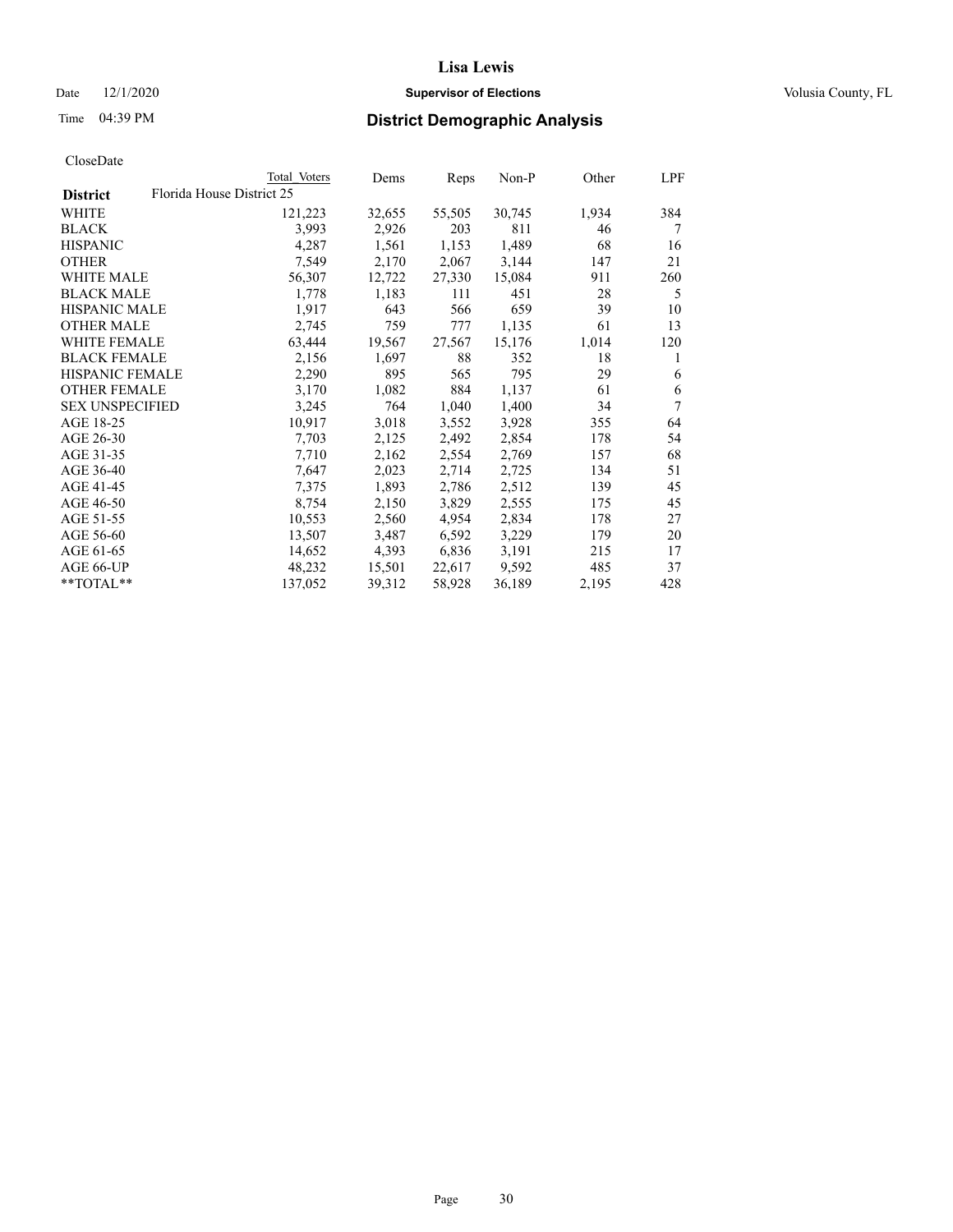### Date  $12/1/2020$  **Supervisor of Elections Supervisor of Elections** Volusia County, FL

| CloseDate |
|-----------|
|-----------|

|                        | Total Voters              | Dems   | Reps   | <u>Non-P</u> | Other | LPF |
|------------------------|---------------------------|--------|--------|--------------|-------|-----|
| <b>District</b>        | Florida House District 25 |        |        |              |       |     |
| WHITE                  | 121,223                   | 32,655 | 55,505 | 30,745       | 1,934 | 384 |
| <b>BLACK</b>           | 3,993                     | 2,926  | 203    | 811          | 46    | 7   |
| <b>HISPANIC</b>        | 4,287                     | 1,561  | 1,153  | 1,489        | 68    | 16  |
| <b>OTHER</b>           | 7,549                     | 2,170  | 2,067  | 3,144        | 147   | 21  |
| <b>WHITE MALE</b>      | 56,307                    | 12,722 | 27,330 | 15,084       | 911   | 260 |
| <b>BLACK MALE</b>      | 1,778                     | 1,183  | 111    | 451          | 28    | 5   |
| <b>HISPANIC MALE</b>   | 1,917                     | 643    | 566    | 659          | 39    | 10  |
| <b>OTHER MALE</b>      | 2,745                     | 759    | 777    | 1,135        | 61    | 13  |
| <b>WHITE FEMALE</b>    | 63,444                    | 19,567 | 27,567 | 15,176       | 1,014 | 120 |
| <b>BLACK FEMALE</b>    | 2,156                     | 1,697  | 88     | 352          | 18    | 1   |
| HISPANIC FEMALE        | 2,290                     | 895    | 565    | 795          | 29    | 6   |
| <b>OTHER FEMALE</b>    | 3,170                     | 1,082  | 884    | 1,137        | 61    | 6   |
| <b>SEX UNSPECIFIED</b> | 3,245                     | 764    | 1,040  | 1,400        | 34    | 7   |
| AGE 18-25              | 10,917                    | 3,018  | 3,552  | 3,928        | 355   | 64  |
| AGE 26-30              | 7,703                     | 2,125  | 2,492  | 2,854        | 178   | 54  |
| AGE 31-35              | 7,710                     | 2,162  | 2,554  | 2,769        | 157   | 68  |
| AGE 36-40              | 7,647                     | 2,023  | 2,714  | 2,725        | 134   | 51  |
| AGE 41-45              | 7,375                     | 1,893  | 2,786  | 2,512        | 139   | 45  |
| AGE 46-50              | 8,754                     | 2,150  | 3,829  | 2,555        | 175   | 45  |
| AGE 51-55              | 10,553                    | 2,560  | 4,954  | 2,834        | 178   | 27  |
| AGE 56-60              | 13,507                    | 3,487  | 6,592  | 3,229        | 179   | 20  |
| AGE 61-65              | 14,652                    | 4,393  | 6,836  | 3,191        | 215   | 17  |
| AGE 66-UP              | 48,232                    | 15,501 | 22,617 | 9,592        | 485   | 37  |
| **TOTAL**              | 137,052                   | 39,312 | 58,928 | 36,189       | 2,195 | 428 |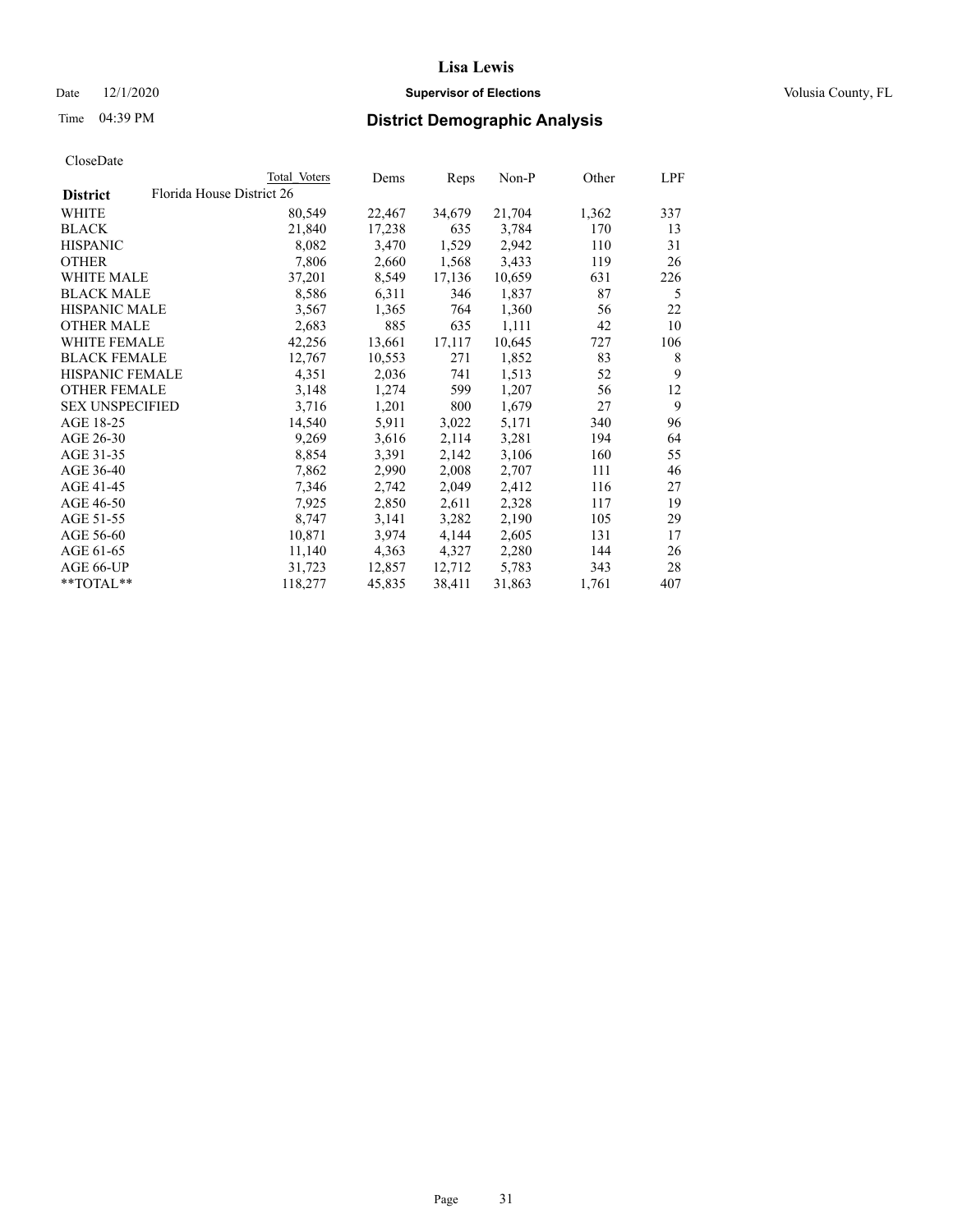### Date  $12/1/2020$  **Supervisor of Elections Supervisor of Elections** Volusia County, FL

|                        | Total Voters              | Dems   | Reps   | Non-P  | Other | LPF |
|------------------------|---------------------------|--------|--------|--------|-------|-----|
| <b>District</b>        | Florida House District 26 |        |        |        |       |     |
| WHITE                  | 80,549                    | 22,467 | 34,679 | 21,704 | 1,362 | 337 |
| <b>BLACK</b>           | 21,840                    | 17,238 | 635    | 3,784  | 170   | 13  |
| <b>HISPANIC</b>        | 8,082                     | 3,470  | 1,529  | 2,942  | 110   | 31  |
| <b>OTHER</b>           | 7,806                     | 2,660  | 1,568  | 3,433  | 119   | 26  |
| WHITE MALE             | 37,201                    | 8,549  | 17,136 | 10,659 | 631   | 226 |
| <b>BLACK MALE</b>      | 8,586                     | 6,311  | 346    | 1,837  | 87    | 5   |
| <b>HISPANIC MALE</b>   | 3,567                     | 1,365  | 764    | 1,360  | 56    | 22  |
| <b>OTHER MALE</b>      | 2,683                     | 885    | 635    | 1,111  | 42    | 10  |
| <b>WHITE FEMALE</b>    | 42,256                    | 13,661 | 17,117 | 10,645 | 727   | 106 |
| <b>BLACK FEMALE</b>    | 12,767                    | 10,553 | 271    | 1,852  | 83    | 8   |
| <b>HISPANIC FEMALE</b> | 4,351                     | 2,036  | 741    | 1,513  | 52    | 9   |
| <b>OTHER FEMALE</b>    | 3,148                     | 1,274  | 599    | 1,207  | 56    | 12  |
| <b>SEX UNSPECIFIED</b> | 3,716                     | 1,201  | 800    | 1,679  | 27    | 9   |
| AGE 18-25              | 14,540                    | 5,911  | 3,022  | 5,171  | 340   | 96  |
| AGE 26-30              | 9,269                     | 3,616  | 2,114  | 3,281  | 194   | 64  |
| AGE 31-35              | 8,854                     | 3,391  | 2,142  | 3,106  | 160   | 55  |
| AGE 36-40              | 7,862                     | 2,990  | 2,008  | 2,707  | 111   | 46  |
| AGE 41-45              | 7,346                     | 2,742  | 2,049  | 2,412  | 116   | 27  |
| AGE 46-50              | 7,925                     | 2,850  | 2,611  | 2,328  | 117   | 19  |
| AGE 51-55              | 8,747                     | 3,141  | 3,282  | 2,190  | 105   | 29  |
| AGE 56-60              | 10,871                    | 3,974  | 4,144  | 2,605  | 131   | 17  |
| AGE 61-65              | 11,140                    | 4,363  | 4,327  | 2,280  | 144   | 26  |
| AGE 66-UP              | 31,723                    | 12,857 | 12,712 | 5,783  | 343   | 28  |
| $*$ TOTAL $*$          | 118,277                   | 45,835 | 38,411 | 31,863 | 1,761 | 407 |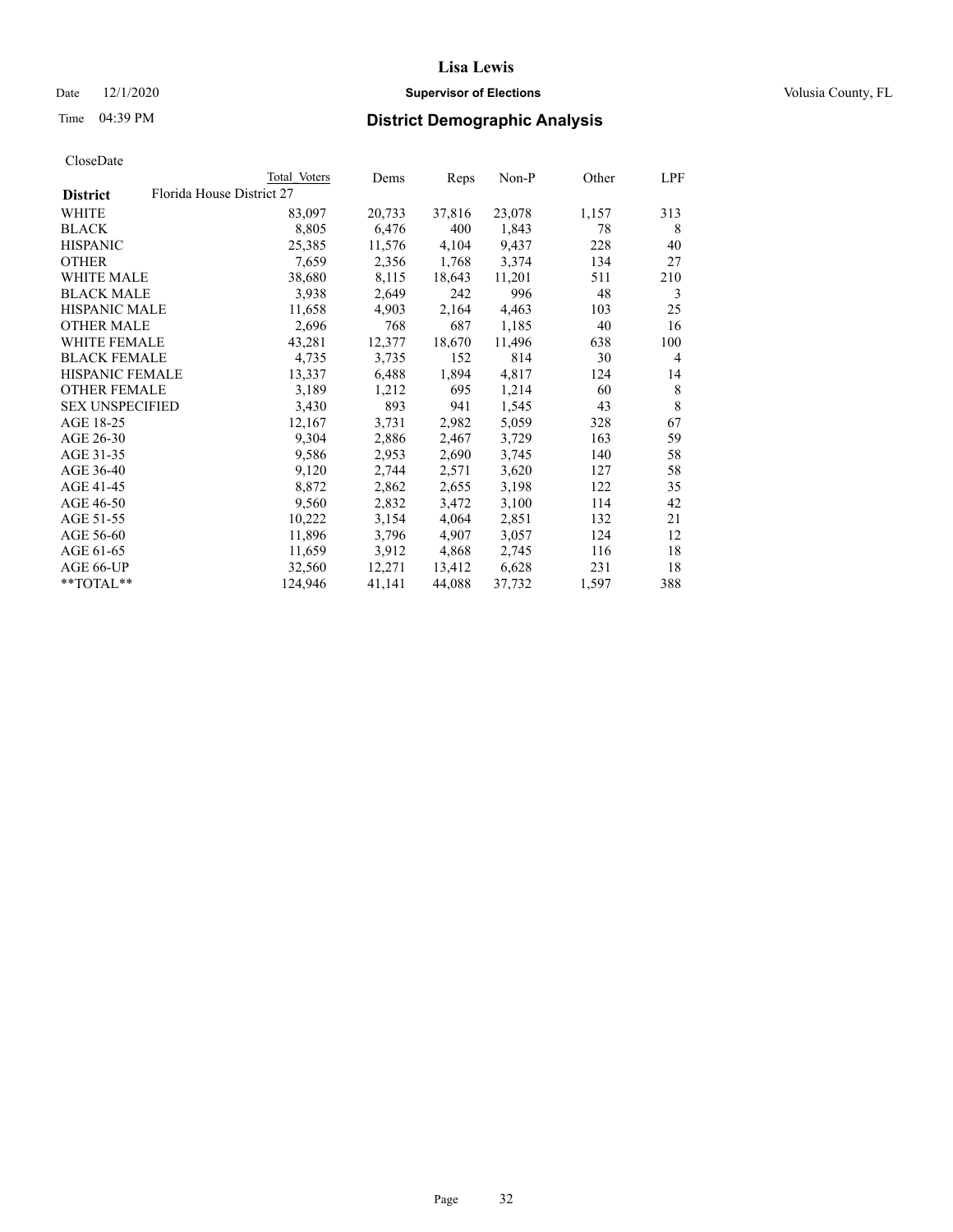### Date  $12/1/2020$  **Supervisor of Elections Supervisor of Elections** Volusia County, FL

| CloseDate |
|-----------|
|-----------|

|                        |                           | Total Voters | Dems   | Reps   | Non-P  | Other | LPF            |
|------------------------|---------------------------|--------------|--------|--------|--------|-------|----------------|
| <b>District</b>        | Florida House District 27 |              |        |        |        |       |                |
| WHITE                  |                           | 83,097       | 20,733 | 37,816 | 23,078 | 1,157 | 313            |
| <b>BLACK</b>           |                           | 8,805        | 6,476  | 400    | 1,843  | 78    | 8              |
| <b>HISPANIC</b>        |                           | 25,385       | 11,576 | 4,104  | 9,437  | 228   | 40             |
| <b>OTHER</b>           |                           | 7,659        | 2,356  | 1,768  | 3,374  | 134   | 27             |
| WHITE MALE             |                           | 38,680       | 8,115  | 18,643 | 11,201 | 511   | 210            |
| <b>BLACK MALE</b>      |                           | 3,938        | 2,649  | 242    | 996    | 48    | 3              |
| <b>HISPANIC MALE</b>   |                           | 11,658       | 4,903  | 2,164  | 4,463  | 103   | 25             |
| <b>OTHER MALE</b>      |                           | 2,696        | 768    | 687    | 1,185  | 40    | 16             |
| <b>WHITE FEMALE</b>    |                           | 43,281       | 12,377 | 18,670 | 11,496 | 638   | 100            |
| <b>BLACK FEMALE</b>    |                           | 4,735        | 3,735  | 152    | 814    | 30    | $\overline{4}$ |
| HISPANIC FEMALE        |                           | 13,337       | 6,488  | 1,894  | 4,817  | 124   | 14             |
| <b>OTHER FEMALE</b>    |                           | 3,189        | 1,212  | 695    | 1,214  | 60    | 8              |
| <b>SEX UNSPECIFIED</b> |                           | 3,430        | 893    | 941    | 1,545  | 43    | 8              |
| AGE 18-25              |                           | 12,167       | 3,731  | 2,982  | 5,059  | 328   | 67             |
| AGE 26-30              |                           | 9,304        | 2,886  | 2,467  | 3,729  | 163   | 59             |
| AGE 31-35              |                           | 9,586        | 2,953  | 2,690  | 3,745  | 140   | 58             |
| AGE 36-40              |                           | 9,120        | 2,744  | 2,571  | 3,620  | 127   | 58             |
| AGE 41-45              |                           | 8,872        | 2,862  | 2,655  | 3,198  | 122   | 35             |
| AGE 46-50              |                           | 9,560        | 2,832  | 3,472  | 3,100  | 114   | 42             |
| AGE 51-55              |                           | 10,222       | 3,154  | 4,064  | 2,851  | 132   | 21             |
| AGE 56-60              |                           | 11,896       | 3,796  | 4,907  | 3,057  | 124   | 12             |
| AGE 61-65              |                           | 11,659       | 3,912  | 4,868  | 2,745  | 116   | 18             |
| AGE 66-UP              |                           | 32,560       | 12,271 | 13,412 | 6,628  | 231   | 18             |
| $*$ TOTAL $*$          |                           | 124,946      | 41,141 | 44,088 | 37,732 | 1,597 | 388            |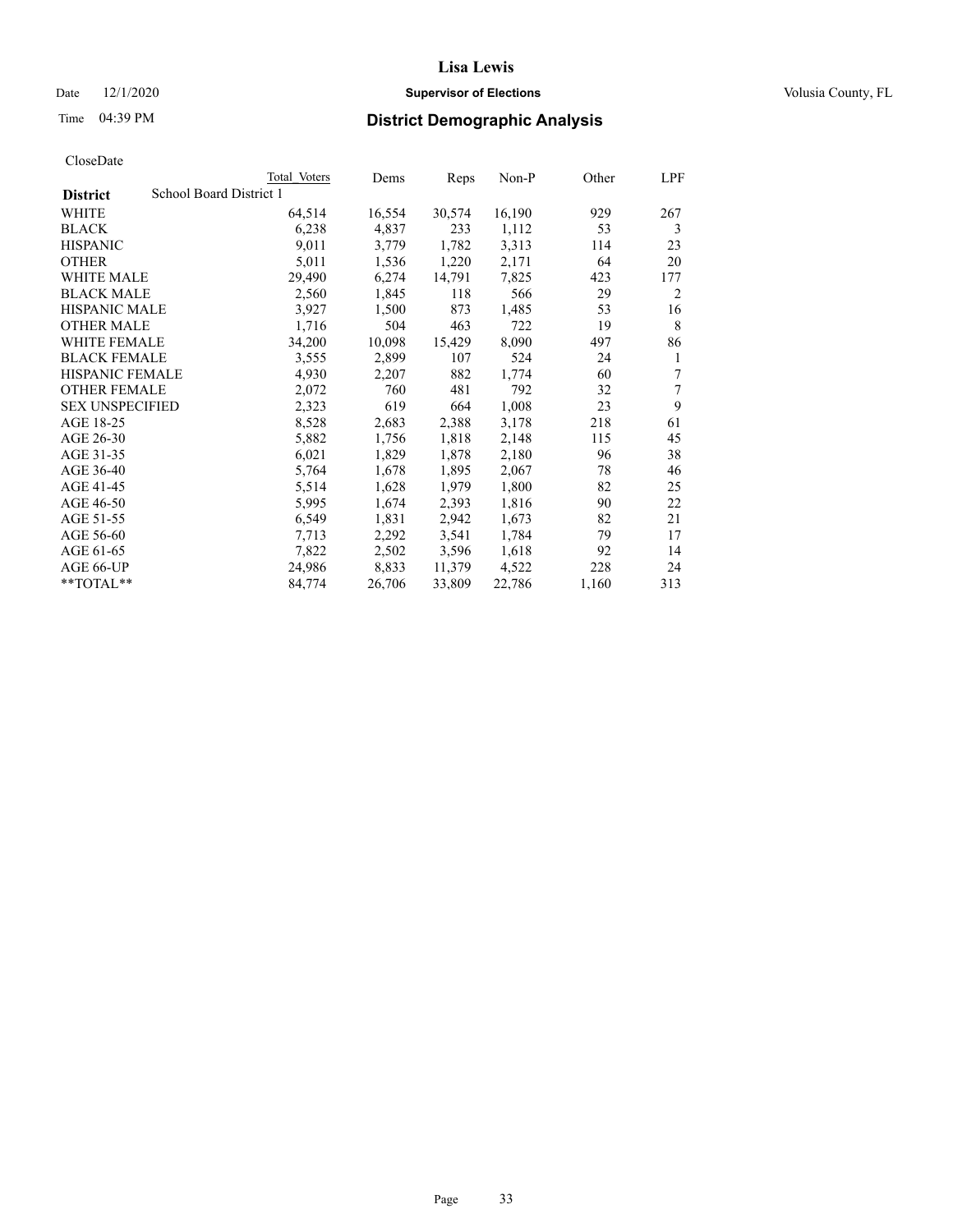### Date  $12/1/2020$  **Supervisor of Elections Supervisor of Elections** Volusia County, FL

# Time 04:39 PM **District Demographic Analysis**

|                        |                         | Total Voters | Dems   | Reps   | Non-P  | Other | LPF            |
|------------------------|-------------------------|--------------|--------|--------|--------|-------|----------------|
| <b>District</b>        | School Board District 1 |              |        |        |        |       |                |
| WHITE                  |                         | 64,514       | 16,554 | 30,574 | 16,190 | 929   | 267            |
| <b>BLACK</b>           |                         | 6,238        | 4,837  | 233    | 1,112  | 53    | 3              |
| <b>HISPANIC</b>        |                         | 9,011        | 3,779  | 1,782  | 3,313  | 114   | 23             |
| <b>OTHER</b>           |                         | 5,011        | 1,536  | 1,220  | 2,171  | 64    | 20             |
| <b>WHITE MALE</b>      |                         | 29,490       | 6,274  | 14,791 | 7,825  | 423   | 177            |
| <b>BLACK MALE</b>      |                         | 2,560        | 1,845  | 118    | 566    | 29    | $\overline{2}$ |
| <b>HISPANIC MALE</b>   |                         | 3,927        | 1,500  | 873    | 1,485  | 53    | 16             |
| <b>OTHER MALE</b>      |                         | 1,716        | 504    | 463    | 722    | 19    | 8              |
| WHITE FEMALE           |                         | 34,200       | 10,098 | 15,429 | 8,090  | 497   | 86             |
| <b>BLACK FEMALE</b>    |                         | 3,555        | 2,899  | 107    | 524    | 24    | 1              |
| <b>HISPANIC FEMALE</b> |                         | 4,930        | 2,207  | 882    | 1,774  | 60    | 7              |
| <b>OTHER FEMALE</b>    |                         | 2,072        | 760    | 481    | 792    | 32    | 7              |
| <b>SEX UNSPECIFIED</b> |                         | 2,323        | 619    | 664    | 1,008  | 23    | 9              |
| AGE 18-25              |                         | 8,528        | 2,683  | 2,388  | 3,178  | 218   | 61             |
| AGE 26-30              |                         | 5,882        | 1,756  | 1,818  | 2,148  | 115   | 45             |
| AGE 31-35              |                         | 6,021        | 1,829  | 1,878  | 2,180  | 96    | 38             |
| AGE 36-40              |                         | 5,764        | 1,678  | 1,895  | 2,067  | 78    | 46             |
| AGE 41-45              |                         | 5,514        | 1,628  | 1,979  | 1,800  | 82    | 25             |
| AGE 46-50              |                         | 5,995        | 1,674  | 2,393  | 1,816  | 90    | 22             |
| AGE 51-55              |                         | 6,549        | 1,831  | 2,942  | 1,673  | 82    | 21             |
| AGE 56-60              |                         | 7,713        | 2,292  | 3,541  | 1,784  | 79    | 17             |
| AGE 61-65              |                         | 7,822        | 2,502  | 3,596  | 1,618  | 92    | 14             |
| AGE 66-UP              |                         | 24,986       | 8,833  | 11,379 | 4,522  | 228   | 24             |
| $*$ $TOTAL**$          |                         | 84,774       | 26,706 | 33,809 | 22,786 | 1,160 | 313            |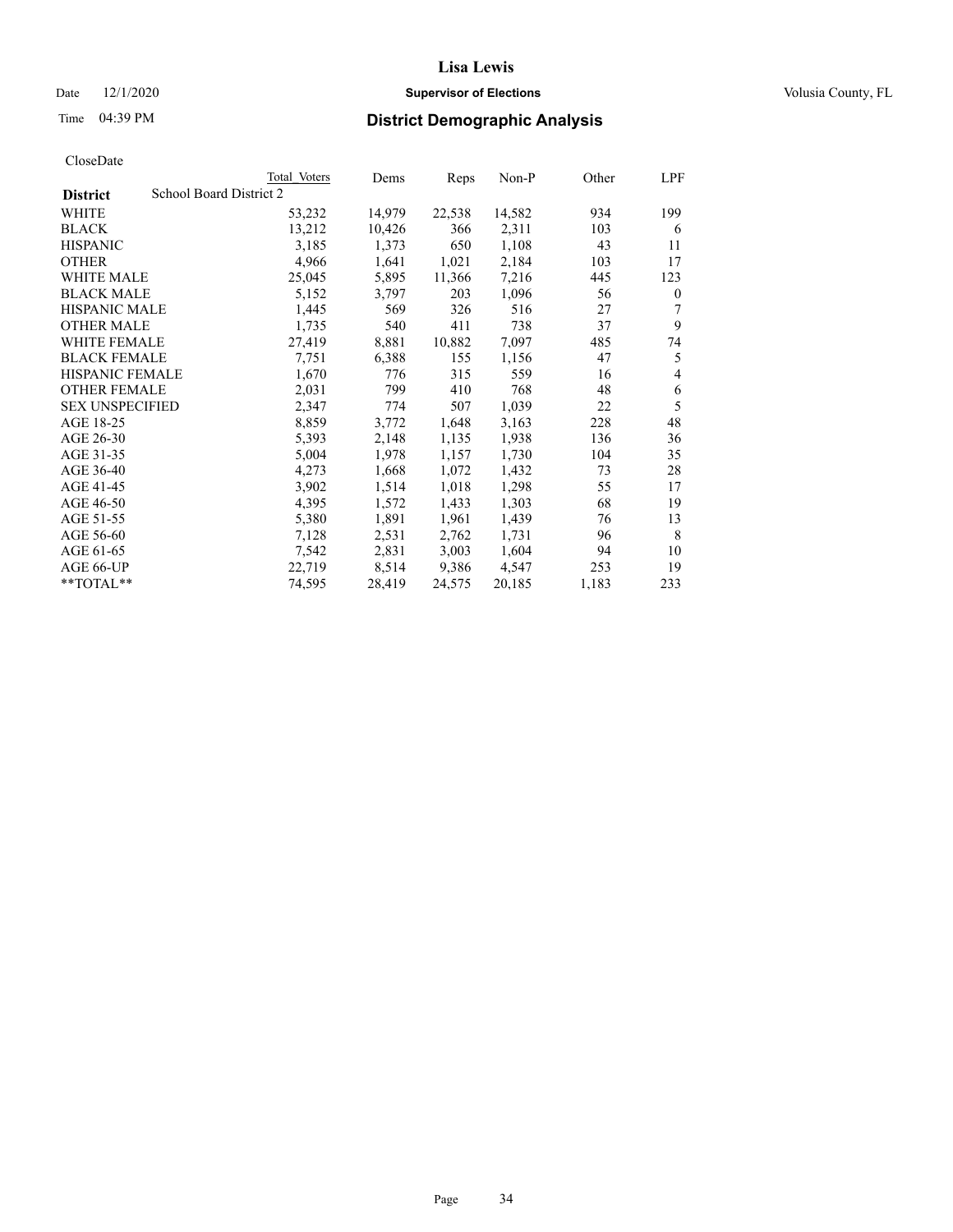### Date  $12/1/2020$  **Supervisor of Elections Supervisor of Elections** Volusia County, FL

### Time 04:39 PM **District Demographic Analysis**

|                        | Total Voters            | Dems   | Reps   | Non-P  | Other | LPF          |
|------------------------|-------------------------|--------|--------|--------|-------|--------------|
| <b>District</b>        | School Board District 2 |        |        |        |       |              |
| WHITE                  | 53,232                  | 14,979 | 22,538 | 14,582 | 934   | 199          |
| <b>BLACK</b>           | 13,212                  | 10,426 | 366    | 2,311  | 103   | 6            |
| <b>HISPANIC</b>        | 3,185                   | 1,373  | 650    | 1,108  | 43    | 11           |
| <b>OTHER</b>           | 4,966                   | 1,641  | 1,021  | 2,184  | 103   | 17           |
| <b>WHITE MALE</b>      | 25,045                  | 5,895  | 11,366 | 7,216  | 445   | 123          |
| <b>BLACK MALE</b>      | 5,152                   | 3,797  | 203    | 1,096  | 56    | $\mathbf{0}$ |
| <b>HISPANIC MALE</b>   | 1,445                   | 569    | 326    | 516    | 27    | 7            |
| <b>OTHER MALE</b>      | 1,735                   | 540    | 411    | 738    | 37    | 9            |
| <b>WHITE FEMALE</b>    | 27,419                  | 8,881  | 10,882 | 7,097  | 485   | 74           |
| <b>BLACK FEMALE</b>    | 7,751                   | 6,388  | 155    | 1,156  | 47    | 5            |
| <b>HISPANIC FEMALE</b> | 1,670                   | 776    | 315    | 559    | 16    | 4            |
| <b>OTHER FEMALE</b>    | 2,031                   | 799    | 410    | 768    | 48    | 6            |
| <b>SEX UNSPECIFIED</b> | 2,347                   | 774    | 507    | 1,039  | 22    | 5            |
| AGE 18-25              | 8,859                   | 3,772  | 1,648  | 3,163  | 228   | 48           |
| AGE 26-30              | 5,393                   | 2,148  | 1,135  | 1,938  | 136   | 36           |
| AGE 31-35              | 5,004                   | 1,978  | 1,157  | 1,730  | 104   | 35           |
| AGE 36-40              | 4,273                   | 1,668  | 1,072  | 1,432  | 73    | 28           |
| AGE 41-45              | 3,902                   | 1,514  | 1,018  | 1,298  | 55    | 17           |
| AGE 46-50              | 4,395                   | 1,572  | 1,433  | 1,303  | 68    | 19           |
| AGE 51-55              | 5,380                   | 1,891  | 1,961  | 1,439  | 76    | 13           |
| AGE 56-60              | 7,128                   | 2,531  | 2,762  | 1,731  | 96    | 8            |
| AGE 61-65              | 7,542                   | 2,831  | 3,003  | 1,604  | 94    | 10           |
| AGE 66-UP              | 22,719                  | 8,514  | 9,386  | 4,547  | 253   | 19           |
| $*$ $TOTAL**$          | 74,595                  | 28,419 | 24,575 | 20,185 | 1,183 | 233          |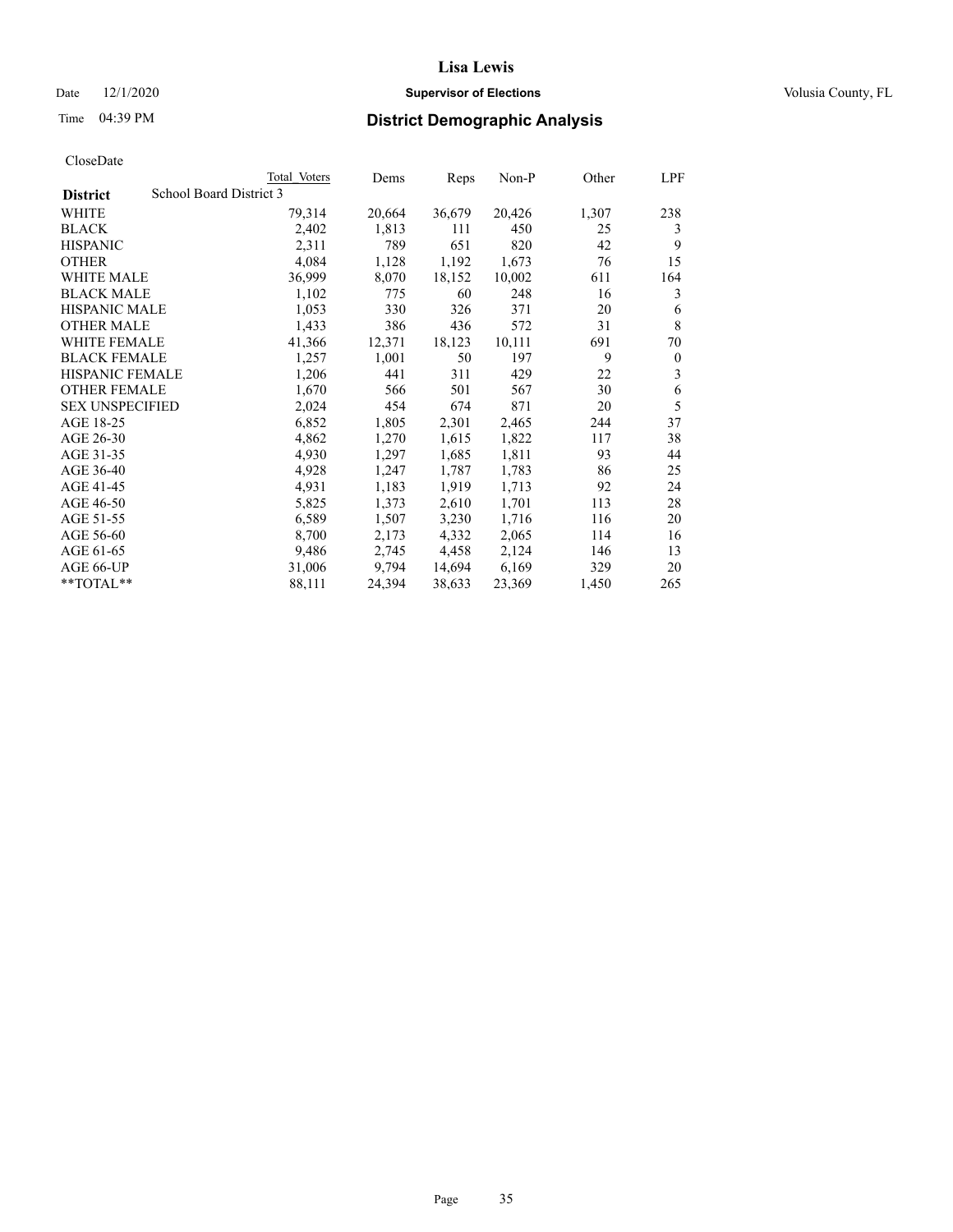### Date  $12/1/2020$  **Supervisor of Elections Supervisor of Elections** Volusia County, FL

|                        |                         | Total Voters | Dems   | Reps   | $Non-P$ | Other | LPF              |
|------------------------|-------------------------|--------------|--------|--------|---------|-------|------------------|
| <b>District</b>        | School Board District 3 |              |        |        |         |       |                  |
| WHITE                  |                         | 79,314       | 20,664 | 36,679 | 20,426  | 1,307 | 238              |
| <b>BLACK</b>           |                         | 2,402        | 1,813  | 111    | 450     | 25    | 3                |
| <b>HISPANIC</b>        |                         | 2,311        | 789    | 651    | 820     | 42    | 9                |
| <b>OTHER</b>           |                         | 4,084        | 1,128  | 1,192  | 1,673   | 76    | 15               |
| <b>WHITE MALE</b>      |                         | 36,999       | 8,070  | 18,152 | 10,002  | 611   | 164              |
| <b>BLACK MALE</b>      |                         | 1,102        | 775    | 60     | 248     | 16    | 3                |
| <b>HISPANIC MALE</b>   |                         | 1,053        | 330    | 326    | 371     | 20    | 6                |
| <b>OTHER MALE</b>      |                         | 1,433        | 386    | 436    | 572     | 31    | 8                |
| <b>WHITE FEMALE</b>    |                         | 41,366       | 12,371 | 18,123 | 10,111  | 691   | 70               |
| <b>BLACK FEMALE</b>    |                         | 1,257        | 1,001  | 50     | 197     | 9     | $\boldsymbol{0}$ |
| <b>HISPANIC FEMALE</b> |                         | 1,206        | 441    | 311    | 429     | 22    | 3                |
| <b>OTHER FEMALE</b>    |                         | 1,670        | 566    | 501    | 567     | 30    | 6                |
| <b>SEX UNSPECIFIED</b> |                         | 2,024        | 454    | 674    | 871     | 20    | 5                |
| AGE 18-25              |                         | 6,852        | 1,805  | 2,301  | 2,465   | 244   | 37               |
| AGE 26-30              |                         | 4,862        | 1,270  | 1,615  | 1,822   | 117   | 38               |
| AGE 31-35              |                         | 4,930        | 1,297  | 1,685  | 1,811   | 93    | 44               |
| AGE 36-40              |                         | 4,928        | 1,247  | 1,787  | 1,783   | 86    | 25               |
| AGE 41-45              |                         | 4,931        | 1,183  | 1,919  | 1,713   | 92    | 24               |
| AGE 46-50              |                         | 5,825        | 1,373  | 2,610  | 1,701   | 113   | 28               |
| AGE 51-55              |                         | 6,589        | 1,507  | 3,230  | 1,716   | 116   | 20               |
| AGE 56-60              |                         | 8,700        | 2,173  | 4,332  | 2,065   | 114   | 16               |
| AGE 61-65              |                         | 9,486        | 2,745  | 4,458  | 2,124   | 146   | 13               |
| AGE 66-UP              |                         | 31,006       | 9,794  | 14,694 | 6,169   | 329   | 20               |
| **TOTAL**              |                         | 88,111       | 24,394 | 38,633 | 23,369  | 1,450 | 265              |
|                        |                         |              |        |        |         |       |                  |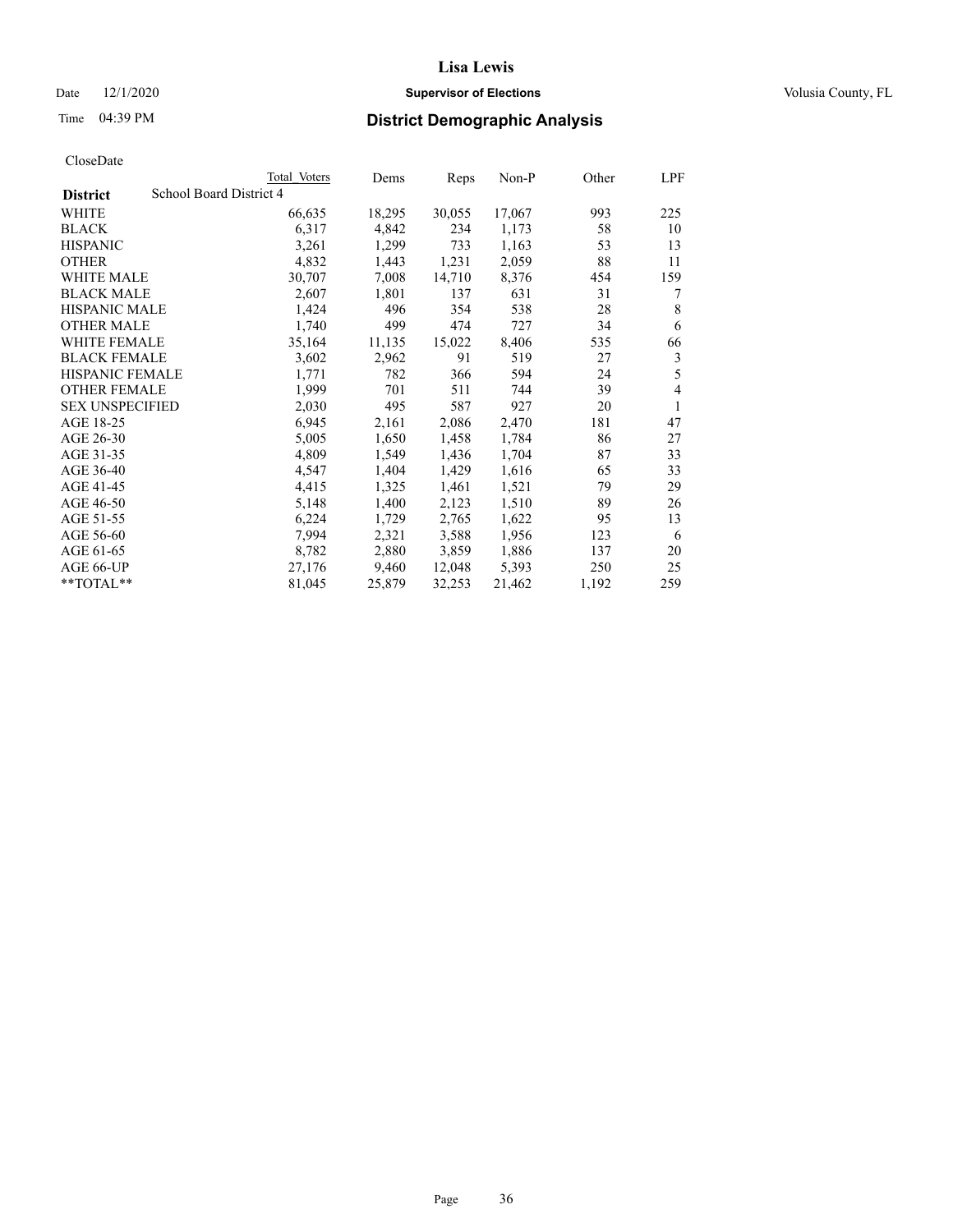### Date  $12/1/2020$  **Supervisor of Elections Supervisor of Elections** Volusia County, FL

### Time 04:39 PM **District Demographic Analysis**

|                        | Total Voters            | Dems   | Reps   | Non-P  | Other | LPF |
|------------------------|-------------------------|--------|--------|--------|-------|-----|
| <b>District</b>        | School Board District 4 |        |        |        |       |     |
| WHITE                  | 66,635                  | 18,295 | 30,055 | 17,067 | 993   | 225 |
| <b>BLACK</b>           | 6,317                   | 4,842  | 234    | 1,173  | 58    | 10  |
| <b>HISPANIC</b>        | 3,261                   | 1,299  | 733    | 1,163  | 53    | 13  |
| <b>OTHER</b>           | 4,832                   | 1,443  | 1,231  | 2,059  | 88    | 11  |
| <b>WHITE MALE</b>      | 30,707                  | 7,008  | 14,710 | 8,376  | 454   | 159 |
| <b>BLACK MALE</b>      | 2,607                   | 1,801  | 137    | 631    | 31    | 7   |
| <b>HISPANIC MALE</b>   | 1,424                   | 496    | 354    | 538    | 28    | 8   |
| <b>OTHER MALE</b>      | 1,740                   | 499    | 474    | 727    | 34    | 6   |
| WHITE FEMALE           | 35,164                  | 11,135 | 15,022 | 8,406  | 535   | 66  |
| <b>BLACK FEMALE</b>    | 3,602                   | 2,962  | 91     | 519    | 27    | 3   |
| <b>HISPANIC FEMALE</b> | 1,771                   | 782    | 366    | 594    | 24    | 5   |
| <b>OTHER FEMALE</b>    | 1,999                   | 701    | 511    | 744    | 39    | 4   |
| <b>SEX UNSPECIFIED</b> | 2,030                   | 495    | 587    | 927    | 20    | 1   |
| AGE 18-25              | 6,945                   | 2,161  | 2,086  | 2,470  | 181   | 47  |
| AGE 26-30              | 5,005                   | 1,650  | 1,458  | 1,784  | 86    | 27  |
| AGE 31-35              | 4,809                   | 1,549  | 1,436  | 1,704  | 87    | 33  |
| AGE 36-40              | 4,547                   | 1,404  | 1,429  | 1,616  | 65    | 33  |
| AGE 41-45              | 4,415                   | 1,325  | 1,461  | 1,521  | 79    | 29  |
| AGE 46-50              | 5,148                   | 1,400  | 2,123  | 1,510  | 89    | 26  |
| AGE 51-55              | 6,224                   | 1,729  | 2,765  | 1,622  | 95    | 13  |
| AGE 56-60              | 7,994                   | 2,321  | 3,588  | 1,956  | 123   | 6   |
| AGE 61-65              | 8,782                   | 2,880  | 3,859  | 1,886  | 137   | 20  |
| AGE 66-UP              | 27,176                  | 9,460  | 12,048 | 5,393  | 250   | 25  |
| $**TOTAL**$            | 81,045                  | 25,879 | 32,253 | 21,462 | 1,192 | 259 |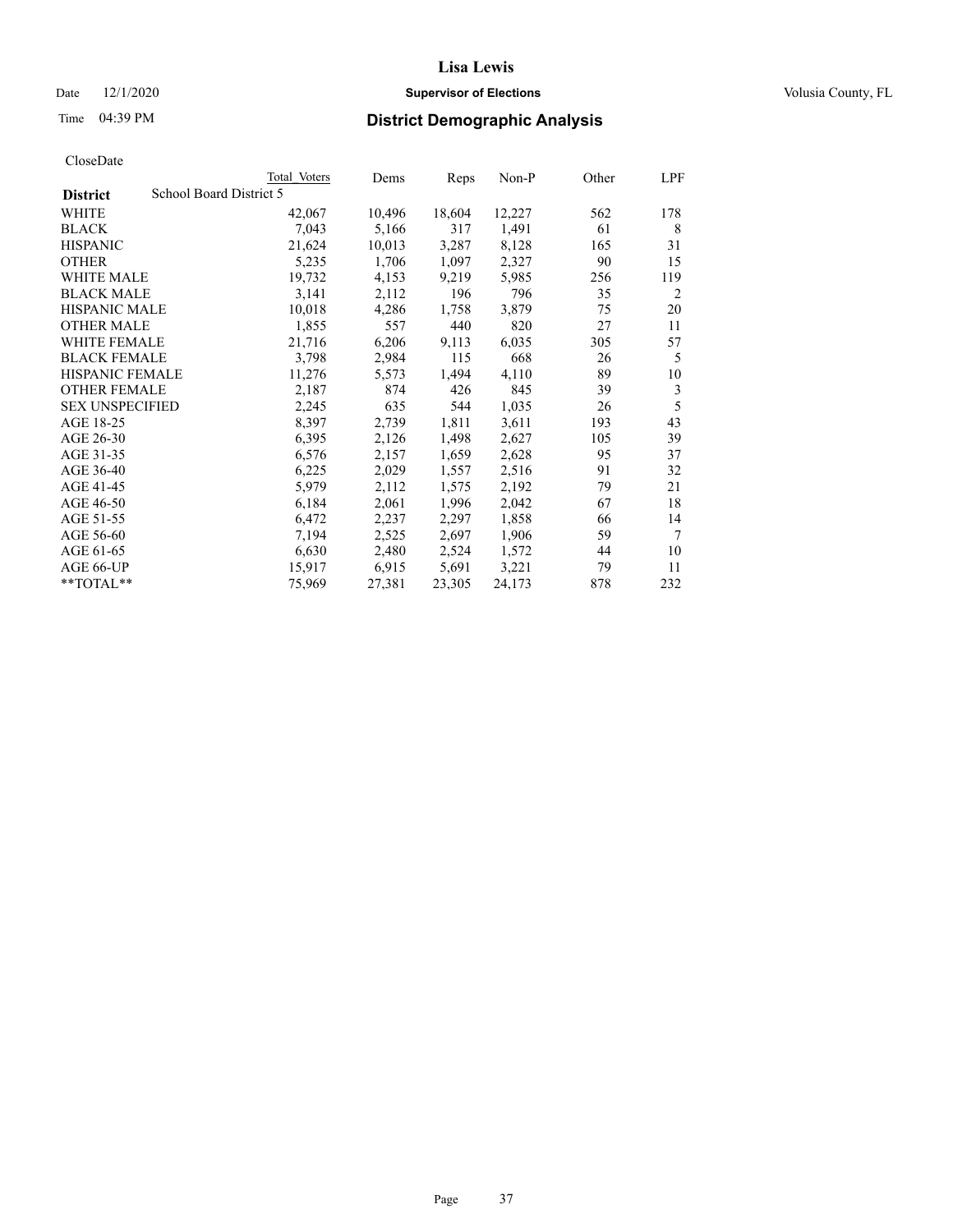#### Date  $12/1/2020$  **Supervisor of Elections Supervisor of Elections** Volusia County, FL

## Time 04:39 PM **District Demographic Analysis**

|                        | Total Voters            | Dems   | Reps   | Non-P  | Other | LPF    |
|------------------------|-------------------------|--------|--------|--------|-------|--------|
| <b>District</b>        | School Board District 5 |        |        |        |       |        |
| WHITE                  | 42,067                  | 10,496 | 18,604 | 12,227 | 562   | 178    |
| <b>BLACK</b>           | 7,043                   | 5,166  | 317    | 1,491  | 61    | 8      |
| <b>HISPANIC</b>        | 21,624                  | 10,013 | 3,287  | 8,128  | 165   | 31     |
| <b>OTHER</b>           | 5,235                   | 1,706  | 1,097  | 2,327  | 90    | 15     |
| WHITE MALE             | 19,732                  | 4,153  | 9,219  | 5,985  | 256   | 119    |
| <b>BLACK MALE</b>      | 3,141                   | 2,112  | 196    | 796    | 35    | 2      |
| <b>HISPANIC MALE</b>   | 10,018                  | 4,286  | 1,758  | 3,879  | 75    | 20     |
| <b>OTHER MALE</b>      | 1,855                   | 557    | 440    | 820    | 27    | 11     |
| WHITE FEMALE           | 21,716                  | 6,206  | 9,113  | 6,035  | 305   | 57     |
| <b>BLACK FEMALE</b>    | 3,798                   | 2,984  | 115    | 668    | 26    | 5      |
| <b>HISPANIC FEMALE</b> | 11,276                  | 5,573  | 1,494  | 4,110  | 89    | 10     |
| <b>OTHER FEMALE</b>    | 2,187                   | 874    | 426    | 845    | 39    | 3      |
| <b>SEX UNSPECIFIED</b> | 2,245                   | 635    | 544    | 1,035  | 26    | 5      |
| AGE 18-25              | 8,397                   | 2,739  | 1,811  | 3,611  | 193   | 43     |
| AGE 26-30              | 6,395                   | 2,126  | 1,498  | 2,627  | 105   | 39     |
| AGE 31-35              | 6,576                   | 2,157  | 1,659  | 2,628  | 95    | 37     |
| AGE 36-40              | 6,225                   | 2,029  | 1,557  | 2,516  | 91    | 32     |
| AGE 41-45              | 5,979                   | 2,112  | 1,575  | 2,192  | 79    | 21     |
| AGE 46-50              | 6,184                   | 2,061  | 1,996  | 2,042  | 67    | 18     |
| AGE 51-55              | 6,472                   | 2,237  | 2,297  | 1,858  | 66    | 14     |
| AGE 56-60              | 7,194                   | 2,525  | 2,697  | 1,906  | 59    | $\tau$ |
| AGE 61-65              | 6,630                   | 2,480  | 2,524  | 1,572  | 44    | 10     |
| AGE 66-UP              | 15,917                  | 6,915  | 5,691  | 3,221  | 79    | 11     |
| $*$ $TOTAL**$          | 75,969                  | 27,381 | 23,305 | 24,173 | 878   | 232    |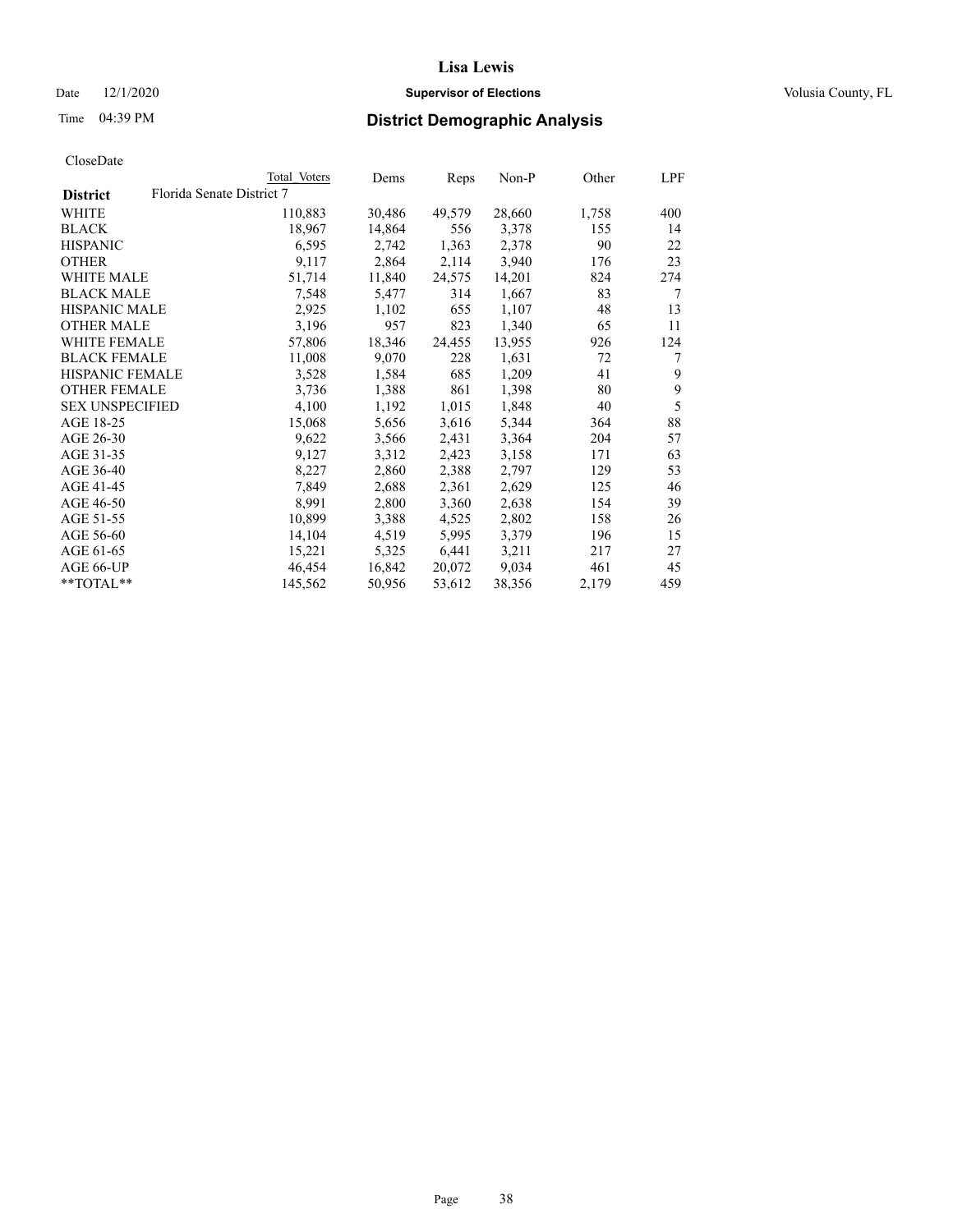#### Date  $12/1/2020$  **Supervisor of Elections Supervisor of Elections** Volusia County, FL

|                        | Total Voters              | Dems   | Reps   | Non-P  | Other | LPF |
|------------------------|---------------------------|--------|--------|--------|-------|-----|
| <b>District</b>        | Florida Senate District 7 |        |        |        |       |     |
| WHITE                  | 110,883                   | 30,486 | 49,579 | 28,660 | 1,758 | 400 |
| <b>BLACK</b>           | 18,967                    | 14,864 | 556    | 3,378  | 155   | 14  |
| <b>HISPANIC</b>        | 6,595                     | 2,742  | 1,363  | 2,378  | 90    | 22  |
| <b>OTHER</b>           | 9,117                     | 2,864  | 2,114  | 3,940  | 176   | 23  |
| WHITE MALE             | 51,714                    | 11,840 | 24,575 | 14,201 | 824   | 274 |
| <b>BLACK MALE</b>      | 7,548                     | 5,477  | 314    | 1,667  | 83    | 7   |
| <b>HISPANIC MALE</b>   | 2,925                     | 1,102  | 655    | 1,107  | 48    | 13  |
| <b>OTHER MALE</b>      | 3,196                     | 957    | 823    | 1,340  | 65    | 11  |
| <b>WHITE FEMALE</b>    | 57,806                    | 18,346 | 24,455 | 13,955 | 926   | 124 |
| <b>BLACK FEMALE</b>    | 11,008                    | 9,070  | 228    | 1,631  | 72    | 7   |
| <b>HISPANIC FEMALE</b> | 3,528                     | 1,584  | 685    | 1,209  | 41    | 9   |
| <b>OTHER FEMALE</b>    | 3,736                     | 1,388  | 861    | 1,398  | 80    | 9   |
| <b>SEX UNSPECIFIED</b> | 4,100                     | 1,192  | 1,015  | 1,848  | 40    | 5   |
| AGE 18-25              | 15,068                    | 5,656  | 3,616  | 5,344  | 364   | 88  |
| AGE 26-30              | 9,622                     | 3,566  | 2,431  | 3,364  | 204   | 57  |
| AGE 31-35              | 9,127                     | 3,312  | 2,423  | 3,158  | 171   | 63  |
| AGE 36-40              | 8,227                     | 2,860  | 2,388  | 2,797  | 129   | 53  |
| AGE 41-45              | 7,849                     | 2,688  | 2,361  | 2,629  | 125   | 46  |
| AGE 46-50              | 8,991                     | 2,800  | 3,360  | 2,638  | 154   | 39  |
| AGE 51-55              | 10,899                    | 3,388  | 4,525  | 2,802  | 158   | 26  |
| AGE 56-60              | 14,104                    | 4,519  | 5,995  | 3,379  | 196   | 15  |
| AGE 61-65              | 15,221                    | 5,325  | 6,441  | 3,211  | 217   | 27  |
| AGE 66-UP              | 46,454                    | 16,842 | 20,072 | 9,034  | 461   | 45  |
| $*$ TOTAL $*$          | 145,562                   | 50,956 | 53,612 | 38,356 | 2,179 | 459 |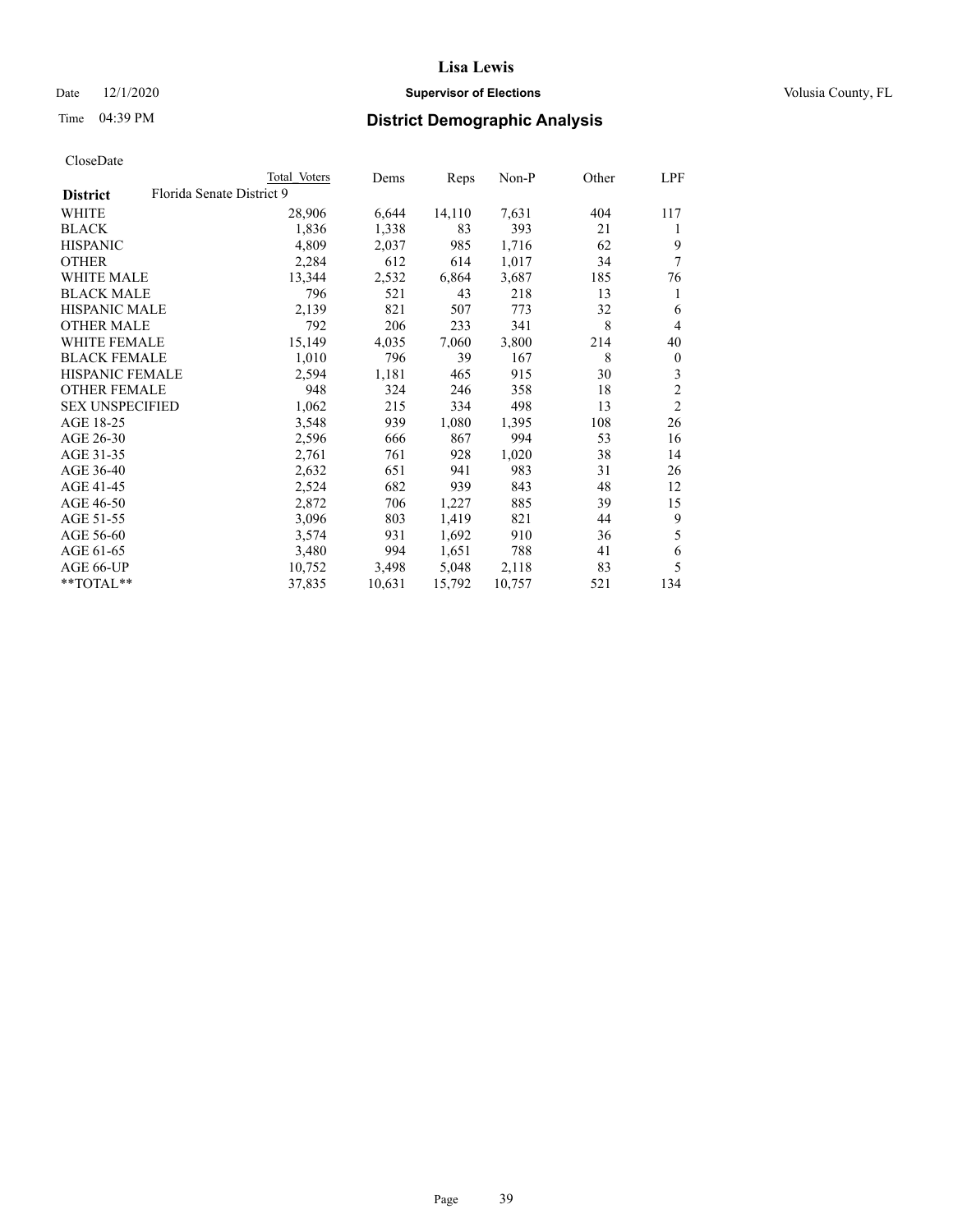#### Date  $12/1/2020$  **Supervisor of Elections Supervisor of Elections** Volusia County, FL

## Time 04:39 PM **District Demographic Analysis**

|                        |                           | Total Voters | Dems   | Reps   | Non-P  | Other | LPF              |
|------------------------|---------------------------|--------------|--------|--------|--------|-------|------------------|
| <b>District</b>        | Florida Senate District 9 |              |        |        |        |       |                  |
| WHITE                  |                           | 28,906       | 6,644  | 14,110 | 7,631  | 404   | 117              |
| <b>BLACK</b>           |                           | 1,836        | 1,338  | 83     | 393    | 21    | 1                |
| <b>HISPANIC</b>        |                           | 4,809        | 2,037  | 985    | 1,716  | 62    | 9                |
| <b>OTHER</b>           |                           | 2,284        | 612    | 614    | 1,017  | 34    | 7                |
| <b>WHITE MALE</b>      |                           | 13,344       | 2,532  | 6,864  | 3,687  | 185   | 76               |
| <b>BLACK MALE</b>      |                           | 796          | 521    | 43     | 218    | 13    | 1                |
| <b>HISPANIC MALE</b>   |                           | 2,139        | 821    | 507    | 773    | 32    | 6                |
| <b>OTHER MALE</b>      |                           | 792          | 206    | 233    | 341    | 8     | $\overline{4}$   |
| WHITE FEMALE           |                           | 15,149       | 4,035  | 7,060  | 3,800  | 214   | 40               |
| <b>BLACK FEMALE</b>    |                           | 1,010        | 796    | 39     | 167    | 8     | $\boldsymbol{0}$ |
| <b>HISPANIC FEMALE</b> |                           | 2,594        | 1,181  | 465    | 915    | 30    | 3                |
| <b>OTHER FEMALE</b>    |                           | 948          | 324    | 246    | 358    | 18    | $\mathfrak{2}$   |
| <b>SEX UNSPECIFIED</b> |                           | 1,062        | 215    | 334    | 498    | 13    | $\mathfrak{2}$   |
| AGE 18-25              |                           | 3,548        | 939    | 1,080  | 1,395  | 108   | 26               |
| AGE 26-30              |                           | 2,596        | 666    | 867    | 994    | 53    | 16               |
| AGE 31-35              |                           | 2,761        | 761    | 928    | 1,020  | 38    | 14               |
| AGE 36-40              |                           | 2,632        | 651    | 941    | 983    | 31    | 26               |
| AGE 41-45              |                           | 2,524        | 682    | 939    | 843    | 48    | 12               |
| AGE 46-50              |                           | 2,872        | 706    | 1,227  | 885    | 39    | 15               |
| AGE 51-55              |                           | 3,096        | 803    | 1,419  | 821    | 44    | 9                |
| AGE 56-60              |                           | 3,574        | 931    | 1,692  | 910    | 36    | 5                |
| AGE 61-65              |                           | 3,480        | 994    | 1,651  | 788    | 41    | 6                |
| AGE 66-UP              |                           | 10,752       | 3,498  | 5,048  | 2,118  | 83    | 5                |
| $*$ $TOTAL**$          |                           | 37,835       | 10,631 | 15,792 | 10,757 | 521   | 134              |
|                        |                           |              |        |        |        |       |                  |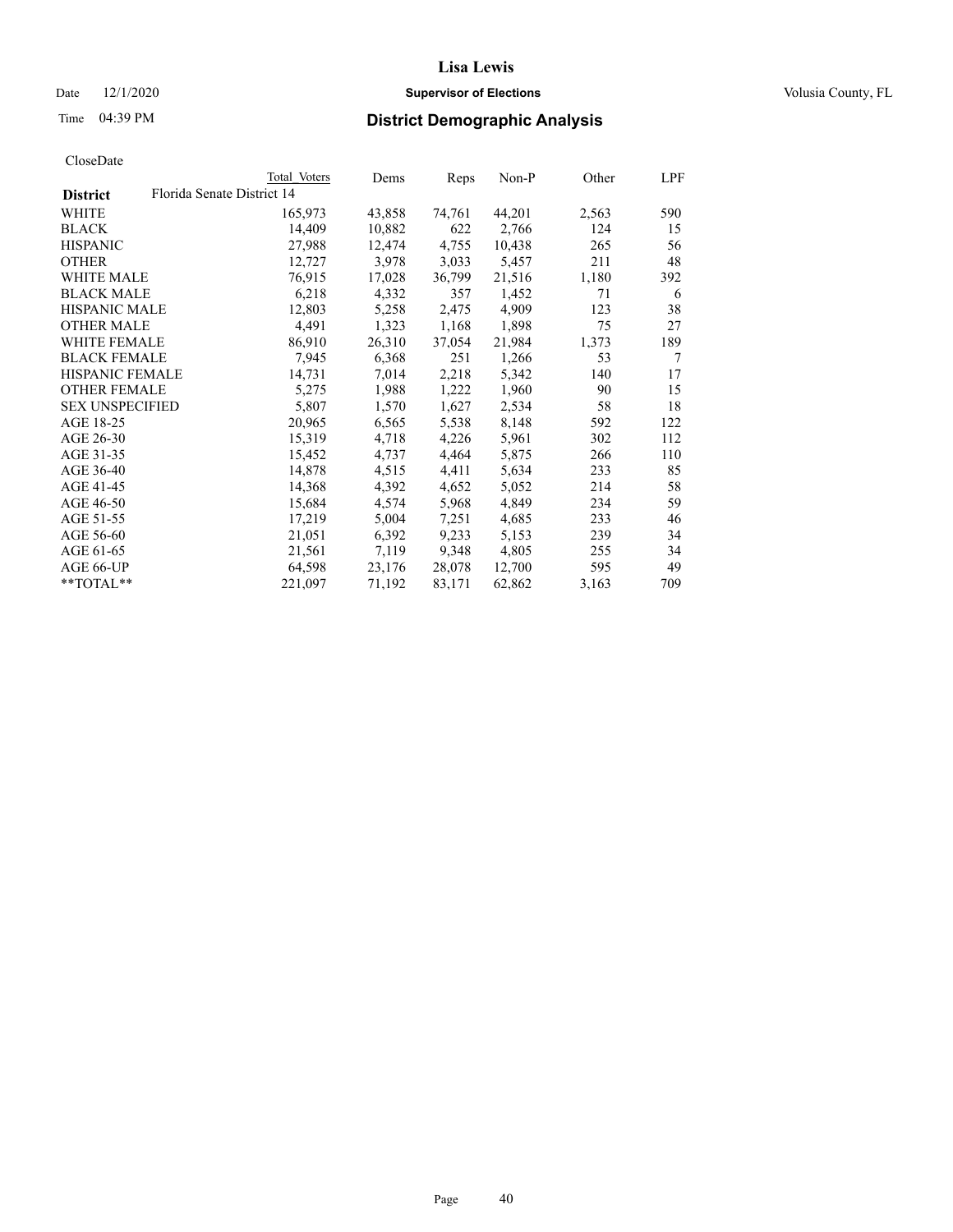#### Date  $12/1/2020$  **Supervisor of Elections Supervisor of Elections** Volusia County, FL

|                        |                            | Total Voters | Dems   | Reps   | Non-P  | Other | LPF |
|------------------------|----------------------------|--------------|--------|--------|--------|-------|-----|
| <b>District</b>        | Florida Senate District 14 |              |        |        |        |       |     |
| WHITE                  |                            | 165,973      | 43,858 | 74,761 | 44,201 | 2,563 | 590 |
| <b>BLACK</b>           |                            | 14,409       | 10,882 | 622    | 2,766  | 124   | 15  |
| <b>HISPANIC</b>        |                            | 27,988       | 12,474 | 4,755  | 10,438 | 265   | 56  |
| <b>OTHER</b>           |                            | 12,727       | 3,978  | 3,033  | 5,457  | 211   | 48  |
| WHITE MALE             |                            | 76,915       | 17,028 | 36,799 | 21,516 | 1,180 | 392 |
| <b>BLACK MALE</b>      |                            | 6,218        | 4,332  | 357    | 1,452  | 71    | 6   |
| <b>HISPANIC MALE</b>   |                            | 12,803       | 5,258  | 2,475  | 4,909  | 123   | 38  |
| <b>OTHER MALE</b>      |                            | 4,491        | 1,323  | 1,168  | 1,898  | 75    | 27  |
| <b>WHITE FEMALE</b>    |                            | 86,910       | 26,310 | 37,054 | 21,984 | 1,373 | 189 |
| <b>BLACK FEMALE</b>    |                            | 7,945        | 6,368  | 251    | 1,266  | 53    | 7   |
| HISPANIC FEMALE        |                            | 14,731       | 7,014  | 2,218  | 5,342  | 140   | 17  |
| <b>OTHER FEMALE</b>    |                            | 5,275        | 1,988  | 1,222  | 1,960  | 90    | 15  |
| <b>SEX UNSPECIFIED</b> |                            | 5.807        | 1,570  | 1,627  | 2,534  | 58    | 18  |
| AGE 18-25              |                            | 20,965       | 6,565  | 5,538  | 8,148  | 592   | 122 |
| AGE 26-30              |                            | 15,319       | 4,718  | 4,226  | 5,961  | 302   | 112 |
| AGE 31-35              |                            | 15,452       | 4,737  | 4,464  | 5,875  | 266   | 110 |
| AGE 36-40              |                            | 14,878       | 4,515  | 4,411  | 5,634  | 233   | 85  |
| AGE 41-45              |                            | 14,368       | 4,392  | 4,652  | 5,052  | 214   | 58  |
| AGE 46-50              |                            | 15,684       | 4,574  | 5,968  | 4,849  | 234   | 59  |
| AGE 51-55              |                            | 17,219       | 5,004  | 7,251  | 4,685  | 233   | 46  |
| AGE 56-60              |                            | 21,051       | 6,392  | 9,233  | 5,153  | 239   | 34  |
| AGE 61-65              |                            | 21,561       | 7,119  | 9,348  | 4,805  | 255   | 34  |
| AGE 66-UP              |                            | 64,598       | 23,176 | 28,078 | 12,700 | 595   | 49  |
| $*$ TOTAL $*$          |                            | 221,097      | 71,192 | 83,171 | 62,862 | 3,163 | 709 |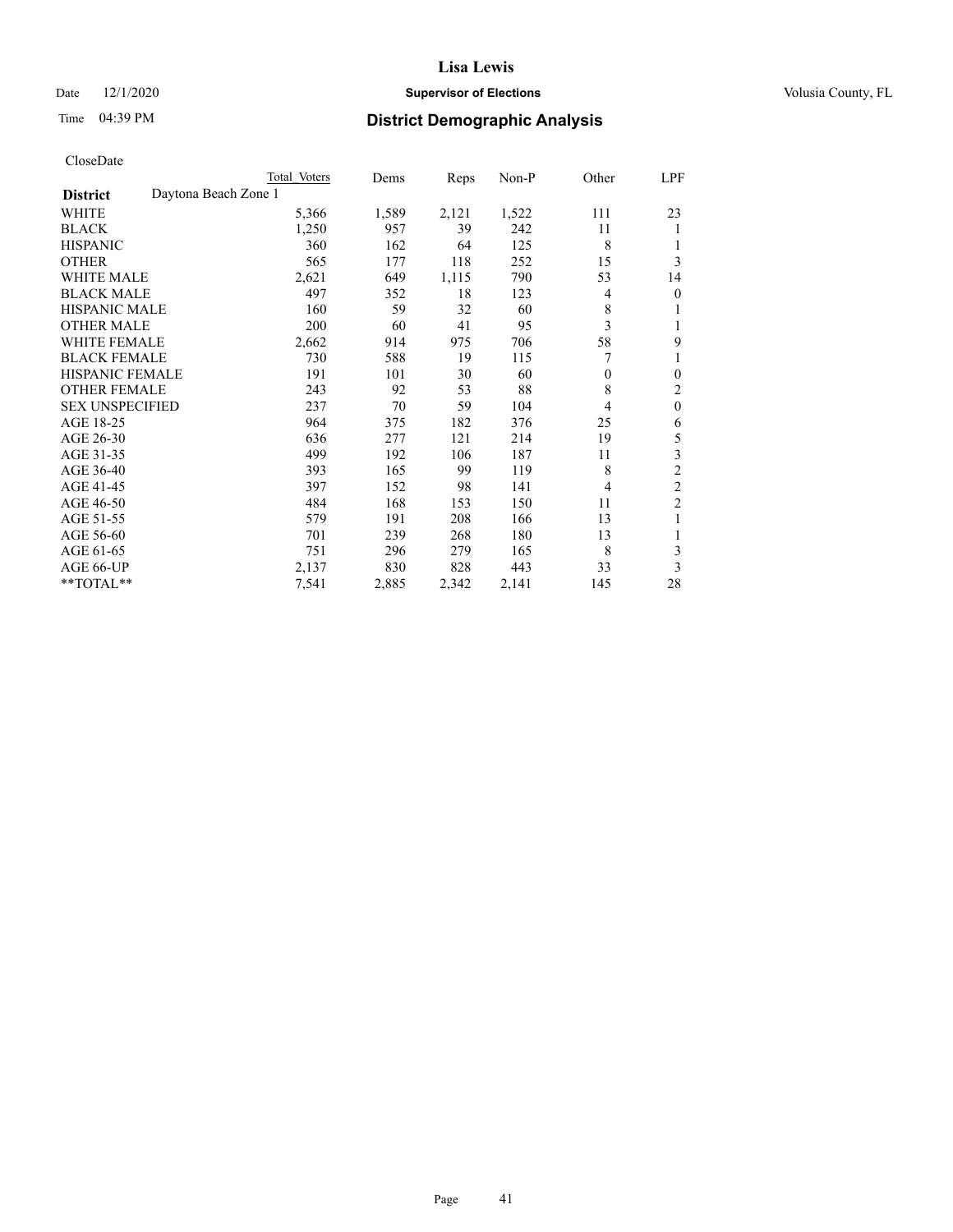#### Date  $12/1/2020$  **Supervisor of Elections Supervisor of Elections** Volusia County, FL

## Time 04:39 PM **District Demographic Analysis**

|                        |                      | Total Voters | Dems  | Reps  | Non-P | Other | LPF            |
|------------------------|----------------------|--------------|-------|-------|-------|-------|----------------|
| <b>District</b>        | Daytona Beach Zone 1 |              |       |       |       |       |                |
| WHITE                  |                      | 5,366        | 1,589 | 2,121 | 1,522 | 111   | 23             |
| <b>BLACK</b>           |                      | 1,250        | 957   | 39    | 242   | 11    | 1              |
| <b>HISPANIC</b>        |                      | 360          | 162   | 64    | 125   | 8     | 1              |
| <b>OTHER</b>           |                      | 565          | 177   | 118   | 252   | 15    | 3              |
| <b>WHITE MALE</b>      |                      | 2,621        | 649   | 1,115 | 790   | 53    | 14             |
| <b>BLACK MALE</b>      |                      | 497          | 352   | 18    | 123   | 4     | $\mathbf{0}$   |
| <b>HISPANIC MALE</b>   |                      | 160          | 59    | 32    | 60    | 8     | 1              |
| <b>OTHER MALE</b>      |                      | 200          | 60    | 41    | 95    | 3     | 1              |
| WHITE FEMALE           |                      | 2,662        | 914   | 975   | 706   | 58    | 9              |
| <b>BLACK FEMALE</b>    |                      | 730          | 588   | 19    | 115   |       | 1              |
| <b>HISPANIC FEMALE</b> |                      | 191          | 101   | 30    | 60    | 0     | $\mathbf{0}$   |
| <b>OTHER FEMALE</b>    |                      | 243          | 92    | 53    | 88    | 8     | 2              |
| <b>SEX UNSPECIFIED</b> |                      | 237          | 70    | 59    | 104   | 4     | $\mathbf{0}$   |
| AGE 18-25              |                      | 964          | 375   | 182   | 376   | 25    | 6              |
| AGE 26-30              |                      | 636          | 277   | 121   | 214   | 19    | 5              |
| AGE 31-35              |                      | 499          | 192   | 106   | 187   | 11    | 3              |
| AGE 36-40              |                      | 393          | 165   | 99    | 119   | 8     | $\overline{c}$ |
| AGE 41-45              |                      | 397          | 152   | 98    | 141   | 4     | $\overline{c}$ |
| AGE 46-50              |                      | 484          | 168   | 153   | 150   | 11    | $\overline{2}$ |
| AGE 51-55              |                      | 579          | 191   | 208   | 166   | 13    | 1              |
| AGE 56-60              |                      | 701          | 239   | 268   | 180   | 13    | 1              |
| AGE 61-65              |                      | 751          | 296   | 279   | 165   | 8     | 3              |
| AGE 66-UP              |                      | 2,137        | 830   | 828   | 443   | 33    | 3              |
| **TOTAL**              |                      | 7,541        | 2,885 | 2,342 | 2,141 | 145   | 28             |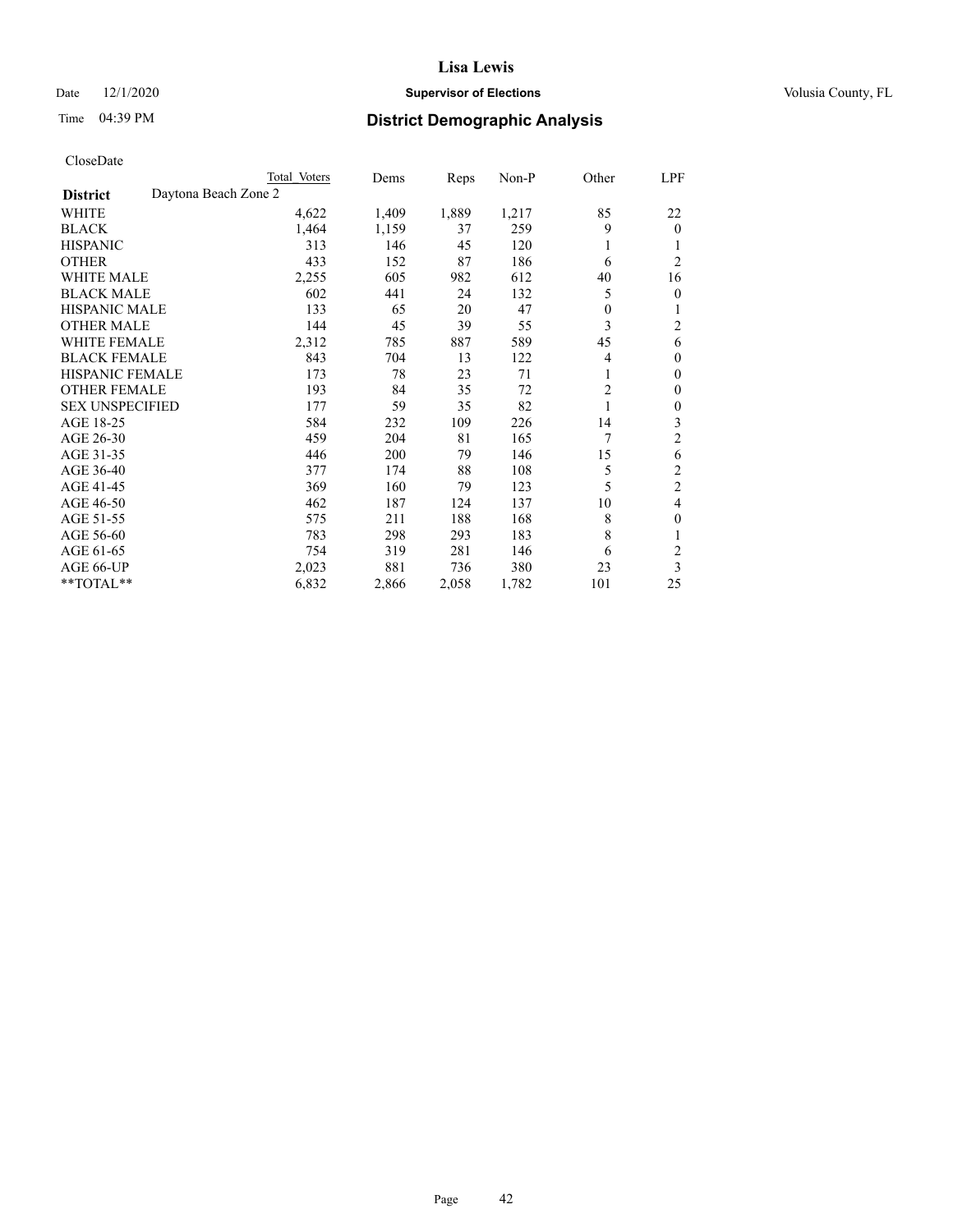#### Date  $12/1/2020$  **Supervisor of Elections Supervisor of Elections** Volusia County, FL

|                                         | Total Voters | Dems  | Reps  | Non-P | Other          | LPF              |
|-----------------------------------------|--------------|-------|-------|-------|----------------|------------------|
| Daytona Beach Zone 2<br><b>District</b> |              |       |       |       |                |                  |
| WHITE                                   | 4,622        | 1,409 | 1,889 | 1,217 | 85             | 22               |
| <b>BLACK</b>                            | 1,464        | 1,159 | 37    | 259   | 9              | $\mathbf{0}$     |
| <b>HISPANIC</b>                         | 313          | 146   | 45    | 120   | 1              | 1                |
| <b>OTHER</b>                            | 433          | 152   | 87    | 186   | 6              | $\overline{2}$   |
| WHITE MALE                              | 2,255        | 605   | 982   | 612   | 40             | 16               |
| <b>BLACK MALE</b>                       | 602          | 441   | 24    | 132   | 5              | $\overline{0}$   |
| HISPANIC MALE                           | 133          | 65    | 20    | 47    | $\mathbf{0}$   | 1                |
| <b>OTHER MALE</b>                       | 144          | 45    | 39    | 55    | 3              | 2                |
| WHITE FEMALE                            | 2,312        | 785   | 887   | 589   | 45             | 6                |
| <b>BLACK FEMALE</b>                     | 843          | 704   | 13    | 122   | $\overline{4}$ | $\mathbf{0}$     |
| <b>HISPANIC FEMALE</b>                  | 173          | 78    | 23    | 71    | 1              | $\mathbf{0}$     |
| <b>OTHER FEMALE</b>                     | 193          | 84    | 35    | 72    | $\overline{c}$ | $\mathbf{0}$     |
| <b>SEX UNSPECIFIED</b>                  | 177          | 59    | 35    | 82    | 1              | $\boldsymbol{0}$ |
| AGE 18-25                               | 584          | 232   | 109   | 226   | 14             | 3                |
| AGE 26-30                               | 459          | 204   | 81    | 165   | 7              | $\overline{c}$   |
| AGE 31-35                               | 446          | 200   | 79    | 146   | 15             | 6                |
| AGE 36-40                               | 377          | 174   | 88    | 108   | 5              | $\overline{c}$   |
| AGE 41-45                               | 369          | 160   | 79    | 123   | 5              | $\overline{c}$   |
| AGE 46-50                               | 462          | 187   | 124   | 137   | 10             | 4                |
| AGE 51-55                               | 575          | 211   | 188   | 168   | 8              | $\mathbf{0}$     |
| AGE 56-60                               | 783          | 298   | 293   | 183   | 8              | 1                |
| AGE 61-65                               | 754          | 319   | 281   | 146   | 6              | $\overline{c}$   |
| AGE 66-UP                               | 2,023        | 881   | 736   | 380   | 23             | 3                |
| **TOTAL**                               | 6,832        | 2,866 | 2,058 | 1,782 | 101            | 25               |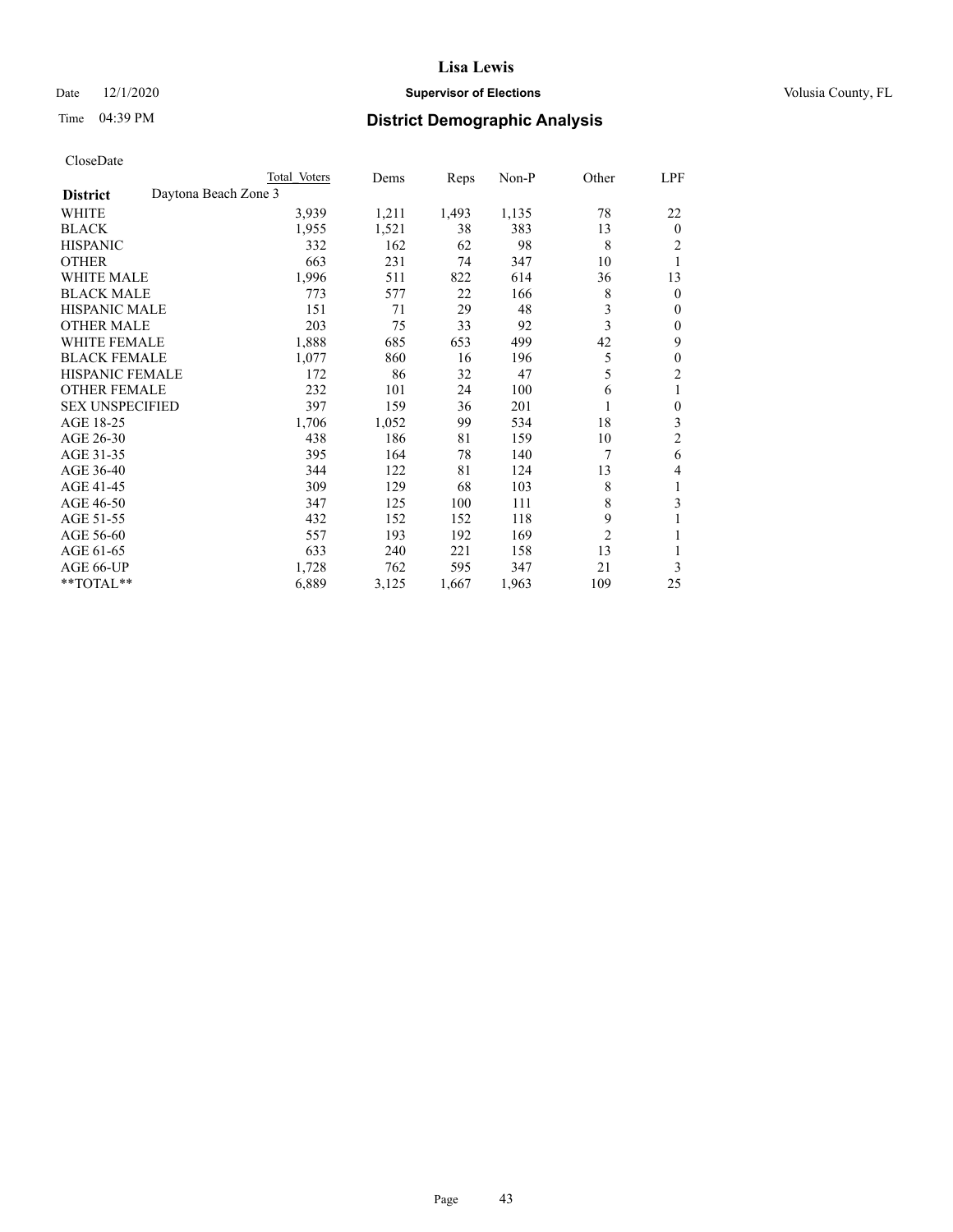#### Date  $12/1/2020$  **Supervisor of Elections Supervisor of Elections** Volusia County, FL

| CloseDate |
|-----------|
|-----------|

|                                         | Total Voters | Dems  | Reps  | Non-P | Other          | LPF              |
|-----------------------------------------|--------------|-------|-------|-------|----------------|------------------|
| Daytona Beach Zone 3<br><b>District</b> |              |       |       |       |                |                  |
| WHITE                                   | 3,939        | 1,211 | 1,493 | 1,135 | 78             | 22               |
| <b>BLACK</b>                            | 1,955        | 1,521 | 38    | 383   | 13             | $\mathbf{0}$     |
| <b>HISPANIC</b>                         | 332          | 162   | 62    | 98    | 8              | 2                |
| <b>OTHER</b>                            | 663          | 231   | 74    | 347   | 10             | 1                |
| <b>WHITE MALE</b>                       | 1,996        | 511   | 822   | 614   | 36             | 13               |
| <b>BLACK MALE</b>                       | 773          | 577   | 22    | 166   | 8              | $\mathbf{0}$     |
| <b>HISPANIC MALE</b>                    | 151          | 71    | 29    | 48    | 3              | $\mathbf{0}$     |
| <b>OTHER MALE</b>                       | 203          | 75    | 33    | 92    | 3              | $\mathbf{0}$     |
| <b>WHITE FEMALE</b>                     | 1,888        | 685   | 653   | 499   | 42             | 9                |
| <b>BLACK FEMALE</b>                     | 1,077        | 860   | 16    | 196   | 5              | $\mathbf{0}$     |
| <b>HISPANIC FEMALE</b>                  | 172          | 86    | 32    | 47    | 5              | $\overline{c}$   |
| <b>OTHER FEMALE</b>                     | 232          | 101   | 24    | 100   | 6              | 1                |
| <b>SEX UNSPECIFIED</b>                  | 397          | 159   | 36    | 201   | 1              | $\boldsymbol{0}$ |
| AGE 18-25                               | 1,706        | 1,052 | 99    | 534   | 18             | 3                |
| AGE 26-30                               | 438          | 186   | 81    | 159   | 10             | $\overline{c}$   |
| AGE 31-35                               | 395          | 164   | 78    | 140   | 7              | 6                |
| AGE 36-40                               | 344          | 122   | 81    | 124   | 13             | 4                |
| AGE 41-45                               | 309          | 129   | 68    | 103   | 8              | 1                |
| AGE 46-50                               | 347          | 125   | 100   | 111   | 8              | 3                |
| AGE 51-55                               | 432          | 152   | 152   | 118   | 9              | 1                |
| AGE 56-60                               | 557          | 193   | 192   | 169   | $\overline{2}$ | 1                |
| AGE 61-65                               | 633          | 240   | 221   | 158   | 13             | 1                |
| AGE 66-UP                               | 1,728        | 762   | 595   | 347   | 21             | 3                |
| **TOTAL**                               | 6,889        | 3,125 | 1,667 | 1,963 | 109            | 25               |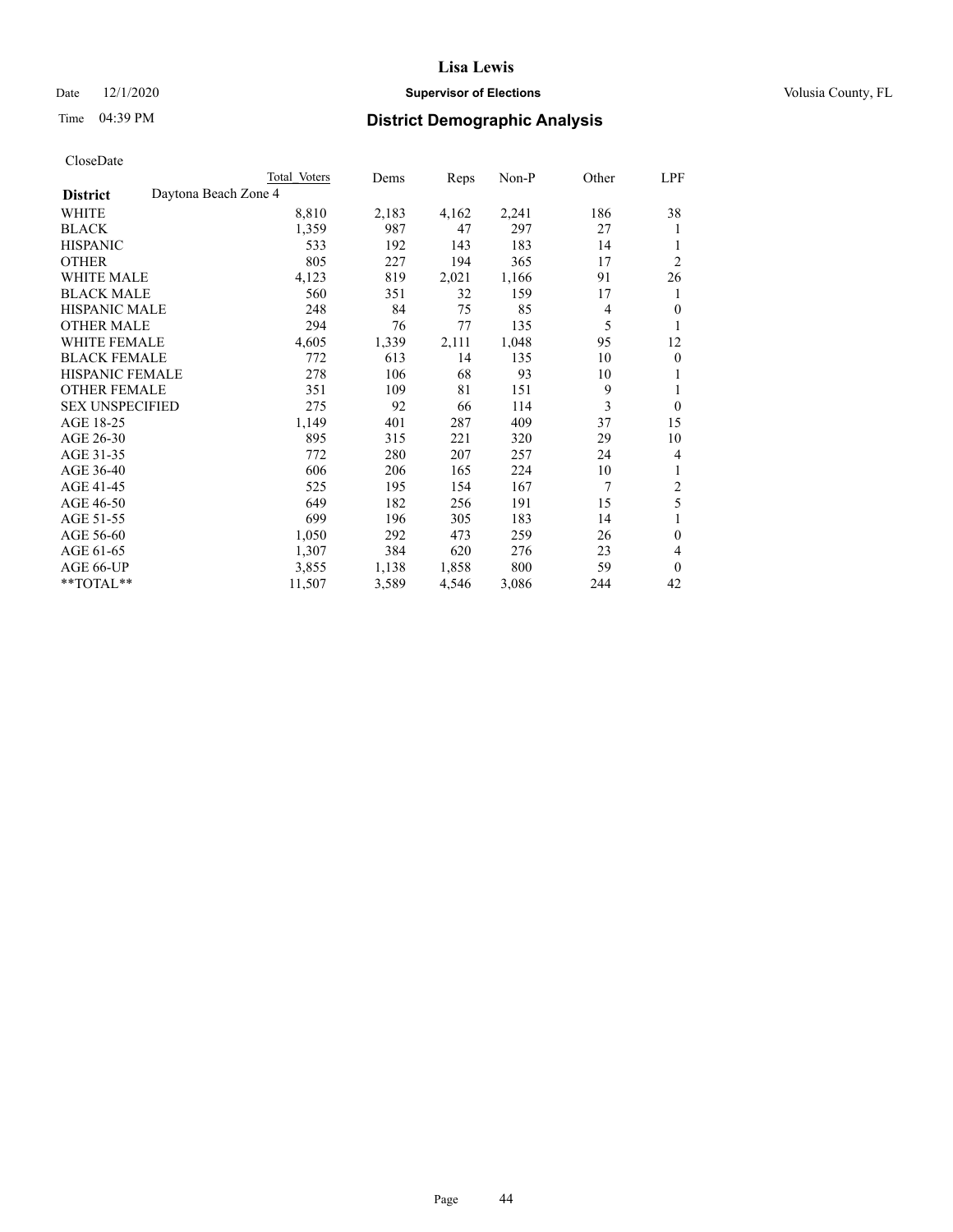#### Date  $12/1/2020$  **Supervisor of Elections Supervisor of Elections** Volusia County, FL

|                                         | Total Voters | Dems  | Reps  | Non-P | Other | LPF                      |
|-----------------------------------------|--------------|-------|-------|-------|-------|--------------------------|
| Daytona Beach Zone 4<br><b>District</b> |              |       |       |       |       |                          |
| WHITE                                   | 8,810        | 2,183 | 4,162 | 2,241 | 186   | 38                       |
| <b>BLACK</b>                            | 1,359        | 987   | 47    | 297   | 27    | 1                        |
| <b>HISPANIC</b>                         | 533          | 192   | 143   | 183   | 14    | 1                        |
| <b>OTHER</b>                            | 805          | 227   | 194   | 365   | 17    | $\overline{2}$           |
| <b>WHITE MALE</b>                       | 4,123        | 819   | 2,021 | 1,166 | 91    | 26                       |
| <b>BLACK MALE</b>                       | 560          | 351   | 32    | 159   | 17    | 1                        |
| HISPANIC MALE                           | 248          | 84    | 75    | 85    | 4     | $\theta$                 |
| <b>OTHER MALE</b>                       | 294          | 76    | 77    | 135   | 5     |                          |
| <b>WHITE FEMALE</b>                     | 4,605        | 1,339 | 2,111 | 1,048 | 95    | 12                       |
| <b>BLACK FEMALE</b>                     | 772          | 613   | 14    | 135   | 10    | $\theta$                 |
| <b>HISPANIC FEMALE</b>                  | 278          | 106   | 68    | 93    | 10    | 1                        |
| <b>OTHER FEMALE</b>                     | 351          | 109   | 81    | 151   | 9     | 1                        |
| <b>SEX UNSPECIFIED</b>                  | 275          | 92    | 66    | 114   | 3     | $\mathbf{0}$             |
| AGE 18-25                               | 1,149        | 401   | 287   | 409   | 37    | 15                       |
| AGE 26-30                               | 895          | 315   | 221   | 320   | 29    | 10                       |
| AGE 31-35                               | 772          | 280   | 207   | 257   | 24    | 4                        |
| AGE 36-40                               | 606          | 206   | 165   | 224   | 10    | 1                        |
| AGE 41-45                               | 525          | 195   | 154   | 167   | 7     | $\boldsymbol{2}$         |
| AGE 46-50                               | 649          | 182   | 256   | 191   | 15    | 5                        |
| AGE 51-55                               | 699          | 196   | 305   | 183   | 14    | 1                        |
| AGE 56-60                               | 1,050        | 292   | 473   | 259   | 26    | $\mathbf{0}$             |
| AGE 61-65                               | 1,307        | 384   | 620   | 276   | 23    | $\overline{\mathcal{L}}$ |
| AGE 66-UP                               | 3,855        | 1,138 | 1,858 | 800   | 59    | $\mathbf{0}$             |
| **TOTAL**                               | 11,507       | 3,589 | 4,546 | 3,086 | 244   | 42                       |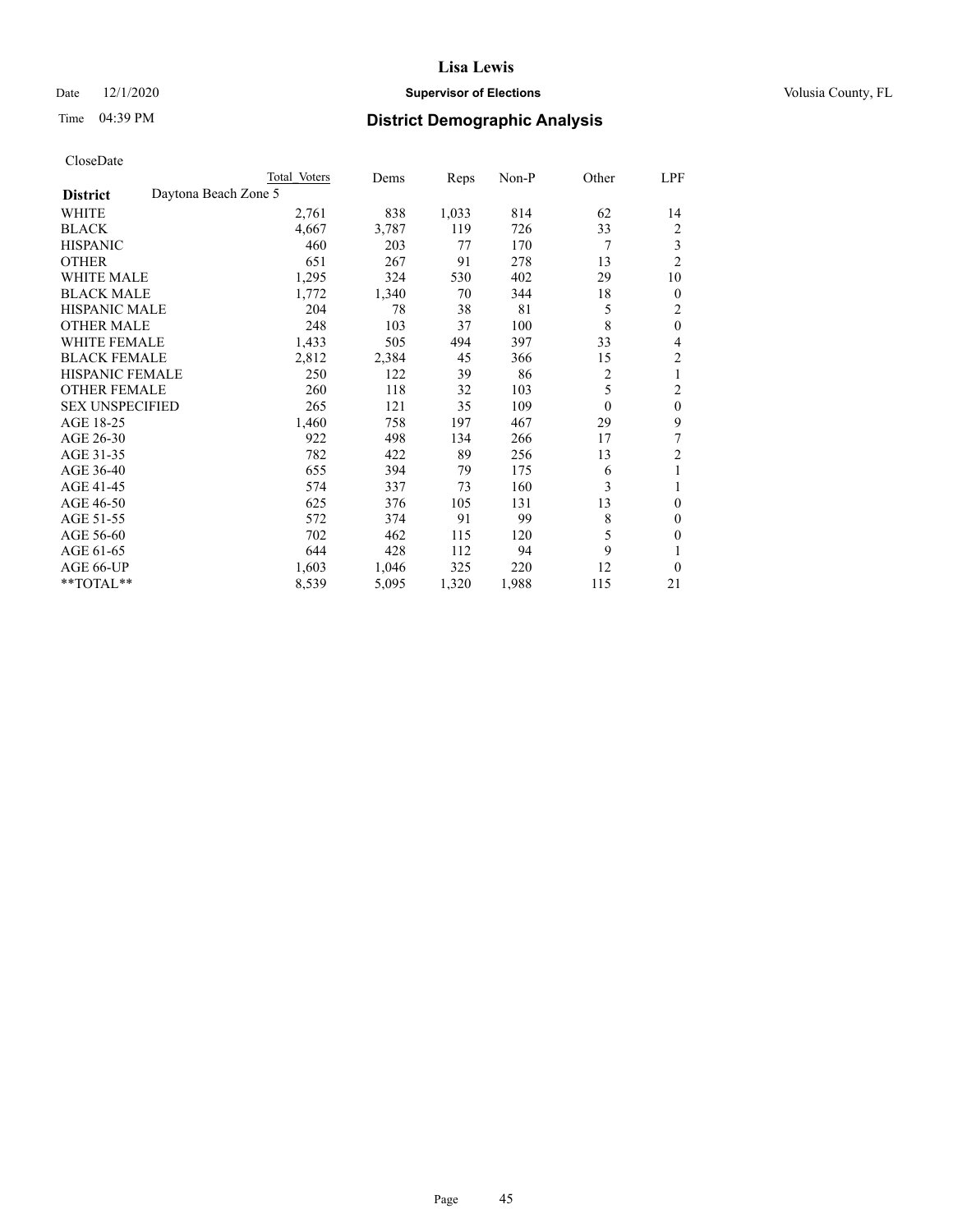#### Date  $12/1/2020$  **Supervisor of Elections Supervisor of Elections** Volusia County, FL

|                                         | Total Voters | Dems  | Reps  | Non-P | Other          | LPF            |
|-----------------------------------------|--------------|-------|-------|-------|----------------|----------------|
| Daytona Beach Zone 5<br><b>District</b> |              |       |       |       |                |                |
| WHITE                                   | 2,761        | 838   | 1,033 | 814   | 62             | 14             |
| <b>BLACK</b>                            | 4,667        | 3,787 | 119   | 726   | 33             | 2              |
| <b>HISPANIC</b>                         | 460          | 203   | 77    | 170   | 7              | 3              |
| <b>OTHER</b>                            | 651          | 267   | 91    | 278   | 13             | $\overline{2}$ |
| <b>WHITE MALE</b>                       | 1,295        | 324   | 530   | 402   | 29             | 10             |
| <b>BLACK MALE</b>                       | 1,772        | 1,340 | 70    | 344   | 18             | $\theta$       |
| <b>HISPANIC MALE</b>                    | 204          | 78    | 38    | 81    | 5              | 2              |
| <b>OTHER MALE</b>                       | 248          | 103   | 37    | 100   | 8              | $\mathbf{0}$   |
| <b>WHITE FEMALE</b>                     | 1,433        | 505   | 494   | 397   | 33             | 4              |
| <b>BLACK FEMALE</b>                     | 2,812        | 2,384 | 45    | 366   | 15             | 2              |
| <b>HISPANIC FEMALE</b>                  | 250          | 122   | 39    | 86    | $\overline{c}$ | 1              |
| <b>OTHER FEMALE</b>                     | 260          | 118   | 32    | 103   | 5              | 2              |
| <b>SEX UNSPECIFIED</b>                  | 265          | 121   | 35    | 109   | $\theta$       | $\overline{0}$ |
| AGE 18-25                               | 1,460        | 758   | 197   | 467   | 29             | 9              |
| AGE 26-30                               | 922          | 498   | 134   | 266   | 17             | 7              |
| AGE 31-35                               | 782          | 422   | 89    | 256   | 13             | 2              |
| AGE 36-40                               | 655          | 394   | 79    | 175   | 6              | 1              |
| AGE 41-45                               | 574          | 337   | 73    | 160   | 3              |                |
| AGE 46-50                               | 625          | 376   | 105   | 131   | 13             | $\theta$       |
| AGE 51-55                               | 572          | 374   | 91    | 99    | 8              | $\mathbf{0}$   |
| AGE 56-60                               | 702          | 462   | 115   | 120   | 5              | 0              |
| AGE 61-65                               | 644          | 428   | 112   | 94    | 9              |                |
| AGE 66-UP                               | 1,603        | 1,046 | 325   | 220   | 12             | $\theta$       |
| **TOTAL**                               | 8,539        | 5,095 | 1,320 | 1,988 | 115            | 21             |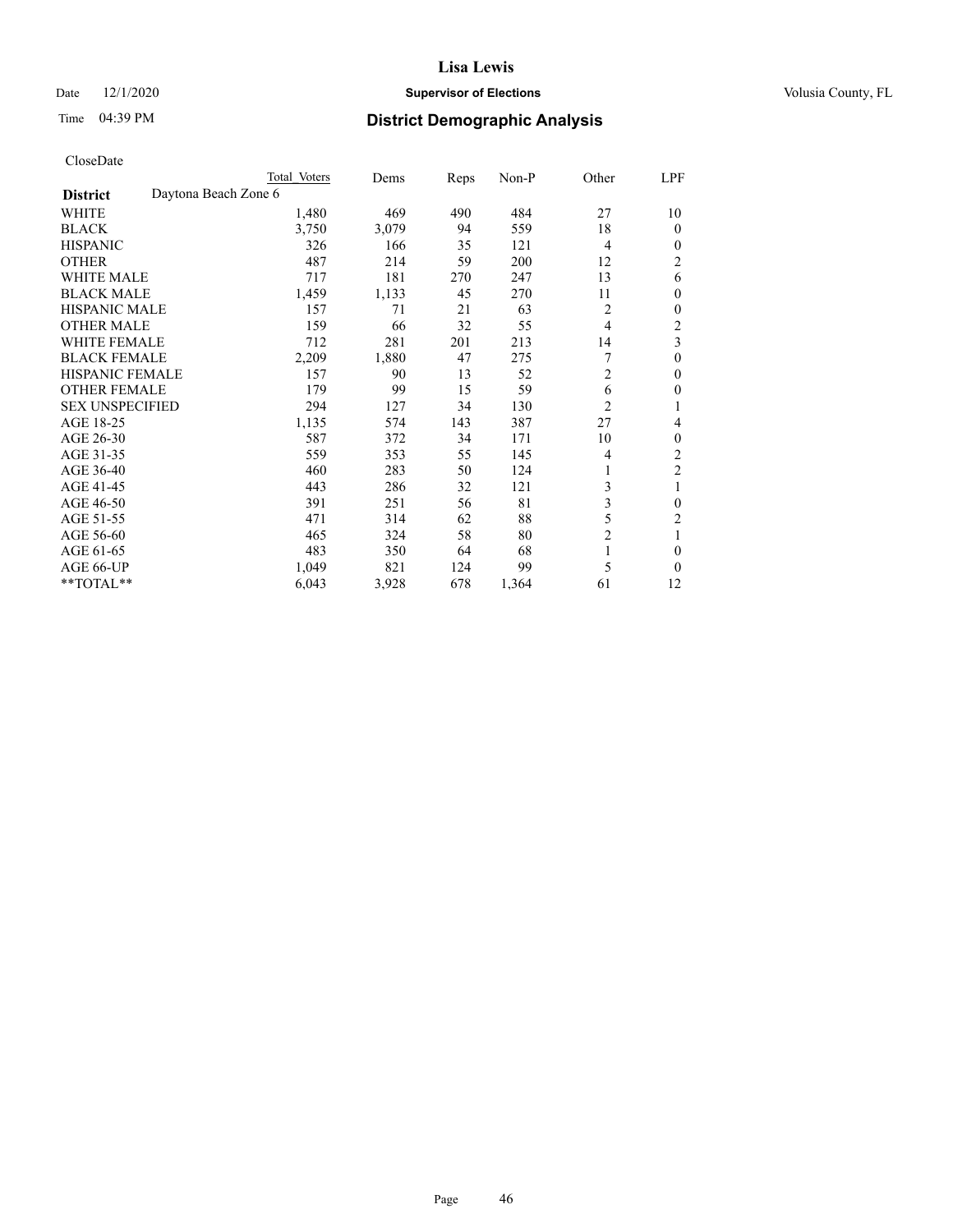#### Date  $12/1/2020$  **Supervisor of Elections Supervisor of Elections** Volusia County, FL

| CloseDate |
|-----------|
|-----------|

|                                         | Total Voters | Dems  | Reps | Non-P | Other          | LPF            |
|-----------------------------------------|--------------|-------|------|-------|----------------|----------------|
| Daytona Beach Zone 6<br><b>District</b> |              |       |      |       |                |                |
| WHITE                                   | 1,480        | 469   | 490  | 484   | 27             | 10             |
| <b>BLACK</b>                            | 3,750        | 3,079 | 94   | 559   | 18             | $\theta$       |
| <b>HISPANIC</b>                         | 326          | 166   | 35   | 121   | $\overline{4}$ | 0              |
| <b>OTHER</b>                            | 487          | 214   | 59   | 200   | 12             | 2              |
| <b>WHITE MALE</b>                       | 717          | 181   | 270  | 247   | 13             | 6              |
| <b>BLACK MALE</b>                       | 1,459        | 1,133 | 45   | 270   | 11             | 0              |
| <b>HISPANIC MALE</b>                    | 157          | 71    | 21   | 63    | 2              | 0              |
| <b>OTHER MALE</b>                       | 159          | 66    | 32   | 55    | $\overline{4}$ | $\overline{c}$ |
| <b>WHITE FEMALE</b>                     | 712          | 281   | 201  | 213   | 14             | 3              |
| <b>BLACK FEMALE</b>                     | 2,209        | 1,880 | 47   | 275   |                | $\theta$       |
| HISPANIC FEMALE                         | 157          | 90    | 13   | 52    | $\overline{2}$ | 0              |
| <b>OTHER FEMALE</b>                     | 179          | 99    | 15   | 59    | 6              | 0              |
| <b>SEX UNSPECIFIED</b>                  | 294          | 127   | 34   | 130   | $\overline{2}$ |                |
| AGE 18-25                               | 1,135        | 574   | 143  | 387   | 27             | 4              |
| AGE 26-30                               | 587          | 372   | 34   | 171   | 10             | 0              |
| AGE 31-35                               | 559          | 353   | 55   | 145   | 4              | 2              |
| AGE 36-40                               | 460          | 283   | 50   | 124   |                | $\overline{2}$ |
| AGE 41-45                               | 443          | 286   | 32   | 121   | 3              | 1              |
| AGE 46-50                               | 391          | 251   | 56   | 81    | 3              | 0              |
| AGE 51-55                               | 471          | 314   | 62   | 88    | 5              | $\overline{2}$ |
| AGE 56-60                               | 465          | 324   | 58   | 80    | $\overline{c}$ | 1              |
| AGE 61-65                               | 483          | 350   | 64   | 68    | 1              | $\theta$       |
| AGE 66-UP                               | 1,049        | 821   | 124  | 99    | 5              | $\Omega$       |
| **TOTAL**                               | 6,043        | 3,928 | 678  | 1,364 | 61             | 12             |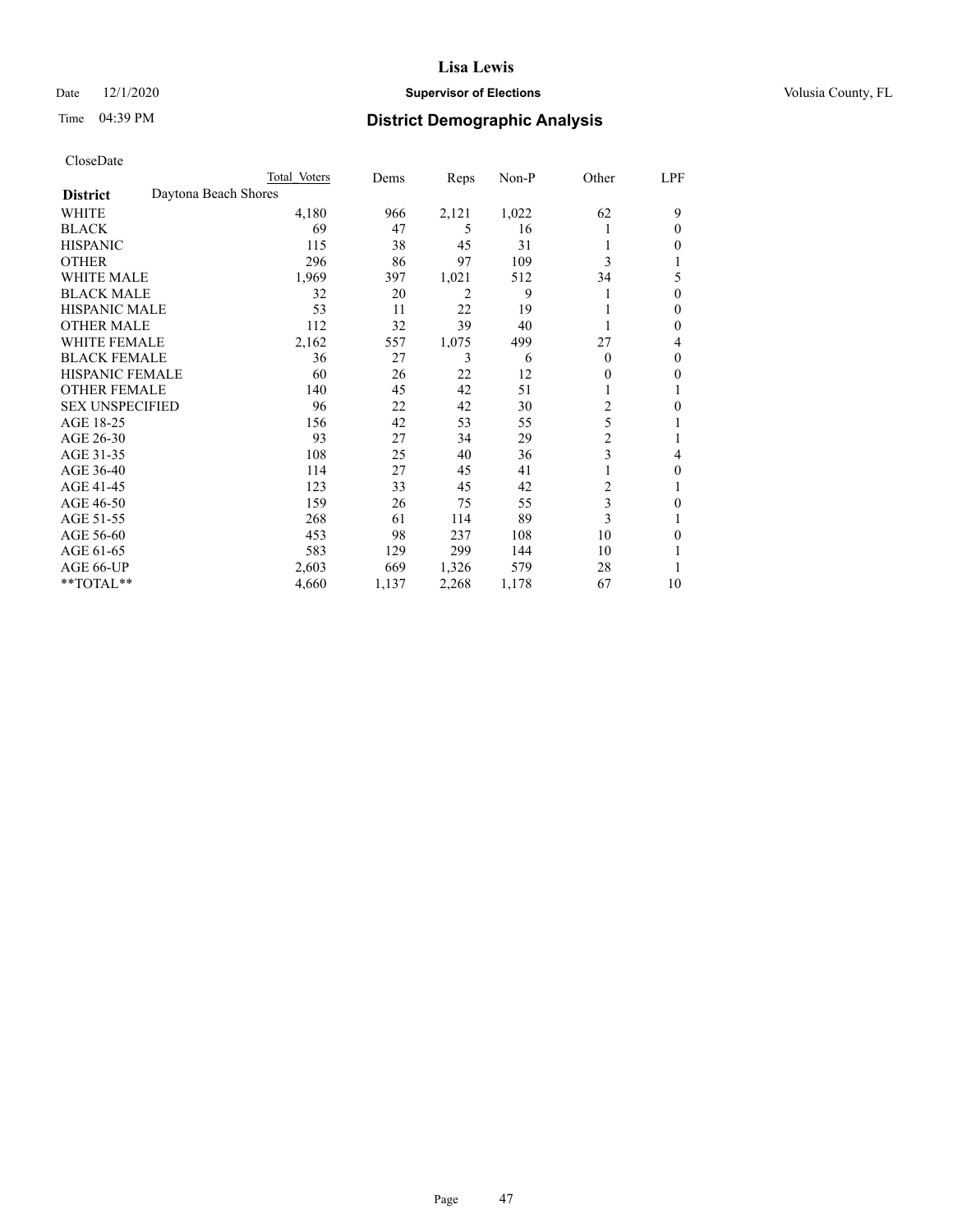#### Date  $12/1/2020$  **Supervisor of Elections Supervisor of Elections** Volusia County, FL

## Time 04:39 PM **District Demographic Analysis**

|                                         | Total Voters | Dems  | Reps           | $Non-P$ | Other          | LPF |
|-----------------------------------------|--------------|-------|----------------|---------|----------------|-----|
| Daytona Beach Shores<br><b>District</b> |              |       |                |         |                |     |
| WHITE                                   | 4,180        | 966   | 2,121          | 1,022   | 62             | 9   |
| <b>BLACK</b>                            | 69           | 47    | 5              | 16      |                | 0   |
| <b>HISPANIC</b>                         | 115          | 38    | 45             | 31      |                | 0   |
| <b>OTHER</b>                            | 296          | 86    | 97             | 109     | 3              |     |
| <b>WHITE MALE</b>                       | 1,969        | 397   | 1,021          | 512     | 34             | 5   |
| <b>BLACK MALE</b>                       | 32           | 20    | $\overline{2}$ | 9       |                | 0   |
| <b>HISPANIC MALE</b>                    | 53           | 11    | 22             | 19      |                | 0   |
| <b>OTHER MALE</b>                       | 112          | 32    | 39             | 40      |                | 0   |
| WHITE FEMALE                            | 2,162        | 557   | 1,075          | 499     | 27             | 4   |
| <b>BLACK FEMALE</b>                     | 36           | 27    | 3              | 6       | $\Omega$       | 0   |
| <b>HISPANIC FEMALE</b>                  | 60           | 26    | 22             | 12      | 0              | 0   |
| <b>OTHER FEMALE</b>                     | 140          | 45    | 42             | 51      |                |     |
| <b>SEX UNSPECIFIED</b>                  | 96           | 22    | 42             | 30      | $\overline{c}$ | 0   |
| AGE 18-25                               | 156          | 42    | 53             | 55      | 5              |     |
| AGE 26-30                               | 93           | 27    | 34             | 29      | $\overline{c}$ |     |
| AGE 31-35                               | 108          | 25    | 40             | 36      | 3              | 4   |
| AGE 36-40                               | 114          | 27    | 45             | 41      |                | 0   |
| AGE 41-45                               | 123          | 33    | 45             | 42      | 2              | 1   |
| AGE 46-50                               | 159          | 26    | 75             | 55      | 3              | 0   |
| AGE 51-55                               | 268          | 61    | 114            | 89      | 3              |     |
| AGE 56-60                               | 453          | 98    | 237            | 108     | 10             | 0   |
| AGE 61-65                               | 583          | 129   | 299            | 144     | 10             |     |
| AGE 66-UP                               | 2,603        | 669   | 1,326          | 579     | 28             |     |
| **TOTAL**                               | 4,660        | 1,137 | 2,268          | 1,178   | 67             | 10  |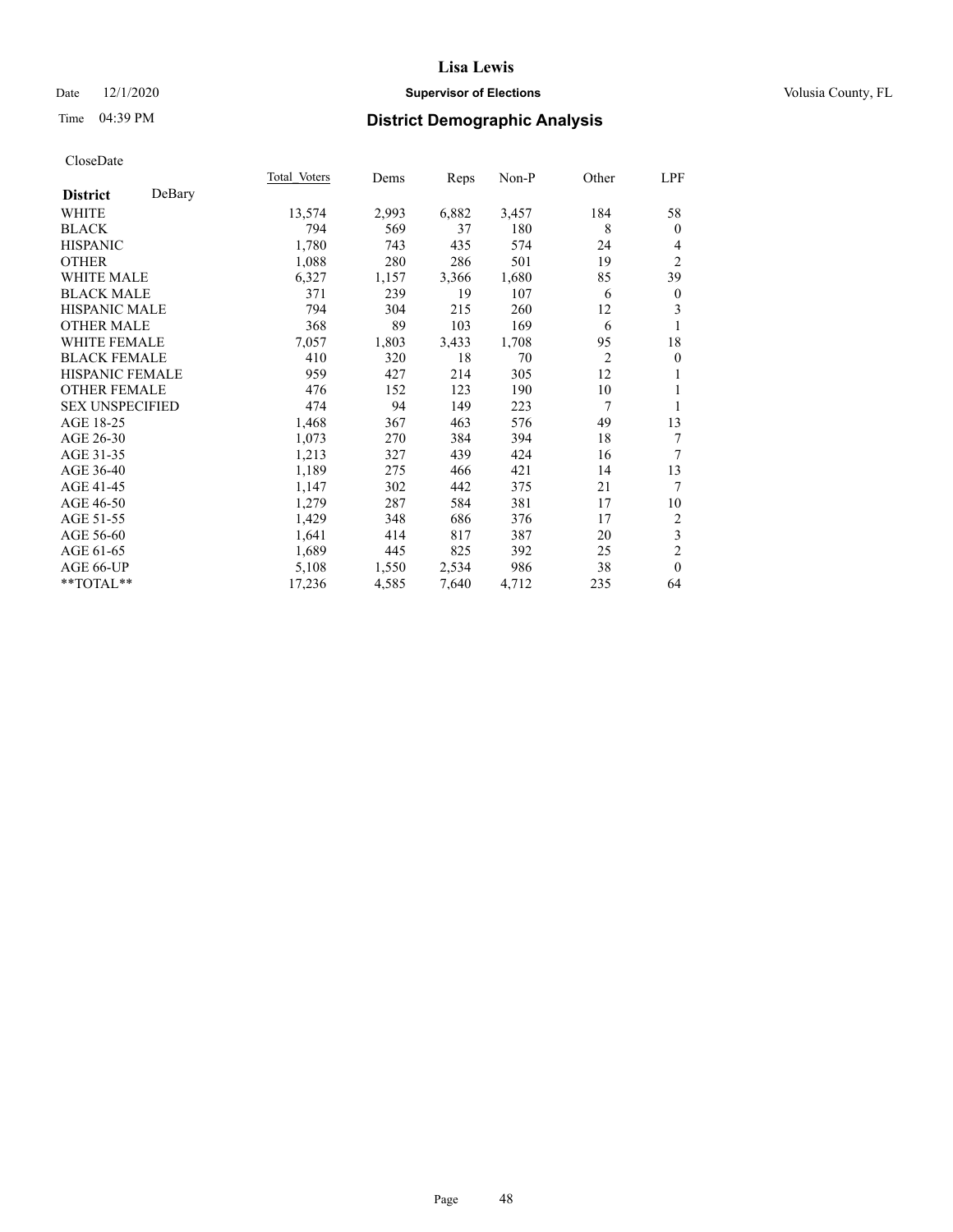#### Date  $12/1/2020$  **Supervisor of Elections Supervisor of Elections** Volusia County, FL

## Time 04:39 PM **District Demographic Analysis**

|                        |        | Total Voters | Dems  | Reps  | Non-P | Other          | LPF              |
|------------------------|--------|--------------|-------|-------|-------|----------------|------------------|
| <b>District</b>        | DeBary |              |       |       |       |                |                  |
| WHITE                  |        | 13,574       | 2,993 | 6,882 | 3,457 | 184            | 58               |
| <b>BLACK</b>           |        | 794          | 569   | 37    | 180   | 8              | $\theta$         |
| <b>HISPANIC</b>        |        | 1,780        | 743   | 435   | 574   | 24             | 4                |
| <b>OTHER</b>           |        | 1,088        | 280   | 286   | 501   | 19             | $\overline{2}$   |
| WHITE MALE             |        | 6,327        | 1,157 | 3,366 | 1,680 | 85             | 39               |
| <b>BLACK MALE</b>      |        | 371          | 239   | 19    | 107   | 6              | $\boldsymbol{0}$ |
| <b>HISPANIC MALE</b>   |        | 794          | 304   | 215   | 260   | 12             | 3                |
| <b>OTHER MALE</b>      |        | 368          | 89    | 103   | 169   | 6              | 1                |
| WHITE FEMALE           |        | 7,057        | 1,803 | 3,433 | 1,708 | 95             | 18               |
| <b>BLACK FEMALE</b>    |        | 410          | 320   | 18    | 70    | $\overline{2}$ | $\overline{0}$   |
| HISPANIC FEMALE        |        | 959          | 427   | 214   | 305   | 12             | 1                |
| <b>OTHER FEMALE</b>    |        | 476          | 152   | 123   | 190   | 10             | 1                |
| <b>SEX UNSPECIFIED</b> |        | 474          | 94    | 149   | 223   | 7              | 1                |
| AGE 18-25              |        | 1,468        | 367   | 463   | 576   | 49             | 13               |
| AGE 26-30              |        | 1,073        | 270   | 384   | 394   | 18             | 7                |
| AGE 31-35              |        | 1,213        | 327   | 439   | 424   | 16             | 7                |
| AGE 36-40              |        | 1,189        | 275   | 466   | 421   | 14             | 13               |
| AGE 41-45              |        | 1,147        | 302   | 442   | 375   | 21             | 7                |
| AGE 46-50              |        | 1,279        | 287   | 584   | 381   | 17             | 10               |
| AGE 51-55              |        | 1,429        | 348   | 686   | 376   | 17             | 2                |
| AGE 56-60              |        | 1,641        | 414   | 817   | 387   | 20             | 3                |
| AGE 61-65              |        | 1,689        | 445   | 825   | 392   | 25             | $\overline{2}$   |
| AGE 66-UP              |        | 5,108        | 1,550 | 2,534 | 986   | 38             | $\theta$         |
| **TOTAL**              |        | 17,236       | 4,585 | 7,640 | 4,712 | 235            | 64               |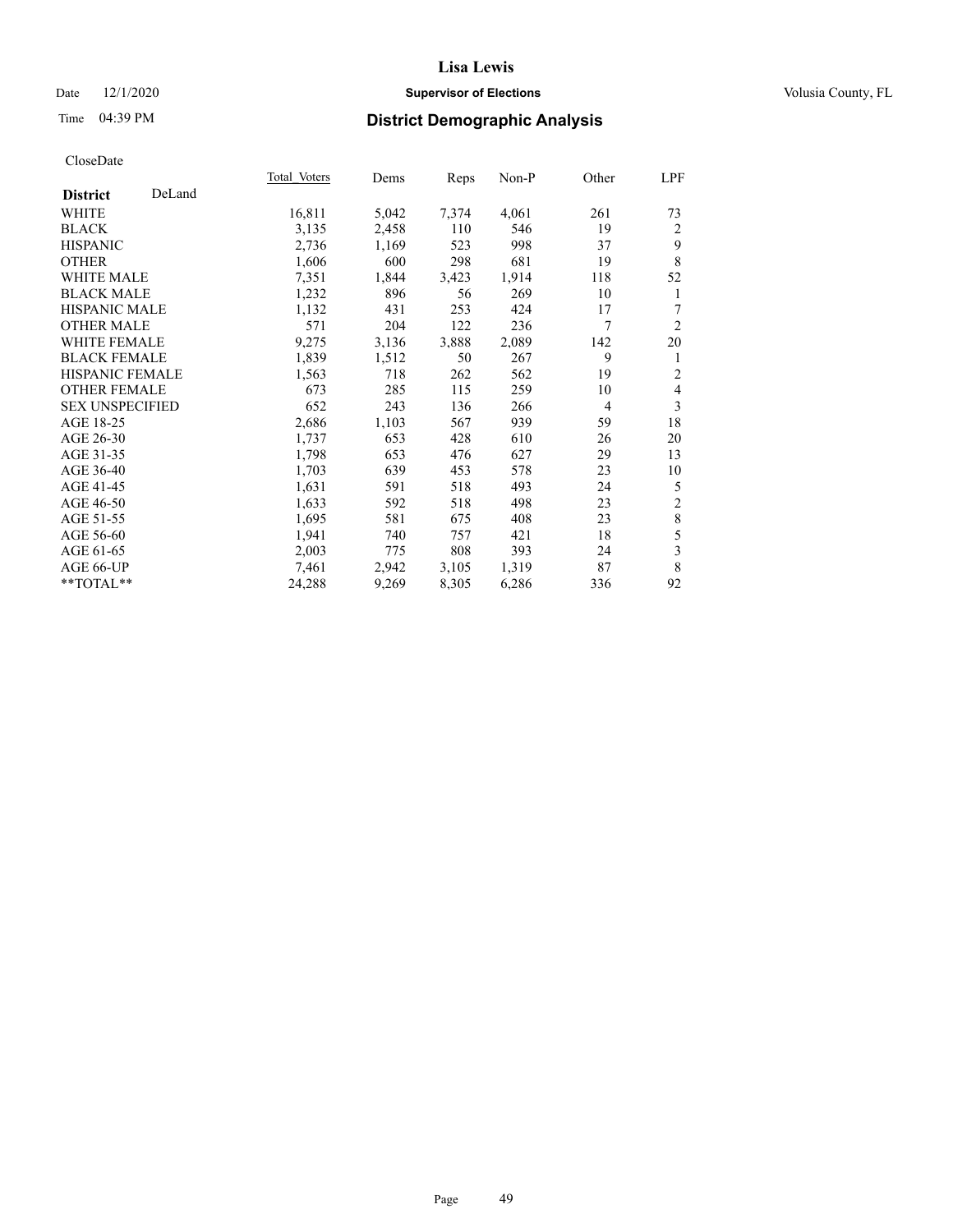#### Date  $12/1/2020$  **Supervisor of Elections Supervisor of Elections** Volusia County, FL

## Time 04:39 PM **District Demographic Analysis**

|                        |        | Total Voters | Dems  | Reps  | Non-P | Other          | <u>LPF</u>     |
|------------------------|--------|--------------|-------|-------|-------|----------------|----------------|
| <b>District</b>        | DeLand |              |       |       |       |                |                |
| WHITE                  |        | 16,811       | 5,042 | 7,374 | 4,061 | 261            | 73             |
| <b>BLACK</b>           |        | 3,135        | 2,458 | 110   | 546   | 19             | 2              |
| <b>HISPANIC</b>        |        | 2,736        | 1,169 | 523   | 998   | 37             | 9              |
| <b>OTHER</b>           |        | 1,606        | 600   | 298   | 681   | 19             | 8              |
| <b>WHITE MALE</b>      |        | 7,351        | 1,844 | 3,423 | 1,914 | 118            | 52             |
| <b>BLACK MALE</b>      |        | 1,232        | 896   | 56    | 269   | 10             | 1              |
| <b>HISPANIC MALE</b>   |        | 1,132        | 431   | 253   | 424   | 17             | 7              |
| <b>OTHER MALE</b>      |        | 571          | 204   | 122   | 236   | 7              | $\overline{2}$ |
| <b>WHITE FEMALE</b>    |        | 9,275        | 3,136 | 3,888 | 2,089 | 142            | 20             |
| <b>BLACK FEMALE</b>    |        | 1,839        | 1,512 | 50    | 267   | 9              | 1              |
| <b>HISPANIC FEMALE</b> |        | 1,563        | 718   | 262   | 562   | 19             | $\overline{2}$ |
| <b>OTHER FEMALE</b>    |        | 673          | 285   | 115   | 259   | 10             | $\overline{4}$ |
| <b>SEX UNSPECIFIED</b> |        | 652          | 243   | 136   | 266   | $\overline{4}$ | 3              |
| AGE 18-25              |        | 2,686        | 1,103 | 567   | 939   | 59             | 18             |
| AGE 26-30              |        | 1,737        | 653   | 428   | 610   | 26             | 20             |
| AGE 31-35              |        | 1,798        | 653   | 476   | 627   | 29             | 13             |
| AGE 36-40              |        | 1,703        | 639   | 453   | 578   | 23             | 10             |
| AGE 41-45              |        | 1,631        | 591   | 518   | 493   | 24             | 5              |
| AGE 46-50              |        | 1,633        | 592   | 518   | 498   | 23             | $\sqrt{2}$     |
| AGE 51-55              |        | 1,695        | 581   | 675   | 408   | 23             | $\,8\,$        |
| AGE 56-60              |        | 1,941        | 740   | 757   | 421   | 18             | 5              |
| AGE 61-65              |        | 2,003        | 775   | 808   | 393   | 24             | $\mathfrak{Z}$ |
| AGE 66-UP              |        | 7,461        | 2,942 | 3,105 | 1,319 | 87             | 8              |
| **TOTAL**              |        | 24,288       | 9,269 | 8,305 | 6,286 | 336            | 92             |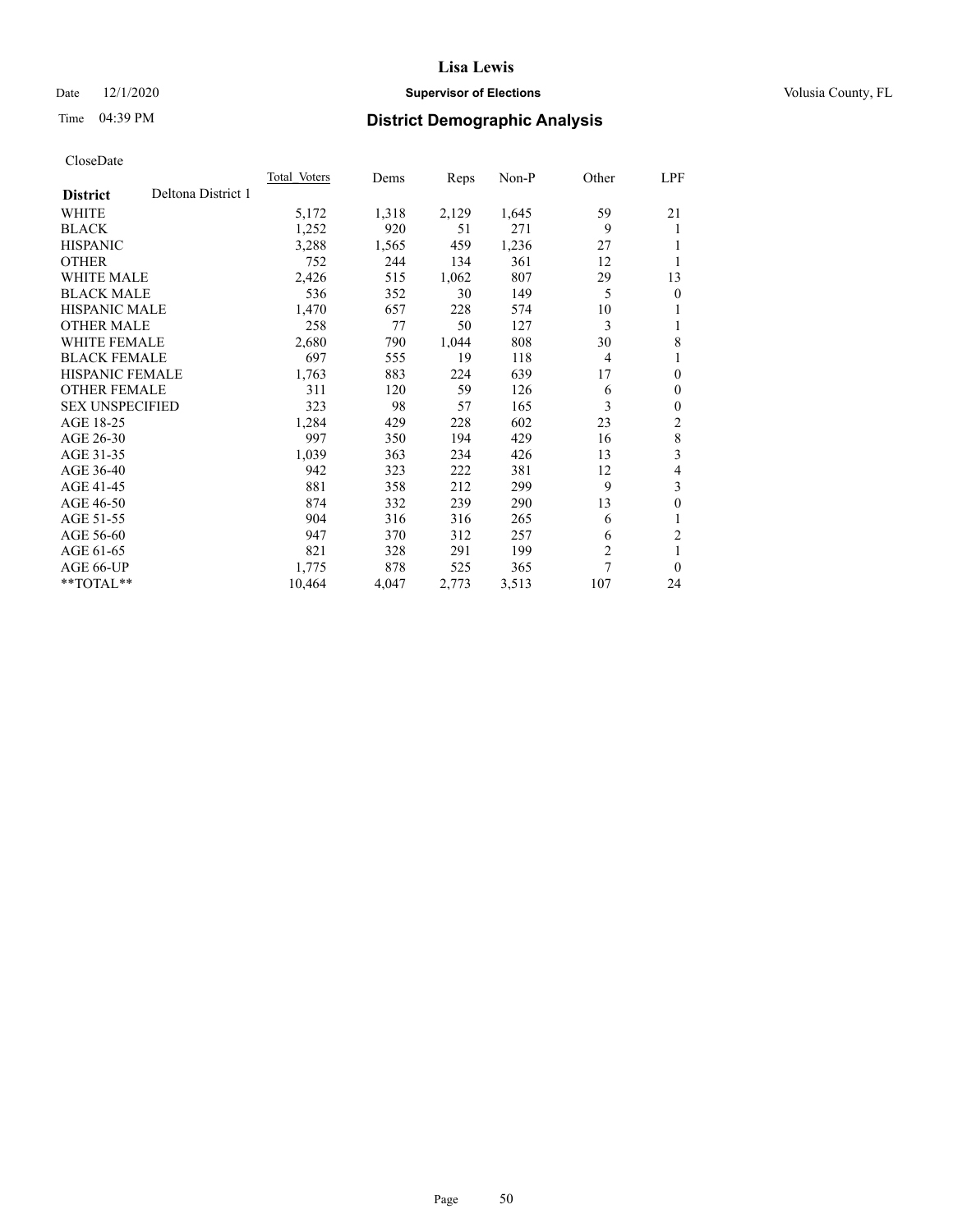#### Date  $12/1/2020$  **Supervisor of Elections Supervisor of Elections** Volusia County, FL

## Time 04:39 PM **District Demographic Analysis**

|                        |                    | <b>Total Voters</b> | Dems  | Reps  | $Non-P$ | Other          | <u>LPF</u>     |
|------------------------|--------------------|---------------------|-------|-------|---------|----------------|----------------|
| <b>District</b>        | Deltona District 1 |                     |       |       |         |                |                |
| WHITE                  |                    | 5,172               | 1,318 | 2,129 | 1,645   | 59             | 21             |
| <b>BLACK</b>           |                    | 1,252               | 920   | 51    | 271     | 9              | 1              |
| <b>HISPANIC</b>        |                    | 3,288               | 1,565 | 459   | 1,236   | 27             |                |
| <b>OTHER</b>           |                    | 752                 | 244   | 134   | 361     | 12             | 1              |
| <b>WHITE MALE</b>      |                    | 2,426               | 515   | 1,062 | 807     | 29             | 13             |
| <b>BLACK MALE</b>      |                    | 536                 | 352   | 30    | 149     | 5              | $\theta$       |
| <b>HISPANIC MALE</b>   |                    | 1,470               | 657   | 228   | 574     | 10             | 1              |
| <b>OTHER MALE</b>      |                    | 258                 | 77    | 50    | 127     | 3              | 1              |
| WHITE FEMALE           |                    | 2,680               | 790   | 1,044 | 808     | 30             | 8              |
| <b>BLACK FEMALE</b>    |                    | 697                 | 555   | 19    | 118     | 4              | 1              |
| <b>HISPANIC FEMALE</b> |                    | 1,763               | 883   | 224   | 639     | 17             | $\mathbf{0}$   |
| <b>OTHER FEMALE</b>    |                    | 311                 | 120   | 59    | 126     | 6              | $\mathbf{0}$   |
| <b>SEX UNSPECIFIED</b> |                    | 323                 | 98    | 57    | 165     | 3              | $\mathbf{0}$   |
| AGE 18-25              |                    | 1,284               | 429   | 228   | 602     | 23             | 2              |
| AGE 26-30              |                    | 997                 | 350   | 194   | 429     | 16             | 8              |
| AGE 31-35              |                    | 1,039               | 363   | 234   | 426     | 13             | 3              |
| AGE 36-40              |                    | 942                 | 323   | 222   | 381     | 12             | 4              |
| AGE 41-45              |                    | 881                 | 358   | 212   | 299     | 9              | 3              |
| AGE 46-50              |                    | 874                 | 332   | 239   | 290     | 13             | $\mathbf{0}$   |
| AGE 51-55              |                    | 904                 | 316   | 316   | 265     | 6              | 1              |
| AGE 56-60              |                    | 947                 | 370   | 312   | 257     | 6              | $\overline{2}$ |
| AGE 61-65              |                    | 821                 | 328   | 291   | 199     | $\overline{2}$ | 1              |
| AGE 66-UP              |                    | 1,775               | 878   | 525   | 365     | 7              | $\theta$       |
| $*$ $TOTAL**$          |                    | 10,464              | 4,047 | 2,773 | 3,513   | 107            | 24             |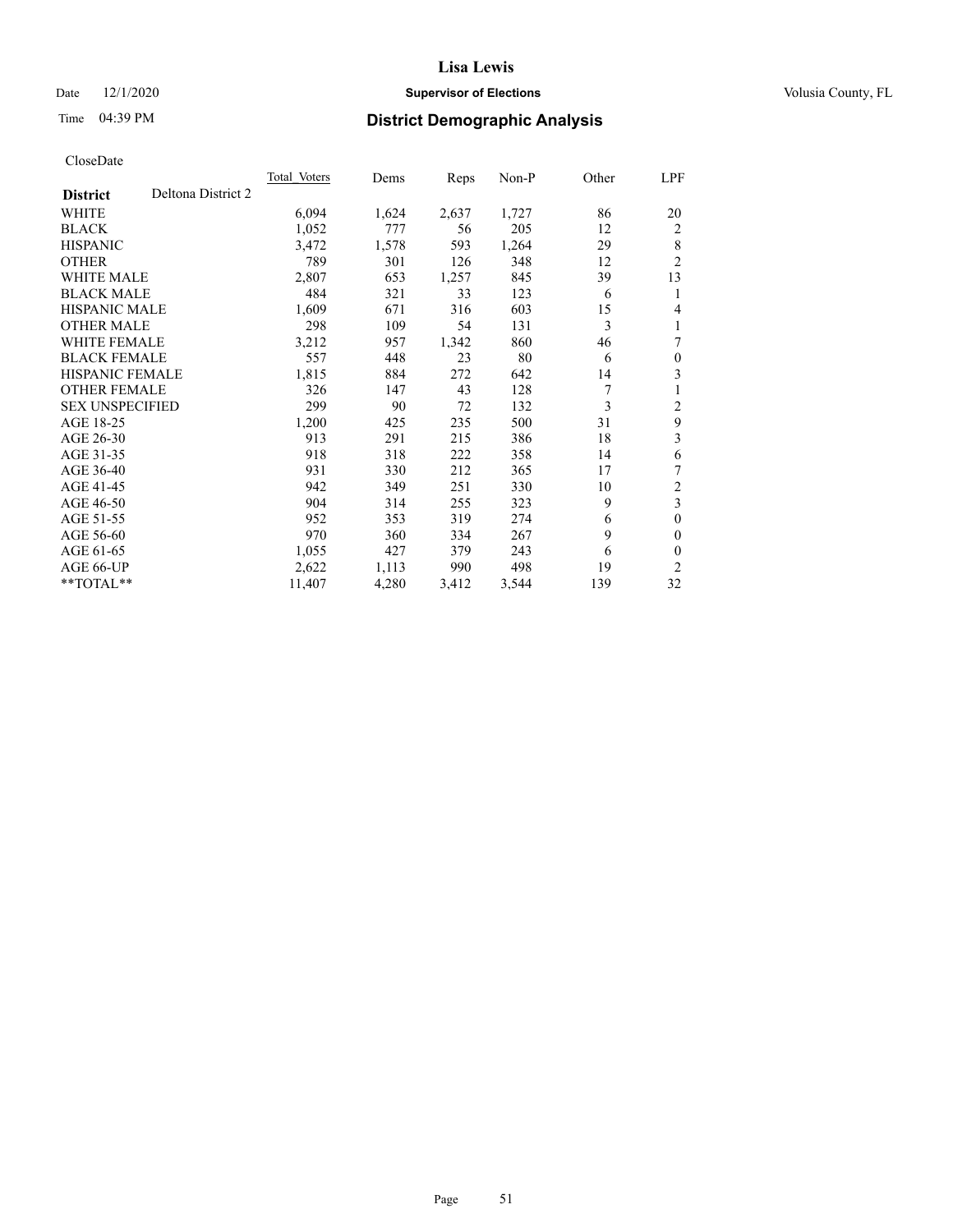#### Date  $12/1/2020$  **Supervisor of Elections Supervisor of Elections** Volusia County, FL

## Time 04:39 PM **District Demographic Analysis**

|                                       | Total Voters | Dems  | Reps  | Non-P | Other | LPF                     |
|---------------------------------------|--------------|-------|-------|-------|-------|-------------------------|
| Deltona District 2<br><b>District</b> |              |       |       |       |       |                         |
| WHITE                                 | 6,094        | 1,624 | 2,637 | 1,727 | 86    | 20                      |
| <b>BLACK</b>                          | 1,052        | 777   | 56    | 205   | 12    | 2                       |
| <b>HISPANIC</b>                       | 3,472        | 1,578 | 593   | 1,264 | 29    | 8                       |
| <b>OTHER</b>                          | 789          | 301   | 126   | 348   | 12    | 2                       |
| WHITE MALE                            | 2,807        | 653   | 1,257 | 845   | 39    | 13                      |
| <b>BLACK MALE</b>                     | 484          | 321   | 33    | 123   | 6     | 1                       |
| <b>HISPANIC MALE</b>                  | 1,609        | 671   | 316   | 603   | 15    | 4                       |
| <b>OTHER MALE</b>                     | 298          | 109   | 54    | 131   | 3     |                         |
| <b>WHITE FEMALE</b>                   | 3,212        | 957   | 1,342 | 860   | 46    | 7                       |
| <b>BLACK FEMALE</b>                   | 557          | 448   | 23    | 80    | 6     | $\theta$                |
| <b>HISPANIC FEMALE</b>                | 1,815        | 884   | 272   | 642   | 14    | 3                       |
| <b>OTHER FEMALE</b>                   | 326          | 147   | 43    | 128   | 7     |                         |
| <b>SEX UNSPECIFIED</b>                | 299          | 90    | 72    | 132   | 3     | 2                       |
| AGE 18-25                             | 1,200        | 425   | 235   | 500   | 31    | 9                       |
| AGE 26-30                             | 913          | 291   | 215   | 386   | 18    | 3                       |
| AGE 31-35                             | 918          | 318   | 222   | 358   | 14    | 6                       |
| AGE 36-40                             | 931          | 330   | 212   | 365   | 17    | 7                       |
| AGE 41-45                             | 942          | 349   | 251   | 330   | 10    | 2                       |
| AGE 46-50                             | 904          | 314   | 255   | 323   | 9     | $\overline{\mathbf{3}}$ |
| AGE 51-55                             | 952          | 353   | 319   | 274   | 6     | $\theta$                |
| AGE 56-60                             | 970          | 360   | 334   | 267   | 9     | $\theta$                |
| AGE 61-65                             | 1,055        | 427   | 379   | 243   | 6     | $\theta$                |
| AGE 66-UP                             | 2,622        | 1,113 | 990   | 498   | 19    | $\overline{c}$          |
| **TOTAL**                             | 11,407       | 4,280 | 3,412 | 3,544 | 139   | 32                      |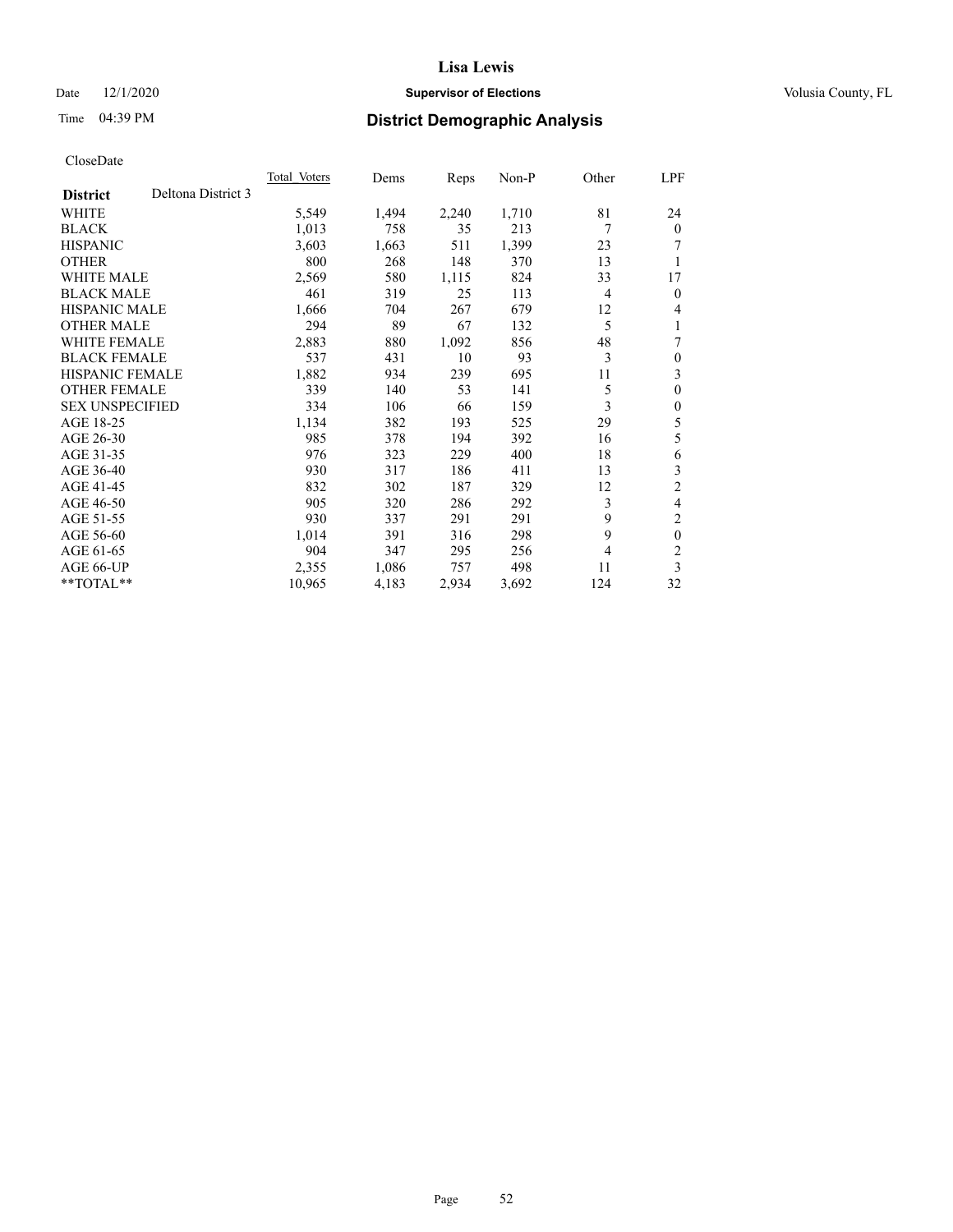#### Date  $12/1/2020$  **Supervisor of Elections Supervisor of Elections** Volusia County, FL

## Time 04:39 PM **District Demographic Analysis**

|                                       | <b>Total Voters</b> | Dems  | Reps  | $Non-P$ | Other          | LPF            |
|---------------------------------------|---------------------|-------|-------|---------|----------------|----------------|
| Deltona District 3<br><b>District</b> |                     |       |       |         |                |                |
| WHITE                                 | 5,549               | 1,494 | 2,240 | 1,710   | 81             | 24             |
| <b>BLACK</b>                          | 1,013               | 758   | 35    | 213     | 7              | $\mathbf{0}$   |
| <b>HISPANIC</b>                       | 3,603               | 1,663 | 511   | 1,399   | 23             | 7              |
| <b>OTHER</b>                          | 800                 | 268   | 148   | 370     | 13             | 1              |
| <b>WHITE MALE</b>                     | 2,569               | 580   | 1,115 | 824     | 33             | 17             |
| <b>BLACK MALE</b>                     | 461                 | 319   | 25    | 113     | 4              | $\mathbf{0}$   |
| <b>HISPANIC MALE</b>                  | 1,666               | 704   | 267   | 679     | 12             | 4              |
| <b>OTHER MALE</b>                     | 294                 | 89    | 67    | 132     | 5              | 1              |
| WHITE FEMALE                          | 2,883               | 880   | 1,092 | 856     | 48             | 7              |
| <b>BLACK FEMALE</b>                   | 537                 | 431   | 10    | 93      | 3              | $\theta$       |
| <b>HISPANIC FEMALE</b>                | 1,882               | 934   | 239   | 695     | 11             | 3              |
| <b>OTHER FEMALE</b>                   | 339                 | 140   | 53    | 141     | 5              | $\theta$       |
| <b>SEX UNSPECIFIED</b>                | 334                 | 106   | 66    | 159     | 3              | $\theta$       |
| AGE 18-25                             | 1,134               | 382   | 193   | 525     | 29             | 5              |
| AGE 26-30                             | 985                 | 378   | 194   | 392     | 16             | 5              |
| AGE 31-35                             | 976                 | 323   | 229   | 400     | 18             | 6              |
| AGE 36-40                             | 930                 | 317   | 186   | 411     | 13             | 3              |
| AGE 41-45                             | 832                 | 302   | 187   | 329     | 12             | $\overline{2}$ |
| AGE 46-50                             | 905                 | 320   | 286   | 292     | 3              | 4              |
| AGE 51-55                             | 930                 | 337   | 291   | 291     | 9              | $\overline{c}$ |
| AGE 56-60                             | 1,014               | 391   | 316   | 298     | 9              | $\mathbf{0}$   |
| AGE 61-65                             | 904                 | 347   | 295   | 256     | $\overline{4}$ | $\overline{c}$ |
| AGE 66-UP                             | 2,355               | 1,086 | 757   | 498     | 11             | 3              |
| $*$ $TOTAL**$                         | 10,965              | 4,183 | 2,934 | 3,692   | 124            | 32             |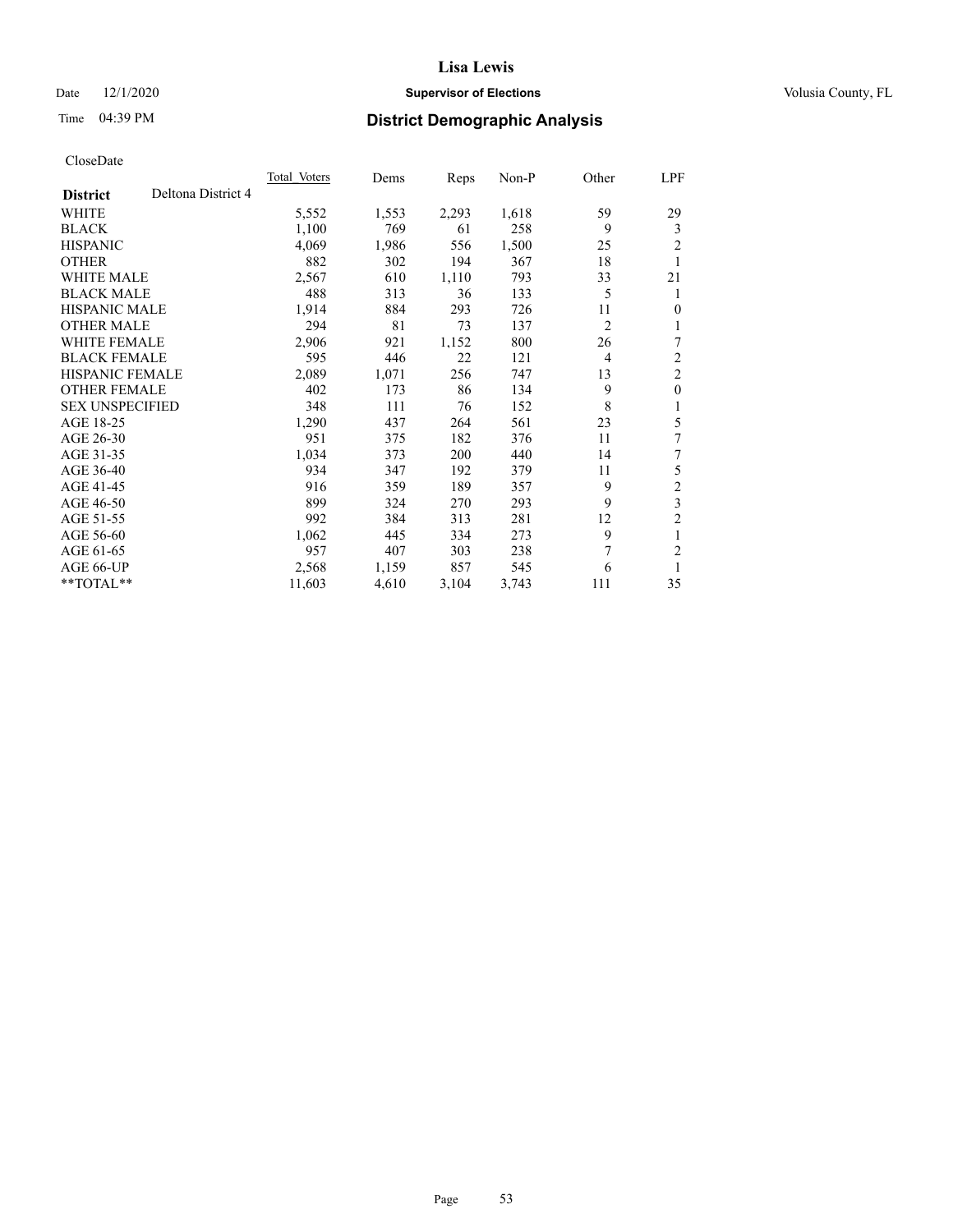#### Date  $12/1/2020$  **Supervisor of Elections Supervisor of Elections** Volusia County, FL

## Time 04:39 PM **District Demographic Analysis**

|                        |                    | Total Voters | Dems  | Reps  | Non-P | Other          | LPF            |
|------------------------|--------------------|--------------|-------|-------|-------|----------------|----------------|
| <b>District</b>        | Deltona District 4 |              |       |       |       |                |                |
| WHITE                  |                    | 5,552        | 1,553 | 2,293 | 1,618 | 59             | 29             |
| <b>BLACK</b>           |                    | 1,100        | 769   | 61    | 258   | 9              | 3              |
| <b>HISPANIC</b>        |                    | 4,069        | 1,986 | 556   | 1,500 | 25             | $\overline{2}$ |
| <b>OTHER</b>           |                    | 882          | 302   | 194   | 367   | 18             | 1              |
| WHITE MALE             |                    | 2,567        | 610   | 1,110 | 793   | 33             | 21             |
| <b>BLACK MALE</b>      |                    | 488          | 313   | 36    | 133   | 5              | 1              |
| <b>HISPANIC MALE</b>   |                    | 1,914        | 884   | 293   | 726   | 11             | 0              |
| <b>OTHER MALE</b>      |                    | 294          | 81    | 73    | 137   | $\overline{2}$ | 1              |
| WHITE FEMALE           |                    | 2,906        | 921   | 1,152 | 800   | 26             | 7              |
| <b>BLACK FEMALE</b>    |                    | 595          | 446   | 22    | 121   | 4              | $\overline{2}$ |
| <b>HISPANIC FEMALE</b> |                    | 2,089        | 1,071 | 256   | 747   | 13             | $\overline{2}$ |
| <b>OTHER FEMALE</b>    |                    | 402          | 173   | 86    | 134   | 9              | $\mathbf{0}$   |
| <b>SEX UNSPECIFIED</b> |                    | 348          | 111   | 76    | 152   | 8              | 1              |
| AGE 18-25              |                    | 1,290        | 437   | 264   | 561   | 23             | 5              |
| AGE 26-30              |                    | 951          | 375   | 182   | 376   | 11             | 7              |
| AGE 31-35              |                    | 1,034        | 373   | 200   | 440   | 14             | 7              |
| AGE 36-40              |                    | 934          | 347   | 192   | 379   | 11             | 5              |
| AGE 41-45              |                    | 916          | 359   | 189   | 357   | 9              | $\mathfrak{2}$ |
| AGE 46-50              |                    | 899          | 324   | 270   | 293   | 9              | $\overline{3}$ |
| AGE 51-55              |                    | 992          | 384   | 313   | 281   | 12             | $\overline{2}$ |
| AGE 56-60              |                    | 1,062        | 445   | 334   | 273   | 9              | 1              |
| AGE 61-65              |                    | 957          | 407   | 303   | 238   | 7              | 2              |
| AGE 66-UP              |                    | 2,568        | 1,159 | 857   | 545   | 6              | 1              |
| $*$ TOTAL $**$         |                    | 11,603       | 4,610 | 3,104 | 3,743 | 111            | 35             |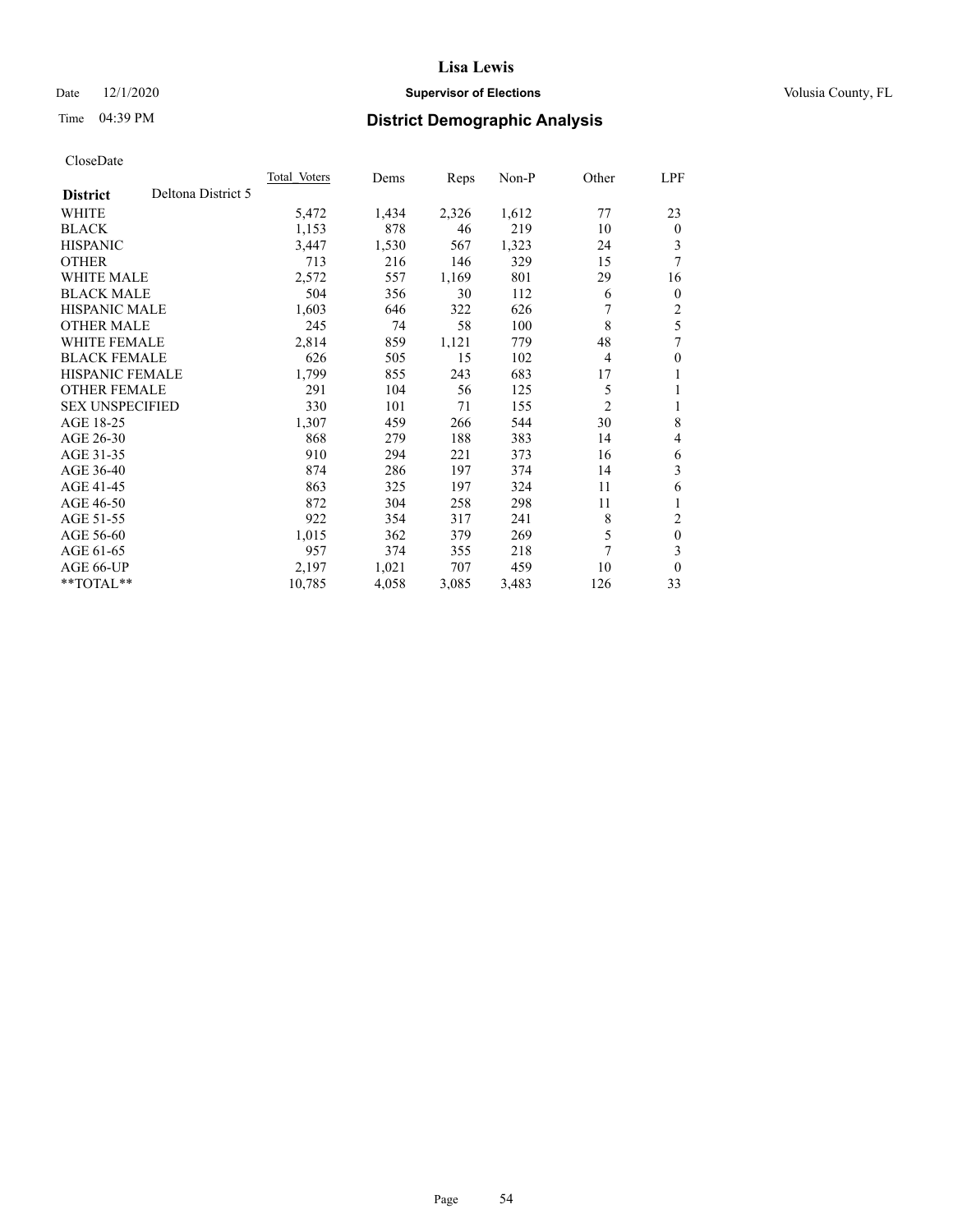#### Date  $12/1/2020$  **Supervisor of Elections Supervisor of Elections** Volusia County, FL

## Time 04:39 PM **District Demographic Analysis**

|                                       | <b>Total Voters</b> | Dems  | Reps  | $Non-P$ | Other          | LPF          |
|---------------------------------------|---------------------|-------|-------|---------|----------------|--------------|
| Deltona District 5<br><b>District</b> |                     |       |       |         |                |              |
| WHITE                                 | 5,472               | 1,434 | 2,326 | 1,612   | 77             | 23           |
| <b>BLACK</b>                          | 1,153               | 878   | 46    | 219     | 10             | $\mathbf{0}$ |
| <b>HISPANIC</b>                       | 3,447               | 1,530 | 567   | 1,323   | 24             | 3            |
| <b>OTHER</b>                          | 713                 | 216   | 146   | 329     | 15             | 7            |
| <b>WHITE MALE</b>                     | 2,572               | 557   | 1,169 | 801     | 29             | 16           |
| <b>BLACK MALE</b>                     | 504                 | 356   | 30    | 112     | 6              | $\mathbf{0}$ |
| <b>HISPANIC MALE</b>                  | 1,603               | 646   | 322   | 626     |                | 2            |
| <b>OTHER MALE</b>                     | 245                 | 74    | 58    | 100     | 8              | 5            |
| <b>WHITE FEMALE</b>                   | 2,814               | 859   | 1,121 | 779     | 48             | 7            |
| <b>BLACK FEMALE</b>                   | 626                 | 505   | 15    | 102     | 4              | $\theta$     |
| <b>HISPANIC FEMALE</b>                | 1,799               | 855   | 243   | 683     | 17             | 1            |
| <b>OTHER FEMALE</b>                   | 291                 | 104   | 56    | 125     | 5              | 1            |
| <b>SEX UNSPECIFIED</b>                | 330                 | 101   | 71    | 155     | $\overline{2}$ | 1            |
| AGE 18-25                             | 1,307               | 459   | 266   | 544     | 30             | 8            |
| AGE 26-30                             | 868                 | 279   | 188   | 383     | 14             | 4            |
| AGE 31-35                             | 910                 | 294   | 221   | 373     | 16             | 6            |
| AGE 36-40                             | 874                 | 286   | 197   | 374     | 14             | 3            |
| AGE 41-45                             | 863                 | 325   | 197   | 324     | 11             | 6            |
| AGE 46-50                             | 872                 | 304   | 258   | 298     | 11             |              |
| AGE 51-55                             | 922                 | 354   | 317   | 241     | 8              | 2            |
| AGE 56-60                             | 1,015               | 362   | 379   | 269     | 5              | $\mathbf{0}$ |
| AGE 61-65                             | 957                 | 374   | 355   | 218     | 7              | 3            |
| AGE 66-UP                             | 2,197               | 1,021 | 707   | 459     | 10             | $\mathbf{0}$ |
| $*$ $TOTAL**$                         | 10,785              | 4,058 | 3,085 | 3,483   | 126            | 33           |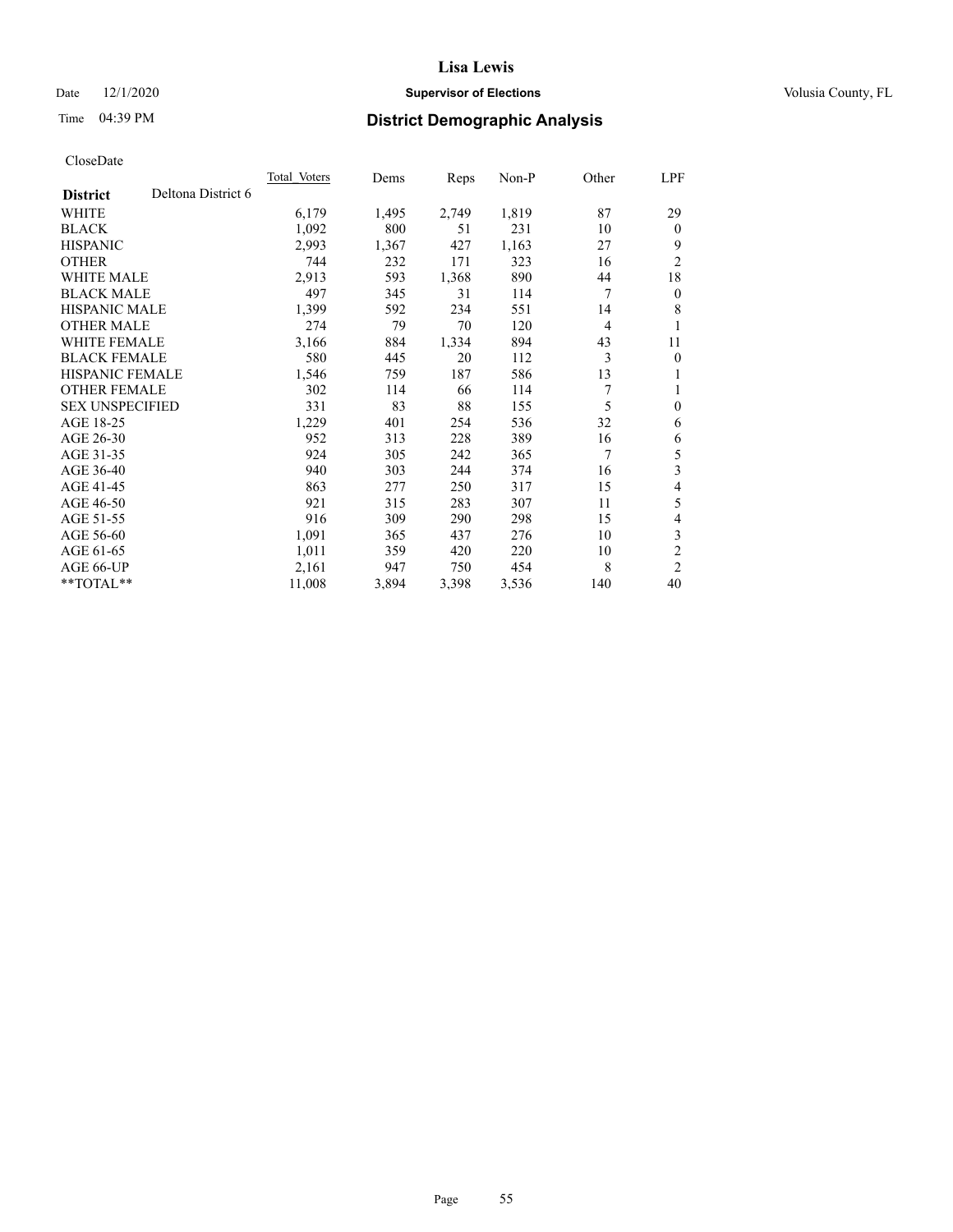#### Date  $12/1/2020$  **Supervisor of Elections Supervisor of Elections** Volusia County, FL

## Time 04:39 PM **District Demographic Analysis**

|                        |                    | <b>Total Voters</b> | Dems  | Reps  | $Non-P$ | Other          | LPF            |
|------------------------|--------------------|---------------------|-------|-------|---------|----------------|----------------|
| <b>District</b>        | Deltona District 6 |                     |       |       |         |                |                |
| WHITE                  |                    | 6,179               | 1,495 | 2,749 | 1,819   | 87             | 29             |
| <b>BLACK</b>           |                    | 1,092               | 800   | 51    | 231     | 10             | $\theta$       |
| <b>HISPANIC</b>        |                    | 2,993               | 1,367 | 427   | 1,163   | 27             | 9              |
| <b>OTHER</b>           |                    | 744                 | 232   | 171   | 323     | 16             | $\overline{2}$ |
| <b>WHITE MALE</b>      |                    | 2,913               | 593   | 1,368 | 890     | 44             | 18             |
| <b>BLACK MALE</b>      |                    | 497                 | 345   | 31    | 114     | 7              | $\mathbf{0}$   |
| <b>HISPANIC MALE</b>   |                    | 1,399               | 592   | 234   | 551     | 14             | 8              |
| <b>OTHER MALE</b>      |                    | 274                 | 79    | 70    | 120     | $\overline{4}$ | 1              |
| WHITE FEMALE           |                    | 3,166               | 884   | 1,334 | 894     | 43             | 11             |
| <b>BLACK FEMALE</b>    |                    | 580                 | 445   | 20    | 112     | 3              | $\mathbf{0}$   |
| <b>HISPANIC FEMALE</b> |                    | 1,546               | 759   | 187   | 586     | 13             | 1              |
| <b>OTHER FEMALE</b>    |                    | 302                 | 114   | 66    | 114     | 7              | 1              |
| <b>SEX UNSPECIFIED</b> |                    | 331                 | 83    | 88    | 155     | 5              | $\mathbf{0}$   |
| AGE 18-25              |                    | 1,229               | 401   | 254   | 536     | 32             | 6              |
| AGE 26-30              |                    | 952                 | 313   | 228   | 389     | 16             | 6              |
| AGE 31-35              |                    | 924                 | 305   | 242   | 365     | 7              | 5              |
| AGE 36-40              |                    | 940                 | 303   | 244   | 374     | 16             | 3              |
| AGE 41-45              |                    | 863                 | 277   | 250   | 317     | 15             | 4              |
| AGE 46-50              |                    | 921                 | 315   | 283   | 307     | 11             | 5              |
| AGE 51-55              |                    | 916                 | 309   | 290   | 298     | 15             | 4              |
| AGE 56-60              |                    | 1,091               | 365   | 437   | 276     | 10             | 3              |
| AGE 61-65              |                    | 1,011               | 359   | 420   | 220     | 10             | $\overline{2}$ |
| AGE 66-UP              |                    | 2,161               | 947   | 750   | 454     | 8              | $\overline{2}$ |
| $*$ $TOTAL**$          |                    | 11,008              | 3,894 | 3,398 | 3,536   | 140            | 40             |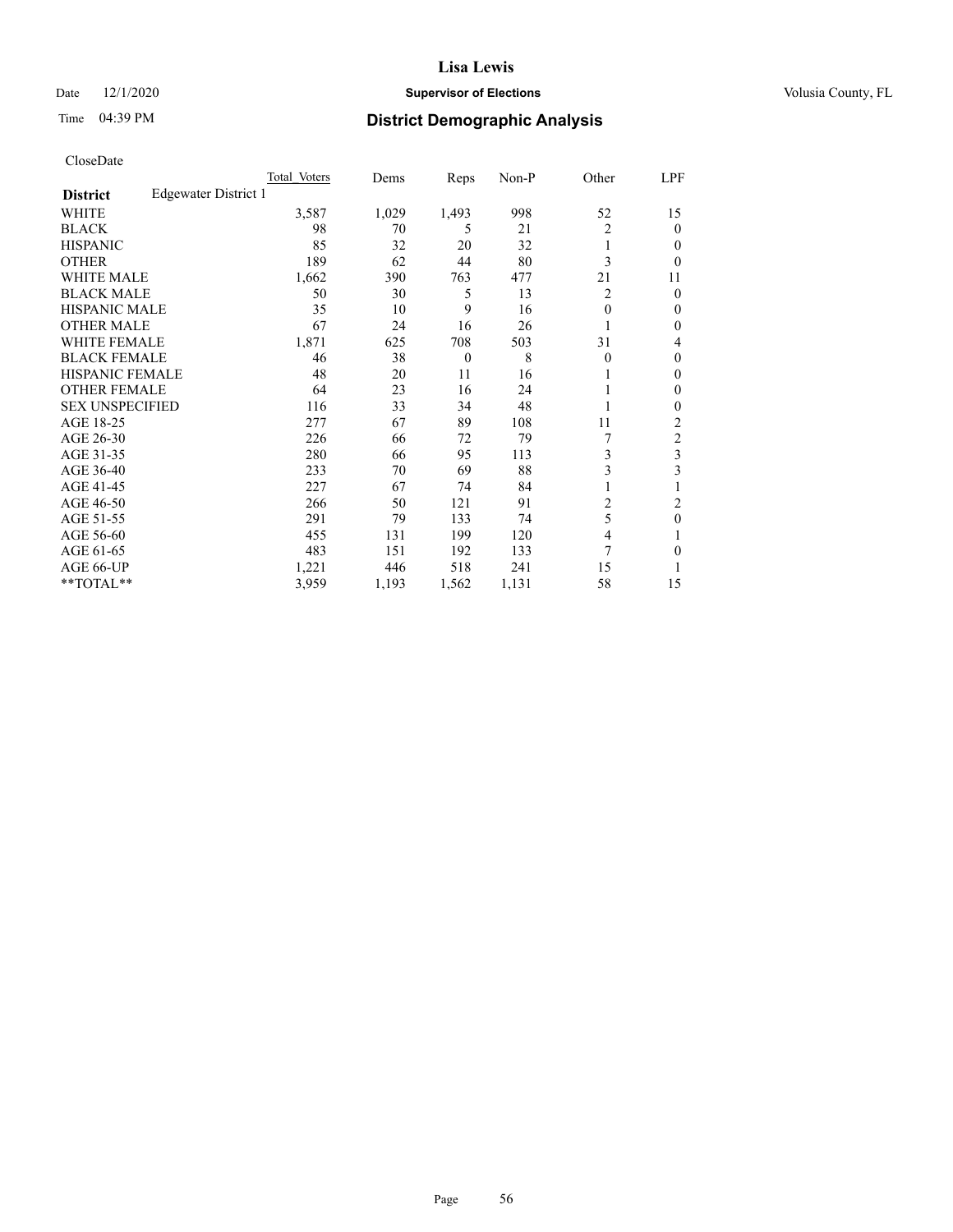#### Date  $12/1/2020$  **Supervisor of Elections Supervisor of Elections** Volusia County, FL

## Time 04:39 PM **District Demographic Analysis**

|                        |                      | Total Voters | Dems  | Reps     | Non-P | Other          | LPF            |
|------------------------|----------------------|--------------|-------|----------|-------|----------------|----------------|
| <b>District</b>        | Edgewater District 1 |              |       |          |       |                |                |
| WHITE                  |                      | 3,587        | 1,029 | 1,493    | 998   | 52             | 15             |
| <b>BLACK</b>           |                      | 98           | 70    | 5        | 21    | $\overline{2}$ | $\mathbf{0}$   |
| <b>HISPANIC</b>        |                      | 85           | 32    | 20       | 32    | 1              | $\Omega$       |
| <b>OTHER</b>           |                      | 189          | 62    | 44       | 80    | 3              | 0              |
| <b>WHITE MALE</b>      |                      | 1,662        | 390   | 763      | 477   | 21             | 11             |
| <b>BLACK MALE</b>      |                      | 50           | 30    | 5        | 13    | 2              | $\theta$       |
| <b>HISPANIC MALE</b>   |                      | 35           | 10    | 9        | 16    | $\theta$       | $\mathbf{0}$   |
| <b>OTHER MALE</b>      |                      | 67           | 24    | 16       | 26    |                | $\mathbf{0}$   |
| <b>WHITE FEMALE</b>    |                      | 1,871        | 625   | 708      | 503   | 31             | 4              |
| <b>BLACK FEMALE</b>    |                      | 46           | 38    | $\theta$ | 8     | $\theta$       | $\mathbf{0}$   |
| <b>HISPANIC FEMALE</b> |                      | 48           | 20    | 11       | 16    |                | $\Omega$       |
| <b>OTHER FEMALE</b>    |                      | 64           | 23    | 16       | 24    |                | $\Omega$       |
| <b>SEX UNSPECIFIED</b> |                      | 116          | 33    | 34       | 48    |                | $\theta$       |
| AGE 18-25              |                      | 277          | 67    | 89       | 108   | 11             | $\overline{2}$ |
| AGE 26-30              |                      | 226          | 66    | 72       | 79    | 7              | $\overline{c}$ |
| AGE 31-35              |                      | 280          | 66    | 95       | 113   | 3              | 3              |
| AGE 36-40              |                      | 233          | 70    | 69       | 88    | 3              | 3              |
| AGE 41-45              |                      | 227          | 67    | 74       | 84    |                |                |
| AGE 46-50              |                      | 266          | 50    | 121      | 91    | 2              | 2              |
| AGE 51-55              |                      | 291          | 79    | 133      | 74    | 5              | $\theta$       |
| AGE 56-60              |                      | 455          | 131   | 199      | 120   | $\overline{4}$ |                |
| AGE 61-65              |                      | 483          | 151   | 192      | 133   | 7              | $\theta$       |
| AGE 66-UP              |                      | 1,221        | 446   | 518      | 241   | 15             |                |
| **TOTAL**              |                      | 3,959        | 1,193 | 1,562    | 1,131 | 58             | 15             |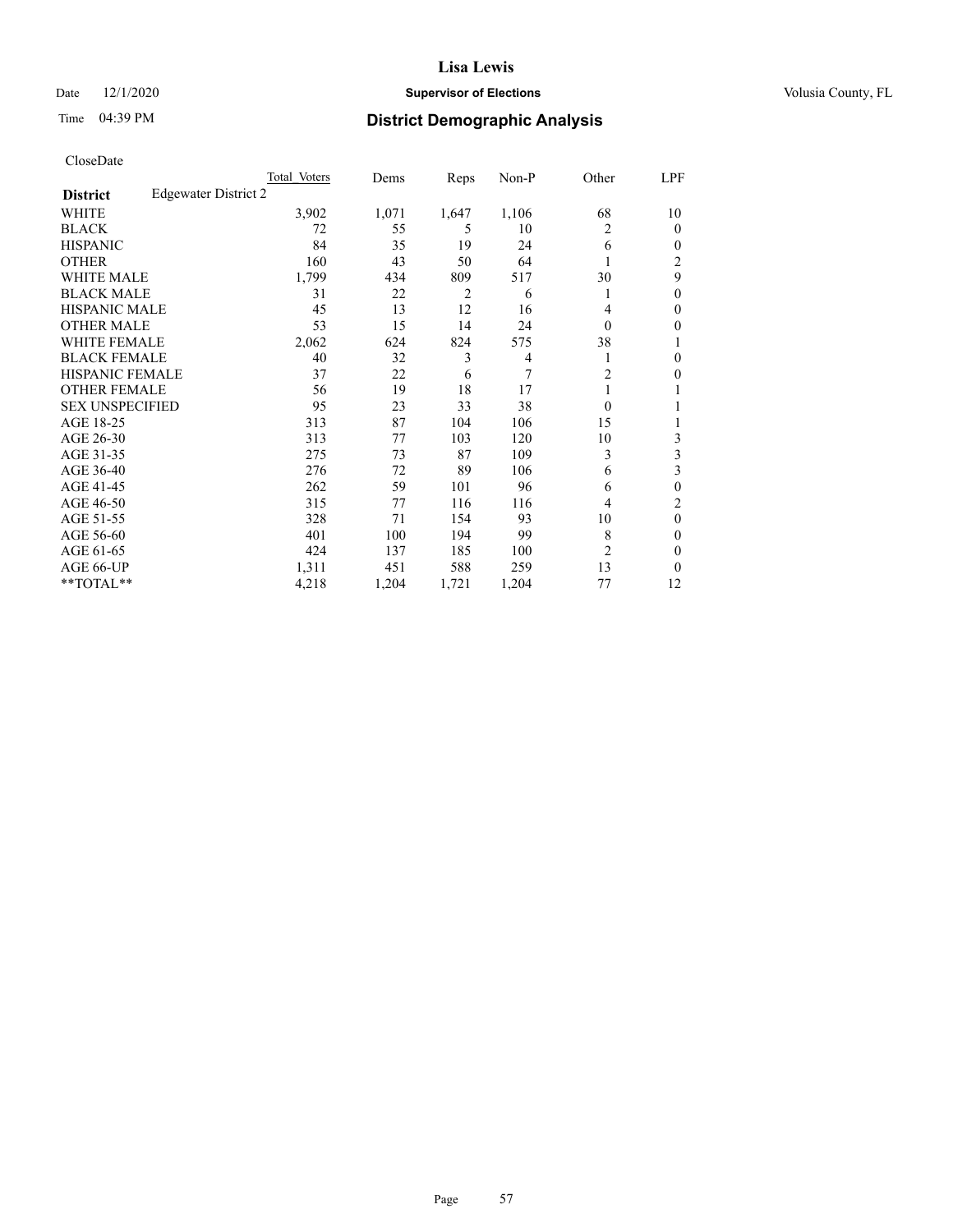#### Date  $12/1/2020$  **Supervisor of Elections Supervisor of Elections** Volusia County, FL

## Time 04:39 PM **District Demographic Analysis**

|                        |                      | Total Voters | Dems  | Reps           | Non-P          | Other          | LPF            |
|------------------------|----------------------|--------------|-------|----------------|----------------|----------------|----------------|
| <b>District</b>        | Edgewater District 2 |              |       |                |                |                |                |
| WHITE                  |                      | 3,902        | 1,071 | 1,647          | 1,106          | 68             | 10             |
| <b>BLACK</b>           |                      | 72           | 55    | 5              | 10             | 2              | 0              |
| <b>HISPANIC</b>        |                      | 84           | 35    | 19             | 24             | 6              | $_{0}$         |
| <b>OTHER</b>           |                      | 160          | 43    | 50             | 64             |                | $\overline{c}$ |
| WHITE MALE             |                      | 1,799        | 434   | 809            | 517            | 30             | 9              |
| <b>BLACK MALE</b>      |                      | 31           | 22    | $\overline{2}$ | 6              | 1              | 0              |
| HISPANIC MALE          |                      | 45           | 13    | 12             | 16             | 4              | 0              |
| <b>OTHER MALE</b>      |                      | 53           | 15    | 14             | 24             | 0              | 0              |
| WHITE FEMALE           |                      | 2,062        | 624   | 824            | 575            | 38             |                |
| <b>BLACK FEMALE</b>    |                      | 40           | 32    | 3              | $\overline{4}$ |                | 0              |
| <b>HISPANIC FEMALE</b> |                      | 37           | 22    | 6              | 7              | $\overline{2}$ | 0              |
| <b>OTHER FEMALE</b>    |                      | 56           | 19    | 18             | 17             |                |                |
| <b>SEX UNSPECIFIED</b> |                      | 95           | 23    | 33             | 38             | $\Omega$       |                |
| AGE 18-25              |                      | 313          | 87    | 104            | 106            | 15             |                |
| AGE 26-30              |                      | 313          | 77    | 103            | 120            | 10             | 3              |
| AGE 31-35              |                      | 275          | 73    | 87             | 109            | 3              | 3              |
| AGE 36-40              |                      | 276          | 72    | 89             | 106            | 6              | 3              |
| AGE 41-45              |                      | 262          | 59    | 101            | 96             | 6              | 0              |
| AGE 46-50              |                      | 315          | 77    | 116            | 116            | 4              | 2              |
| AGE 51-55              |                      | 328          | 71    | 154            | 93             | 10             | 0              |
| AGE 56-60              |                      | 401          | 100   | 194            | 99             | 8              | 0              |
| AGE 61-65              |                      | 424          | 137   | 185            | 100            | $\overline{2}$ | 0              |
| AGE 66-UP              |                      | 1,311        | 451   | 588            | 259            | 13             | 0              |
| **TOTAL**              |                      | 4,218        | 1,204 | 1,721          | 1,204          | 77             | 12             |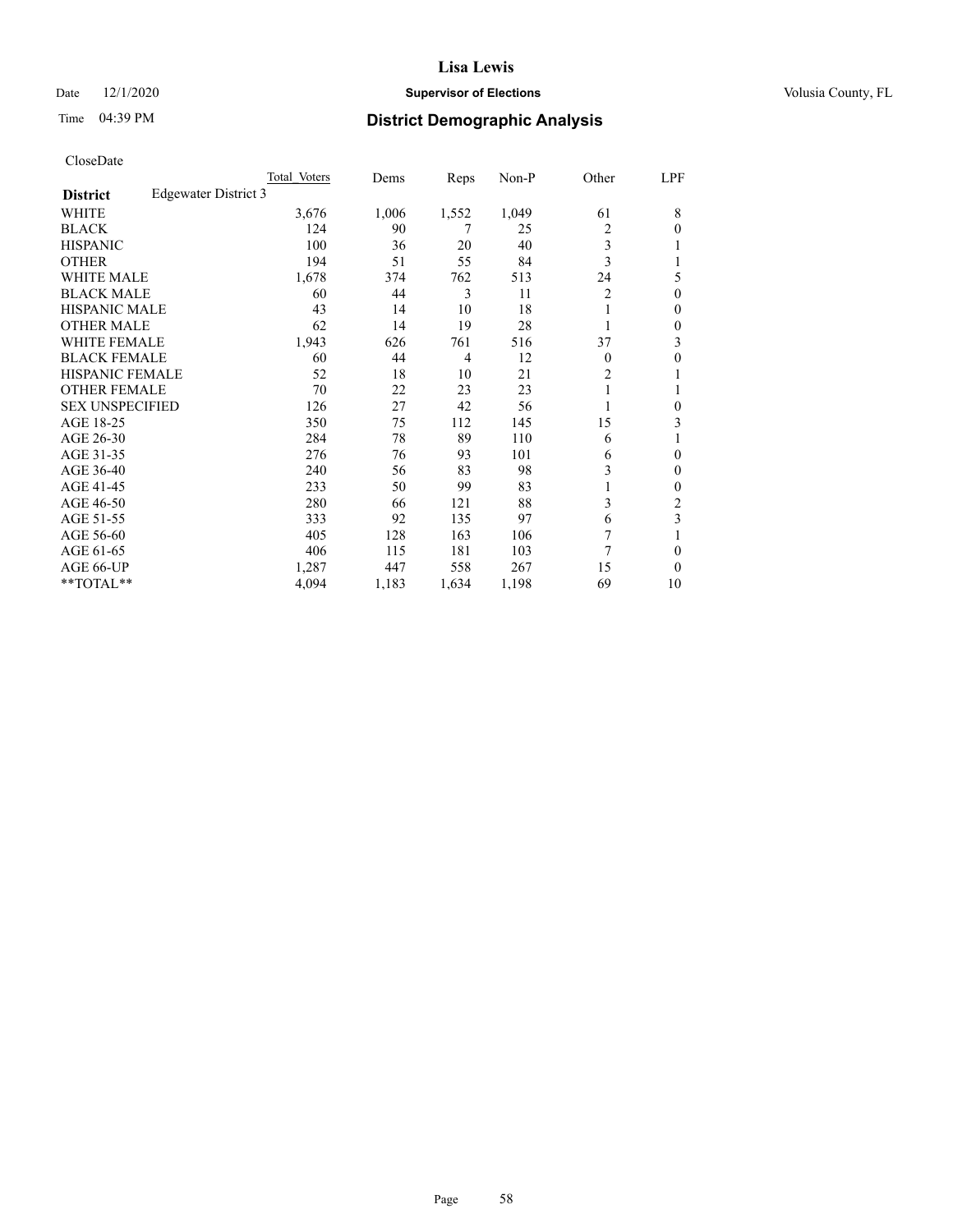#### Date  $12/1/2020$  **Supervisor of Elections Supervisor of Elections** Volusia County, FL

## Time 04:39 PM **District Demographic Analysis**

|                        |                      | Total Voters | Dems  | Reps  | Non-P | Other          | LPF            |
|------------------------|----------------------|--------------|-------|-------|-------|----------------|----------------|
| <b>District</b>        | Edgewater District 3 |              |       |       |       |                |                |
| WHITE                  |                      | 3,676        | 1,006 | 1,552 | 1,049 | 61             | 8              |
| <b>BLACK</b>           |                      | 124          | 90    | 7     | 25    | 2              | $\Omega$       |
| <b>HISPANIC</b>        |                      | 100          | 36    | 20    | 40    | 3              |                |
| <b>OTHER</b>           |                      | 194          | 51    | 55    | 84    | 3              |                |
| <b>WHITE MALE</b>      |                      | 1,678        | 374   | 762   | 513   | 24             | 5              |
| <b>BLACK MALE</b>      |                      | 60           | 44    | 3     | 11    | 2              | $\theta$       |
| <b>HISPANIC MALE</b>   |                      | 43           | 14    | 10    | 18    |                | $\theta$       |
| <b>OTHER MALE</b>      |                      | 62           | 14    | 19    | 28    |                | $\mathbf{0}$   |
| WHITE FEMALE           |                      | 1,943        | 626   | 761   | 516   | 37             | 3              |
| <b>BLACK FEMALE</b>    |                      | 60           | 44    | 4     | 12    | $\theta$       | $\theta$       |
| <b>HISPANIC FEMALE</b> |                      | 52           | 18    | 10    | 21    | $\overline{c}$ |                |
| <b>OTHER FEMALE</b>    |                      | 70           | 22    | 23    | 23    | 1              |                |
| <b>SEX UNSPECIFIED</b> |                      | 126          | 27    | 42    | 56    |                | $\theta$       |
| AGE 18-25              |                      | 350          | 75    | 112   | 145   | 15             | 3              |
| AGE 26-30              |                      | 284          | 78    | 89    | 110   | 6              |                |
| AGE 31-35              |                      | 276          | 76    | 93    | 101   | 6              | $\theta$       |
| AGE 36-40              |                      | 240          | 56    | 83    | 98    | 3              | $\mathbf{0}$   |
| AGE 41-45              |                      | 233          | 50    | 99    | 83    | 1              | $\mathbf{0}$   |
| AGE 46-50              |                      | 280          | 66    | 121   | 88    | 3              | $\overline{c}$ |
| AGE 51-55              |                      | 333          | 92    | 135   | 97    | 6              | 3              |
| AGE 56-60              |                      | 405          | 128   | 163   | 106   | 7              |                |
| AGE 61-65              |                      | 406          | 115   | 181   | 103   | 7              | $\theta$       |
| AGE 66-UP              |                      | 1,287        | 447   | 558   | 267   | 15             | $\theta$       |
| **TOTAL**              |                      | 4,094        | 1,183 | 1,634 | 1,198 | 69             | 10             |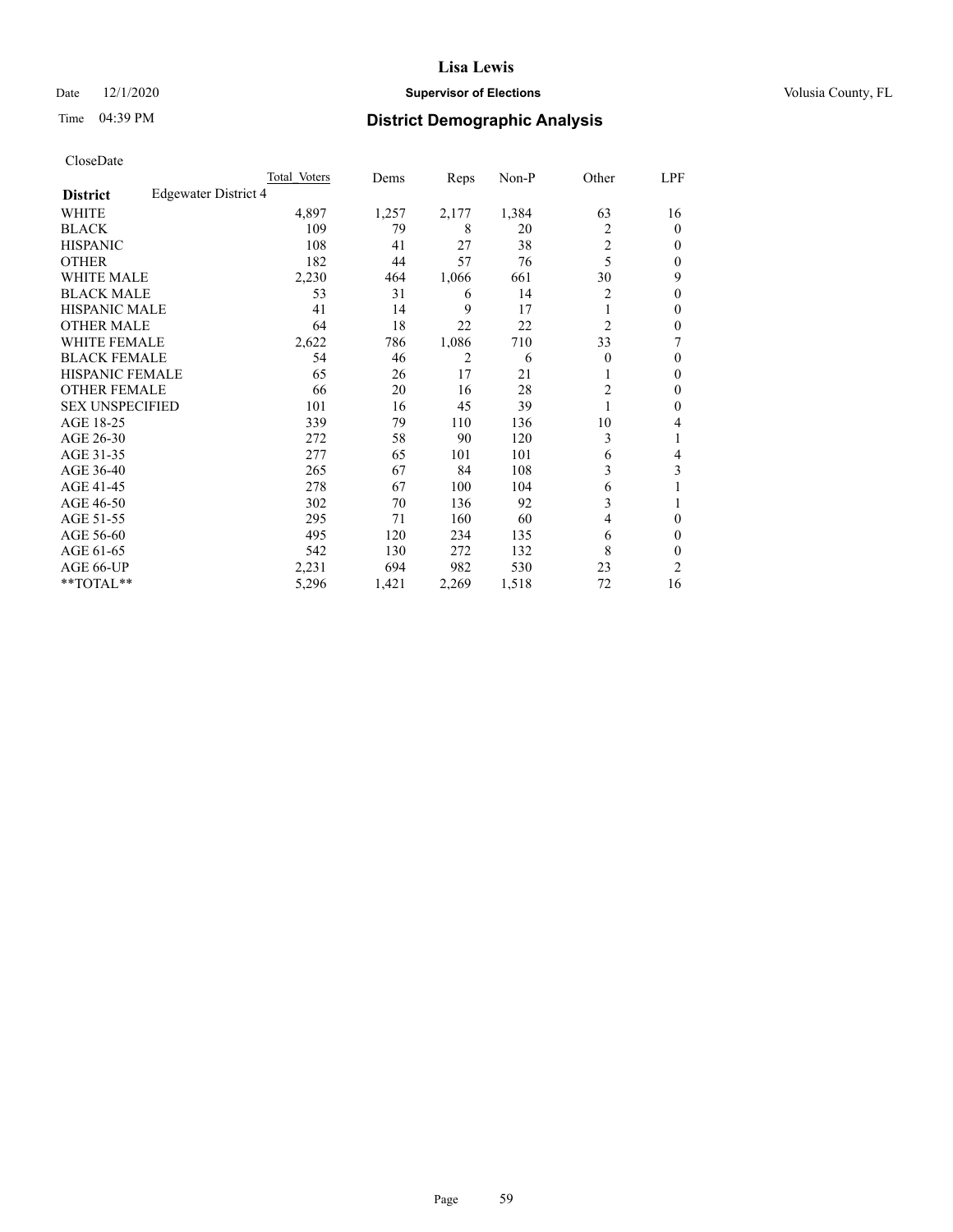#### Date  $12/1/2020$  **Supervisor of Elections Supervisor of Elections** Volusia County, FL

## Time 04:39 PM **District Demographic Analysis**

|                        |                      | Total Voters | Dems  | Reps  | Non-P | Other          | LPF            |
|------------------------|----------------------|--------------|-------|-------|-------|----------------|----------------|
| <b>District</b>        | Edgewater District 4 |              |       |       |       |                |                |
| WHITE                  |                      | 4,897        | 1,257 | 2,177 | 1,384 | 63             | 16             |
| <b>BLACK</b>           |                      | 109          | 79    | 8     | 20    | 2              | $\mathbf{0}$   |
| <b>HISPANIC</b>        |                      | 108          | 41    | 27    | 38    | $\overline{c}$ | $\Omega$       |
| <b>OTHER</b>           |                      | 182          | 44    | 57    | 76    | 5              | $\Omega$       |
| WHITE MALE             |                      | 2,230        | 464   | 1,066 | 661   | 30             | 9              |
| <b>BLACK MALE</b>      |                      | 53           | 31    | 6     | 14    | 2              | $\theta$       |
| <b>HISPANIC MALE</b>   |                      | 41           | 14    | 9     | 17    |                | $\theta$       |
| <b>OTHER MALE</b>      |                      | 64           | 18    | 22    | 22    | 2              | $\mathbf{0}$   |
| WHITE FEMALE           |                      | 2,622        | 786   | 1,086 | 710   | 33             | 7              |
| <b>BLACK FEMALE</b>    |                      | 54           | 46    | 2     | 6     | $\Omega$       | $\Omega$       |
| <b>HISPANIC FEMALE</b> |                      | 65           | 26    | 17    | 21    |                | $\Omega$       |
| <b>OTHER FEMALE</b>    |                      | 66           | 20    | 16    | 28    | $\overline{c}$ | $\theta$       |
| <b>SEX UNSPECIFIED</b> |                      | 101          | 16    | 45    | 39    |                | $\theta$       |
| AGE 18-25              |                      | 339          | 79    | 110   | 136   | 10             | 4              |
| AGE 26-30              |                      | 272          | 58    | 90    | 120   | 3              | 1              |
| AGE 31-35              |                      | 277          | 65    | 101   | 101   | 6              | 4              |
| AGE 36-40              |                      | 265          | 67    | 84    | 108   | 3              | 3              |
| AGE 41-45              |                      | 278          | 67    | 100   | 104   | 6              |                |
| AGE 46-50              |                      | 302          | 70    | 136   | 92    | 3              |                |
| AGE 51-55              |                      | 295          | 71    | 160   | 60    | 4              | $\theta$       |
| AGE 56-60              |                      | 495          | 120   | 234   | 135   | 6              | $\theta$       |
| AGE 61-65              |                      | 542          | 130   | 272   | 132   | 8              | $\theta$       |
| AGE 66-UP              |                      | 2,231        | 694   | 982   | 530   | 23             | $\overline{c}$ |
| $*$ TOTAL $**$         |                      | 5,296        | 1,421 | 2,269 | 1,518 | 72             | 16             |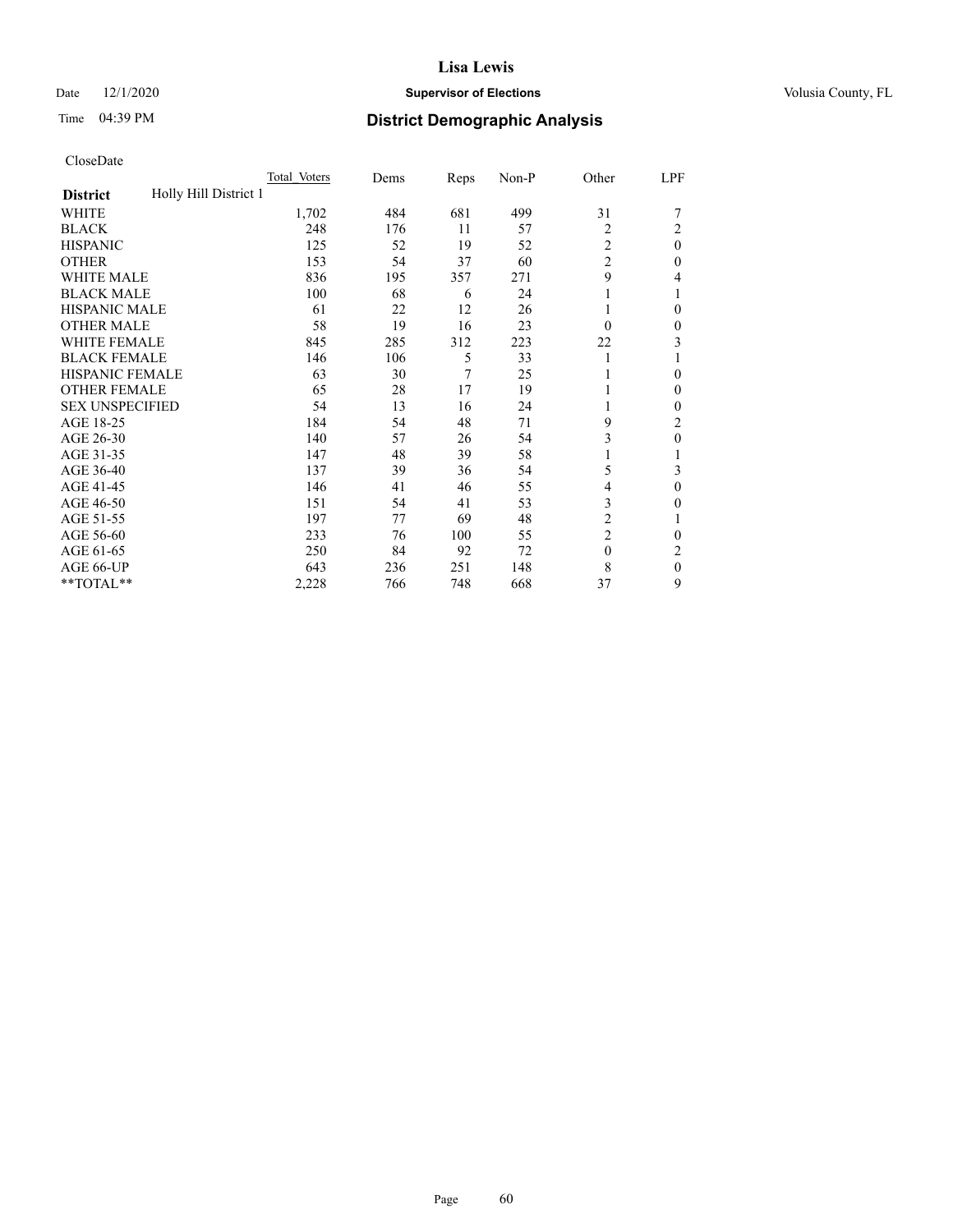#### Date  $12/1/2020$  **Supervisor of Elections Supervisor of Elections** Volusia County, FL

## Time 04:39 PM **District Demographic Analysis**

|                                          | Total Voters | Dems | Reps | Non-P | Other          | LPF            |
|------------------------------------------|--------------|------|------|-------|----------------|----------------|
| Holly Hill District 1<br><b>District</b> |              |      |      |       |                |                |
| WHITE                                    | 1,702        | 484  | 681  | 499   | 31             |                |
| <b>BLACK</b>                             | 248          | 176  | 11   | 57    | $\overline{2}$ | 2              |
| <b>HISPANIC</b>                          | 125          | 52   | 19   | 52    | 2              | $\theta$       |
| <b>OTHER</b>                             | 153          | 54   | 37   | 60    | $\overline{c}$ | $\theta$       |
| <b>WHITE MALE</b>                        | 836          | 195  | 357  | 271   | 9              | 4              |
| <b>BLACK MALE</b>                        | 100          | 68   | 6    | 24    |                |                |
| <b>HISPANIC MALE</b>                     | 61           | 22   | 12   | 26    | 1              | $\theta$       |
| <b>OTHER MALE</b>                        | 58           | 19   | 16   | 23    | $\Omega$       | $\mathbf{0}$   |
| <b>WHITE FEMALE</b>                      | 845          | 285  | 312  | 223   | 22             | 3              |
| <b>BLACK FEMALE</b>                      | 146          | 106  | 5    | 33    |                |                |
| <b>HISPANIC FEMALE</b>                   | 63           | 30   | 7    | 25    |                | $\theta$       |
| <b>OTHER FEMALE</b>                      | 65           | 28   | 17   | 19    |                | $\Omega$       |
| <b>SEX UNSPECIFIED</b>                   | 54           | 13   | 16   | 24    |                | $\theta$       |
| AGE 18-25                                | 184          | 54   | 48   | 71    | 9              | $\overline{c}$ |
| AGE 26-30                                | 140          | 57   | 26   | 54    | 3              | $\theta$       |
| AGE 31-35                                | 147          | 48   | 39   | 58    |                |                |
| AGE 36-40                                | 137          | 39   | 36   | 54    | 5              | 3              |
| AGE 41-45                                | 146          | 41   | 46   | 55    | 4              | $\theta$       |
| AGE 46-50                                | 151          | 54   | 41   | 53    | 3              | $\Omega$       |
| AGE 51-55                                | 197          | 77   | 69   | 48    | 2              |                |
| AGE 56-60                                | 233          | 76   | 100  | 55    | $\overline{c}$ | $\theta$       |
| AGE 61-65                                | 250          | 84   | 92   | 72    | $\theta$       | 2              |
| AGE 66-UP                                | 643          | 236  | 251  | 148   | 8              | $\overline{0}$ |
| **TOTAL**                                | 2,228        | 766  | 748  | 668   | 37             | 9              |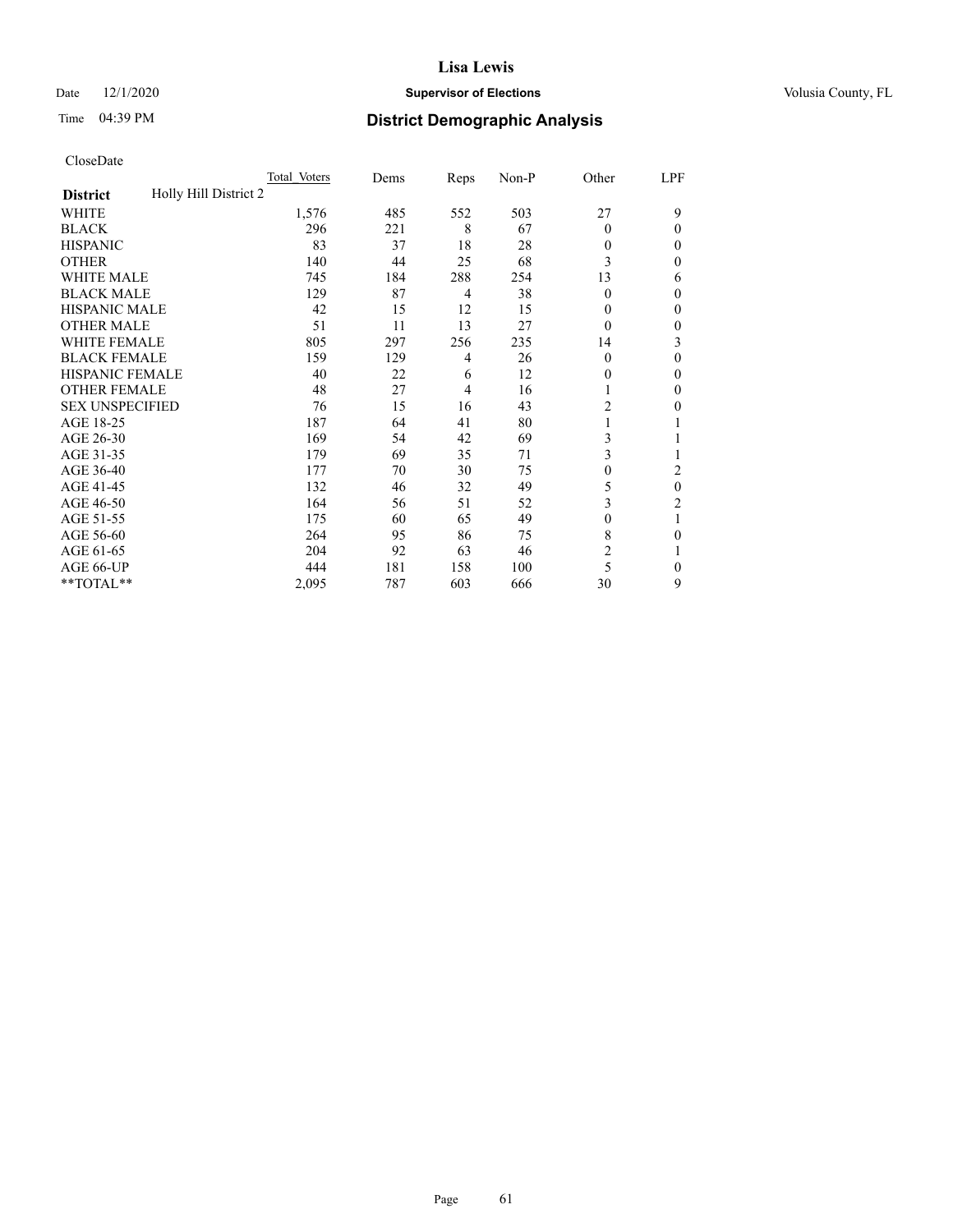#### Date  $12/1/2020$  **Supervisor of Elections Supervisor of Elections** Volusia County, FL

## Time 04:39 PM **District Demographic Analysis**

|                                          | Total Voters | Dems | Reps | Non-P | Other          | LPF |
|------------------------------------------|--------------|------|------|-------|----------------|-----|
| Holly Hill District 2<br><b>District</b> |              |      |      |       |                |     |
| WHITE                                    | 1,576        | 485  | 552  | 503   | 27             | 9   |
| <b>BLACK</b>                             | 296          | 221  | 8    | 67    | $\Omega$       | 0   |
| <b>HISPANIC</b>                          | 83           | 37   | 18   | 28    | $\theta$       | 0   |
| <b>OTHER</b>                             | 140          | 44   | 25   | 68    | 3              | 0   |
| WHITE MALE                               | 745          | 184  | 288  | 254   | 13             | 6   |
| <b>BLACK MALE</b>                        | 129          | 87   | 4    | 38    | $\Omega$       | 0   |
| <b>HISPANIC MALE</b>                     | 42           | 15   | 12   | 15    | $\theta$       | 0   |
| <b>OTHER MALE</b>                        | 51           | 11   | 13   | 27    | $\theta$       | 0   |
| <b>WHITE FEMALE</b>                      | 805          | 297  | 256  | 235   | 14             | 3   |
| <b>BLACK FEMALE</b>                      | 159          | 129  | 4    | 26    | $\Omega$       | 0   |
| <b>HISPANIC FEMALE</b>                   | 40           | 22   | 6    | 12    | 0              | 0   |
| <b>OTHER FEMALE</b>                      | 48           | 27   | 4    | 16    |                | 0   |
| <b>SEX UNSPECIFIED</b>                   | 76           | 15   | 16   | 43    | $\overline{2}$ | 0   |
| AGE 18-25                                | 187          | 64   | 41   | 80    |                |     |
| AGE 26-30                                | 169          | 54   | 42   | 69    | 3              |     |
| AGE 31-35                                | 179          | 69   | 35   | 71    | 3              |     |
| AGE 36-40                                | 177          | 70   | 30   | 75    | $\theta$       | 2   |
| AGE 41-45                                | 132          | 46   | 32   | 49    | 5              | 0   |
| AGE 46-50                                | 164          | 56   | 51   | 52    | 3              | 2   |
| AGE 51-55                                | 175          | 60   | 65   | 49    | $\theta$       | 1   |
| AGE 56-60                                | 264          | 95   | 86   | 75    | 8              | 0   |
| AGE 61-65                                | 204          | 92   | 63   | 46    | $\overline{2}$ |     |
| AGE 66-UP                                | 444          | 181  | 158  | 100   | 5              | 0   |
| **TOTAL**                                | 2,095        | 787  | 603  | 666   | 30             | 9   |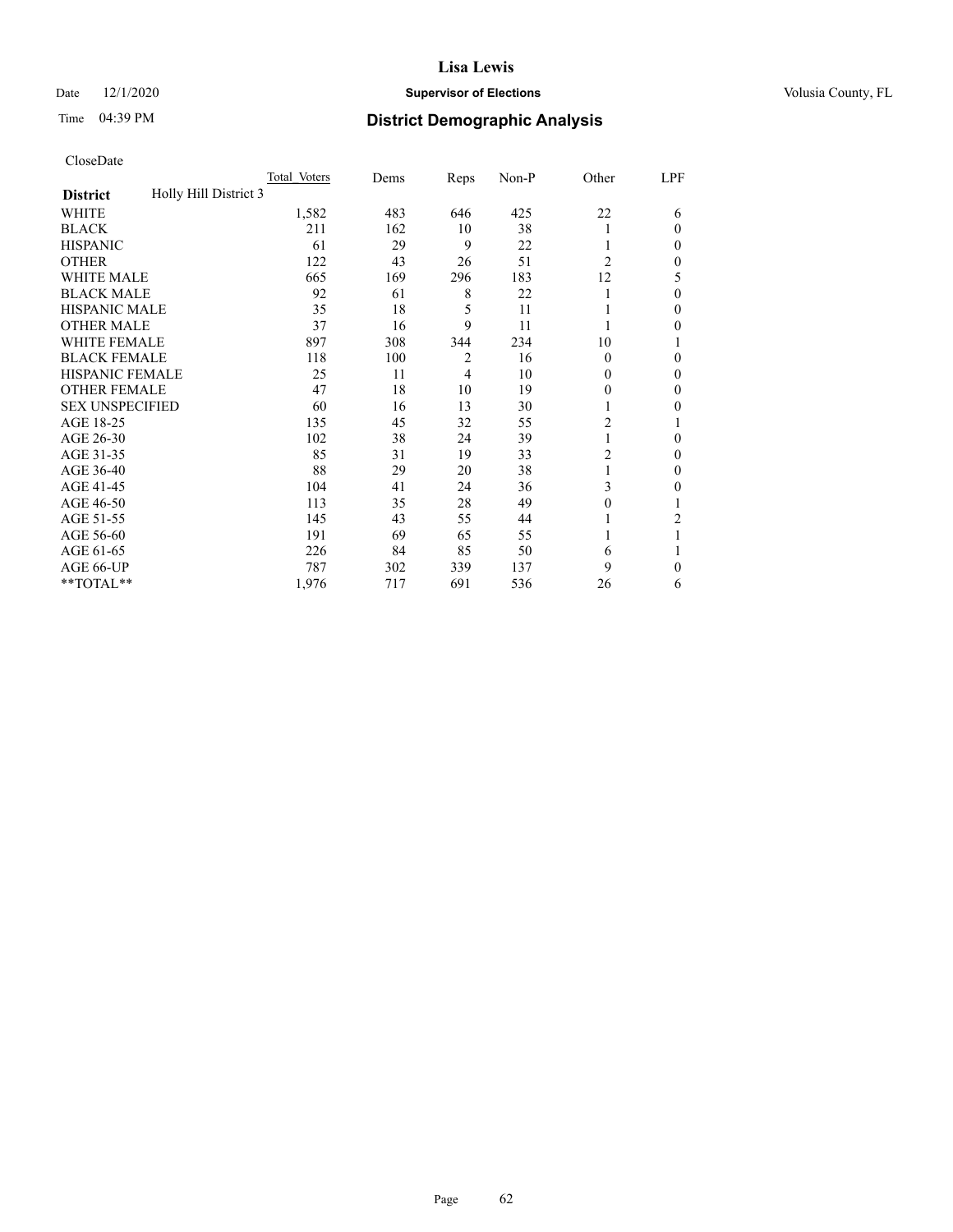#### Date  $12/1/2020$  **Supervisor of Elections Supervisor of Elections** Volusia County, FL

## Time 04:39 PM **District Demographic Analysis**

|                                          | Total Voters | Dems | Reps           | Non-P | Other          | LPF    |
|------------------------------------------|--------------|------|----------------|-------|----------------|--------|
| Holly Hill District 3<br><b>District</b> |              |      |                |       |                |        |
| WHITE                                    | 1,582        | 483  | 646            | 425   | 22             | 6      |
| <b>BLACK</b>                             | 211          | 162  | 10             | 38    |                | 0      |
| <b>HISPANIC</b>                          | 61           | 29   | 9              | 22    |                | $_{0}$ |
| <b>OTHER</b>                             | 122          | 43   | 26             | 51    | $\overline{2}$ | 0      |
| WHITE MALE                               | 665          | 169  | 296            | 183   | 12             | 5      |
| <b>BLACK MALE</b>                        | 92           | 61   | 8              | 22    |                | 0      |
| <b>HISPANIC MALE</b>                     | 35           | 18   | 5              | 11    |                | 0      |
| <b>OTHER MALE</b>                        | 37           | 16   | 9              | 11    |                | 0      |
| WHITE FEMALE                             | 897          | 308  | 344            | 234   | 10             |        |
| <b>BLACK FEMALE</b>                      | 118          | 100  | $\overline{2}$ | 16    | $\Omega$       | 0      |
| <b>HISPANIC FEMALE</b>                   | 25           | 11   | $\overline{4}$ | 10    | 0              | 0      |
| <b>OTHER FEMALE</b>                      | 47           | 18   | 10             | 19    | 0              | 0      |
| <b>SEX UNSPECIFIED</b>                   | 60           | 16   | 13             | 30    |                | 0      |
| AGE 18-25                                | 135          | 45   | 32             | 55    | $\overline{2}$ |        |
| AGE 26-30                                | 102          | 38   | 24             | 39    | 1              | 0      |
| AGE 31-35                                | 85           | 31   | 19             | 33    | $\overline{2}$ | 0      |
| AGE 36-40                                | 88           | 29   | 20             | 38    | 1              | 0      |
| AGE 41-45                                | 104          | 41   | 24             | 36    | 3              | 0      |
| AGE 46-50                                | 113          | 35   | 28             | 49    | 0              |        |
| AGE 51-55                                | 145          | 43   | 55             | 44    |                | 2      |
| AGE 56-60                                | 191          | 69   | 65             | 55    |                |        |
| AGE 61-65                                | 226          | 84   | 85             | 50    | 6              |        |
| AGE 66-UP                                | 787          | 302  | 339            | 137   | 9              | 0      |
| **TOTAL**                                | 1,976        | 717  | 691            | 536   | 26             | 6      |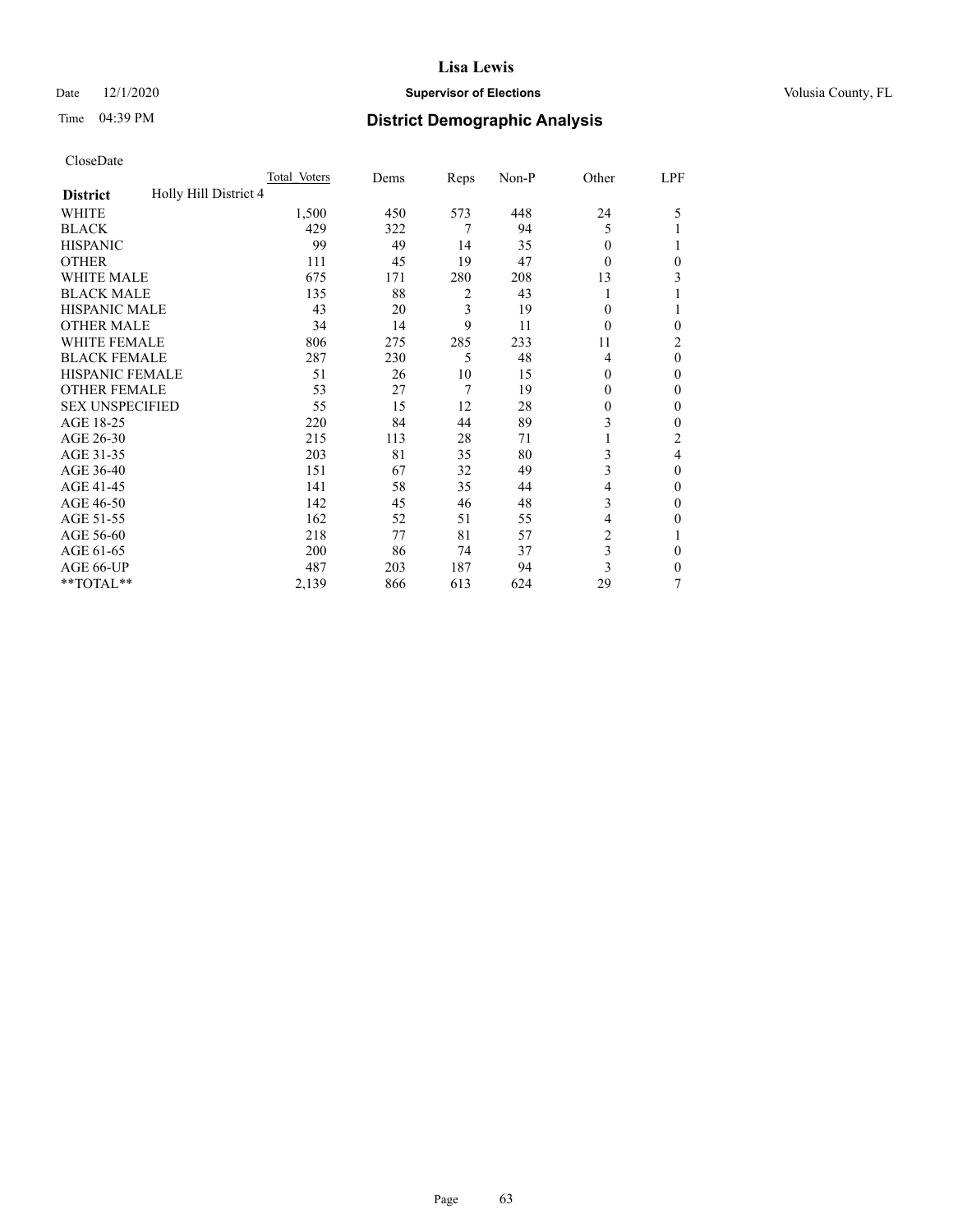#### Date  $12/1/2020$  **Supervisor of Elections Supervisor of Elections** Volusia County, FL

## Time 04:39 PM **District Demographic Analysis**

|                                          | Total Voters | Dems | Reps | Non-P | Other          | LPF            |
|------------------------------------------|--------------|------|------|-------|----------------|----------------|
| Holly Hill District 4<br><b>District</b> |              |      |      |       |                |                |
| WHITE                                    | 1,500        | 450  | 573  | 448   | 24             | 5              |
| <b>BLACK</b>                             | 429          | 322  | 7    | 94    | 5              |                |
| <b>HISPANIC</b>                          | 99           | 49   | 14   | 35    | 0              |                |
| <b>OTHER</b>                             | 111          | 45   | 19   | 47    | 0              | 0              |
| <b>WHITE MALE</b>                        | 675          | 171  | 280  | 208   | 13             | 3              |
| <b>BLACK MALE</b>                        | 135          | 88   | 2    | 43    |                |                |
| <b>HISPANIC MALE</b>                     | 43           | 20   | 3    | 19    | 0              | 1              |
| <b>OTHER MALE</b>                        | 34           | 14   | 9    | 11    | 0              | $\mathbf{0}$   |
| WHITE FEMALE                             | 806          | 275  | 285  | 233   | 11             | $\overline{c}$ |
| <b>BLACK FEMALE</b>                      | 287          | 230  | 5    | 48    | 4              | $\theta$       |
| <b>HISPANIC FEMALE</b>                   | 51           | 26   | 10   | 15    | 0              | $\Omega$       |
| <b>OTHER FEMALE</b>                      | 53           | 27   | 7    | 19    | 0              | $\theta$       |
| <b>SEX UNSPECIFIED</b>                   | 55           | 15   | 12   | 28    | 0              | $\theta$       |
| AGE 18-25                                | 220          | 84   | 44   | 89    | 3              | $\theta$       |
| AGE 26-30                                | 215          | 113  | 28   | 71    |                | $\overline{2}$ |
| AGE 31-35                                | 203          | 81   | 35   | 80    | 3              | 4              |
| AGE 36-40                                | 151          | 67   | 32   | 49    | 3              | $\theta$       |
| AGE 41-45                                | 141          | 58   | 35   | 44    | 4              | $\theta$       |
| AGE 46-50                                | 142          | 45   | 46   | 48    | 3              | $\theta$       |
| AGE 51-55                                | 162          | 52   | 51   | 55    | 4              | 0              |
| AGE 56-60                                | 218          | 77   | 81   | 57    | $\overline{2}$ |                |
| AGE 61-65                                | 200          | 86   | 74   | 37    | 3              | $\theta$       |
| AGE 66-UP                                | 487          | 203  | 187  | 94    | 3              | $\Omega$       |
| **TOTAL**                                | 2,139        | 866  | 613  | 624   | 29             | 7              |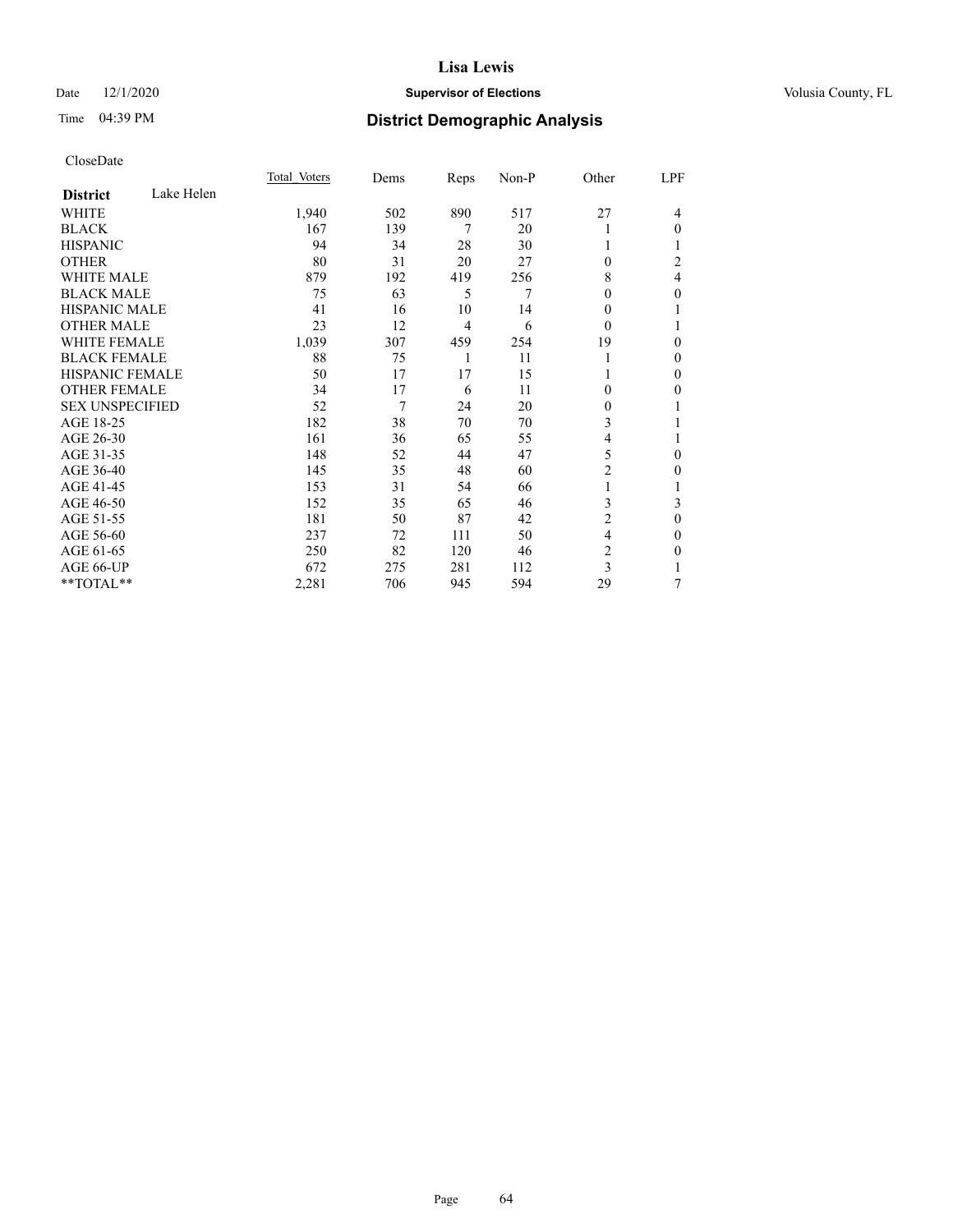#### Date  $12/1/2020$  **Supervisor of Elections Supervisor of Elections** Volusia County, FL

## Time 04:39 PM **District Demographic Analysis**

|                        |            | Total Voters | Dems | Reps           | Non-P | Other          | LPF              |
|------------------------|------------|--------------|------|----------------|-------|----------------|------------------|
| <b>District</b>        | Lake Helen |              |      |                |       |                |                  |
| WHITE                  |            | 1,940        | 502  | 890            | 517   | 27             | 4                |
| <b>BLACK</b>           |            | 167          | 139  | 7              | 20    |                | $\theta$         |
| <b>HISPANIC</b>        |            | 94           | 34   | 28             | 30    |                |                  |
| <b>OTHER</b>           |            | 80           | 31   | 20             | 27    | $\Omega$       | 2                |
| <b>WHITE MALE</b>      |            | 879          | 192  | 419            | 256   | 8              | 4                |
| <b>BLACK MALE</b>      |            | 75           | 63   | 5              | 7     | 0              | $\theta$         |
| <b>HISPANIC MALE</b>   |            | 41           | 16   | 10             | 14    | 0              | 1                |
| <b>OTHER MALE</b>      |            | 23           | 12   | $\overline{4}$ | 6     | $\theta$       | 1                |
| <b>WHITE FEMALE</b>    |            | 1,039        | 307  | 459            | 254   | 19             | $\boldsymbol{0}$ |
| <b>BLACK FEMALE</b>    |            | 88           | 75   | 1              | 11    |                | $\mathbf{0}$     |
| <b>HISPANIC FEMALE</b> |            | 50           | 17   | 17             | 15    |                | $\theta$         |
| <b>OTHER FEMALE</b>    |            | 34           | 17   | 6              | 11    | 0              | $\theta$         |
| <b>SEX UNSPECIFIED</b> |            | 52           | 7    | 24             | 20    | 0              | 1                |
| AGE 18-25              |            | 182          | 38   | 70             | 70    | 3              |                  |
| AGE 26-30              |            | 161          | 36   | 65             | 55    | 4              | 1                |
| AGE 31-35              |            | 148          | 52   | 44             | 47    | 5              | 0                |
| AGE 36-40              |            | 145          | 35   | 48             | 60    | $\overline{2}$ | $\theta$         |
| AGE 41-45              |            | 153          | 31   | 54             | 66    |                | 1                |
| AGE 46-50              |            | 152          | 35   | 65             | 46    | 3              | 3                |
| AGE 51-55              |            | 181          | 50   | 87             | 42    | $\overline{c}$ | $\theta$         |
| AGE 56-60              |            | 237          | 72   | 111            | 50    | 4              | $\mathbf{0}$     |
| AGE 61-65              |            | 250          | 82   | 120            | 46    | $\overline{c}$ | 0                |
| AGE 66-UP              |            | 672          | 275  | 281            | 112   | 3              |                  |
| **TOTAL**              |            | 2,281        | 706  | 945            | 594   | 29             | 7                |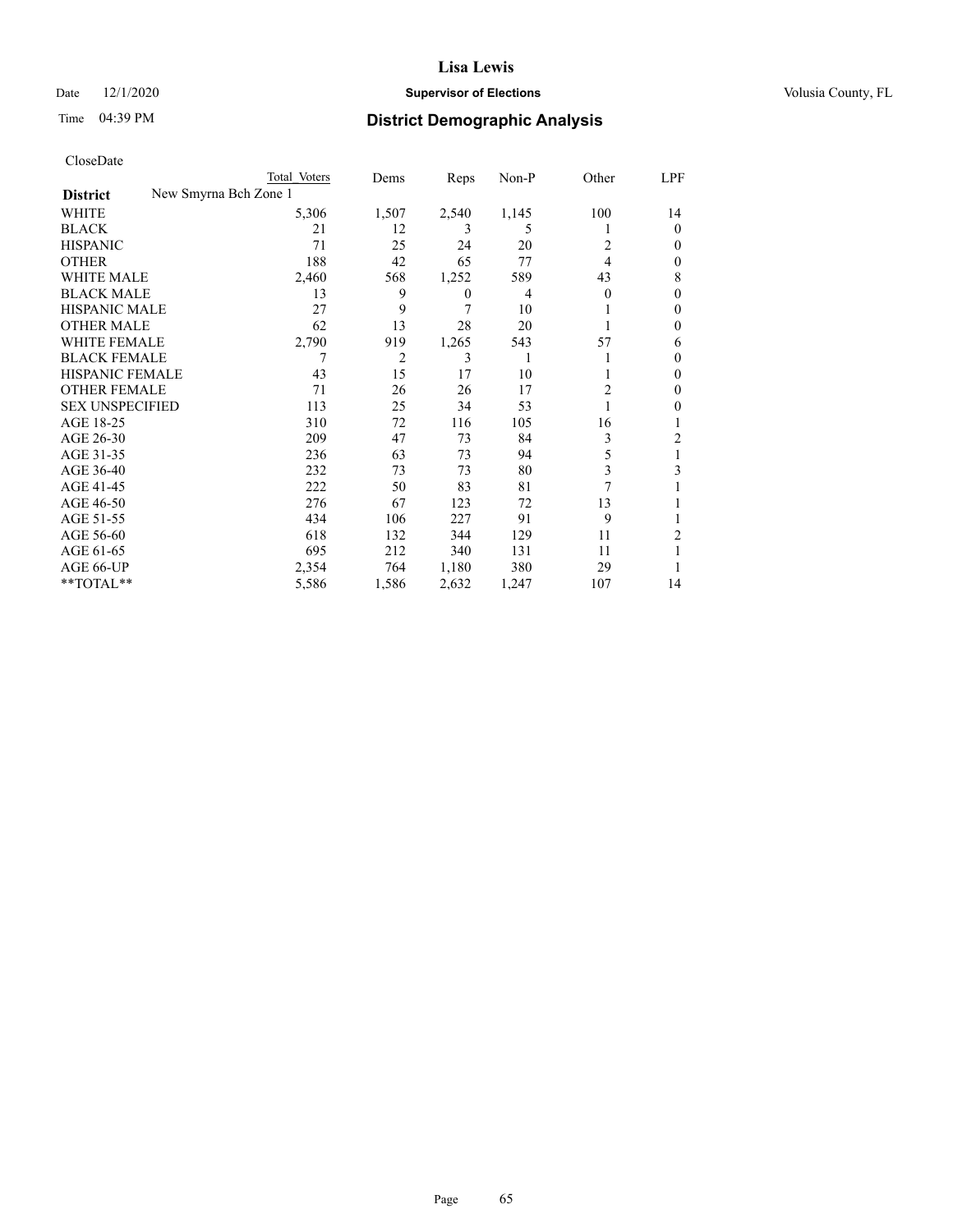#### Date  $12/1/2020$  **Supervisor of Elections Supervisor of Elections** Volusia County, FL

| CloseDate |
|-----------|
|-----------|

|                        | Total Voters          | Dems  | Reps         | Non-P          | Other | LPF            |
|------------------------|-----------------------|-------|--------------|----------------|-------|----------------|
| <b>District</b>        | New Smyrna Bch Zone 1 |       |              |                |       |                |
| WHITE                  | 5,306                 | 1,507 | 2,540        | 1,145          | 100   | 14             |
| <b>BLACK</b>           | 21                    | 12    | 3            | 5              |       | $\theta$       |
| <b>HISPANIC</b>        | 71                    | 25    | 24           | 20             | 2     | $\theta$       |
| <b>OTHER</b>           | 188                   | 42    | 65           | 77             | 4     | $\mathbf{0}$   |
| <b>WHITE MALE</b>      | 2,460                 | 568   | 1,252        | 589            | 43    | 8              |
| <b>BLACK MALE</b>      | 13                    | 9     | $\mathbf{0}$ | $\overline{4}$ | 0     | $\mathbf{0}$   |
| <b>HISPANIC MALE</b>   | 27                    | 9     | 7            | 10             |       | $\theta$       |
| <b>OTHER MALE</b>      | 62                    | 13    | 28           | 20             |       | $\mathbf{0}$   |
| <b>WHITE FEMALE</b>    | 2,790                 | 919   | 1,265        | 543            | 57    | 6              |
| <b>BLACK FEMALE</b>    | 7                     | 2     | 3            |                |       | $\mathbf{0}$   |
| HISPANIC FEMALE        | 43                    | 15    | 17           | 10             |       | $\mathbf{0}$   |
| <b>OTHER FEMALE</b>    | 71                    | 26    | 26           | 17             | 2     | $\theta$       |
| <b>SEX UNSPECIFIED</b> | 113                   | 25    | 34           | 53             |       | $\theta$       |
| AGE 18-25              | 310                   | 72    | 116          | 105            | 16    | 1              |
| AGE 26-30              | 209                   | 47    | 73           | 84             | 3     | $\overline{c}$ |
| AGE 31-35              | 236                   | 63    | 73           | 94             | 5     | 1              |
| AGE 36-40              | 232                   | 73    | 73           | 80             | 3     | 3              |
| AGE 41-45              | 222                   | 50    | 83           | 81             | 7     |                |
| AGE 46-50              | 276                   | 67    | 123          | 72             | 13    |                |
| AGE 51-55              | 434                   | 106   | 227          | 91             | 9     |                |
| AGE 56-60              | 618                   | 132   | 344          | 129            | 11    | 2              |
| AGE 61-65              | 695                   | 212   | 340          | 131            | 11    |                |
| AGE 66-UP              | 2,354                 | 764   | 1,180        | 380            | 29    |                |
| **TOTAL**              | 5,586                 | 1,586 | 2,632        | 1,247          | 107   | 14             |
|                        |                       |       |              |                |       |                |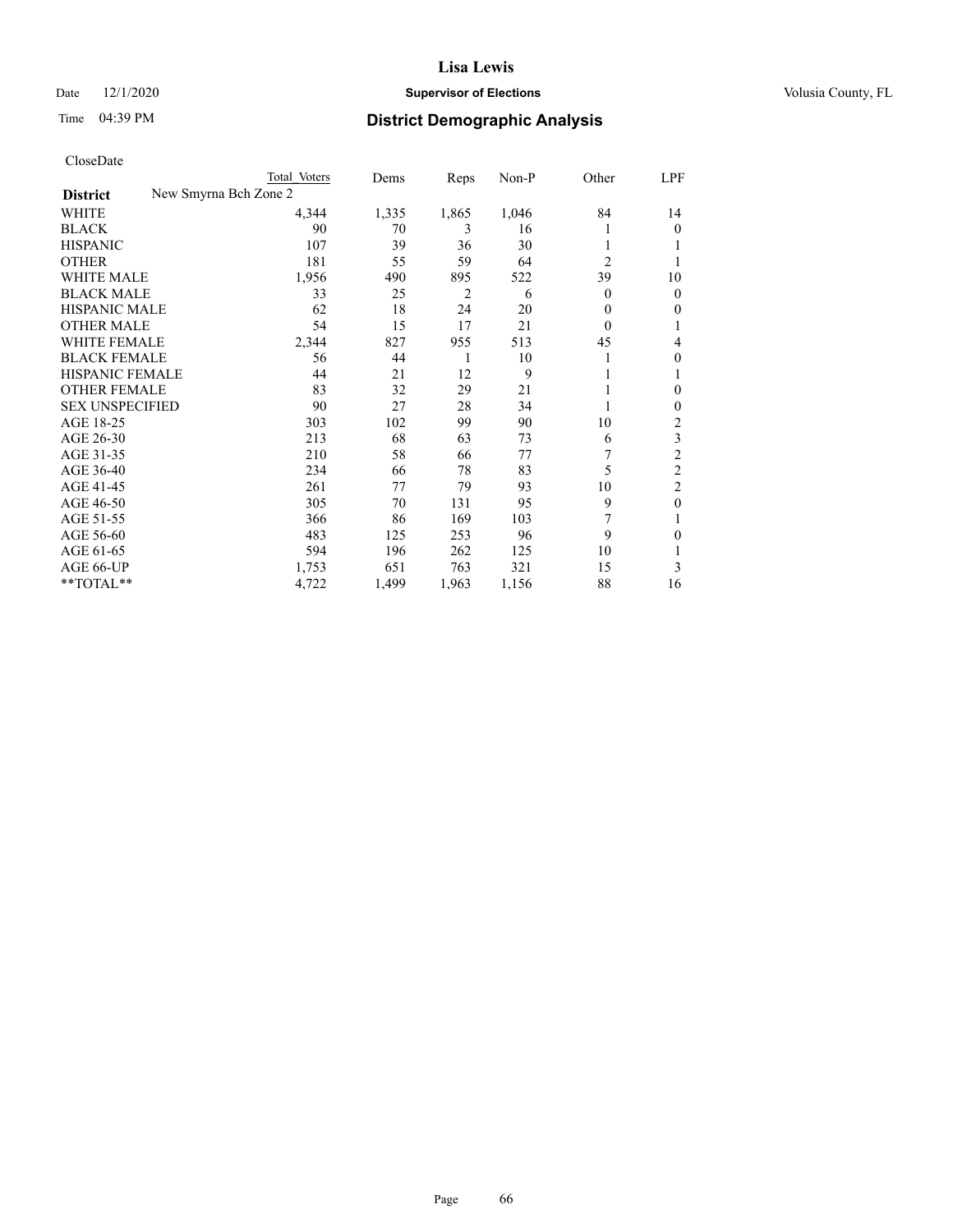#### Date  $12/1/2020$  **Supervisor of Elections Supervisor of Elections** Volusia County, FL

| CloseDate       |        |
|-----------------|--------|
| <b>District</b> | New Sm |

|                                          | Total Voters | Dems  | Reps  | Non-P | Other    | LPF            |
|------------------------------------------|--------------|-------|-------|-------|----------|----------------|
| New Smyrna Bch Zone 2<br><b>District</b> |              |       |       |       |          |                |
| WHITE                                    | 4,344        | 1,335 | 1,865 | 1,046 | 84       | 14             |
| <b>BLACK</b>                             | 90           | 70    | 3     | 16    |          | $\theta$       |
| <b>HISPANIC</b>                          | 107          | 39    | 36    | 30    | 1        | 1              |
| <b>OTHER</b>                             | 181          | 55    | 59    | 64    | 2        |                |
| <b>WHITE MALE</b>                        | 1,956        | 490   | 895   | 522   | 39       | 10             |
| <b>BLACK MALE</b>                        | 33           | 25    | 2     | 6     | 0        | $\theta$       |
| <b>HISPANIC MALE</b>                     | 62           | 18    | 24    | 20    | 0        | $\theta$       |
| <b>OTHER MALE</b>                        | 54           | 15    | 17    | 21    | $\Omega$ | 1              |
| <b>WHITE FEMALE</b>                      | 2,344        | 827   | 955   | 513   | 45       | 4              |
| <b>BLACK FEMALE</b>                      | 56           | 44    | 1     | 10    |          | $\theta$       |
| HISPANIC FEMALE                          | 44           | 21    | 12    | 9     |          | 1              |
| <b>OTHER FEMALE</b>                      | 83           | 32    | 29    | 21    |          | $\theta$       |
| <b>SEX UNSPECIFIED</b>                   | 90           | 27    | 28    | 34    |          | $\theta$       |
| AGE 18-25                                | 303          | 102   | 99    | 90    | 10       | 2              |
| AGE 26-30                                | 213          | 68    | 63    | 73    | 6        | 3              |
| AGE 31-35                                | 210          | 58    | 66    | 77    |          | $\overline{c}$ |
| AGE 36-40                                | 234          | 66    | 78    | 83    | 5        | $\overline{c}$ |
| AGE 41-45                                | 261          | 77    | 79    | 93    | 10       | $\overline{c}$ |
| AGE 46-50                                | 305          | 70    | 131   | 95    | 9        | $\mathbf{0}$   |
| AGE 51-55                                | 366          | 86    | 169   | 103   | 7        | 1              |
| AGE 56-60                                | 483          | 125   | 253   | 96    | 9        | $\Omega$       |
| AGE 61-65                                | 594          | 196   | 262   | 125   | 10       | 1              |
| AGE 66-UP                                | 1,753        | 651   | 763   | 321   | 15       | 3              |
| **TOTAL**                                | 4,722        | 1,499 | 1,963 | 1,156 | 88       | 16             |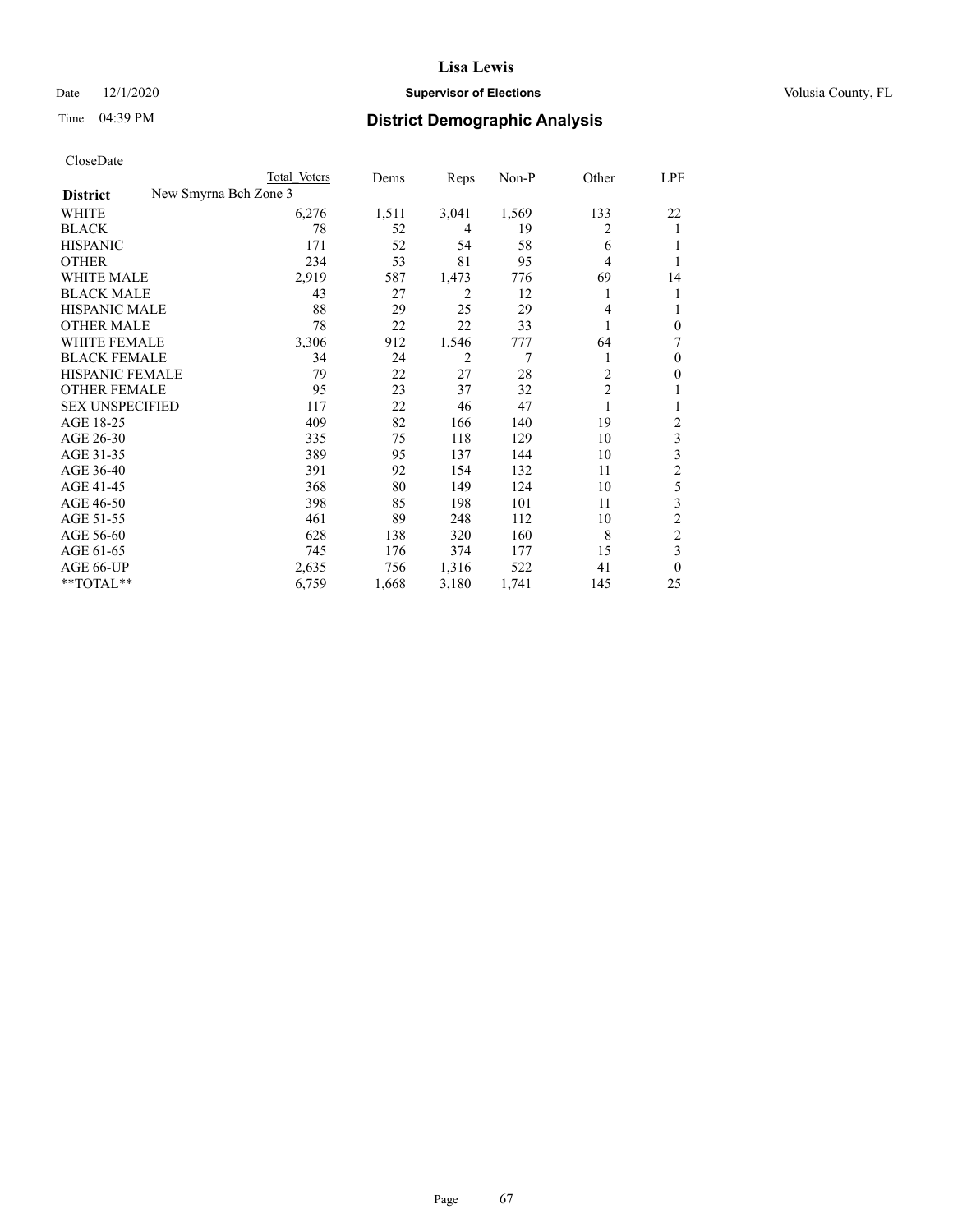| CloseDate |
|-----------|
|-----------|

|                                          | Total Voters | Dems  | Reps  | Non-P | Other          | LPF            |
|------------------------------------------|--------------|-------|-------|-------|----------------|----------------|
| New Smyrna Bch Zone 3<br><b>District</b> |              |       |       |       |                |                |
| WHITE                                    | 6,276        | 1,511 | 3,041 | 1,569 | 133            | 22             |
| <b>BLACK</b>                             | 78           | 52    | 4     | 19    | 2              | 1              |
| <b>HISPANIC</b>                          | 171          | 52    | 54    | 58    | 6              | 1              |
| <b>OTHER</b>                             | 234          | 53    | 81    | 95    | 4              | 1              |
| <b>WHITE MALE</b>                        | 2,919        | 587   | 1,473 | 776   | 69             | 14             |
| <b>BLACK MALE</b>                        | 43           | 27    | 2     | 12    | 1              | 1              |
| <b>HISPANIC MALE</b>                     | 88           | 29    | 25    | 29    | 4              | 1              |
| <b>OTHER MALE</b>                        | 78           | 22    | 22    | 33    |                | $\mathbf{0}$   |
| <b>WHITE FEMALE</b>                      | 3,306        | 912   | 1,546 | 777   | 64             | 7              |
| <b>BLACK FEMALE</b>                      | 34           | 24    | 2     | 7     | 1              | $\mathbf{0}$   |
| <b>HISPANIC FEMALE</b>                   | 79           | 22    | 27    | 28    | 2              | $\mathbf{0}$   |
| <b>OTHER FEMALE</b>                      | 95           | 23    | 37    | 32    | $\overline{2}$ | 1              |
| <b>SEX UNSPECIFIED</b>                   | 117          | 22    | 46    | 47    | 1              | 1              |
| AGE 18-25                                | 409          | 82    | 166   | 140   | 19             | $\overline{c}$ |
| AGE 26-30                                | 335          | 75    | 118   | 129   | 10             | 3              |
| AGE 31-35                                | 389          | 95    | 137   | 144   | 10             | 3              |
| AGE 36-40                                | 391          | 92    | 154   | 132   | 11             | $\overline{c}$ |
| AGE 41-45                                | 368          | 80    | 149   | 124   | 10             | 5              |
| AGE 46-50                                | 398          | 85    | 198   | 101   | 11             | 3              |
| AGE 51-55                                | 461          | 89    | 248   | 112   | 10             | $\overline{c}$ |
| AGE 56-60                                | 628          | 138   | 320   | 160   | 8              | $\overline{c}$ |
| AGE 61-65                                | 745          | 176   | 374   | 177   | 15             | 3              |
| AGE 66-UP                                | 2,635        | 756   | 1,316 | 522   | 41             | $\theta$       |
| **TOTAL**                                | 6,759        | 1,668 | 3,180 | 1,741 | 145            | 25             |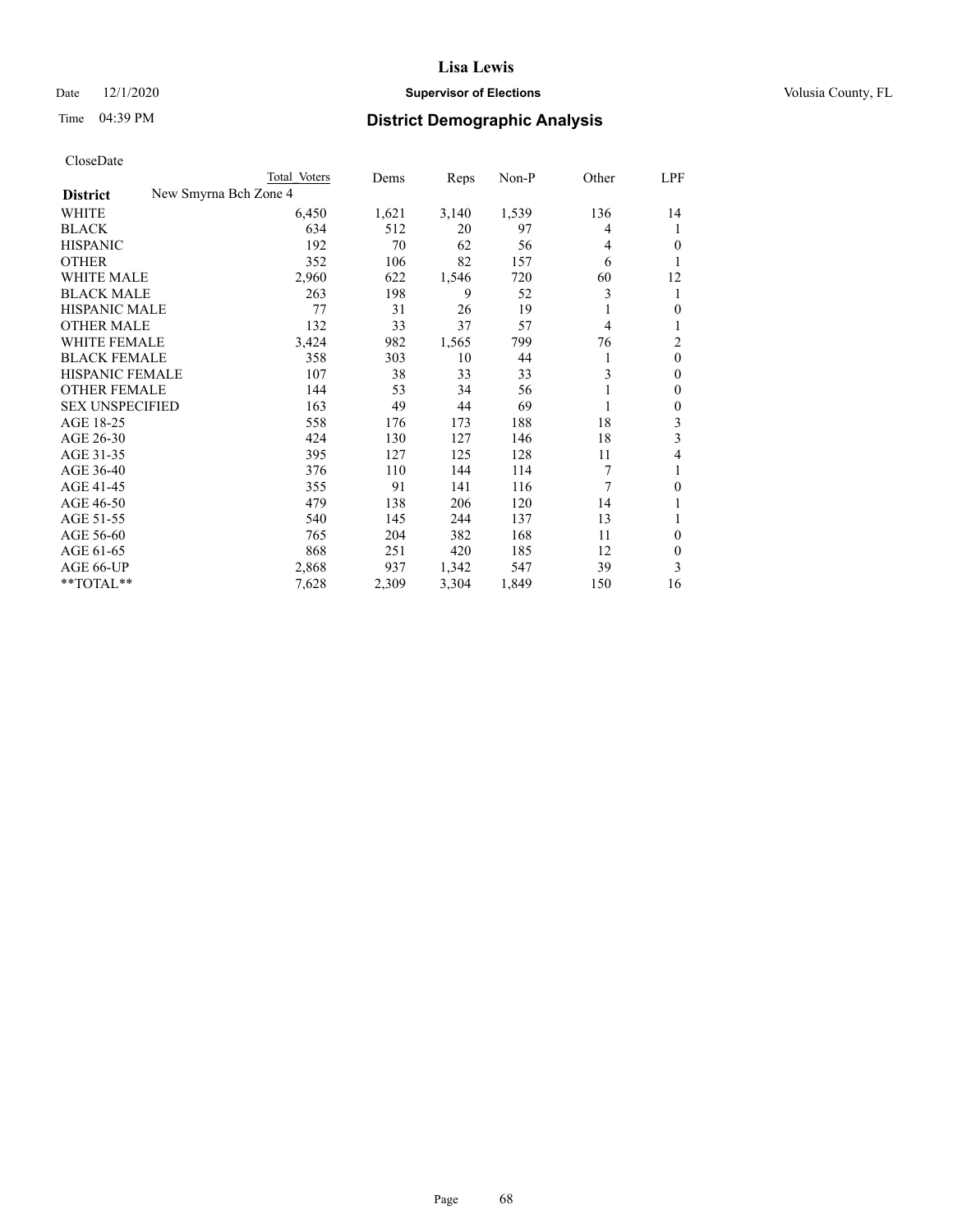#### Date  $12/1/2020$  **Supervisor of Elections Supervisor of Elections** Volusia County, FL

|                        | Total Voters          | Dems  | Reps  | Non-P | Other | LPF              |
|------------------------|-----------------------|-------|-------|-------|-------|------------------|
| <b>District</b>        | New Smyrna Bch Zone 4 |       |       |       |       |                  |
| WHITE                  | 6,450                 | 1,621 | 3,140 | 1,539 | 136   | 14               |
| <b>BLACK</b>           | 634                   | 512   | 20    | 97    | 4     |                  |
| <b>HISPANIC</b>        | 192                   | 70    | 62    | 56    | 4     | $\theta$         |
| <b>OTHER</b>           | 352                   | 106   | 82    | 157   | 6     |                  |
| <b>WHITE MALE</b>      | 2,960                 | 622   | 1,546 | 720   | 60    | 12               |
| <b>BLACK MALE</b>      | 263                   | 198   | 9     | 52    | 3     | 1                |
| <b>HISPANIC MALE</b>   | 77                    | 31    | 26    | 19    | 1     | $\theta$         |
| <b>OTHER MALE</b>      | 132                   | 33    | 37    | 57    | 4     | 1                |
| WHITE FEMALE           | 3,424                 | 982   | 1,565 | 799   | 76    | $\overline{2}$   |
| <b>BLACK FEMALE</b>    | 358                   | 303   | 10    | 44    | 1     | $\mathbf{0}$     |
| <b>HISPANIC FEMALE</b> | 107                   | 38    | 33    | 33    | 3     | $\mathbf{0}$     |
| <b>OTHER FEMALE</b>    | 144                   | 53    | 34    | 56    | 1     | $\theta$         |
| <b>SEX UNSPECIFIED</b> | 163                   | 49    | 44    | 69    | 1     | $\boldsymbol{0}$ |
| AGE 18-25              | 558                   | 176   | 173   | 188   | 18    | 3                |
| AGE 26-30              | 424                   | 130   | 127   | 146   | 18    | 3                |
| AGE 31-35              | 395                   | 127   | 125   | 128   | 11    | 4                |
| AGE 36-40              | 376                   | 110   | 144   | 114   | 7     | 1                |
| AGE 41-45              | 355                   | 91    | 141   | 116   | 7     | $\theta$         |
| AGE 46-50              | 479                   | 138   | 206   | 120   | 14    |                  |
| AGE 51-55              | 540                   | 145   | 244   | 137   | 13    | 1                |
| AGE 56-60              | 765                   | 204   | 382   | 168   | 11    | $\mathbf{0}$     |
| AGE 61-65              | 868                   | 251   | 420   | 185   | 12    | $\theta$         |
| AGE 66-UP              | 2,868                 | 937   | 1,342 | 547   | 39    | 3                |
| $*$ $TOTAL**$          | 7,628                 | 2,309 | 3,304 | 1,849 | 150   | 16               |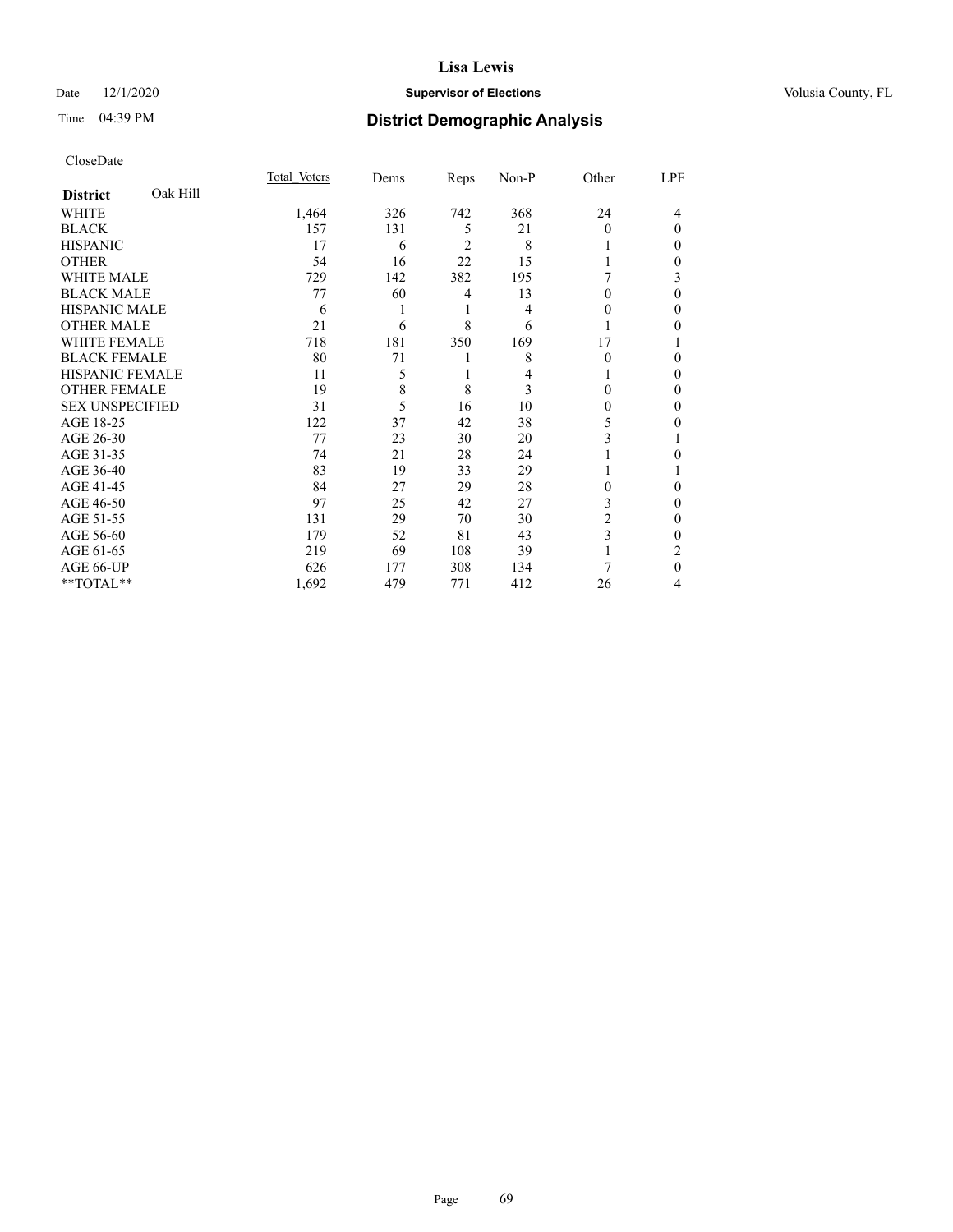#### Date  $12/1/2020$  **Supervisor of Elections Supervisor of Elections** Volusia County, FL

## Time 04:39 PM **District Demographic Analysis**

|                        |          | Total Voters | Dems | Reps           | Non-P | Other        | LPF      |
|------------------------|----------|--------------|------|----------------|-------|--------------|----------|
| <b>District</b>        | Oak Hill |              |      |                |       |              |          |
| WHITE                  |          | 1,464        | 326  | 742            | 368   | 24           | 4        |
| <b>BLACK</b>           |          | 157          | 131  | 5              | 21    | 0            | $\theta$ |
| <b>HISPANIC</b>        |          | 17           | 6    | $\overline{c}$ | 8     |              | $\Omega$ |
| <b>OTHER</b>           |          | 54           | 16   | 22             | 15    |              | 0        |
| <b>WHITE MALE</b>      |          | 729          | 142  | 382            | 195   |              | 3        |
| <b>BLACK MALE</b>      |          | 77           | 60   | 4              | 13    | $\mathbf{0}$ | $\theta$ |
| <b>HISPANIC MALE</b>   |          | 6            |      | 1              | 4     | 0            | $\Omega$ |
| <b>OTHER MALE</b>      |          | 21           | 6    | 8              | 6     |              | 0        |
| <b>WHITE FEMALE</b>    |          | 718          | 181  | 350            | 169   | 17           |          |
| <b>BLACK FEMALE</b>    |          | 80           | 71   |                | 8     | 0            | $\Omega$ |
| <b>HISPANIC FEMALE</b> |          | 11           | 5    | 1              | 4     |              | $\Omega$ |
| <b>OTHER FEMALE</b>    |          | 19           | 8    | 8              | 3     | 0            | $\Omega$ |
| <b>SEX UNSPECIFIED</b> |          | 31           | 5    | 16             | 10    | 0            | $\theta$ |
| AGE 18-25              |          | 122          | 37   | 42             | 38    | 5            | 0        |
| AGE 26-30              |          | 77           | 23   | 30             | 20    | 3            | 1        |
| AGE 31-35              |          | 74           | 21   | 28             | 24    |              | 0        |
| AGE 36-40              |          | 83           | 19   | 33             | 29    |              |          |
| AGE 41-45              |          | 84           | 27   | 29             | 28    | 0            | 0        |
| AGE 46-50              |          | 97           | 25   | 42             | 27    | 3            | $\Omega$ |
| AGE 51-55              |          | 131          | 29   | 70             | 30    | 2            | $\Omega$ |
| AGE 56-60              |          | 179          | 52   | 81             | 43    | 3            | $\Omega$ |
| AGE 61-65              |          | 219          | 69   | 108            | 39    |              | 2        |
| AGE 66-UP              |          | 626          | 177  | 308            | 134   |              | $\theta$ |
| **TOTAL**              |          | 1,692        | 479  | 771            | 412   | 26           | 4        |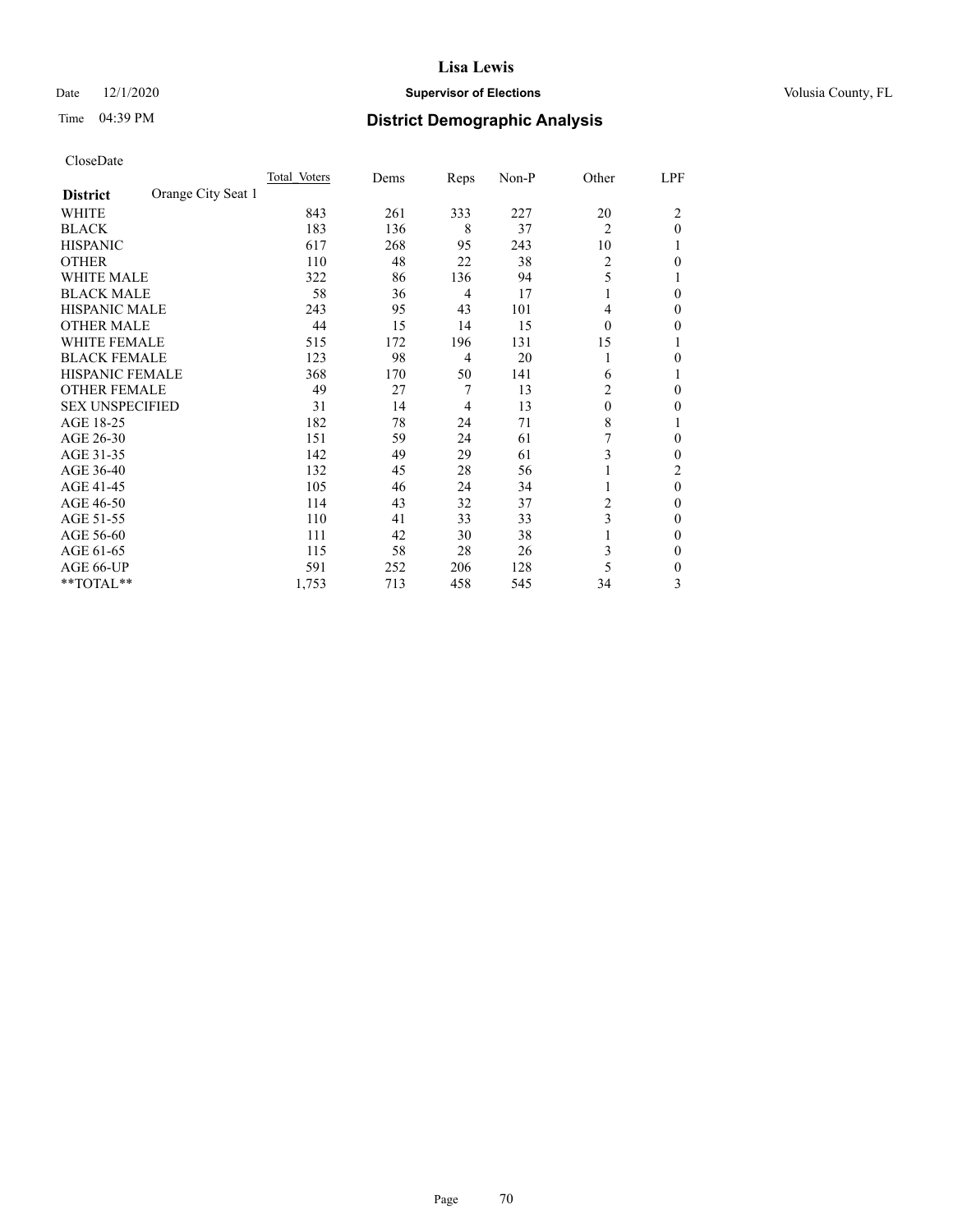#### Date  $12/1/2020$  **Supervisor of Elections Supervisor of Elections** Volusia County, FL

## Time 04:39 PM **District Demographic Analysis**

|                                       | Total Voters | Dems | Reps | Non-P | Other          | LPF          |
|---------------------------------------|--------------|------|------|-------|----------------|--------------|
| Orange City Seat 1<br><b>District</b> |              |      |      |       |                |              |
| WHITE                                 | 843          | 261  | 333  | 227   | 20             | 2            |
| <b>BLACK</b>                          | 183          | 136  | 8    | 37    | $\overline{2}$ | $\theta$     |
| <b>HISPANIC</b>                       | 617          | 268  | 95   | 243   | 10             |              |
| <b>OTHER</b>                          | 110          | 48   | 22   | 38    | $\overline{2}$ | $\theta$     |
| <b>WHITE MALE</b>                     | 322          | 86   | 136  | 94    | 5              |              |
| <b>BLACK MALE</b>                     | 58           | 36   | 4    | 17    |                | $\theta$     |
| <b>HISPANIC MALE</b>                  | 243          | 95   | 43   | 101   | 4              | $\Omega$     |
| <b>OTHER MALE</b>                     | 44           | 15   | 14   | 15    | $\theta$       | $\Omega$     |
| <b>WHITE FEMALE</b>                   | 515          | 172  | 196  | 131   | 15             |              |
| <b>BLACK FEMALE</b>                   | 123          | 98   | 4    | 20    |                | 0            |
| <b>HISPANIC FEMALE</b>                | 368          | 170  | 50   | 141   | 6              |              |
| <b>OTHER FEMALE</b>                   | 49           | 27   | 7    | 13    | 2              | $\theta$     |
| <b>SEX UNSPECIFIED</b>                | 31           | 14   | 4    | 13    | $\mathbf{0}$   | $\mathbf{0}$ |
| AGE 18-25                             | 182          | 78   | 24   | 71    | 8              |              |
| AGE 26-30                             | 151          | 59   | 24   | 61    | 7              | $\Omega$     |
| AGE 31-35                             | 142          | 49   | 29   | 61    | 3              | $\Omega$     |
| AGE 36-40                             | 132          | 45   | 28   | 56    |                | 2            |
| AGE 41-45                             | 105          | 46   | 24   | 34    |                | $\theta$     |
| AGE 46-50                             | 114          | 43   | 32   | 37    | 2              | $\theta$     |
| AGE 51-55                             | 110          | 41   | 33   | 33    | 3              | $\mathbf{0}$ |
| AGE 56-60                             | 111          | 42   | 30   | 38    |                | $\mathbf{0}$ |
| AGE 61-65                             | 115          | 58   | 28   | 26    | 3              | $\Omega$     |
| AGE 66-UP                             | 591          | 252  | 206  | 128   | 5              | $\mathbf{0}$ |
| **TOTAL**                             | 1,753        | 713  | 458  | 545   | 34             | 3            |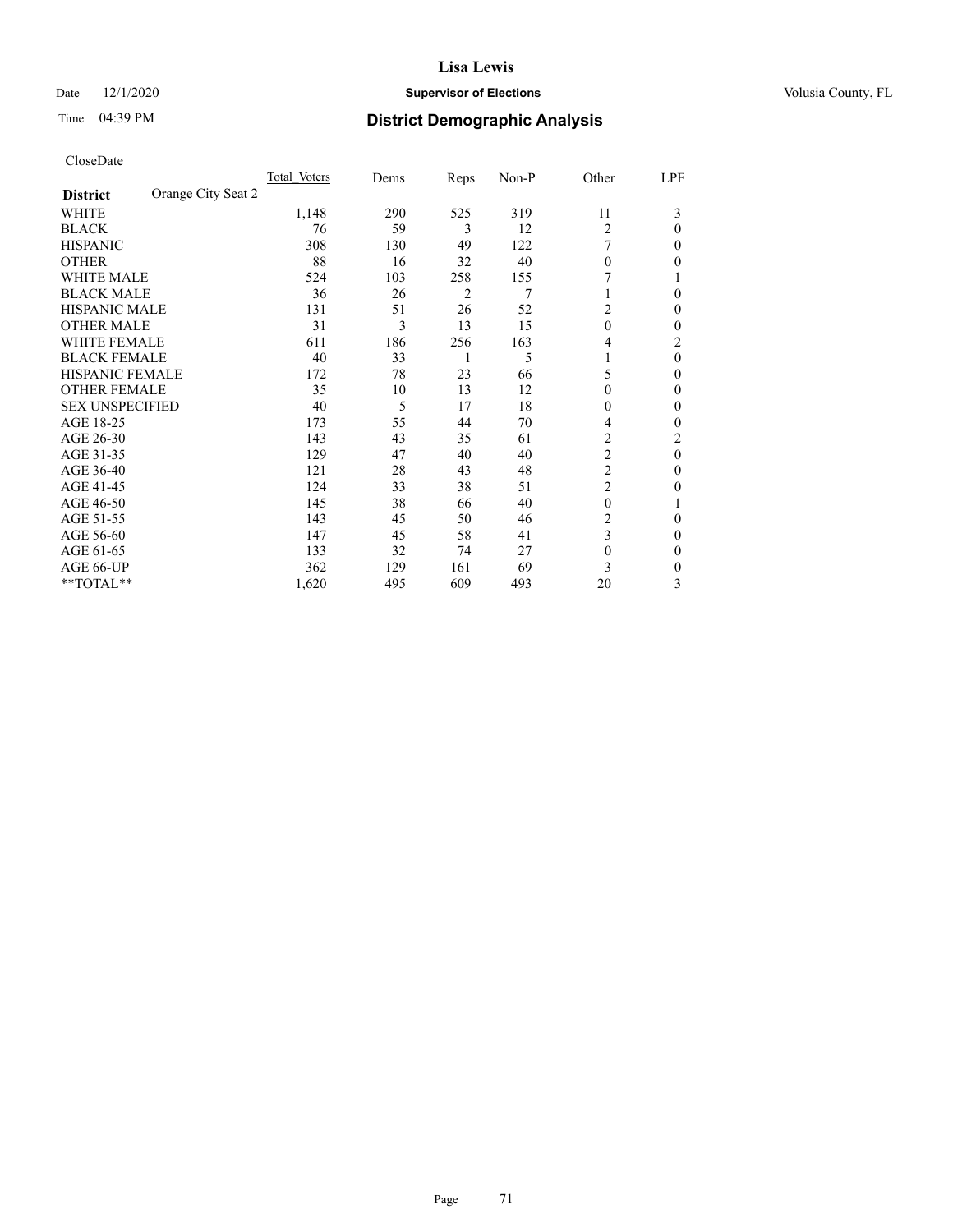#### Date  $12/1/2020$  **Supervisor of Elections Supervisor of Elections** Volusia County, FL

## Time 04:39 PM **District Demographic Analysis**

|                                       | Total Voters | Dems | Reps | Non-P | Other            | LPF          |
|---------------------------------------|--------------|------|------|-------|------------------|--------------|
| Orange City Seat 2<br><b>District</b> |              |      |      |       |                  |              |
| WHITE                                 | 1,148        | 290  | 525  | 319   | 11               | 3            |
| <b>BLACK</b>                          | 76           | 59   | 3    | 12    | 2                | $\Omega$     |
| <b>HISPANIC</b>                       | 308          | 130  | 49   | 122   |                  | 0            |
| <b>OTHER</b>                          | 88           | 16   | 32   | 40    | 0                | 0            |
| <b>WHITE MALE</b>                     | 524          | 103  | 258  | 155   | 7                |              |
| <b>BLACK MALE</b>                     | 36           | 26   | 2    | 7     | 1                | $\theta$     |
| <b>HISPANIC MALE</b>                  | 131          | 51   | 26   | 52    | 2                | 0            |
| <b>OTHER MALE</b>                     | 31           | 3    | 13   | 15    | $\boldsymbol{0}$ | 0            |
| <b>WHITE FEMALE</b>                   | 611          | 186  | 256  | 163   | 4                | 2            |
| <b>BLACK FEMALE</b>                   | 40           | 33   | 1    | 5     | 1                | $\theta$     |
| <b>HISPANIC FEMALE</b>                | 172          | 78   | 23   | 66    | 5                | $\Omega$     |
| <b>OTHER FEMALE</b>                   | 35           | 10   | 13   | 12    | $\theta$         | $\theta$     |
| <b>SEX UNSPECIFIED</b>                | 40           | 5    | 17   | 18    | $\mathbf{0}$     | $\mathbf{0}$ |
| AGE 18-25                             | 173          | 55   | 44   | 70    | 4                | 0            |
| AGE 26-30                             | 143          | 43   | 35   | 61    | 2                | 2            |
| AGE 31-35                             | 129          | 47   | 40   | 40    | $\overline{2}$   | $\theta$     |
| AGE 36-40                             | 121          | 28   | 43   | 48    | $\overline{2}$   | $\theta$     |
| AGE 41-45                             | 124          | 33   | 38   | 51    | $\overline{2}$   | 0            |
| AGE 46-50                             | 145          | 38   | 66   | 40    | $\theta$         |              |
| AGE 51-55                             | 143          | 45   | 50   | 46    | 2                | $\theta$     |
| AGE 56-60                             | 147          | 45   | 58   | 41    | 3                | 0            |
| AGE 61-65                             | 133          | 32   | 74   | 27    | 0                | $\mathbf{0}$ |
| AGE 66-UP                             | 362          | 129  | 161  | 69    | 3                | 0            |
| **TOTAL**                             | 1,620        | 495  | 609  | 493   | 20               | 3            |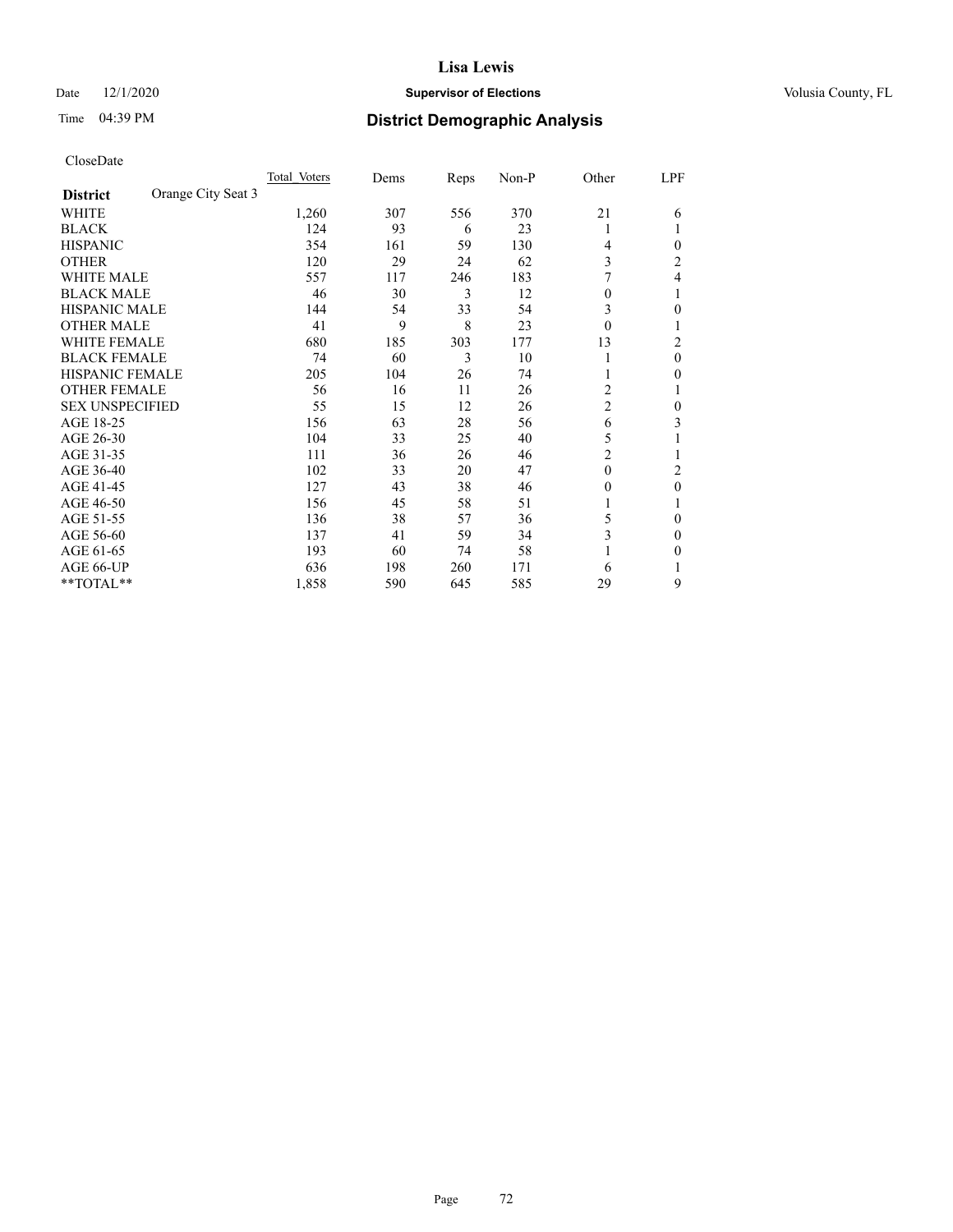#### Date  $12/1/2020$  **Supervisor of Elections Supervisor of Elections** Volusia County, FL

## Time 04:39 PM **District Demographic Analysis**

|                        |                    | Total Voters | Dems | Reps | Non-P | Other          | LPF            |
|------------------------|--------------------|--------------|------|------|-------|----------------|----------------|
| <b>District</b>        | Orange City Seat 3 |              |      |      |       |                |                |
| WHITE                  |                    | 1,260        | 307  | 556  | 370   | 21             | 6              |
| <b>BLACK</b>           |                    | 124          | 93   | 6    | 23    | 1              |                |
| <b>HISPANIC</b>        |                    | 354          | 161  | 59   | 130   | 4              | 0              |
| <b>OTHER</b>           |                    | 120          | 29   | 24   | 62    | 3              | $\overline{c}$ |
| <b>WHITE MALE</b>      |                    | 557          | 117  | 246  | 183   |                | 4              |
| <b>BLACK MALE</b>      |                    | 46           | 30   | 3    | 12    | $\theta$       |                |
| <b>HISPANIC MALE</b>   |                    | 144          | 54   | 33   | 54    | 3              | 0              |
| <b>OTHER MALE</b>      |                    | 41           | 9    | 8    | 23    | $\theta$       | 1              |
| WHITE FEMALE           |                    | 680          | 185  | 303  | 177   | 13             | 2              |
| <b>BLACK FEMALE</b>    |                    | 74           | 60   | 3    | 10    | 1              | $\theta$       |
| <b>HISPANIC FEMALE</b> |                    | 205          | 104  | 26   | 74    | 1              | 0              |
| <b>OTHER FEMALE</b>    |                    | 56           | 16   | 11   | 26    | 2              |                |
| <b>SEX UNSPECIFIED</b> |                    | 55           | 15   | 12   | 26    | $\overline{c}$ | 0              |
| AGE 18-25              |                    | 156          | 63   | 28   | 56    | 6              | 3              |
| AGE 26-30              |                    | 104          | 33   | 25   | 40    | 5              |                |
| AGE 31-35              |                    | 111          | 36   | 26   | 46    | $\overline{c}$ |                |
| AGE 36-40              |                    | 102          | 33   | 20   | 47    | $\theta$       | 2              |
| AGE 41-45              |                    | 127          | 43   | 38   | 46    | $\theta$       | 0              |
| AGE 46-50              |                    | 156          | 45   | 58   | 51    | 1              |                |
| AGE 51-55              |                    | 136          | 38   | 57   | 36    | 5              | 0              |
| AGE 56-60              |                    | 137          | 41   | 59   | 34    | 3              | 0              |
| AGE 61-65              |                    | 193          | 60   | 74   | 58    |                | 0              |
| AGE 66-UP              |                    | 636          | 198  | 260  | 171   | 6              |                |
| **TOTAL**              |                    | 1,858        | 590  | 645  | 585   | 29             | 9              |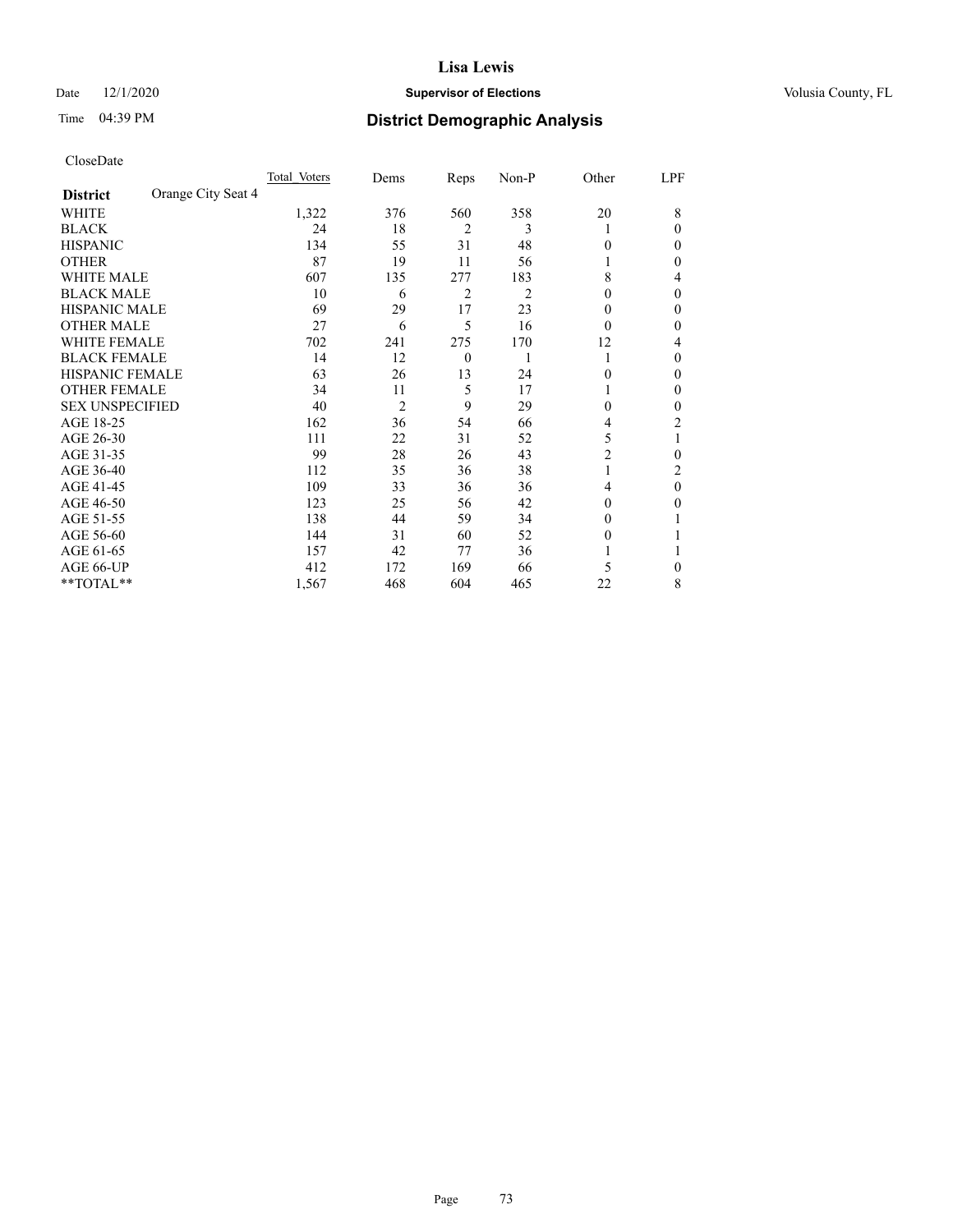# Date  $12/1/2020$  **Supervisor of Elections Supervisor of Elections** Volusia County, FL

# Time 04:39 PM **District Demographic Analysis**

|                                       | Total Voters | Dems           | Reps           | Non-P | Other          | LPF          |
|---------------------------------------|--------------|----------------|----------------|-------|----------------|--------------|
| Orange City Seat 4<br><b>District</b> |              |                |                |       |                |              |
| WHITE                                 | 1,322        | 376            | 560            | 358   | 20             | 8            |
| <b>BLACK</b>                          | 24           | 18             | $\overline{2}$ | 3     |                | 0            |
| <b>HISPANIC</b>                       | 134          | 55             | 31             | 48    | 0              | 0            |
| <b>OTHER</b>                          | 87           | 19             | 11             | 56    |                | 0            |
| <b>WHITE MALE</b>                     | 607          | 135            | 277            | 183   | 8              | 4            |
| <b>BLACK MALE</b>                     | 10           | 6              | $\overline{2}$ | 2     | 0              | $\theta$     |
| <b>HISPANIC MALE</b>                  | 69           | 29             | 17             | 23    | 0              | 0            |
| <b>OTHER MALE</b>                     | 27           | 6              | 5              | 16    | $\theta$       | 0            |
| WHITE FEMALE                          | 702          | 241            | 275            | 170   | 12             | 4            |
| <b>BLACK FEMALE</b>                   | 14           | 12             | $\overline{0}$ |       |                | 0            |
| <b>HISPANIC FEMALE</b>                | 63           | 26             | 13             | 24    | 0              | 0            |
| <b>OTHER FEMALE</b>                   | 34           | 11             | 5              | 17    |                | 0            |
| <b>SEX UNSPECIFIED</b>                | 40           | $\overline{2}$ | 9              | 29    | 0              | 0            |
| AGE 18-25                             | 162          | 36             | 54             | 66    | 4              | 2            |
| AGE 26-30                             | 111          | 22             | 31             | 52    | 5              | 1            |
| AGE 31-35                             | 99           | 28             | 26             | 43    | $\overline{c}$ | 0            |
| AGE 36-40                             | 112          | 35             | 36             | 38    |                | 2            |
| AGE 41-45                             | 109          | 33             | 36             | 36    | 4              | $\theta$     |
| AGE 46-50                             | 123          | 25             | 56             | 42    | $\Omega$       | 0            |
| AGE 51-55                             | 138          | 44             | 59             | 34    | 0              |              |
| AGE 56-60                             | 144          | 31             | 60             | 52    | 0              |              |
| AGE 61-65                             | 157          | 42             | 77             | 36    |                |              |
| AGE 66-UP                             | 412          | 172            | 169            | 66    | 5              | $\mathbf{0}$ |
| **TOTAL**                             | 1,567        | 468            | 604            | 465   | 22             | 8            |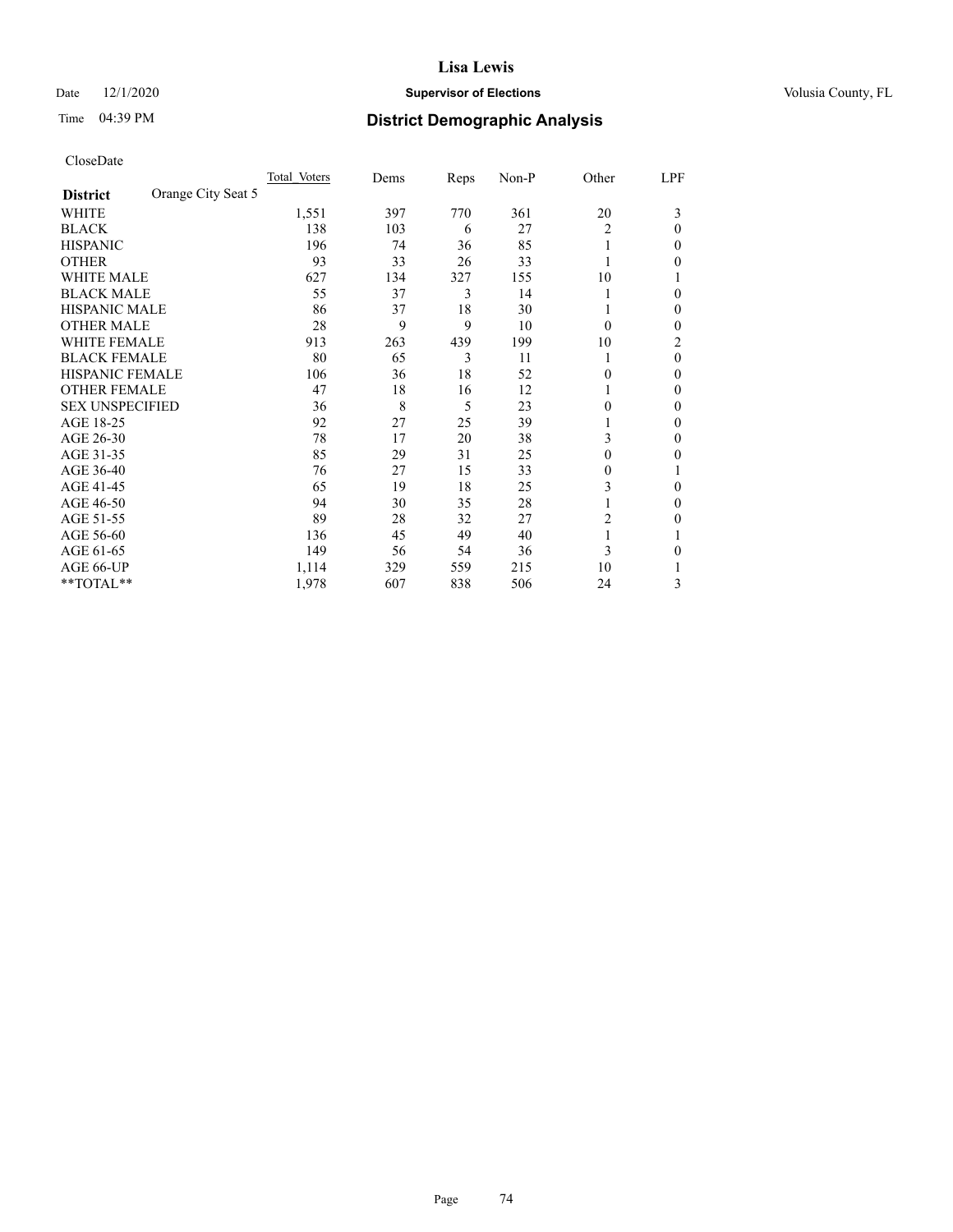# Date  $12/1/2020$  **Supervisor of Elections Supervisor of Elections** Volusia County, FL

# Time 04:39 PM **District Demographic Analysis**

|                        |                    | Total Voters | Dems | Reps | Non-P | Other          | LPF      |
|------------------------|--------------------|--------------|------|------|-------|----------------|----------|
| <b>District</b>        | Orange City Seat 5 |              |      |      |       |                |          |
| WHITE                  |                    | 1,551        | 397  | 770  | 361   | 20             | 3        |
| <b>BLACK</b>           |                    | 138          | 103  | 6    | 27    | $\overline{c}$ | $\Omega$ |
| <b>HISPANIC</b>        |                    | 196          | 74   | 36   | 85    | 1              | 0        |
| <b>OTHER</b>           |                    | 93           | 33   | 26   | 33    |                | 0        |
| WHITE MALE             |                    | 627          | 134  | 327  | 155   | 10             |          |
| <b>BLACK MALE</b>      |                    | 55           | 37   | 3    | 14    |                | $\Omega$ |
| <b>HISPANIC MALE</b>   |                    | 86           | 37   | 18   | 30    |                | 0        |
| <b>OTHER MALE</b>      |                    | 28           | 9    | 9    | 10    | $\Omega$       | 0        |
| WHITE FEMALE           |                    | 913          | 263  | 439  | 199   | 10             | 2        |
| <b>BLACK FEMALE</b>    |                    | 80           | 65   | 3    | 11    |                | $\theta$ |
| <b>HISPANIC FEMALE</b> |                    | 106          | 36   | 18   | 52    | 0              | 0        |
| <b>OTHER FEMALE</b>    |                    | 47           | 18   | 16   | 12    |                | 0        |
| <b>SEX UNSPECIFIED</b> |                    | 36           | 8    | 5    | 23    | 0              | 0        |
| AGE 18-25              |                    | 92           | 27   | 25   | 39    |                | $\Omega$ |
| AGE 26-30              |                    | 78           | 17   | 20   | 38    | 3              | $\theta$ |
| AGE 31-35              |                    | 85           | 29   | 31   | 25    | 0              | 0        |
| AGE 36-40              |                    | 76           | 27   | 15   | 33    | 0              |          |
| AGE 41-45              |                    | 65           | 19   | 18   | 25    | 3              | 0        |
| AGE 46-50              |                    | 94           | 30   | 35   | 28    |                | 0        |
| AGE 51-55              |                    | 89           | 28   | 32   | 27    | 2              | 0        |
| AGE 56-60              |                    | 136          | 45   | 49   | 40    |                |          |
| AGE 61-65              |                    | 149          | 56   | 54   | 36    | 3              | 0        |
| AGE 66-UP              |                    | 1,114        | 329  | 559  | 215   | 10             |          |
| **TOTAL**              |                    | 1,978        | 607  | 838  | 506   | 24             | 3        |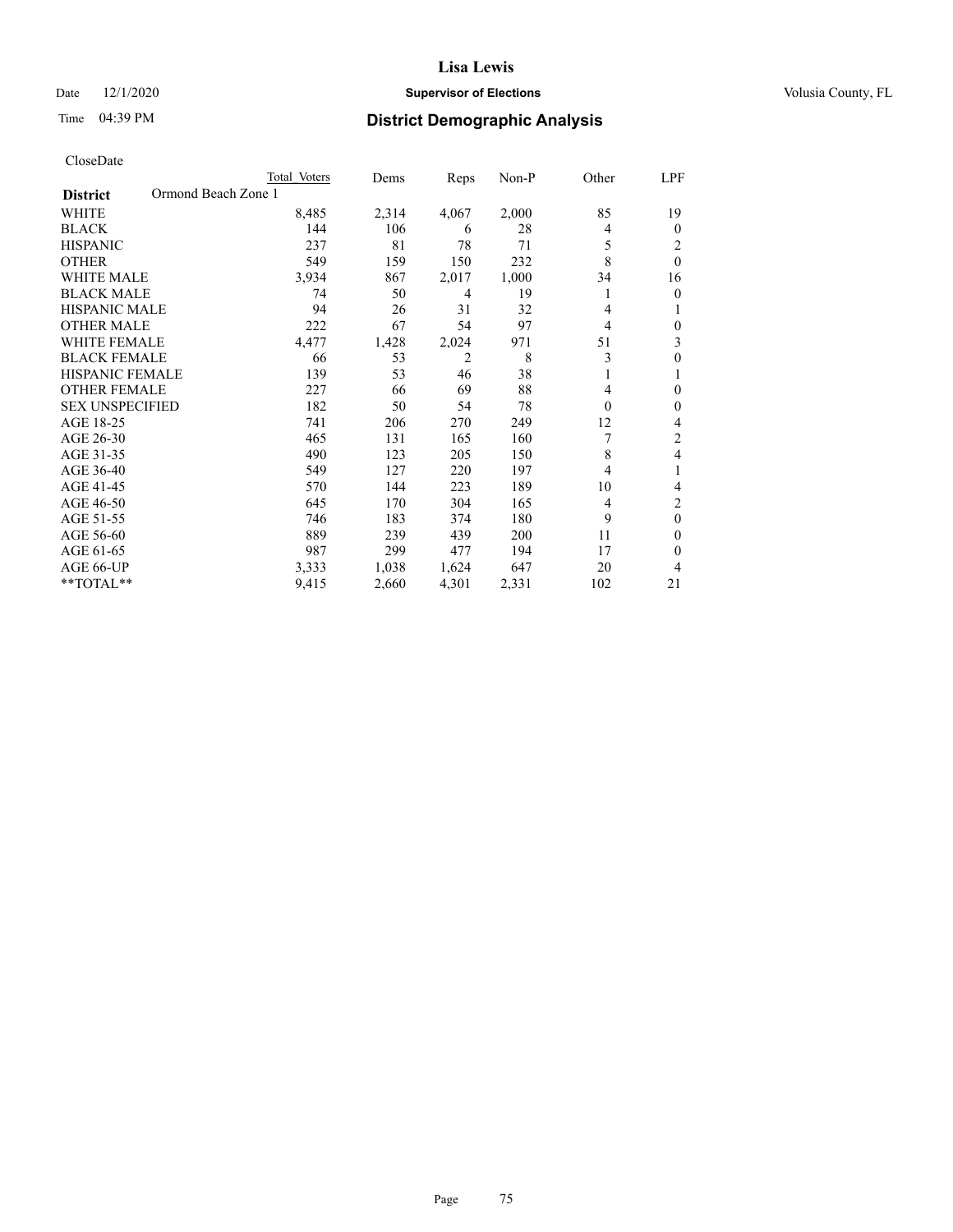# Date  $12/1/2020$  **Supervisor of Elections Supervisor of Elections** Volusia County, FL

| CloseDate |
|-----------|
|-----------|

|                                        | Total Voters | Dems  | Reps           | Non-P | Other    | LPF              |
|----------------------------------------|--------------|-------|----------------|-------|----------|------------------|
| Ormond Beach Zone 1<br><b>District</b> |              |       |                |       |          |                  |
| WHITE                                  | 8,485        | 2,314 | 4,067          | 2,000 | 85       | 19               |
| <b>BLACK</b>                           | 144          | 106   | 6              | 28    | 4        | $\mathbf{0}$     |
| <b>HISPANIC</b>                        | 237          | 81    | 78             | 71    | 5        | 2                |
| <b>OTHER</b>                           | 549          | 159   | 150            | 232   | 8        | $\mathbf{0}$     |
| <b>WHITE MALE</b>                      | 3,934        | 867   | 2,017          | 1,000 | 34       | 16               |
| <b>BLACK MALE</b>                      | 74           | 50    | 4              | 19    | 1        | $\theta$         |
| <b>HISPANIC MALE</b>                   | 94           | 26    | 31             | 32    | 4        | 1                |
| <b>OTHER MALE</b>                      | 222          | 67    | 54             | 97    | 4        | $\boldsymbol{0}$ |
| <b>WHITE FEMALE</b>                    | 4,477        | 1,428 | 2,024          | 971   | 51       | 3                |
| <b>BLACK FEMALE</b>                    | 66           | 53    | $\overline{2}$ | 8     | 3        | $\boldsymbol{0}$ |
| <b>HISPANIC FEMALE</b>                 | 139          | 53    | 46             | 38    | 1        | 1                |
| <b>OTHER FEMALE</b>                    | 227          | 66    | 69             | 88    | 4        | $\theta$         |
| <b>SEX UNSPECIFIED</b>                 | 182          | 50    | 54             | 78    | $\theta$ | $\theta$         |
| AGE 18-25                              | 741          | 206   | 270            | 249   | 12       | 4                |
| AGE 26-30                              | 465          | 131   | 165            | 160   | 7        | 2                |
| AGE 31-35                              | 490          | 123   | 205            | 150   | 8        | 4                |
| AGE 36-40                              | 549          | 127   | 220            | 197   | 4        | 1                |
| AGE 41-45                              | 570          | 144   | 223            | 189   | 10       | 4                |
| AGE 46-50                              | 645          | 170   | 304            | 165   | 4        | 2                |
| AGE 51-55                              | 746          | 183   | 374            | 180   | 9        | $\theta$         |
| AGE 56-60                              | 889          | 239   | 439            | 200   | 11       | 0                |
| AGE 61-65                              | 987          | 299   | 477            | 194   | 17       | 0                |
| AGE 66-UP                              | 3,333        | 1,038 | 1,624          | 647   | 20       | 4                |
| **TOTAL**                              | 9,415        | 2,660 | 4,301          | 2,331 | 102      | 21               |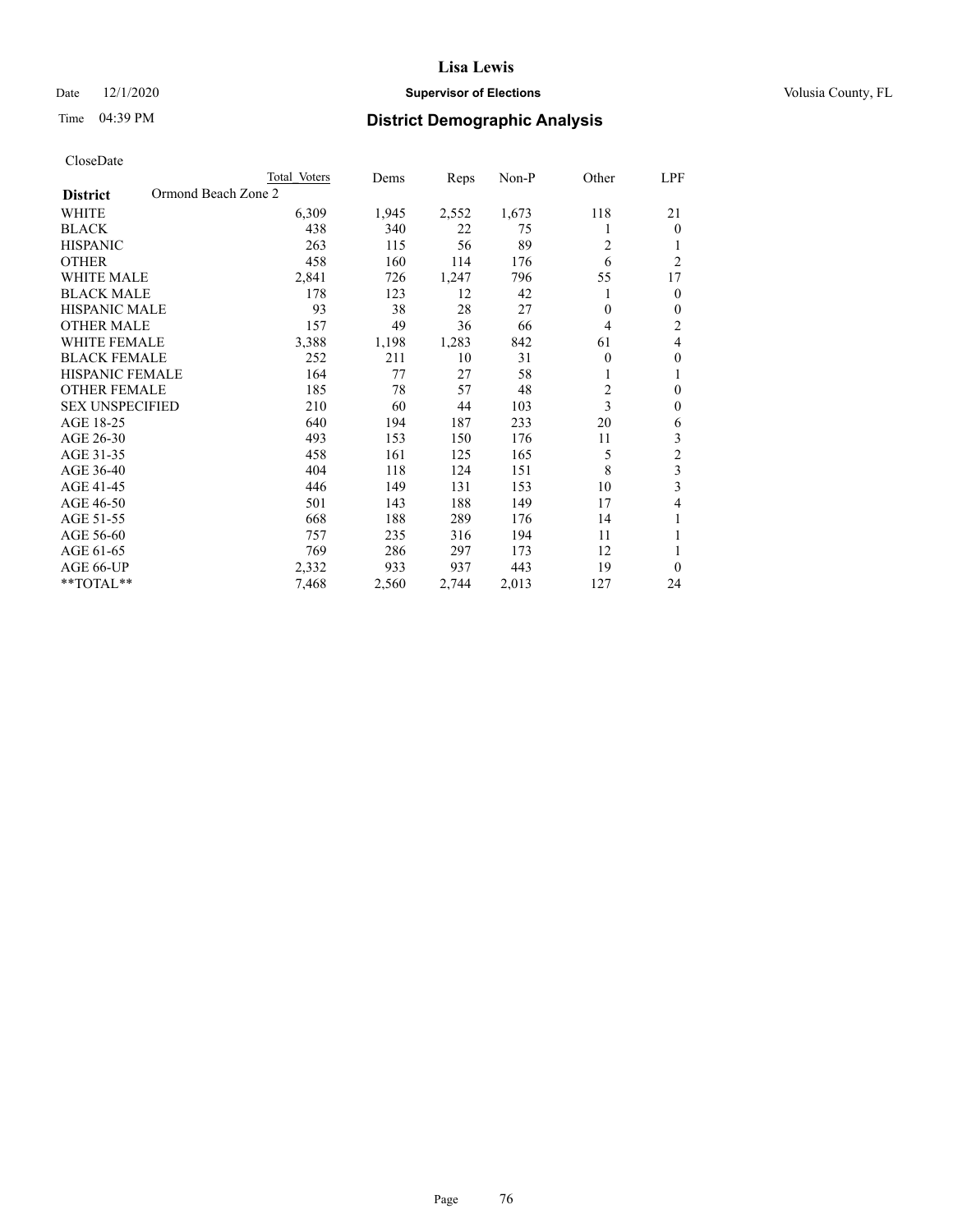# Date  $12/1/2020$  **Supervisor of Elections Supervisor of Elections** Volusia County, FL

| CloseDate |
|-----------|
|-----------|

| Total Voters        | Dems  | Reps  | $Non-P$ | Other          | LPF            |
|---------------------|-------|-------|---------|----------------|----------------|
| Ormond Beach Zone 2 |       |       |         |                |                |
| 6,309               | 1,945 | 2,552 | 1,673   | 118            | 21             |
| 438                 | 340   | 22    | 75      |                | $\theta$       |
| 263                 | 115   | 56    | 89      | $\overline{c}$ | 1              |
| 458                 | 160   | 114   | 176     | 6              | $\overline{2}$ |
| 2,841               | 726   | 1,247 | 796     | 55             | 17             |
| 178                 | 123   | 12    | 42      | 1              | $\mathbf{0}$   |
| 93                  | 38    | 28    | 27      | $\theta$       | $\mathbf{0}$   |
| 157                 | 49    | 36    | 66      | 4              | $\overline{c}$ |
| 3,388               | 1,198 | 1,283 | 842     | 61             | 4              |
| 252                 | 211   | 10    | 31      | $\theta$       | $\mathbf{0}$   |
| 164                 | 77    | 27    | 58      |                | 1              |
| 185                 | 78    | 57    | 48      | 2              | $\mathbf{0}$   |
| 210                 | 60    | 44    | 103     | 3              | $\mathbf{0}$   |
| 640                 | 194   | 187   | 233     | 20             | 6              |
| 493                 | 153   | 150   | 176     | 11             | 3              |
| 458                 | 161   | 125   | 165     | 5              | $\overline{c}$ |
| 404                 | 118   | 124   | 151     | 8              | $\overline{3}$ |
| 446                 | 149   | 131   | 153     | 10             | 3              |
| 501                 | 143   | 188   | 149     | 17             | 4              |
| 668                 | 188   | 289   | 176     | 14             | 1              |
| 757                 | 235   | 316   | 194     | 11             | 1              |
| 769                 | 286   | 297   | 173     | 12             | 1              |
| 2,332               | 933   | 937   | 443     | 19             | $\theta$       |
| 7,468               | 2,560 | 2,744 | 2,013   | 127            | 24             |
|                     |       |       |         |                |                |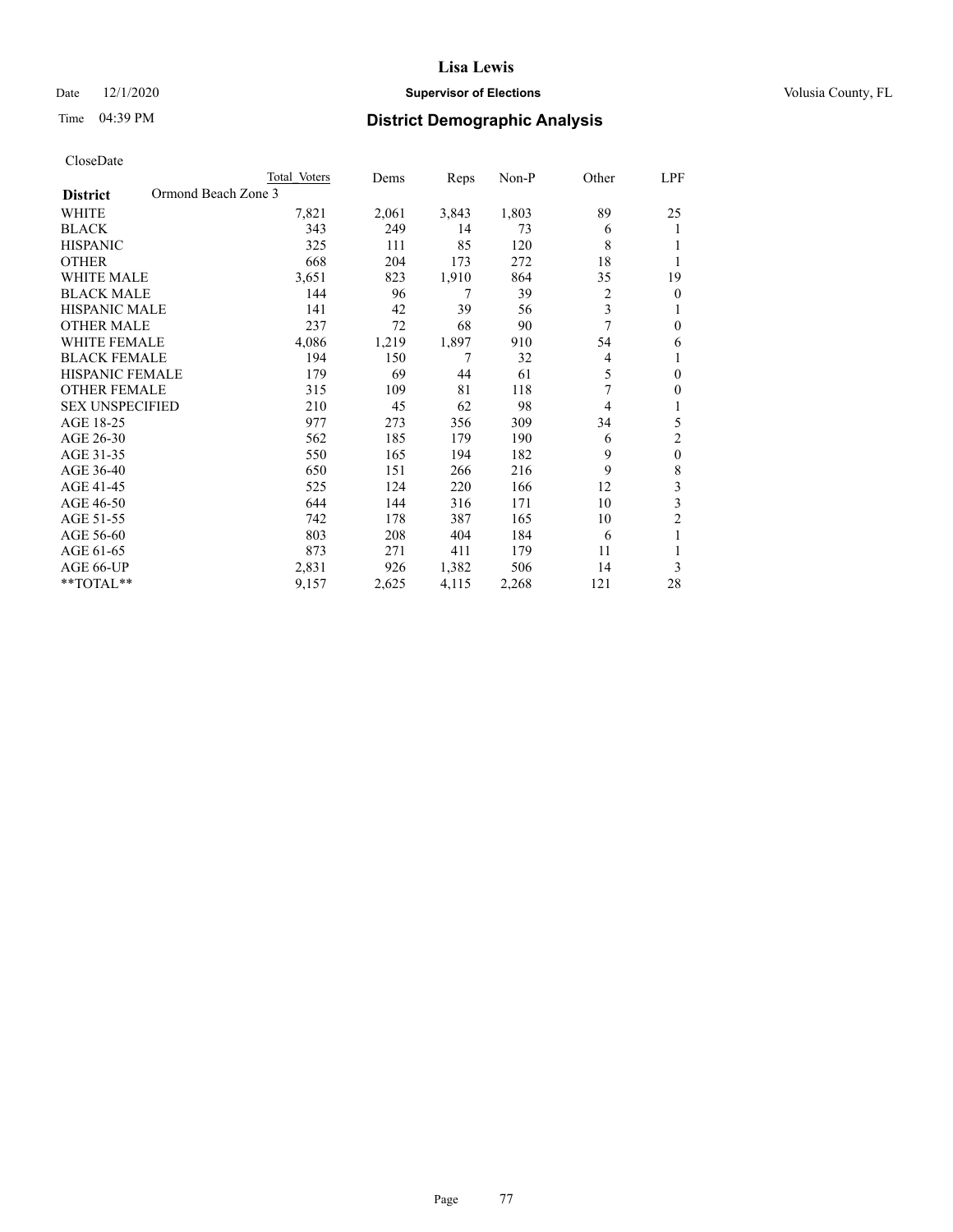# Date  $12/1/2020$  **Supervisor of Elections Supervisor of Elections** Volusia County, FL

| CloseDate |
|-----------|
|-----------|

| Total Voters        | Dems  | Reps  | $Non-P$ | Other          | LPF            |
|---------------------|-------|-------|---------|----------------|----------------|
| Ormond Beach Zone 3 |       |       |         |                |                |
| 7,821               | 2,061 | 3,843 | 1,803   | 89             | 25             |
| 343                 | 249   | 14    | 73      | 6              | 1              |
| 325                 | 111   | 85    | 120     | 8              |                |
| 668                 | 204   | 173   | 272     | 18             | 1              |
| 3,651               | 823   | 1,910 | 864     | 35             | 19             |
| 144                 | 96    | 7     | 39      | 2              | $\overline{0}$ |
| 141                 | 42    | 39    | 56      | 3              | 1              |
| 237                 | 72    | 68    | 90      | 7              | $\mathbf{0}$   |
| 4,086               | 1,219 |       | 910     | 54             | 6              |
| 194                 | 150   | 7     | 32      | 4              | 1              |
| 179                 | 69    | 44    | 61      | 5              | $\mathbf{0}$   |
| 315                 | 109   | 81    | 118     | 7              | $\theta$       |
| 210                 | 45    | 62    | 98      | $\overline{4}$ | 1              |
| 977                 | 273   | 356   | 309     | 34             | 5              |
| 562                 | 185   | 179   | 190     | 6              | $\overline{2}$ |
| 550                 | 165   | 194   | 182     | 9              | $\mathbf{0}$   |
| 650                 | 151   | 266   | 216     | 9              | 8              |
| 525                 | 124   | 220   | 166     | 12             | 3              |
| 644                 | 144   | 316   | 171     | 10             | 3              |
| 742                 | 178   | 387   | 165     | 10             | $\overline{c}$ |
| 803                 | 208   | 404   | 184     | 6              | 1              |
| 873                 | 271   | 411   | 179     | 11             |                |
| 2,831               | 926   | 1,382 | 506     | 14             | 3              |
| 9,157               | 2,625 | 4,115 | 2,268   | 121            | 28             |
|                     |       |       | 1,897   |                |                |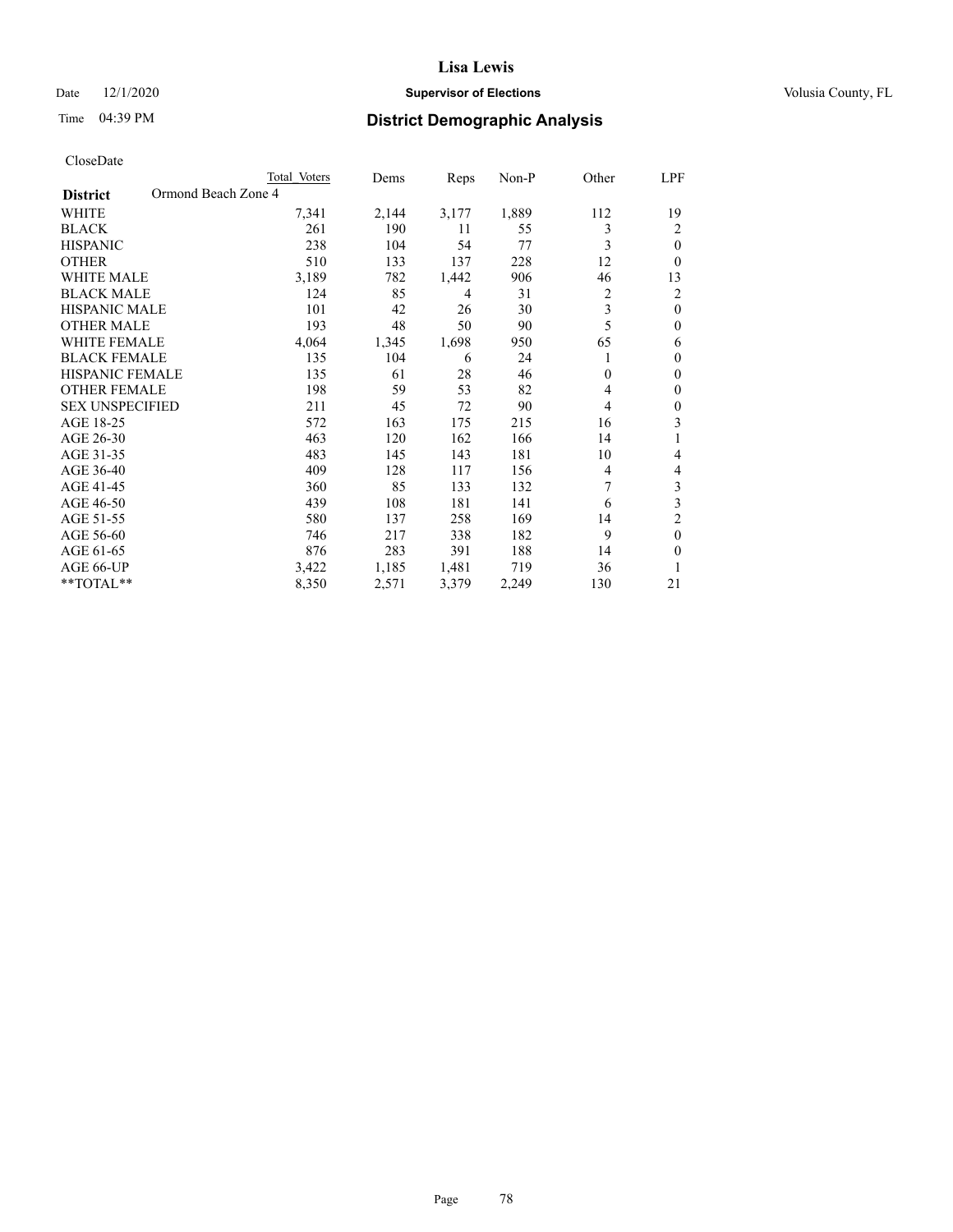# Date  $12/1/2020$  **Supervisor of Elections Supervisor of Elections** Volusia County, FL

|                                        | Total Voters | Dems  | Reps  | Non-P | Other    | LPF              |
|----------------------------------------|--------------|-------|-------|-------|----------|------------------|
| Ormond Beach Zone 4<br><b>District</b> |              |       |       |       |          |                  |
| WHITE                                  | 7,341        | 2,144 | 3,177 | 1,889 | 112      | 19               |
| <b>BLACK</b>                           | 261          | 190   | 11    | 55    | 3        | 2                |
| <b>HISPANIC</b>                        | 238          | 104   | 54    | 77    | 3        | $\mathbf{0}$     |
| <b>OTHER</b>                           | 510          | 133   | 137   | 228   | 12       | $\Omega$         |
| <b>WHITE MALE</b>                      | 3,189        | 782   | 1,442 | 906   | 46       | 13               |
| <b>BLACK MALE</b>                      | 124          | 85    | 4     | 31    | 2        | $\overline{c}$   |
| <b>HISPANIC MALE</b>                   | 101          | 42    | 26    | 30    | 3        | $\theta$         |
| <b>OTHER MALE</b>                      | 193          | 48    | 50    | 90    | 5        | $\theta$         |
| <b>WHITE FEMALE</b>                    | 4,064        | 1,345 | 1,698 | 950   | 65       | 6                |
| <b>BLACK FEMALE</b>                    | 135          | 104   | 6     | 24    |          | $\boldsymbol{0}$ |
| HISPANIC FEMALE                        | 135          | 61    | 28    | 46    | $\theta$ | $\theta$         |
| <b>OTHER FEMALE</b>                    | 198          | 59    | 53    | 82    | 4        | $\theta$         |
| <b>SEX UNSPECIFIED</b>                 | 211          | 45    | 72    | 90    | 4        | $\theta$         |
| AGE 18-25                              | 572          | 163   | 175   | 215   | 16       | 3                |
| AGE 26-30                              | 463          | 120   | 162   | 166   | 14       | 1                |
| AGE 31-35                              | 483          | 145   | 143   | 181   | 10       | 4                |
| AGE 36-40                              | 409          | 128   | 117   | 156   | 4        | 4                |
| AGE 41-45                              | 360          | 85    | 133   | 132   | 7        | 3                |
| AGE 46-50                              | 439          | 108   | 181   | 141   | 6        | 3                |
| AGE 51-55                              | 580          | 137   | 258   | 169   | 14       | 2                |
| AGE 56-60                              | 746          | 217   | 338   | 182   | 9        | $\mathbf{0}$     |
| AGE 61-65                              | 876          | 283   | 391   | 188   | 14       | 0                |
| AGE 66-UP                              | 3,422        | 1,185 | 1,481 | 719   | 36       |                  |
| **TOTAL**                              | 8,350        | 2,571 | 3,379 | 2,249 | 130      | 21               |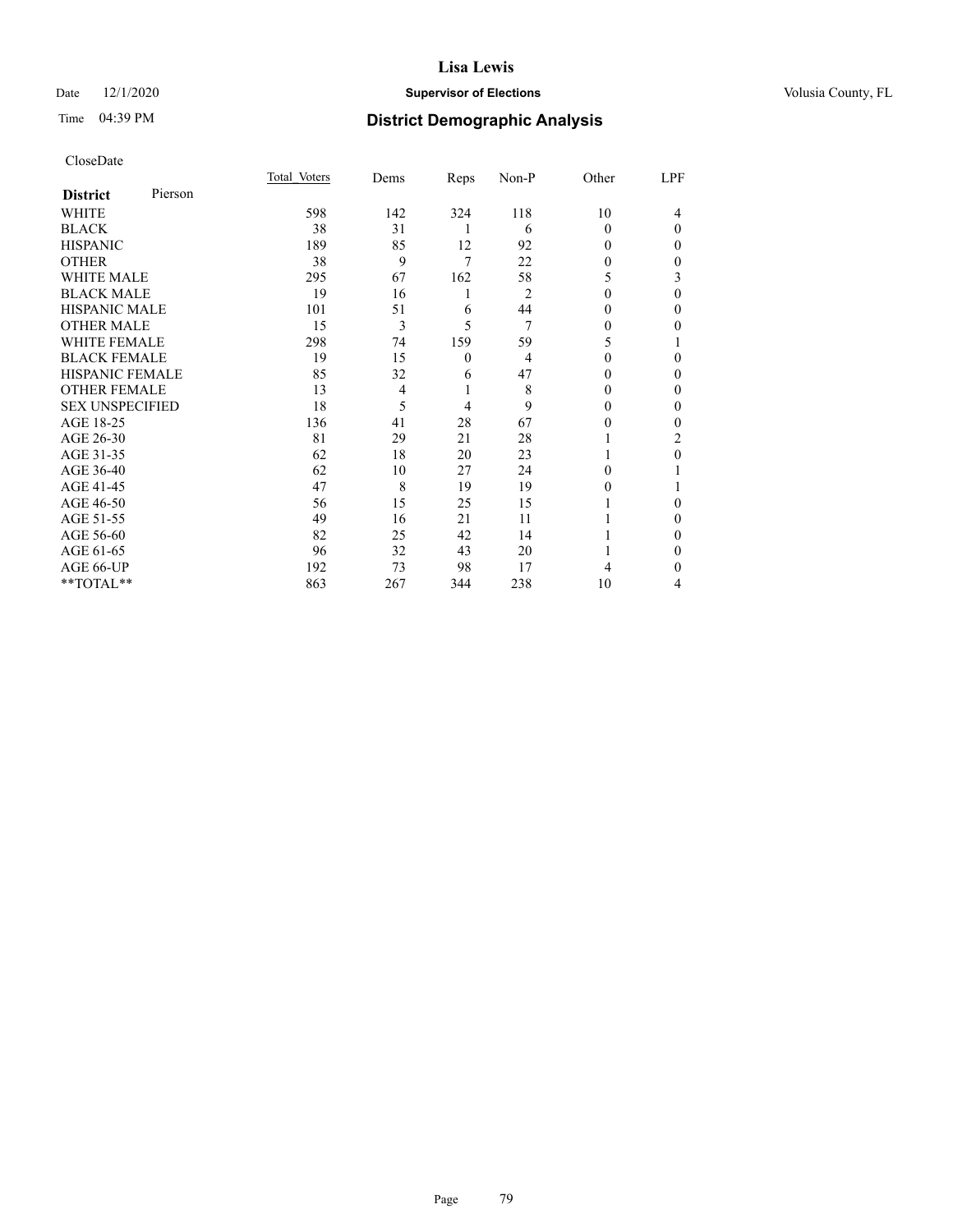# Date  $12/1/2020$  **Supervisor of Elections Supervisor of Elections** Volusia County, FL

# Time 04:39 PM **District Demographic Analysis**

|                        |         | Total Voters | Dems | Reps           | Non-P          | Other    | LPF          |
|------------------------|---------|--------------|------|----------------|----------------|----------|--------------|
| <b>District</b>        | Pierson |              |      |                |                |          |              |
| WHITE                  |         | 598          | 142  | 324            | 118            | 10       | 4            |
| <b>BLACK</b>           |         | 38           | 31   | 1              | 6              | $\Omega$ | $\theta$     |
| <b>HISPANIC</b>        |         | 189          | 85   | 12             | 92             | 0        | $\Omega$     |
| <b>OTHER</b>           |         | 38           | 9    | 7              | 22             | 0        | $\Omega$     |
| <b>WHITE MALE</b>      |         | 295          | 67   | 162            | 58             | 5        | 3            |
| <b>BLACK MALE</b>      |         | 19           | 16   | 1              | $\overline{2}$ | 0        | $\theta$     |
| <b>HISPANIC MALE</b>   |         | 101          | 51   | 6              | 44             | 0        | $\mathbf{0}$ |
| <b>OTHER MALE</b>      |         | 15           | 3    | 5              | 7              | 0        | 0            |
| <b>WHITE FEMALE</b>    |         | 298          | 74   | 159            | 59             | 5        |              |
| <b>BLACK FEMALE</b>    |         | 19           | 15   | $\overline{0}$ | $\overline{4}$ | $\Omega$ | $\mathbf{0}$ |
| <b>HISPANIC FEMALE</b> |         | 85           | 32   | 6              | 47             | 0        | $\Omega$     |
| <b>OTHER FEMALE</b>    |         | 13           | 4    | 1              | 8              | 0        | $\Omega$     |
| <b>SEX UNSPECIFIED</b> |         | 18           | 5    | 4              | 9              | 0        | $\theta$     |
| AGE 18-25              |         | 136          | 41   | 28             | 67             | 0        | $\Omega$     |
| AGE 26-30              |         | 81           | 29   | 21             | 28             |          | 2            |
| AGE 31-35              |         | 62           | 18   | 20             | 23             |          | $\theta$     |
| AGE 36-40              |         | 62           | 10   | 27             | 24             | $\Omega$ |              |
| AGE 41-45              |         | 47           | 8    | 19             | 19             | 0        |              |
| AGE 46-50              |         | 56           | 15   | 25             | 15             |          | 0            |
| AGE 51-55              |         | 49           | 16   | 21             | 11             |          | $\Omega$     |
| AGE 56-60              |         | 82           | 25   | 42             | 14             |          | $\Omega$     |
| AGE 61-65              |         | 96           | 32   | 43             | 20             |          | $\mathbf{0}$ |
| AGE 66-UP              |         | 192          | 73   | 98             | 17             | 4        | 0            |
| **TOTAL**              |         | 863          | 267  | 344            | 238            | 10       | 4            |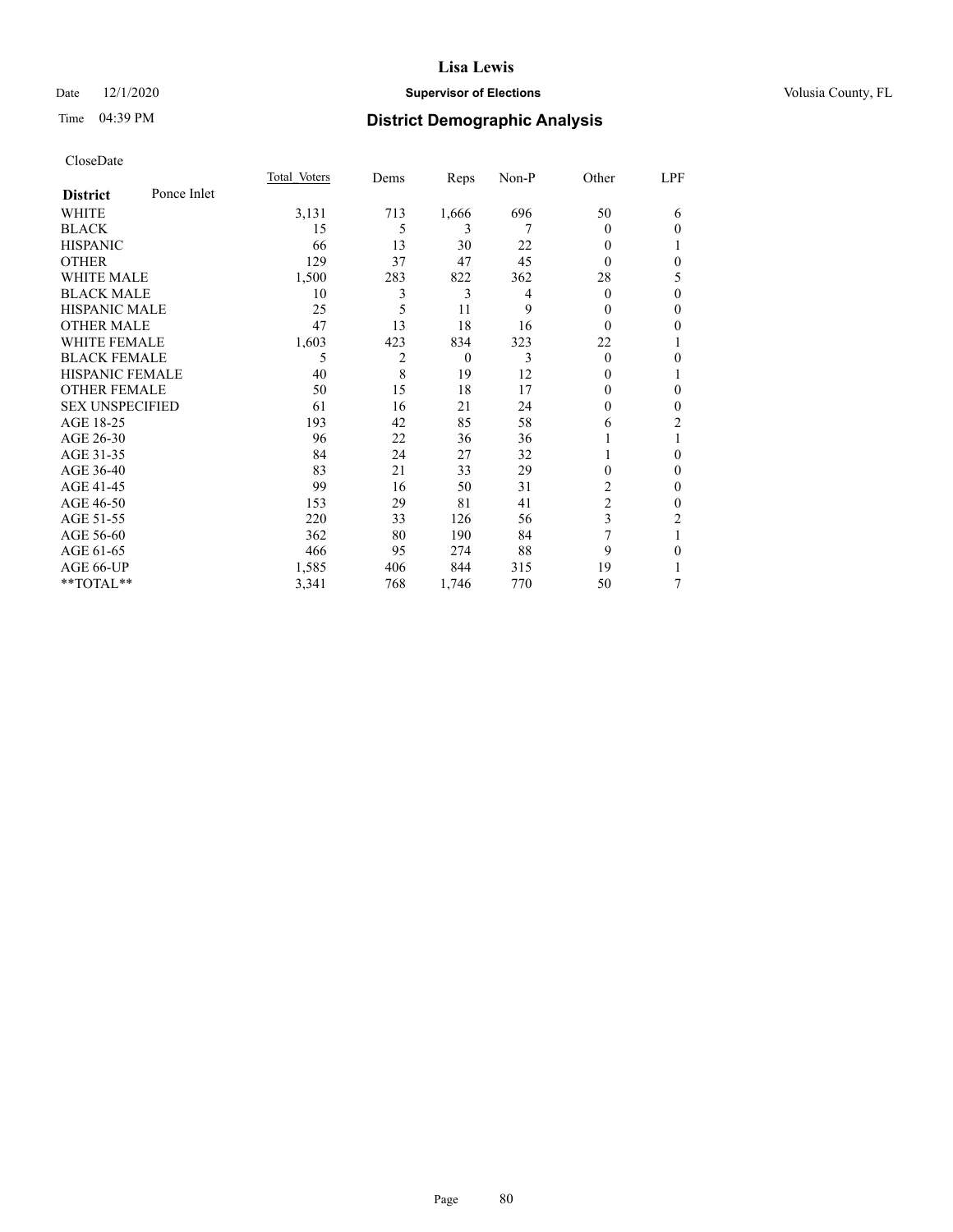# Date  $12/1/2020$  **Supervisor of Elections Supervisor of Elections** Volusia County, FL

# Time 04:39 PM **District Demographic Analysis**

|                        |             | Total Voters | Dems | Reps     | Non-P | Other          | LPF            |
|------------------------|-------------|--------------|------|----------|-------|----------------|----------------|
| <b>District</b>        | Ponce Inlet |              |      |          |       |                |                |
| WHITE                  |             | 3,131        | 713  | 1,666    | 696   | 50             | 6              |
| <b>BLACK</b>           |             | 15           | 5    | 3        | 7     | $\theta$       | $\mathbf{0}$   |
| <b>HISPANIC</b>        |             | 66           | 13   | 30       | 22    | $\theta$       | 1              |
| <b>OTHER</b>           |             | 129          | 37   | 47       | 45    | $\theta$       | $\mathbf{0}$   |
| <b>WHITE MALE</b>      |             | 1,500        | 283  | 822      | 362   | 28             | 5              |
| <b>BLACK MALE</b>      |             | 10           | 3    | 3        | 4     | $\theta$       | $\mathbf{0}$   |
| <b>HISPANIC MALE</b>   |             | 25           | 5    | 11       | 9     | $\theta$       | $\mathbf{0}$   |
| <b>OTHER MALE</b>      |             | 47           | 13   | 18       | 16    | $\Omega$       | $\theta$       |
| <b>WHITE FEMALE</b>    |             | 1,603        | 423  | 834      | 323   | 22             |                |
| <b>BLACK FEMALE</b>    |             | 5            | 2    | $\theta$ | 3     | $\Omega$       | $\theta$       |
| <b>HISPANIC FEMALE</b> |             | 40           | 8    | 19       | 12    | $\theta$       | 1              |
| <b>OTHER FEMALE</b>    |             | 50           | 15   | 18       | 17    | $\Omega$       | $\mathbf{0}$   |
| <b>SEX UNSPECIFIED</b> |             | 61           | 16   | 21       | 24    | 0              | $\theta$       |
| AGE 18-25              |             | 193          | 42   | 85       | 58    | 6              | $\overline{2}$ |
| AGE 26-30              |             | 96           | 22   | 36       | 36    |                | 1              |
| AGE 31-35              |             | 84           | 24   | 27       | 32    |                | $\theta$       |
| AGE 36-40              |             | 83           | 21   | 33       | 29    | 0              | $\mathbf{0}$   |
| AGE 41-45              |             | 99           | 16   | 50       | 31    | 2              | $\theta$       |
| AGE 46-50              |             | 153          | 29   | 81       | 41    | $\overline{2}$ | $\mathbf{0}$   |
| AGE 51-55              |             | 220          | 33   | 126      | 56    | 3              | 2              |
| AGE 56-60              |             | 362          | 80   | 190      | 84    |                |                |
| AGE 61-65              |             | 466          | 95   | 274      | 88    | 9              | $\theta$       |
| AGE 66-UP              |             | 1,585        | 406  | 844      | 315   | 19             | 1              |
| **TOTAL**              |             | 3,341        | 768  | 1,746    | 770   | 50             | 7              |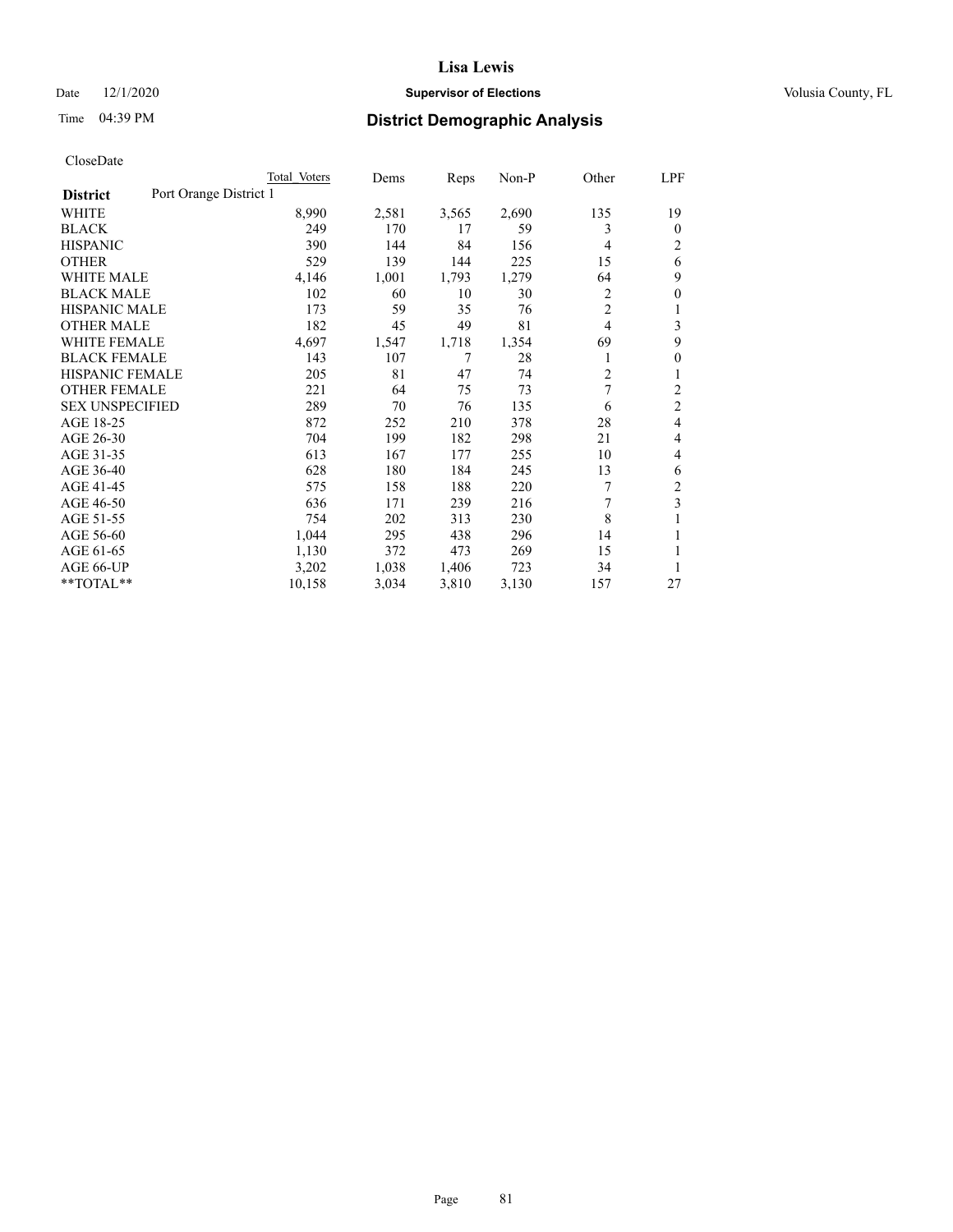# Date  $12/1/2020$  **Supervisor of Elections Supervisor of Elections** Volusia County, FL

| CloseDate |
|-----------|
|-----------|

|                                           | Total Voters | Dems  | Reps  | Non-P | Other          | LPF            |
|-------------------------------------------|--------------|-------|-------|-------|----------------|----------------|
| Port Orange District 1<br><b>District</b> |              |       |       |       |                |                |
| WHITE                                     | 8,990        | 2,581 | 3,565 | 2,690 | 135            | 19             |
| <b>BLACK</b>                              | 249          | 170   | 17    | 59    | 3              | $\mathbf{0}$   |
| <b>HISPANIC</b>                           | 390          | 144   | 84    | 156   | 4              | 2              |
| <b>OTHER</b>                              | 529          | 139   | 144   | 225   | 15             | 6              |
| <b>WHITE MALE</b>                         | 4,146        | 1,001 | 1,793 | 1,279 | 64             | 9              |
| <b>BLACK MALE</b>                         | 102          | 60    | 10    | 30    | 2              | $\theta$       |
| <b>HISPANIC MALE</b>                      | 173          | 59    | 35    | 76    | 2              | 1              |
| <b>OTHER MALE</b>                         | 182          | 45    | 49    | 81    | $\overline{4}$ | 3              |
| <b>WHITE FEMALE</b>                       | 4,697        | 1,547 | 1,718 | 1,354 | 69             | 9              |
| <b>BLACK FEMALE</b>                       | 143          | 107   | 7     | 28    | 1              | 0              |
| HISPANIC FEMALE                           | 205          | 81    | 47    | 74    | 2              | 1              |
| <b>OTHER FEMALE</b>                       | 221          | 64    | 75    | 73    | 7              | 2              |
| <b>SEX UNSPECIFIED</b>                    | 289          | 70    | 76    | 135   | 6              | $\overline{2}$ |
| AGE 18-25                                 | 872          | 252   | 210   | 378   | 28             | 4              |
| AGE 26-30                                 | 704          | 199   | 182   | 298   | 21             | 4              |
| AGE 31-35                                 | 613          | 167   | 177   | 255   | 10             | 4              |
| AGE 36-40                                 | 628          | 180   | 184   | 245   | 13             | 6              |
| AGE 41-45                                 | 575          | 158   | 188   | 220   | 7              | $\sqrt{2}$     |
| AGE 46-50                                 | 636          | 171   | 239   | 216   | 7              | 3              |
| AGE 51-55                                 | 754          | 202   | 313   | 230   | 8              | 1              |
| AGE 56-60                                 | 1,044        | 295   | 438   | 296   | 14             |                |
| AGE 61-65                                 | 1,130        | 372   | 473   | 269   | 15             |                |
| AGE 66-UP                                 | 3,202        | 1,038 | 1,406 | 723   | 34             | 1              |
| **TOTAL**                                 | 10,158       | 3,034 | 3,810 | 3,130 | 157            | 27             |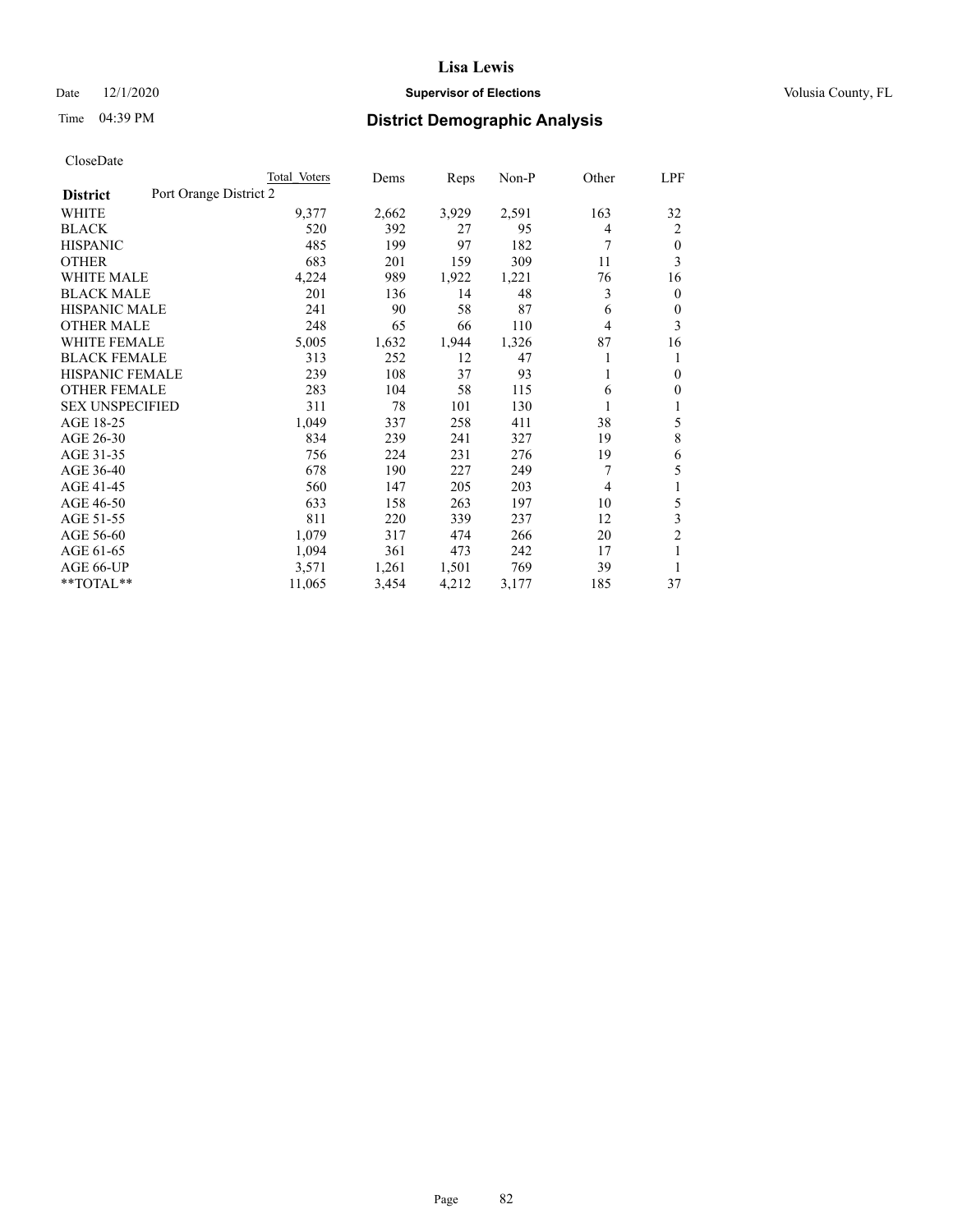# Date  $12/1/2020$  **Supervisor of Elections Supervisor of Elections** Volusia County, FL

# Time 04:39 PM **District Demographic Analysis**

|                        |                        | Total Voters | Dems  | Reps  | Non-P | Other | LPF            |
|------------------------|------------------------|--------------|-------|-------|-------|-------|----------------|
| <b>District</b>        | Port Orange District 2 |              |       |       |       |       |                |
| WHITE                  |                        | 9,377        | 2,662 | 3,929 | 2,591 | 163   | 32             |
| <b>BLACK</b>           |                        | 520          | 392   | 27    | 95    | 4     | 2              |
| <b>HISPANIC</b>        |                        | 485          | 199   | 97    | 182   | 7     | $\mathbf{0}$   |
| <b>OTHER</b>           |                        | 683          | 201   | 159   | 309   | 11    | 3              |
| <b>WHITE MALE</b>      |                        | 4,224        | 989   | 1,922 | 1,221 | 76    | 16             |
| <b>BLACK MALE</b>      |                        | 201          | 136   | 14    | 48    | 3     | $\mathbf{0}$   |
| <b>HISPANIC MALE</b>   |                        | 241          | 90    | 58    | 87    | 6     | $\mathbf{0}$   |
| <b>OTHER MALE</b>      |                        | 248          | 65    | 66    | 110   | 4     | 3              |
| WHITE FEMALE           |                        | 5,005        | 1,632 | 1,944 | 1,326 | 87    | 16             |
| <b>BLACK FEMALE</b>    |                        | 313          | 252   | 12    | 47    |       | 1              |
| <b>HISPANIC FEMALE</b> |                        | 239          | 108   | 37    | 93    |       | $\theta$       |
| <b>OTHER FEMALE</b>    |                        | 283          | 104   | 58    | 115   | 6     | $\mathbf{0}$   |
| <b>SEX UNSPECIFIED</b> |                        | 311          | 78    | 101   | 130   | 1     | 1              |
| AGE 18-25              |                        | 1,049        | 337   | 258   | 411   | 38    | 5              |
| AGE 26-30              |                        | 834          | 239   | 241   | 327   | 19    | 8              |
| AGE 31-35              |                        | 756          | 224   | 231   | 276   | 19    | 6              |
| AGE 36-40              |                        | 678          | 190   | 227   | 249   | 7     | 5              |
| AGE 41-45              |                        | 560          | 147   | 205   | 203   | 4     | 1              |
| AGE 46-50              |                        | 633          | 158   | 263   | 197   | 10    | 5              |
| AGE 51-55              |                        | 811          | 220   | 339   | 237   | 12    | 3              |
| AGE 56-60              |                        | 1,079        | 317   | 474   | 266   | 20    | $\overline{c}$ |
| AGE 61-65              |                        | 1,094        | 361   | 473   | 242   | 17    | 1              |
| AGE 66-UP              |                        | 3,571        | 1,261 | 1,501 | 769   | 39    | 1              |
| **TOTAL**              |                        | 11,065       | 3,454 | 4,212 | 3,177 | 185   | 37             |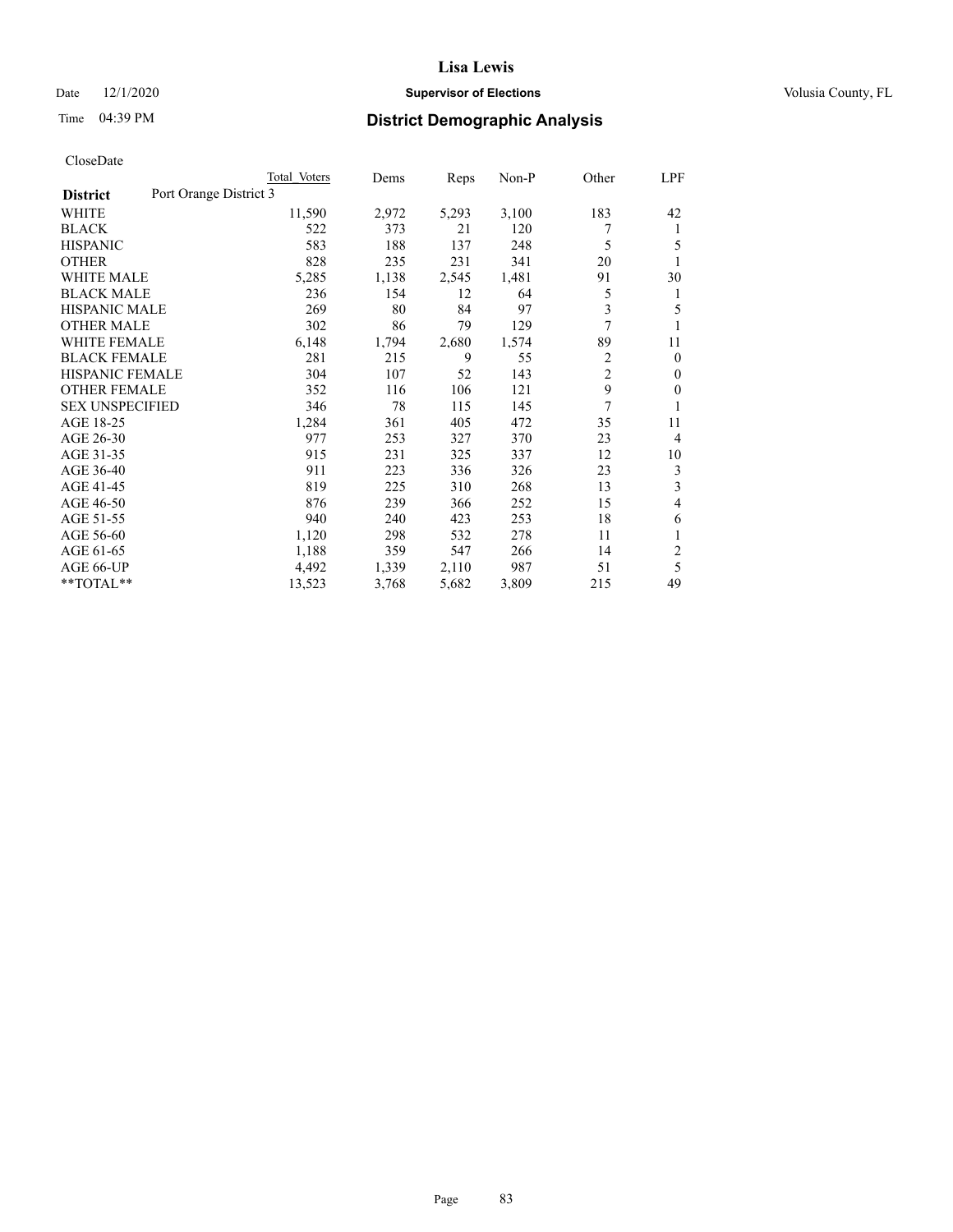# Date  $12/1/2020$  **Supervisor of Elections Supervisor of Elections** Volusia County, FL

# Time 04:39 PM **District Demographic Analysis**

|                                           | Total Voters | Dems  | Reps  | $Non-P$ | Other          | LPF            |
|-------------------------------------------|--------------|-------|-------|---------|----------------|----------------|
| Port Orange District 3<br><b>District</b> |              |       |       |         |                |                |
| WHITE                                     | 11,590       | 2,972 | 5,293 | 3,100   | 183            | 42             |
| <b>BLACK</b>                              | 522          | 373   | 21    | 120     |                | 1              |
| <b>HISPANIC</b>                           | 583          | 188   | 137   | 248     | 5              | 5              |
| <b>OTHER</b>                              | 828          | 235   | 231   | 341     | 20             | 1              |
| <b>WHITE MALE</b>                         | 5,285        | 1,138 | 2,545 | 1,481   | 91             | 30             |
| <b>BLACK MALE</b>                         | 236          | 154   | 12    | 64      | 5              | 1              |
| <b>HISPANIC MALE</b>                      | 269          | 80    | 84    | 97      | 3              | 5              |
| <b>OTHER MALE</b>                         | 302          | 86    | 79    | 129     | 7              | 1              |
| <b>WHITE FEMALE</b>                       | 6,148        | 1,794 | 2,680 | 1,574   | 89             | 11             |
| <b>BLACK FEMALE</b>                       | 281          | 215   | 9     | 55      | $\overline{2}$ | $\mathbf{0}$   |
| <b>HISPANIC FEMALE</b>                    | 304          | 107   | 52    | 143     | 2              | $\mathbf{0}$   |
| <b>OTHER FEMALE</b>                       | 352          | 116   | 106   | 121     | 9              | $\overline{0}$ |
| <b>SEX UNSPECIFIED</b>                    | 346          | 78    | 115   | 145     | 7              | 1              |
| AGE 18-25                                 | 1,284        | 361   | 405   | 472     | 35             | 11             |
| AGE 26-30                                 | 977          | 253   | 327   | 370     | 23             | $\overline{4}$ |
| AGE 31-35                                 | 915          | 231   | 325   | 337     | 12             | 10             |
| AGE 36-40                                 | 911          | 223   | 336   | 326     | 23             | 3              |
| AGE 41-45                                 | 819          | 225   | 310   | 268     | 13             | 3              |
| AGE 46-50                                 | 876          | 239   | 366   | 252     | 15             | 4              |
| AGE 51-55                                 | 940          | 240   | 423   | 253     | 18             | 6              |
| AGE 56-60                                 | 1,120        | 298   | 532   | 278     | 11             | 1              |
| AGE 61-65                                 | 1,188        | 359   | 547   | 266     | 14             | $\overline{2}$ |
| AGE 66-UP                                 | 4,492        | 1,339 | 2,110 | 987     | 51             | 5              |
| **TOTAL**                                 | 13,523       | 3,768 | 5,682 | 3,809   | 215            | 49             |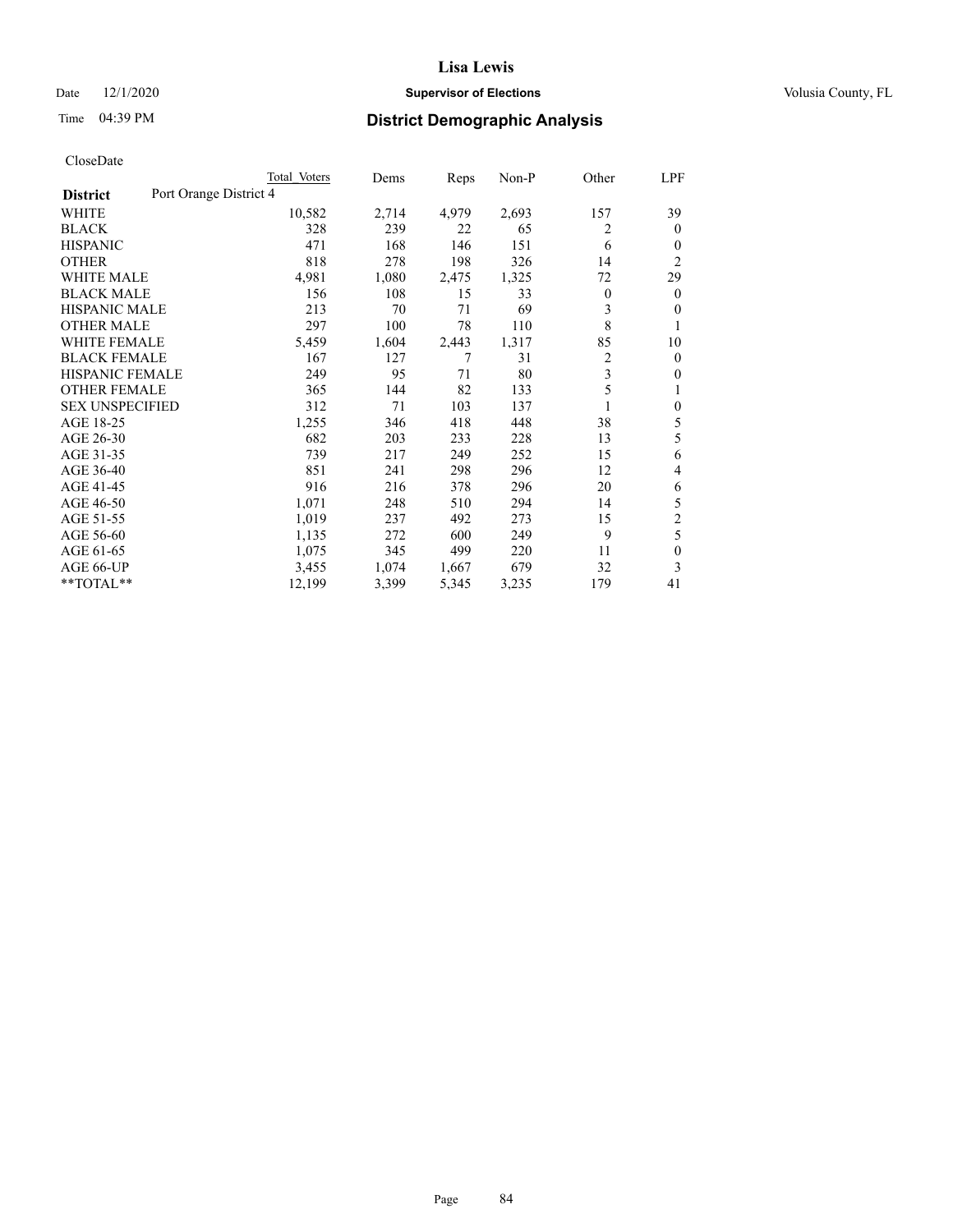# Date  $12/1/2020$  **Supervisor of Elections Supervisor of Elections** Volusia County, FL

# Time 04:39 PM **District Demographic Analysis**

|                                           | Total Voters | Dems  | Reps  | $Non-P$ | Other | LPF              |
|-------------------------------------------|--------------|-------|-------|---------|-------|------------------|
| Port Orange District 4<br><b>District</b> |              |       |       |         |       |                  |
| WHITE                                     | 10,582       | 2,714 | 4,979 | 2,693   | 157   | 39               |
| <b>BLACK</b>                              | 328          | 239   | 22    | 65      | 2     | $\theta$         |
| <b>HISPANIC</b>                           | 471          | 168   | 146   | 151     | 6     | 0                |
| <b>OTHER</b>                              | 818          | 278   | 198   | 326     | 14    | $\overline{2}$   |
| <b>WHITE MALE</b>                         | 4,981        | 1,080 | 2,475 | 1,325   | 72    | 29               |
| <b>BLACK MALE</b>                         | 156          | 108   | 15    | 33      | 0     | $\mathbf{0}$     |
| <b>HISPANIC MALE</b>                      | 213          | 70    | 71    | 69      | 3     | 0                |
| <b>OTHER MALE</b>                         | 297          | 100   | 78    | 110     | 8     | 1                |
| <b>WHITE FEMALE</b>                       | 5,459        | 1,604 | 2,443 | 1,317   | 85    | 10               |
| <b>BLACK FEMALE</b>                       | 167          | 127   | 7     | 31      | 2     | $\mathbf{0}$     |
| <b>HISPANIC FEMALE</b>                    | 249          | 95    | 71    | 80      | 3     | $\mathbf{0}$     |
| <b>OTHER FEMALE</b>                       | 365          | 144   | 82    | 133     | 5     | 1                |
| <b>SEX UNSPECIFIED</b>                    | 312          | 71    | 103   | 137     |       | $\boldsymbol{0}$ |
| AGE 18-25                                 | 1,255        | 346   | 418   | 448     | 38    | 5                |
| AGE 26-30                                 | 682          | 203   | 233   | 228     | 13    | 5                |
| AGE 31-35                                 | 739          | 217   | 249   | 252     | 15    | 6                |
| AGE 36-40                                 | 851          | 241   | 298   | 296     | 12    | 4                |
| AGE 41-45                                 | 916          | 216   | 378   | 296     | 20    | 6                |
| AGE 46-50                                 | 1,071        | 248   | 510   | 294     | 14    | 5                |
| AGE 51-55                                 | 1,019        | 237   | 492   | 273     | 15    | $\overline{c}$   |
| AGE 56-60                                 | 1,135        | 272   | 600   | 249     | 9     | 5                |
| AGE 61-65                                 | 1,075        | 345   | 499   | 220     | 11    | 0                |
| AGE 66-UP                                 | 3,455        | 1,074 | 1,667 | 679     | 32    | 3                |
| **TOTAL**                                 | 12,199       | 3,399 | 5,345 | 3,235   | 179   | 41               |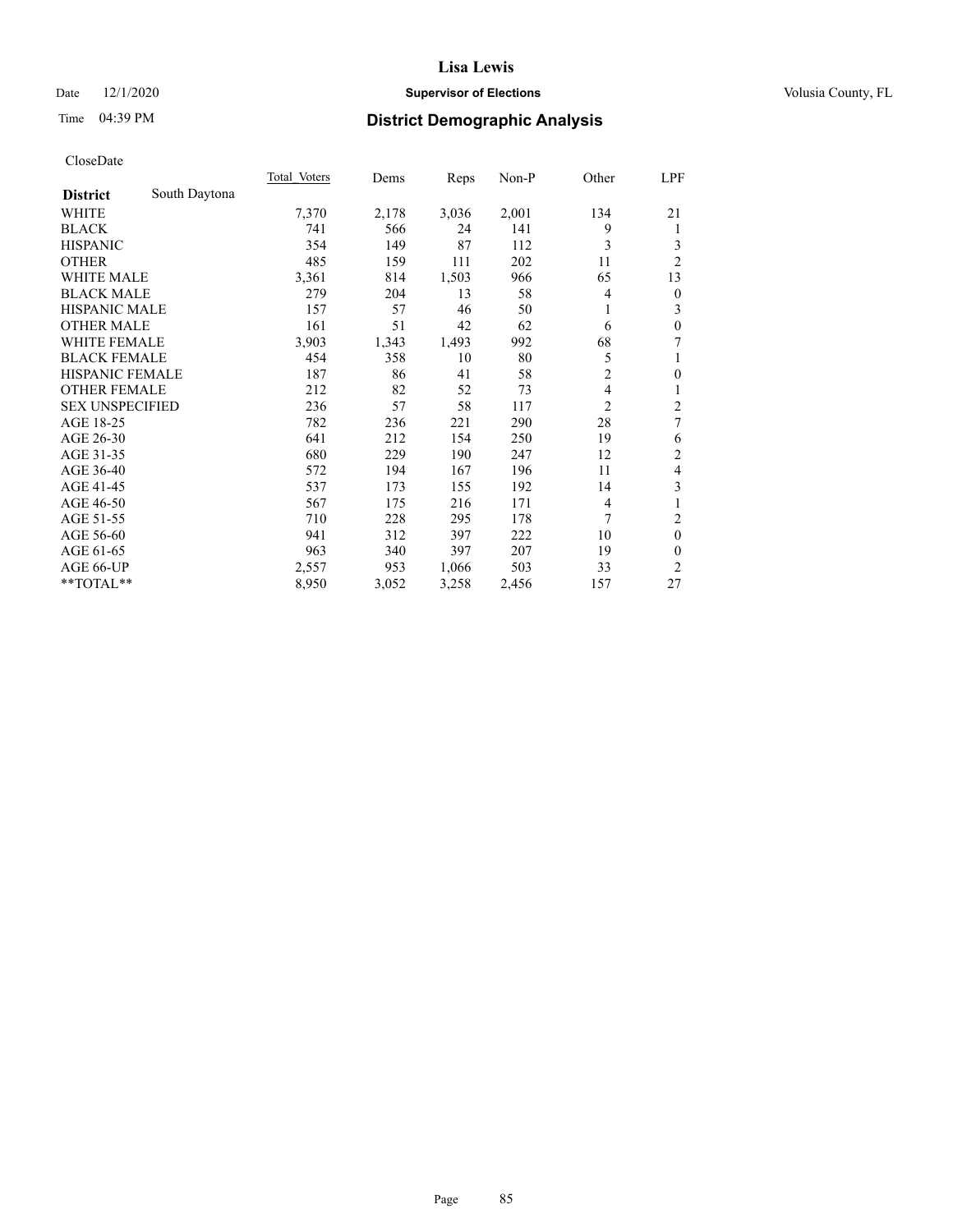# Date  $12/1/2020$  **Supervisor of Elections Supervisor of Elections** Volusia County, FL

# Time 04:39 PM **District Demographic Analysis**

|                        |               | <b>Total Voters</b> | Dems  | Reps  | $Non-P$ | Other          | LPF                     |
|------------------------|---------------|---------------------|-------|-------|---------|----------------|-------------------------|
| <b>District</b>        | South Daytona |                     |       |       |         |                |                         |
| WHITE                  |               | 7,370               | 2,178 | 3,036 | 2,001   | 134            | 21                      |
| <b>BLACK</b>           |               | 741                 | 566   | 24    | 141     | 9              | 1                       |
| <b>HISPANIC</b>        |               | 354                 | 149   | 87    | 112     | 3              | 3                       |
| <b>OTHER</b>           |               | 485                 | 159   | 111   | 202     | 11             | $\overline{2}$          |
| <b>WHITE MALE</b>      |               | 3,361               | 814   | 1,503 | 966     | 65             | 13                      |
| <b>BLACK MALE</b>      |               | 279                 | 204   | 13    | 58      | 4              | $\overline{0}$          |
| <b>HISPANIC MALE</b>   |               | 157                 | 57    | 46    | 50      | 1              | 3                       |
| <b>OTHER MALE</b>      |               | 161                 | 51    | 42    | 62      | 6              | $\mathbf{0}$            |
| WHITE FEMALE           |               | 3,903               | 1,343 | 1,493 | 992     | 68             | 7                       |
| <b>BLACK FEMALE</b>    |               | 454                 | 358   | 10    | 80      | 5              | 1                       |
| <b>HISPANIC FEMALE</b> |               | 187                 | 86    | 41    | 58      | $\overline{2}$ | $\mathbf{0}$            |
| <b>OTHER FEMALE</b>    |               | 212                 | 82    | 52    | 73      | 4              | 1                       |
| <b>SEX UNSPECIFIED</b> |               | 236                 | 57    | 58    | 117     | $\overline{2}$ | $\overline{\mathbf{c}}$ |
| AGE 18-25              |               | 782                 | 236   | 221   | 290     | 28             | 7                       |
| AGE 26-30              |               | 641                 | 212   | 154   | 250     | 19             | 6                       |
| AGE 31-35              |               | 680                 | 229   | 190   | 247     | 12             | $\overline{2}$          |
| AGE 36-40              |               | 572                 | 194   | 167   | 196     | 11             | 4                       |
| AGE 41-45              |               | 537                 | 173   | 155   | 192     | 14             | 3                       |
| AGE 46-50              |               | 567                 | 175   | 216   | 171     | 4              |                         |
| AGE 51-55              |               | 710                 | 228   | 295   | 178     | 7              | $\overline{2}$          |
| AGE 56-60              |               | 941                 | 312   | 397   | 222     | 10             | $\theta$                |
| AGE 61-65              |               | 963                 | 340   | 397   | 207     | 19             | $\theta$                |
| AGE 66-UP              |               | 2,557               | 953   | 1,066 | 503     | 33             | $\overline{2}$          |
| **TOTAL**              |               | 8,950               | 3,052 | 3,258 | 2,456   | 157            | 27                      |